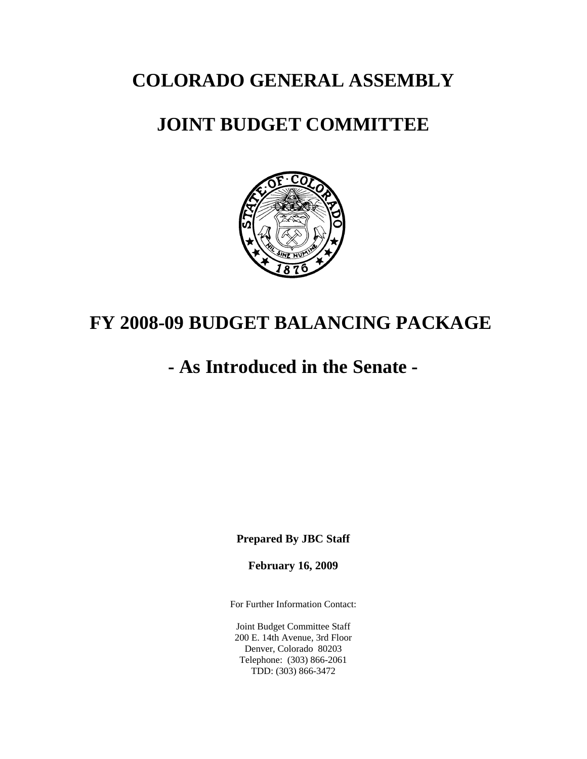**COLORADO GENERAL ASSEMBLY**

## **JOINT BUDGET COMMITTEE**



# **FY 2008-09 BUDGET BALANCING PACKAGE**

# **- As Introduced in the Senate -**

**Prepared By JBC Staff**

**February 16, 2009**

For Further Information Contact:

Joint Budget Committee Staff 200 E. 14th Avenue, 3rd Floor Denver, Colorado 80203 Telephone: (303) 866-2061 TDD: (303) 866-3472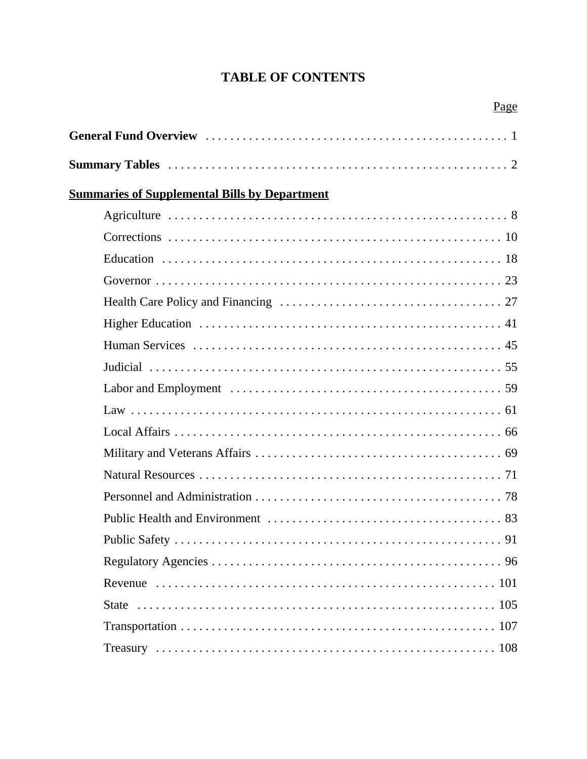## **TABLE OF CONTENTS**

|                                                      | Page |
|------------------------------------------------------|------|
|                                                      |      |
|                                                      |      |
| <b>Summaries of Supplemental Bills by Department</b> |      |
|                                                      |      |
|                                                      |      |
|                                                      |      |
|                                                      |      |
|                                                      |      |
|                                                      |      |
|                                                      |      |
|                                                      |      |
|                                                      |      |
|                                                      |      |
|                                                      |      |
|                                                      |      |
|                                                      |      |
|                                                      |      |
|                                                      |      |
|                                                      |      |
|                                                      |      |
|                                                      |      |
|                                                      |      |
|                                                      |      |
|                                                      |      |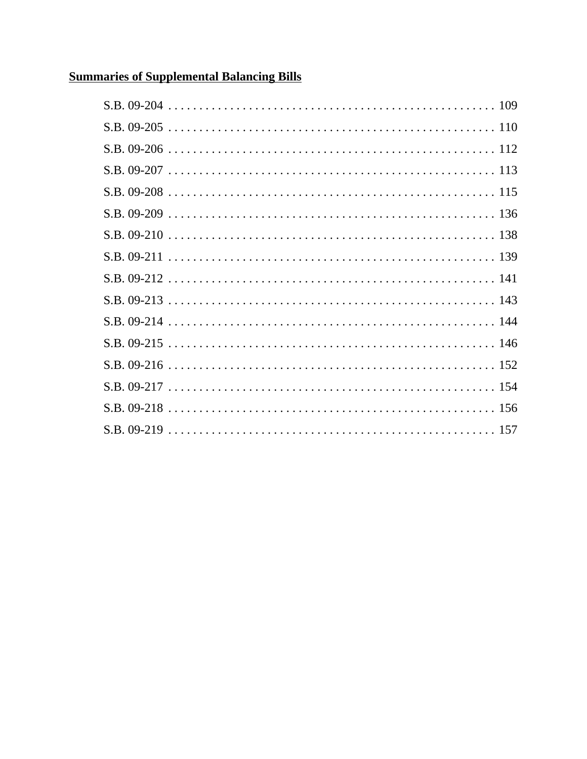## **Summaries of Supplemental Balancing Bills**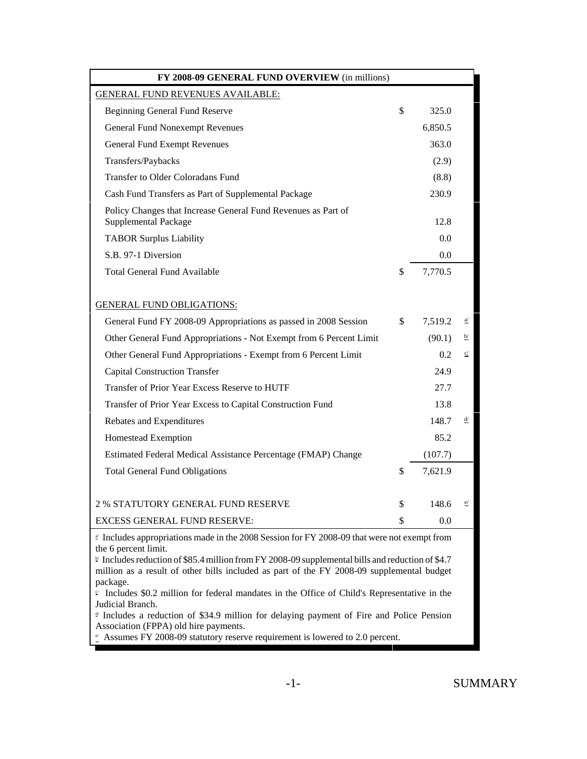| FY 2008-09 GENERAL FUND OVERVIEW (in millions)                                                                                                                                                                                                                                                                                                     |               |                |
|----------------------------------------------------------------------------------------------------------------------------------------------------------------------------------------------------------------------------------------------------------------------------------------------------------------------------------------------------|---------------|----------------|
| <b>GENERAL FUND REVENUES AVAILABLE:</b>                                                                                                                                                                                                                                                                                                            |               |                |
| <b>Beginning General Fund Reserve</b>                                                                                                                                                                                                                                                                                                              | \$<br>325.0   |                |
| <b>General Fund Nonexempt Revenues</b>                                                                                                                                                                                                                                                                                                             | 6,850.5       |                |
| <b>General Fund Exempt Revenues</b>                                                                                                                                                                                                                                                                                                                | 363.0         |                |
| Transfers/Paybacks                                                                                                                                                                                                                                                                                                                                 | (2.9)         |                |
| Transfer to Older Coloradans Fund                                                                                                                                                                                                                                                                                                                  | (8.8)         |                |
| Cash Fund Transfers as Part of Supplemental Package                                                                                                                                                                                                                                                                                                | 230.9         |                |
| Policy Changes that Increase General Fund Revenues as Part of<br>Supplemental Package                                                                                                                                                                                                                                                              | 12.8          |                |
| <b>TABOR Surplus Liability</b>                                                                                                                                                                                                                                                                                                                     | 0.0           |                |
| S.B. 97-1 Diversion                                                                                                                                                                                                                                                                                                                                | 0.0           |                |
| <b>Total General Fund Available</b>                                                                                                                                                                                                                                                                                                                | \$<br>7,770.5 |                |
| <b>GENERAL FUND OBLIGATIONS:</b>                                                                                                                                                                                                                                                                                                                   |               |                |
| General Fund FY 2008-09 Appropriations as passed in 2008 Session                                                                                                                                                                                                                                                                                   | \$<br>7,519.2 | $\overline{a}$ |
| Other General Fund Appropriations - Not Exempt from 6 Percent Limit                                                                                                                                                                                                                                                                                | (90.1)        | $\overline{P}$ |
| Other General Fund Appropriations - Exempt from 6 Percent Limit                                                                                                                                                                                                                                                                                    | $0.2^{\circ}$ | c/             |
| <b>Capital Construction Transfer</b>                                                                                                                                                                                                                                                                                                               | 24.9          |                |
| Transfer of Prior Year Excess Reserve to HUTF                                                                                                                                                                                                                                                                                                      | 27.7          |                |
| Transfer of Prior Year Excess to Capital Construction Fund                                                                                                                                                                                                                                                                                         | 13.8          |                |
| Rebates and Expenditures                                                                                                                                                                                                                                                                                                                           | 148.7         | ₫/             |
| Homestead Exemption                                                                                                                                                                                                                                                                                                                                | 85.2          |                |
| Estimated Federal Medical Assistance Percentage (FMAP) Change                                                                                                                                                                                                                                                                                      | (107.7)       |                |
| <b>Total General Fund Obligations</b>                                                                                                                                                                                                                                                                                                              | \$<br>7,621.9 |                |
| <b>2 % STATUTORY GENERAL FUND RESERVE</b>                                                                                                                                                                                                                                                                                                          | \$<br>148.6   | e/             |
| <b>EXCESS GENERAL FUND RESERVE:</b>                                                                                                                                                                                                                                                                                                                | \$<br>0.0     |                |
| $\frac{1}{2}$ Includes appropriations made in the 2008 Session for FY 2008-09 that were not exempt from                                                                                                                                                                                                                                            |               |                |
| the 6 percent limit.<br>$\frac{1}{2}$ Includes reduction of \$85.4 million from FY 2008-09 supplemental bills and reduction of \$4.7<br>million as a result of other bills included as part of the FY 2008-09 supplemental budget<br>package.<br>$\leq$ Includes \$0.2 million for federal mandates in the Office of Child's Representative in the |               |                |
| Judicial Branch.<br>$\frac{d}{dx}$ Includes a reduction of \$34.9 million for delaying payment of Fire and Police Pension<br>Association (FPPA) old hire payments.<br>$\frac{e}{2}$ Assumes FY 2008-09 statutory reserve requirement is lowered to 2.0 percent.                                                                                    |               |                |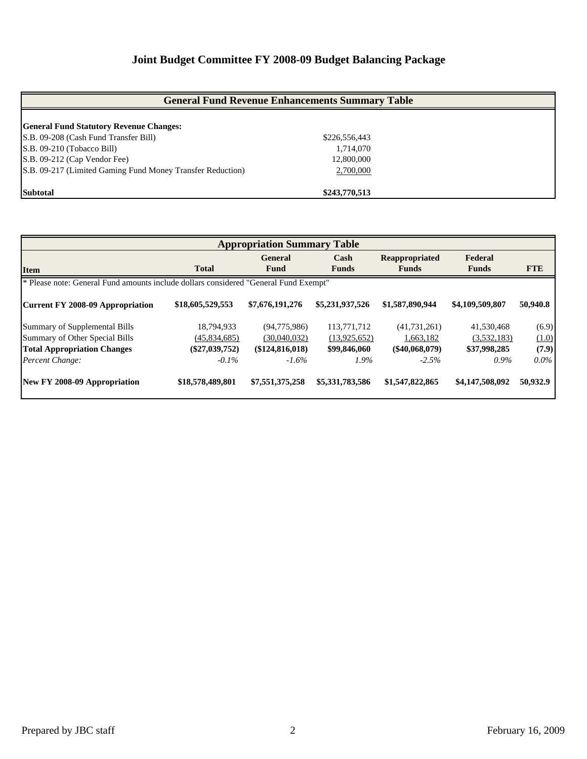## **Joint Budget Committee FY 2008-09 Budget Balancing Package**

| <b>General Fund Revenue Enhancements Summary Table</b>     |               |  |  |  |  |  |  |
|------------------------------------------------------------|---------------|--|--|--|--|--|--|
|                                                            |               |  |  |  |  |  |  |
| <b>General Fund Statutory Revenue Changes:</b>             |               |  |  |  |  |  |  |
| S.B. 09-208 (Cash Fund Transfer Bill)                      | \$226,556,443 |  |  |  |  |  |  |
| S.B. 09-210 (Tobacco Bill)                                 | 1,714,070     |  |  |  |  |  |  |
| S.B. 09-212 (Cap Vendor Fee)                               | 12,800,000    |  |  |  |  |  |  |
| S.B. 09-217 (Limited Gaming Fund Money Transfer Reduction) | 2,700,000     |  |  |  |  |  |  |
| <b>Subtotal</b>                                            | \$243,770,513 |  |  |  |  |  |  |

| <b>Appropriation Summary Table</b> |                                                                                      |                 |                 |                       |                 |            |  |  |  |  |  |
|------------------------------------|--------------------------------------------------------------------------------------|-----------------|-----------------|-----------------------|-----------------|------------|--|--|--|--|--|
|                                    |                                                                                      | <b>General</b>  | Cash            | <b>Reappropriated</b> | Federal         |            |  |  |  |  |  |
| <b>Item</b>                        | <b>Total</b>                                                                         | Fund            | <b>Funds</b>    | <b>Funds</b>          | <b>Funds</b>    | <b>FTE</b> |  |  |  |  |  |
|                                    | * Please note: General Fund amounts include dollars considered "General Fund Exempt" |                 |                 |                       |                 |            |  |  |  |  |  |
| Current FY 2008-09 Appropriation   | \$18,605,529,553                                                                     | \$7,676,191,276 | \$5,231,937,526 | \$1,587,890,944       | \$4,109,509,807 | 50,940.8   |  |  |  |  |  |
| Summary of Supplemental Bills      | 18,794,933                                                                           | (94,775,986)    | 113,771,712     | (41, 731, 261)        | 41,530,468      | (6.9)      |  |  |  |  |  |
| Summary of Other Special Bills     | (45,834,685)                                                                         | (30,040,032)    | (13,925,652)    | 1,663,182             | (3,532,183)     | (1.0)      |  |  |  |  |  |
| <b>Total Appropriation Changes</b> | $(\$27,039,752)$                                                                     | (\$124,816,018) | \$99,846,060    | $(\$40,068,079)$      | \$37,998,285    | (7.9)      |  |  |  |  |  |
| Percent Change:                    | $-0.1\%$                                                                             | $-1.6\%$        | 1.9%            | $-2.5%$               | $0.9\%$         | $0.0\%$    |  |  |  |  |  |
| New FY 2008-09 Appropriation       | \$18,578,489,801                                                                     | \$7,551,375,258 | \$5,331,783,586 | \$1,547,822,865       | \$4,147,508,092 | 50,932.9   |  |  |  |  |  |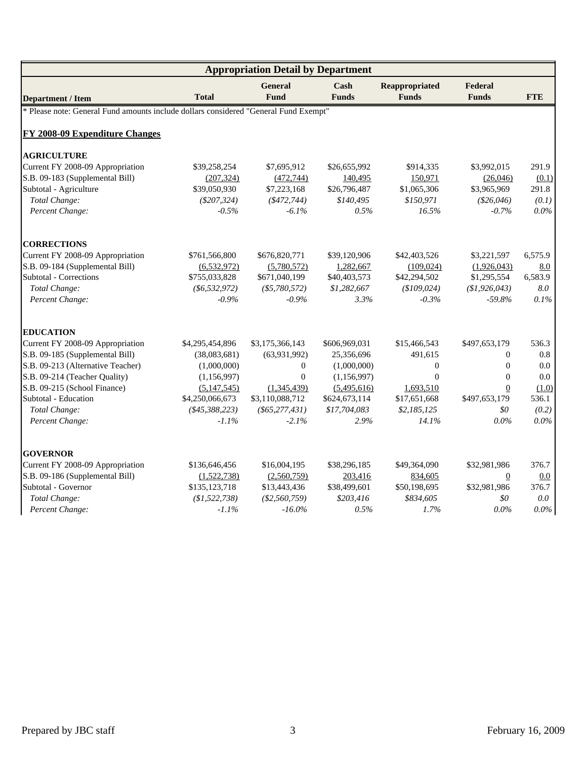| <b>Appropriation Detail by Department</b>                                            |                 |                               |                                 |                                |                         |            |  |  |  |
|--------------------------------------------------------------------------------------|-----------------|-------------------------------|---------------------------------|--------------------------------|-------------------------|------------|--|--|--|
| <b>Department / Item</b>                                                             | <b>Total</b>    | <b>General</b><br><b>Fund</b> | $\mathbf{Cash}$<br><b>Funds</b> | Reappropriated<br><b>Funds</b> | Federal<br><b>Funds</b> | <b>FTE</b> |  |  |  |
| * Please note: General Fund amounts include dollars considered "General Fund Exempt" |                 |                               |                                 |                                |                         |            |  |  |  |
| <b>FY 2008-09 Expenditure Changes</b>                                                |                 |                               |                                 |                                |                         |            |  |  |  |
| <b>AGRICULTURE</b>                                                                   |                 |                               |                                 |                                |                         |            |  |  |  |
| Current FY 2008-09 Appropriation                                                     | \$39,258,254    | \$7,695,912                   | \$26,655,992                    | \$914,335                      | \$3,992,015             | 291.9      |  |  |  |
| S.B. 09-183 (Supplemental Bill)                                                      | (207, 324)      | (472, 744)                    | 140,495                         | 150,971                        | (26,046)                | (0.1)      |  |  |  |
| Subtotal - Agriculture                                                               | \$39,050,930    | \$7,223,168                   | \$26,796,487                    | \$1,065,306                    | \$3,965,969             | 291.8      |  |  |  |
| Total Change:                                                                        | $(\$207,324)$   | ( \$472, 744)                 | \$140,495                       | \$150,971                      | $(\$26,046)$            | (0.1)      |  |  |  |
| Percent Change:                                                                      | $-0.5%$         | $-6.1\%$                      | 0.5%                            | 16.5%                          | $-0.7%$                 | $0.0\%$    |  |  |  |
| <b>CORRECTIONS</b>                                                                   |                 |                               |                                 |                                |                         |            |  |  |  |
| Current FY 2008-09 Appropriation                                                     | \$761,566,800   | \$676,820,771                 | \$39,120,906                    | \$42,403,526                   | \$3,221,597             | 6,575.9    |  |  |  |
| S.B. 09-184 (Supplemental Bill)                                                      | (6,532,972)     | (5,780,572)                   | 1,282,667                       | (109, 024)                     | (1,926,043)             | 8.0        |  |  |  |
| Subtotal - Corrections                                                               | \$755,033,828   | \$671,040,199                 | \$40,403,573                    | \$42,294,502                   | \$1,295,554             | 6,583.9    |  |  |  |
| Total Change:                                                                        | $(\$6,532,972)$ | $(\$5,780,572)$               | \$1,282,667                     | (\$109,024)                    | (\$1,926,043)           | 8.0        |  |  |  |
| Percent Change:                                                                      | $-0.9\%$        | $-0.9\%$                      | 3.3%                            | $-0.3%$                        | $-59.8%$                | 0.1%       |  |  |  |
| <b>EDUCATION</b>                                                                     |                 |                               |                                 |                                |                         |            |  |  |  |
| Current FY 2008-09 Appropriation                                                     | \$4,295,454,896 | \$3,175,366,143               | \$606,969,031                   | \$15,466,543                   | \$497,653,179           | 536.3      |  |  |  |
| S.B. 09-185 (Supplemental Bill)                                                      | (38,083,681)    | (63,931,992)                  | 25,356,696                      | 491,615                        | $\Omega$                | 0.8        |  |  |  |
| S.B. 09-213 (Alternative Teacher)                                                    | (1,000,000)     | $\mathbf{0}$                  | (1,000,000)                     | $\theta$                       | $\mathbf{0}$            | 0.0        |  |  |  |
| S.B. 09-214 (Teacher Quality)                                                        | (1, 156, 997)   | $\overline{0}$                | (1, 156, 997)                   | $\mathbf{0}$                   | $\mathbf{0}$            | 0.0        |  |  |  |
| S.B. 09-215 (School Finance)                                                         | (5,147,545)     | (1,345,439)                   | (5,495,616)                     | 1,693,510                      | $\overline{0}$          | (1.0)      |  |  |  |
| Subtotal - Education                                                                 | \$4,250,066,673 | \$3,110,088,712               | \$624,673,114                   | \$17,651,668                   | \$497,653,179           | 536.1      |  |  |  |
| Total Change:                                                                        | ( \$45,388,223) | $(\$65, 277, 431)$            | \$17,704,083                    | \$2,185,125                    | \$0                     | (0.2)      |  |  |  |
| Percent Change:                                                                      | $-1.1\%$        | $-2.1\%$                      | 2.9%                            | 14.1%                          | $0.0\%$                 | $0.0\%$    |  |  |  |
| <b>GOVERNOR</b>                                                                      |                 |                               |                                 |                                |                         |            |  |  |  |
| Current FY 2008-09 Appropriation                                                     | \$136,646,456   | \$16,004,195                  | \$38,296,185                    | \$49,364,090                   | \$32,981,986            | 376.7      |  |  |  |
| S.B. 09-186 (Supplemental Bill)                                                      | (1,522,738)     | (2,560,759)                   | 203,416                         | 834,605                        | $\overline{0}$          | 0.0        |  |  |  |
| Subtotal - Governor                                                                  | \$135,123,718   | \$13,443,436                  | \$38,499,601                    | \$50,198,695                   | \$32,981,986            | 376.7      |  |  |  |
| Total Change:                                                                        | (\$1,522,738)   | (\$2,560,759)                 | \$203,416                       | \$834,605                      | \$0                     | $0.0\,$    |  |  |  |
| Percent Change:                                                                      | $-1.1%$         | $-16.0\%$                     | 0.5%                            | 1.7%                           | $0.0\%$                 | $0.0\%$    |  |  |  |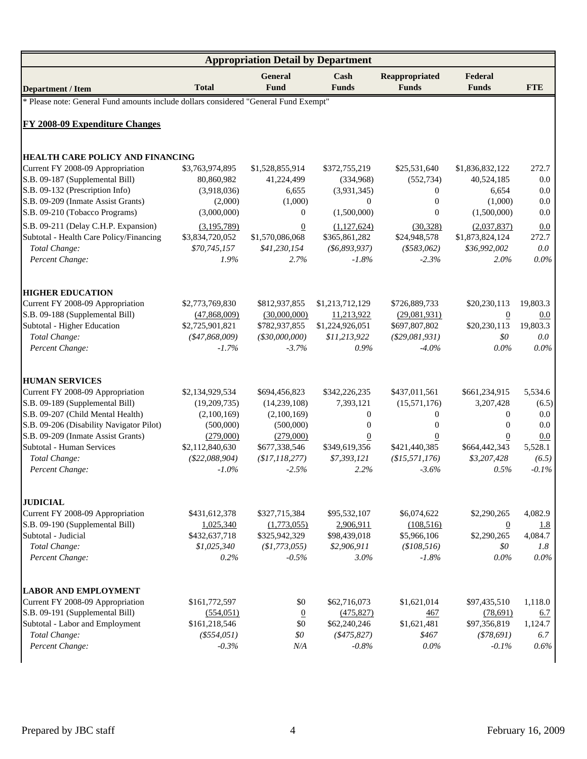| <b>Appropriation Detail by Department</b>                                            |                                 |                               |                               |                                  |                                |                 |  |  |  |  |
|--------------------------------------------------------------------------------------|---------------------------------|-------------------------------|-------------------------------|----------------------------------|--------------------------------|-----------------|--|--|--|--|
| <b>Department / Item</b>                                                             | <b>Total</b>                    | <b>General</b><br>Fund        | Cash<br><b>Funds</b>          | Reappropriated<br><b>Funds</b>   | Federal<br><b>Funds</b>        | <b>FTE</b>      |  |  |  |  |
| * Please note: General Fund amounts include dollars considered "General Fund Exempt" |                                 |                               |                               |                                  |                                |                 |  |  |  |  |
| <b>FY 2008-09 Expenditure Changes</b>                                                |                                 |                               |                               |                                  |                                |                 |  |  |  |  |
|                                                                                      |                                 |                               |                               |                                  |                                |                 |  |  |  |  |
| <b>HEALTH CARE POLICY AND FINANCING</b>                                              |                                 |                               |                               |                                  |                                |                 |  |  |  |  |
| Current FY 2008-09 Appropriation<br>S.B. 09-187 (Supplemental Bill)                  | \$3,763,974,895<br>80,860,982   | \$1,528,855,914<br>41,224,499 | \$372,755,219<br>(334,968)    | \$25,531,640<br>(552, 734)       | \$1,836,832,122<br>40,524,185  | 272.7<br>0.0    |  |  |  |  |
| S.B. 09-132 (Prescription Info)                                                      | (3,918,036)                     | 6,655                         | (3,931,345)                   | $\mathbf{0}$                     | 6,654                          | 0.0             |  |  |  |  |
| S.B. 09-209 (Inmate Assist Grants)                                                   | (2,000)                         | (1,000)                       | $\overline{0}$                | $\mathbf{0}$                     | (1,000)                        | 0.0             |  |  |  |  |
| S.B. 09-210 (Tobacco Programs)                                                       | (3,000,000)                     | $\boldsymbol{0}$              | (1,500,000)                   | $\theta$                         | (1,500,000)                    | 0.0             |  |  |  |  |
| S.B. 09-211 (Delay C.H.P. Expansion)                                                 | (3,195,789)                     | $\mathbf{0}$                  | (1,127,624)                   | (30,328)                         | (2,037,837)                    | 0.0             |  |  |  |  |
| Subtotal - Health Care Policy/Financing                                              | \$3,834,720,052                 | \$1,570,086,068               | \$365,861,282                 | \$24,948,578                     | \$1,873,824,124                | 272.7           |  |  |  |  |
| Total Change:                                                                        | \$70,745,157                    | \$41,230,154                  | ( \$6,893,937)                | $(*583,062)$                     | \$36,992,002                   | 0.0             |  |  |  |  |
| Percent Change:                                                                      | 1.9%                            | 2.7%                          | $-1.8\%$                      | $-2.3%$                          | 2.0%                           | $0.0\%$         |  |  |  |  |
|                                                                                      |                                 |                               |                               |                                  |                                |                 |  |  |  |  |
| <b>HIGHER EDUCATION</b>                                                              |                                 | \$812,937,855                 |                               |                                  | \$20,230,113                   |                 |  |  |  |  |
| Current FY 2008-09 Appropriation<br>S.B. 09-188 (Supplemental Bill)                  | \$2,773,769,830<br>(47,868,009) | (30,000,000)                  | \$1,213,712,129<br>11,213,922 | \$726,889,733<br>(29,081,931)    |                                | 19,803.3<br>0.0 |  |  |  |  |
| Subtotal - Higher Education                                                          | \$2,725,901,821                 | \$782,937,855                 | \$1,224,926,051               | \$697,807,802                    | $\overline{0}$<br>\$20,230,113 | 19,803.3        |  |  |  |  |
| Total Change:                                                                        | $(*47,868,009)$                 | $(*30,000,000)$               | \$11,213,922                  | $(\$29,081,931)$                 | \$0                            | $0.0\,$         |  |  |  |  |
| Percent Change:                                                                      | $-1.7\%$                        | $-3.7\%$                      | 0.9%                          | $-4.0\%$                         | $0.0\%$                        | $0.0\%$         |  |  |  |  |
|                                                                                      |                                 |                               |                               |                                  |                                |                 |  |  |  |  |
| <b>HUMAN SERVICES</b>                                                                |                                 |                               |                               |                                  |                                |                 |  |  |  |  |
| Current FY 2008-09 Appropriation                                                     | \$2,134,929,534                 | \$694,456,823                 | \$342,226,235                 | \$437,011,561                    | \$661,234,915                  | 5,534.6         |  |  |  |  |
| S.B. 09-189 (Supplemental Bill)<br>S.B. 09-207 (Child Mental Health)                 | (19,209,735)<br>(2,100,169)     | (14,239,108)<br>(2,100,169)   | 7,393,121<br>0                | (15,571,176)<br>$\boldsymbol{0}$ | 3,207,428<br>$\mathbf{0}$      | (6.5)<br>0.0    |  |  |  |  |
| S.B. 09-206 (Disability Navigator Pilot)                                             | (500,000)                       | (500,000)                     | 0                             | $\boldsymbol{0}$                 | $\mathbf{0}$                   | 0.0             |  |  |  |  |
| S.B. 09-209 (Inmate Assist Grants)                                                   | (279,000)                       | (279,000)                     | $\boldsymbol{0}$              | 0                                | $\overline{0}$                 | 0.0             |  |  |  |  |
| Subtotal - Human Services                                                            | \$2,112,840,630                 | \$677,338,546                 | \$349,619,356                 | \$421,440,385                    | \$664,442,343                  | 5,528.1         |  |  |  |  |
| Total Change:                                                                        | (\$22,088,904)                  | \$17,118,277                  | \$7,393,121                   | (\$15,571,176)                   | \$3,207,428                    | (6.5)           |  |  |  |  |
| Percent Change:                                                                      | $-1.0\%$                        | $-2.5%$                       | 2.2%                          | $-3.6\%$                         | 0.5%                           | $-0.1\%$        |  |  |  |  |
|                                                                                      |                                 |                               |                               |                                  |                                |                 |  |  |  |  |
| <b>JUDICIAL</b><br>Current FY 2008-09 Appropriation                                  | \$431,612,378                   | \$327,715,384                 | \$95,532,107                  | \$6,074,622                      | \$2,290,265                    | 4,082.9         |  |  |  |  |
| S.B. 09-190 (Supplemental Bill)                                                      | 1,025,340                       | (1,773,055)                   | 2,906,911                     | (108,516)                        | $\overline{0}$                 | <u>1.8</u>      |  |  |  |  |
| Subtotal - Judicial                                                                  | \$432,637,718                   | \$325,942,329                 | \$98,439,018                  | \$5,966,106                      | \$2,290,265                    | 4,084.7         |  |  |  |  |
| Total Change:                                                                        | \$1,025,340                     | (\$1,773,055)                 | \$2,906,911                   | (\$108,516)                      | \$0                            | 1.8             |  |  |  |  |
| Percent Change:                                                                      | 0.2%                            | $-0.5%$                       | 3.0%                          | $-1.8%$                          | $0.0\%$                        | $0.0\%$         |  |  |  |  |
|                                                                                      |                                 |                               |                               |                                  |                                |                 |  |  |  |  |
| <b>LABOR AND EMPLOYMENT</b>                                                          | \$161,772,597                   |                               |                               |                                  |                                |                 |  |  |  |  |
| Current FY 2008-09 Appropriation<br>S.B. 09-191 (Supplemental Bill)                  | (554, 051)                      | \$0<br>$\overline{0}$         | \$62,716,073<br>(475, 827)    | \$1,621,014<br>467               | \$97,435,510<br>(78,691)       | 1,118.0<br>6.7  |  |  |  |  |
| Subtotal - Labor and Employment                                                      | \$161,218,546                   | \$0                           | \$62,240,246                  | \$1,621,481                      | \$97,356,819                   | 1,124.7         |  |  |  |  |
| Total Change:                                                                        | $(*554,051)$                    | \$0                           | $(*475, 827)$                 | \$467                            | ( \$78,691)                    | 6.7             |  |  |  |  |
| Percent Change:                                                                      | $-0.3%$                         | N/A                           | $-0.8%$                       | 0.0%                             | $-0.1%$                        | 0.6%            |  |  |  |  |
|                                                                                      |                                 |                               |                               |                                  |                                |                 |  |  |  |  |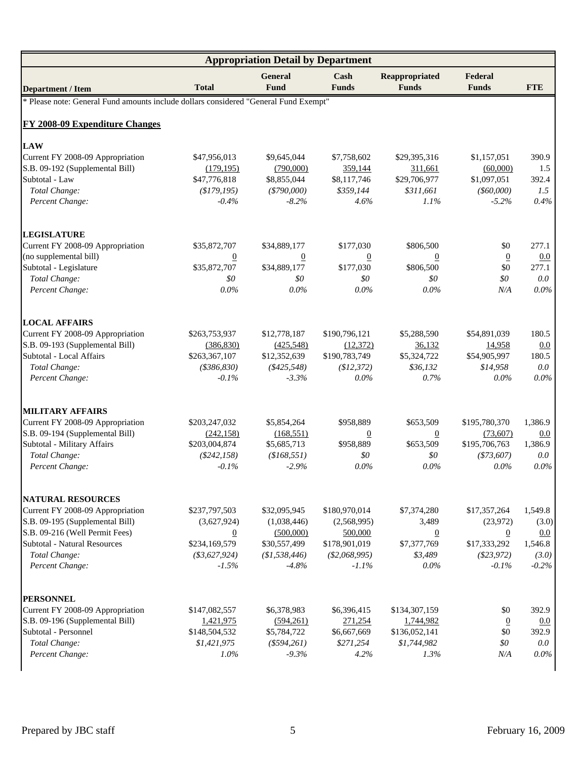| <b>Appropriation Detail by Department</b>                                            |                 |                        |                      |                                |                         |            |  |  |  |  |
|--------------------------------------------------------------------------------------|-----------------|------------------------|----------------------|--------------------------------|-------------------------|------------|--|--|--|--|
| <b>Department / Item</b>                                                             | <b>Total</b>    | <b>General</b><br>Fund | Cash<br><b>Funds</b> | Reappropriated<br><b>Funds</b> | Federal<br><b>Funds</b> | <b>FTE</b> |  |  |  |  |
| * Please note: General Fund amounts include dollars considered "General Fund Exempt" |                 |                        |                      |                                |                         |            |  |  |  |  |
| <b>FY 2008-09 Expenditure Changes</b>                                                |                 |                        |                      |                                |                         |            |  |  |  |  |
| <b>LAW</b>                                                                           |                 |                        |                      |                                |                         |            |  |  |  |  |
| Current FY 2008-09 Appropriation                                                     | \$47,956,013    | \$9,645,044            | \$7,758,602          | \$29,395,316                   | \$1,157,051             | 390.9      |  |  |  |  |
| S.B. 09-192 (Supplemental Bill)                                                      | (179, 195)      | (790,000)              | 359,144              | 311,661                        | (60,000)                | 1.5        |  |  |  |  |
| Subtotal - Law                                                                       | \$47,776,818    | \$8,855,044            | \$8,117,746          | \$29,706,977                   | \$1,097,051             | 392.4      |  |  |  |  |
| Total Change:                                                                        | (\$179,195)     | $(*790,000)$           | \$359,144            | \$311.661                      | $($ \$60,000)           | 1.5        |  |  |  |  |
| Percent Change:                                                                      | $-0.4\%$        | $-8.2\%$               | 4.6%                 | $1.1\%$                        | $-5.2\%$                | 0.4%       |  |  |  |  |
| <b>LEGISLATURE</b>                                                                   |                 |                        |                      |                                |                         |            |  |  |  |  |
| Current FY 2008-09 Appropriation                                                     | \$35,872,707    | \$34,889,177           | \$177,030            | \$806,500                      | \$0                     | 277.1      |  |  |  |  |
| (no supplemental bill)                                                               | $\overline{0}$  | $\overline{0}$         | $\overline{0}$       | $\overline{0}$                 | $\overline{0}$          | 0.0        |  |  |  |  |
| Subtotal - Legislature                                                               | \$35,872,707    | \$34,889,177           | \$177,030            | \$806,500                      | \$0                     | 277.1      |  |  |  |  |
| Total Change:                                                                        | \$0             | \$0                    | \$0                  | \$0\$                          | \$0                     | $0.0\,$    |  |  |  |  |
| Percent Change:                                                                      | $0.0\%$         | $0.0\%$                | $0.0\%$              | $0.0\%$                        | N/A                     | $0.0\%$    |  |  |  |  |
| <b>LOCAL AFFAIRS</b>                                                                 |                 |                        |                      |                                |                         |            |  |  |  |  |
| Current FY 2008-09 Appropriation                                                     | \$263,753,937   | \$12,778,187           | \$190,796,121        | \$5,288,590                    | \$54,891,039            | 180.5      |  |  |  |  |
| S.B. 09-193 (Supplemental Bill)                                                      | (386, 830)      | (425,548)              | (12, 372)            | 36,132                         | 14,958                  | 0.0        |  |  |  |  |
| Subtotal - Local Affairs                                                             | \$263,367,107   | \$12,352,639           | \$190,783,749        | \$5,324,722                    | \$54,905,997            | 180.5      |  |  |  |  |
| Total Change:                                                                        | ( \$386, 830)   | ( \$425, 548)          | \$12,372)            | \$36,132                       | \$14,958                | $0.0\,$    |  |  |  |  |
| Percent Change:                                                                      | $-0.1%$         | $-3.3\%$               | 0.0%                 | 0.7%                           | $0.0\%$                 | $0.0\%$    |  |  |  |  |
| <b>MILITARY AFFAIRS</b>                                                              |                 |                        |                      |                                |                         |            |  |  |  |  |
| Current FY 2008-09 Appropriation                                                     | \$203,247,032   | \$5,854,264            | \$958,889            | \$653,509                      | \$195,780,370           | 1,386.9    |  |  |  |  |
| S.B. 09-194 (Supplemental Bill)                                                      | (242, 158)      | (168, 551)             | $\overline{0}$       | $\overline{0}$                 | (73,607)                | 0.0        |  |  |  |  |
| Subtotal - Military Affairs                                                          | \$203,004,874   | \$5,685,713            | \$958,889            | \$653,509                      | \$195,706,763           | 1.386.9    |  |  |  |  |
| Total Change:                                                                        | $(\$242, 158)$  | (\$168,551)            | \$0                  | \$0                            | $(\$73,607)$            | 0.0        |  |  |  |  |
| Percent Change:                                                                      | $-0.1%$         | $-2.9%$                | $0.0\%$              | $0.0\%$                        | $0.0\%$                 | $0.0\%$    |  |  |  |  |
| <b>NATURAL RESOURCES</b>                                                             |                 |                        |                      |                                |                         |            |  |  |  |  |
| Current FY 2008-09 Appropriation                                                     | \$237,797,503   | \$32,095,945           | \$180,970,014        | \$7,374,280                    | \$17,357,264            | 1,549.8    |  |  |  |  |
| S.B. 09-195 (Supplemental Bill)                                                      | (3,627,924)     | (1,038,446)            | (2,568,995)          | 3,489                          | (23,972)                | (3.0)      |  |  |  |  |
| S.B. 09-216 (Well Permit Fees)                                                       | $\overline{0}$  | (500,000)              | 500,000              | $\overline{0}$                 | $\overline{0}$          | 0.0        |  |  |  |  |
| <b>Subtotal - Natural Resources</b>                                                  | \$234,169,579   | \$30,557,499           | \$178,901,019        | \$7,377,769                    | \$17,333,292            | 1,546.8    |  |  |  |  |
| Total Change:                                                                        | $(\$3,627,924)$ | (\$1,538,446)          | (\$2,068,995)        | \$3,489                        | (\$23,972)              | (3.0)      |  |  |  |  |
| Percent Change:                                                                      | $-1.5\%$        | $-4.8\%$               | $-1.1\%$             | $0.0\%$                        | $-0.1%$                 | $-0.2%$    |  |  |  |  |
| <b>PERSONNEL</b>                                                                     |                 |                        |                      |                                |                         |            |  |  |  |  |
| Current FY 2008-09 Appropriation                                                     | \$147,082,557   | \$6,378,983            | \$6,396,415          | \$134,307,159                  | \$0                     | 392.9      |  |  |  |  |
| S.B. 09-196 (Supplemental Bill)                                                      | 1,421,975       | (594,261)              | 271,254              | 1,744,982                      | $\overline{0}$          | 0.0        |  |  |  |  |
| Subtotal - Personnel                                                                 | \$148,504,532   | \$5,784,722            | \$6,667,669          | \$136,052,141                  | \$0                     | 392.9      |  |  |  |  |
| Total Change:                                                                        | \$1,421,975     | $(*594,261)$           | \$271,254            | \$1,744,982                    | \$0                     | $0.0\,$    |  |  |  |  |
| Percent Change:                                                                      | $1.0\%$         | $-9.3%$                | 4.2%                 | 1.3%                           | N/A                     | $0.0\%$    |  |  |  |  |
|                                                                                      |                 |                        |                      |                                |                         |            |  |  |  |  |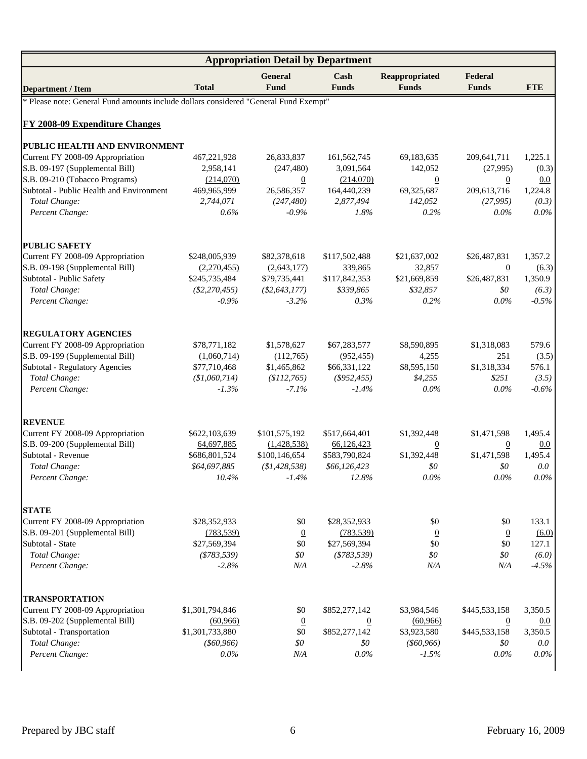| <b>Appropriation Detail by Department</b>                                            |                 |                        |                      |                                |                         |            |  |  |  |  |
|--------------------------------------------------------------------------------------|-----------------|------------------------|----------------------|--------------------------------|-------------------------|------------|--|--|--|--|
| <b>Department / Item</b>                                                             | <b>Total</b>    | <b>General</b><br>Fund | Cash<br><b>Funds</b> | Reappropriated<br><b>Funds</b> | Federal<br><b>Funds</b> | <b>FTE</b> |  |  |  |  |
| * Please note: General Fund amounts include dollars considered "General Fund Exempt" |                 |                        |                      |                                |                         |            |  |  |  |  |
| <b>FY 2008-09 Expenditure Changes</b>                                                |                 |                        |                      |                                |                         |            |  |  |  |  |
| PUBLIC HEALTH AND ENVIRONMENT                                                        |                 |                        |                      |                                |                         |            |  |  |  |  |
| Current FY 2008-09 Appropriation                                                     | 467,221,928     | 26,833,837             | 161,562,745          | 69,183,635                     | 209,641,711             | 1,225.1    |  |  |  |  |
| S.B. 09-197 (Supplemental Bill)                                                      | 2,958,141       | (247, 480)             | 3,091,564            | 142,052                        | (27,995)                | (0.3)      |  |  |  |  |
| S.B. 09-210 (Tobacco Programs)                                                       | (214,070)       | $\overline{0}$         | (214,070)            | $\overline{0}$                 | $\overline{0}$          | 0.0        |  |  |  |  |
| Subtotal - Public Health and Environment                                             | 469,965,999     | 26,586,357             | 164,440,239          | 69,325,687                     | 209,613,716             | 1,224.8    |  |  |  |  |
| Total Change:                                                                        | 2,744,071       | (247, 480)             | 2,877,494            | 142,052                        | (27,995)                | (0.3)      |  |  |  |  |
| Percent Change:                                                                      | 0.6%            | $-0.9\%$               | 1.8%                 | 0.2%                           | $0.0\%$                 | $0.0\%$    |  |  |  |  |
| <b>PUBLIC SAFETY</b>                                                                 |                 |                        |                      |                                |                         |            |  |  |  |  |
| Current FY 2008-09 Appropriation                                                     | \$248,005,939   | \$82,378,618           | \$117,502,488        | \$21,637,002                   | \$26,487,831            | 1,357.2    |  |  |  |  |
| S.B. 09-198 (Supplemental Bill)                                                      | (2,270,455)     | (2,643,177)            | 339,865              | 32,857                         | $\overline{0}$          | (6.3)      |  |  |  |  |
| Subtotal - Public Safety                                                             | \$245,735,484   | \$79,735,441           | \$117,842,353        | \$21,669,859                   | \$26,487,831            | 1,350.9    |  |  |  |  |
| Total Change:                                                                        | $(\$2,270,455)$ | $(\$2,643,177)$        | \$339,865            | \$32,857                       | \$0                     | (6.3)      |  |  |  |  |
| Percent Change:                                                                      | $-0.9%$         | $-3.2%$                | 0.3%                 | 0.2%                           | $0.0\%$                 | $-0.5%$    |  |  |  |  |
| <b>REGULATORY AGENCIES</b>                                                           |                 |                        |                      |                                |                         |            |  |  |  |  |
| Current FY 2008-09 Appropriation                                                     | \$78,771,182    | \$1,578,627            | \$67,283,577         | \$8,590,895                    | \$1,318,083             | 579.6      |  |  |  |  |
| S.B. 09-199 (Supplemental Bill)                                                      | (1,060,714)     | (112,765)              | (952, 455)           | 4,255                          | 251                     | (3.5)      |  |  |  |  |
| Subtotal - Regulatory Agencies                                                       | \$77,710,468    | \$1,465,862            | \$66,331,122         | \$8,595,150                    | \$1,318,334             | 576.1      |  |  |  |  |
| Total Change:                                                                        | (\$1,060,714)   | (\$112,765)            | $($ \$952,455)       | \$4,255                        | \$251                   | (3.5)      |  |  |  |  |
| Percent Change:                                                                      | $-1.3%$         | $-7.1%$                | $-1.4%$              | 0.0%                           | 0.0%                    | $-0.6\%$   |  |  |  |  |
| <b>REVENUE</b>                                                                       |                 |                        |                      |                                |                         |            |  |  |  |  |
| Current FY 2008-09 Appropriation                                                     | \$622,103,639   | \$101,575,192          | \$517,664,401        | \$1,392,448                    | \$1,471,598             | 1,495.4    |  |  |  |  |
| S.B. 09-200 (Supplemental Bill)                                                      | 64,697,885      | (1,428,538)            | 66,126,423           | $\overline{0}$                 | $\boldsymbol{0}$        | 0.0        |  |  |  |  |
| Subtotal - Revenue                                                                   | \$686,801,524   | \$100,146,654          | \$583,790,824        | \$1,392,448                    | \$1,471,598             | 1,495.4    |  |  |  |  |
| Total Change:                                                                        | \$64,697,885    | (\$1,428,538)          | \$66,126,423         | \$0                            | \$0                     | 0.0        |  |  |  |  |
| Percent Change:                                                                      | 10.4%           | $-1.4\%$               | 12.8%                | $0.0\%$                        | $0.0\%$                 | $0.0\%$    |  |  |  |  |
| <b>STATE</b>                                                                         |                 |                        |                      |                                |                         |            |  |  |  |  |
| Current FY 2008-09 Appropriation                                                     | \$28,352,933    | \$0                    | \$28,352,933         | \$0                            | \$0                     | 133.1      |  |  |  |  |
| S.B. 09-201 (Supplemental Bill)                                                      | (783, 539)      | $\overline{0}$         | (783, 539)           | $\overline{0}$                 | $\overline{0}$          | (6.0)      |  |  |  |  |
| Subtotal - State                                                                     | \$27,569,394    | \$0                    | \$27,569,394         | \$0                            | \$0                     | 127.1      |  |  |  |  |
| Total Change:                                                                        | $(*783,539)$    | \$0                    | $(*783,539)$         | \$0                            | \$0                     | (6.0)      |  |  |  |  |
| Percent Change:                                                                      | $-2.8%$         | N/A                    | $-2.8%$              | N/A                            | N/A                     | $-4.5%$    |  |  |  |  |
| <b>TRANSPORTATION</b>                                                                |                 |                        |                      |                                |                         |            |  |  |  |  |
| Current FY 2008-09 Appropriation                                                     | \$1,301,794,846 | \$0                    | \$852,277,142        | \$3,984,546                    | \$445,533,158           | 3,350.5    |  |  |  |  |
| S.B. 09-202 (Supplemental Bill)                                                      | (60, 966)       | $\overline{0}$         | $\overline{0}$       | (60, 966)                      | $\overline{0}$          | 0.0        |  |  |  |  |
| Subtotal - Transportation                                                            | \$1,301,733,880 | \$0                    | \$852,277,142        | \$3,923,580                    | \$445,533,158           | 3,350.5    |  |  |  |  |
| Total Change:                                                                        | $($ \$60,966)   | \$0                    | \$0                  | $($ \$60,966)                  | \$0                     | 0.0        |  |  |  |  |
| Percent Change:                                                                      | $0.0\%$         | N/A                    | $0.0\%$              | $-1.5%$                        | $0.0\%$                 | $0.0\%$    |  |  |  |  |
|                                                                                      |                 |                        |                      |                                |                         |            |  |  |  |  |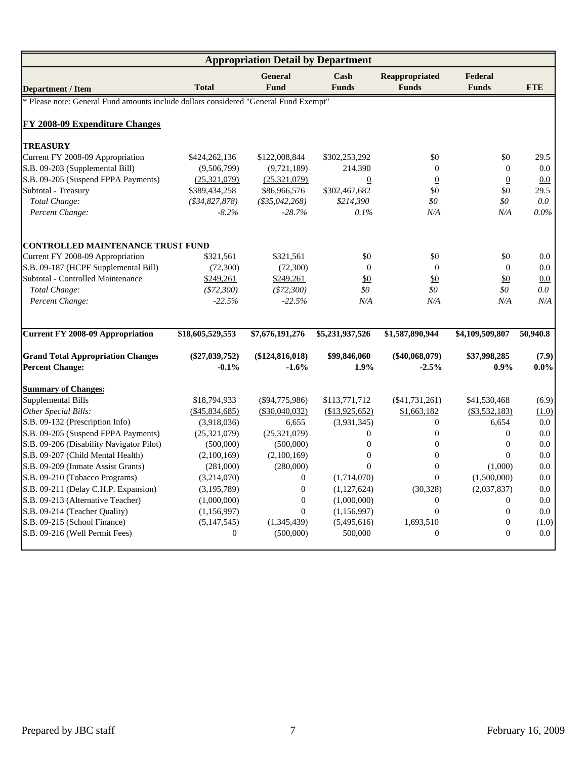| <b>Appropriation Detail by Department</b>                                            |                              |                                 |                  |                  |                       |                    |  |  |  |  |
|--------------------------------------------------------------------------------------|------------------------------|---------------------------------|------------------|------------------|-----------------------|--------------------|--|--|--|--|
|                                                                                      |                              | <b>General</b>                  | Cash             | Reappropriated   | Federal               |                    |  |  |  |  |
| <b>Department / Item</b>                                                             | <b>Total</b>                 | <b>Fund</b>                     | <b>Funds</b>     | <b>Funds</b>     | <b>Funds</b>          | <b>FTE</b>         |  |  |  |  |
| * Please note: General Fund amounts include dollars considered "General Fund Exempt" |                              |                                 |                  |                  |                       |                    |  |  |  |  |
| <b>FY 2008-09 Expenditure Changes</b>                                                |                              |                                 |                  |                  |                       |                    |  |  |  |  |
|                                                                                      |                              |                                 |                  |                  |                       |                    |  |  |  |  |
| <b>TREASURY</b><br>Current FY 2008-09 Appropriation                                  |                              |                                 | \$302,253,292    | \$0              | \$0                   | 29.5               |  |  |  |  |
| S.B. 09-203 (Supplemental Bill)                                                      | \$424,262,136<br>(9,506,799) | \$122,008,844<br>(9,721,189)    | 214,390          | $\mathbf{0}$     | $\theta$              | 0.0                |  |  |  |  |
| S.B. 09-205 (Suspend FPPA Payments)                                                  | (25,321,079)                 |                                 | $\boldsymbol{0}$ | $\overline{0}$   |                       |                    |  |  |  |  |
| Subtotal - Treasury                                                                  |                              | (25,321,079)                    |                  | \$0              | $\overline{0}$<br>\$0 | 0.0<br>29.5        |  |  |  |  |
| Total Change:                                                                        | \$389,434,258                | \$86,966,576<br>$(*35,042,268)$ | \$302,467,682    | \$0              | \$0                   |                    |  |  |  |  |
|                                                                                      | $(*34,827,878)$              |                                 | \$214,390        |                  |                       | $0.0\,$<br>$0.0\%$ |  |  |  |  |
| Percent Change:                                                                      | $-8.2%$                      | $-28.7%$                        | 0.1%             | N/A              | N/A                   |                    |  |  |  |  |
| <b>CONTROLLED MAINTENANCE TRUST FUND</b>                                             |                              |                                 |                  |                  |                       |                    |  |  |  |  |
| Current FY 2008-09 Appropriation                                                     | \$321,561                    | \$321,561                       | \$0              | \$0              | \$0                   | 0.0                |  |  |  |  |
| S.B. 09-187 (HCPF Supplemental Bill)                                                 | (72,300)                     | (72,300)                        | $\Omega$         | $\mathbf{0}$     | $\theta$              | 0.0                |  |  |  |  |
| Subtotal - Controlled Maintenance                                                    | \$249,261                    | \$249,261                       | $\frac{$0}{}$    | \$0              | $\frac{$0}{}$         | 0.0                |  |  |  |  |
| Total Change:                                                                        | $(\$72,300)$                 | $(*72,300)$                     | \$0              | \$0              | \$0                   | $0.0\,$            |  |  |  |  |
| Percent Change:                                                                      | $-22.5%$                     | $-22.5%$                        | N/A              | N/A              | N/A                   | N/A                |  |  |  |  |
|                                                                                      |                              |                                 |                  |                  |                       |                    |  |  |  |  |
| <b>Current FY 2008-09 Appropriation</b>                                              | \$18,605,529,553             | \$7,676,191,276                 | \$5,231,937,526  | \$1,587,890,944  | \$4,109,509,807       | 50,940.8           |  |  |  |  |
| <b>Grand Total Appropriation Changes</b>                                             | $(\$27,039,752)$             | (\$124, 816, 018)               | \$99,846,060     | $(\$40,068,079)$ | \$37,998,285          | (7.9)              |  |  |  |  |
| <b>Percent Change:</b>                                                               | $-0.1%$                      | $-1.6%$                         | 1.9%             | $-2.5%$          | $0.9\%$               | $0.0\%$            |  |  |  |  |
| <b>Summary of Changes:</b>                                                           |                              |                                 |                  |                  |                       |                    |  |  |  |  |
| Supplemental Bills                                                                   | \$18,794,933                 | $(\$94,775,986)$                | \$113,771,712    | $(\$41,731,261)$ | \$41,530,468          | (6.9)              |  |  |  |  |
| Other Special Bills:                                                                 | $(\$45,834,685)$             | $(\$30,040,032)$                | (\$13,925,652)   | \$1,663,182      | $(\$3,532,183)$       | (1.0)              |  |  |  |  |
| S.B. 09-132 (Prescription Info)                                                      | (3,918,036)                  | 6,655                           | (3,931,345)      | $\boldsymbol{0}$ | 6,654                 | 0.0                |  |  |  |  |
| S.B. 09-205 (Suspend FPPA Payments)                                                  | (25, 321, 079)               | (25, 321, 079)                  | $\overline{0}$   | $\mathbf{0}$     | $\overline{0}$        | $0.0\,$            |  |  |  |  |
| S.B. 09-206 (Disability Navigator Pilot)                                             | (500,000)                    | (500,000)                       | $\mathbf{0}$     | $\mathbf{0}$     | $\boldsymbol{0}$      | $0.0\,$            |  |  |  |  |
| S.B. 09-207 (Child Mental Health)                                                    | (2,100,169)                  | (2,100,169)                     | $\Omega$         | $\Omega$         | $\theta$              | 0.0                |  |  |  |  |
| S.B. 09-209 (Inmate Assist Grants)                                                   | (281,000)                    | (280,000)                       | $\Omega$         | $\mathbf{0}$     | (1,000)               | 0.0                |  |  |  |  |
| S.B. 09-210 (Tobacco Programs)                                                       | (3,214,070)                  | $\boldsymbol{0}$                | (1,714,070)      | $\overline{0}$   | (1,500,000)           | $0.0\,$            |  |  |  |  |
| S.B. 09-211 (Delay C.H.P. Expansion)                                                 | (3,195,789)                  | $\boldsymbol{0}$                | (1,127,624)      | (30, 328)        | (2,037,837)           | $0.0\,$            |  |  |  |  |
| S.B. 09-213 (Alternative Teacher)                                                    | (1,000,000)                  | $\overline{0}$                  | (1,000,000)      | $\overline{0}$   | $\Omega$              | 0.0                |  |  |  |  |
| S.B. 09-214 (Teacher Quality)                                                        | (1, 156, 997)                | $\overline{0}$                  | (1,156,997)      | $\overline{0}$   | $\boldsymbol{0}$      | $0.0\,$            |  |  |  |  |
| S.B. 09-215 (School Finance)                                                         | (5,147,545)                  | (1,345,439)                     | (5,495,616)      | 1,693,510        | $\boldsymbol{0}$      | (1.0)              |  |  |  |  |
| S.B. 09-216 (Well Permit Fees)                                                       | $\theta$                     | (500,000)                       | 500,000          | $\mathbf{0}$     | $\mathbf{0}$          | 0.0                |  |  |  |  |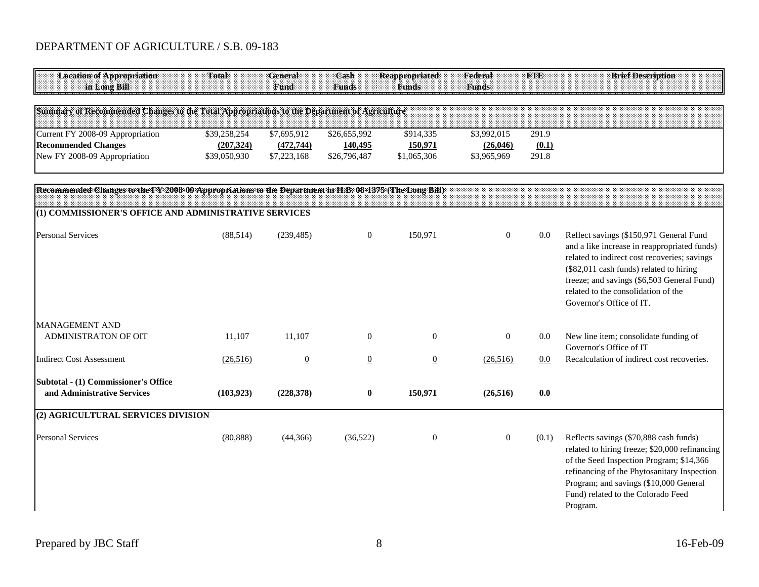## DEPARTMENT OF AGRICULTURE / S.B. 09-183

| <b>Location of Appropriation</b><br>in Long Bill                                                       | Total                                      | <b>General</b><br>Fund                   | Cash<br><b>Funds</b>                    | <b>Reappropriated</b><br><b>Funds</b> | Federal<br><b>Funds</b>                 | <b>FTE</b>              | <b>Brief Description</b>                                                                                                                                                                                                                                                                            |
|--------------------------------------------------------------------------------------------------------|--------------------------------------------|------------------------------------------|-----------------------------------------|---------------------------------------|-----------------------------------------|-------------------------|-----------------------------------------------------------------------------------------------------------------------------------------------------------------------------------------------------------------------------------------------------------------------------------------------------|
| Summary of Recommended Changes to the Total Appropriations to the Department of Agriculture            |                                            |                                          |                                         |                                       |                                         |                         |                                                                                                                                                                                                                                                                                                     |
| Current FY 2008-09 Appropriation<br><b>Recommended Changes</b><br>New FY 2008-09 Appropriation         | \$39,258,254<br>(207, 324)<br>\$39,050,930 | \$7,695,912<br>(472, 744)<br>\$7,223,168 | \$26,655,992<br>140,495<br>\$26,796,487 | \$914,335<br>150,971<br>\$1,065,306   | \$3,992,015<br>(26, 046)<br>\$3,965,969 | 291.9<br>(0.1)<br>291.8 |                                                                                                                                                                                                                                                                                                     |
| Recommended Changes to the FY 2008-09 Appropriations to the Department in H.B. 08-1375 (The Long Bill) |                                            |                                          |                                         |                                       |                                         |                         |                                                                                                                                                                                                                                                                                                     |
| (1) COMMISSIONER'S OFFICE AND ADMINISTRATIVE SERVICES<br><b>Personal Services</b>                      | (88, 514)                                  | (239, 485)                               | $\boldsymbol{0}$                        | 150,971                               | $\mathbf{0}$                            | 0.0                     | Reflect savings (\$150,971 General Fund<br>and a like increase in reappropriated funds)<br>related to indirect cost recoveries; savings<br>(\$82,011 cash funds) related to hiring<br>freeze; and savings (\$6,503 General Fund)<br>related to the consolidation of the<br>Governor's Office of IT. |
| <b>MANAGEMENT AND</b><br>ADMINISTRATON OF OIT                                                          | 11,107                                     | 11,107                                   | $\boldsymbol{0}$                        | $\mathbf{0}$                          | $\overline{0}$                          | 0.0                     | New line item; consolidate funding of<br>Governor's Office of IT                                                                                                                                                                                                                                    |
| <b>Indirect Cost Assessment</b>                                                                        | (26, 516)                                  | $\underline{0}$                          | $\overline{0}$                          | $\underline{0}$                       | (26,516)                                | 0.0                     | Recalculation of indirect cost recoveries.                                                                                                                                                                                                                                                          |
| Subtotal - (1) Commissioner's Office<br>and Administrative Services                                    | (103, 923)                                 | (228,378)                                | $\bf{0}$                                | 150,971                               | (26, 516)                               | 0.0                     |                                                                                                                                                                                                                                                                                                     |
| (2) AGRICULTURAL SERVICES DIVISION                                                                     |                                            |                                          |                                         |                                       |                                         |                         |                                                                                                                                                                                                                                                                                                     |
| <b>Personal Services</b>                                                                               | (80, 888)                                  | (44,366)                                 | (36,522)                                | $\boldsymbol{0}$                      | $\mathbf{0}$                            | (0.1)                   | Reflects savings (\$70,888 cash funds)<br>related to hiring freeze; \$20,000 refinancing<br>of the Seed Inspection Program; \$14,366<br>refinancing of the Phytosanitary Inspection<br>Program; and savings (\$10,000 General<br>Fund) related to the Colorado Feed<br>Program.                     |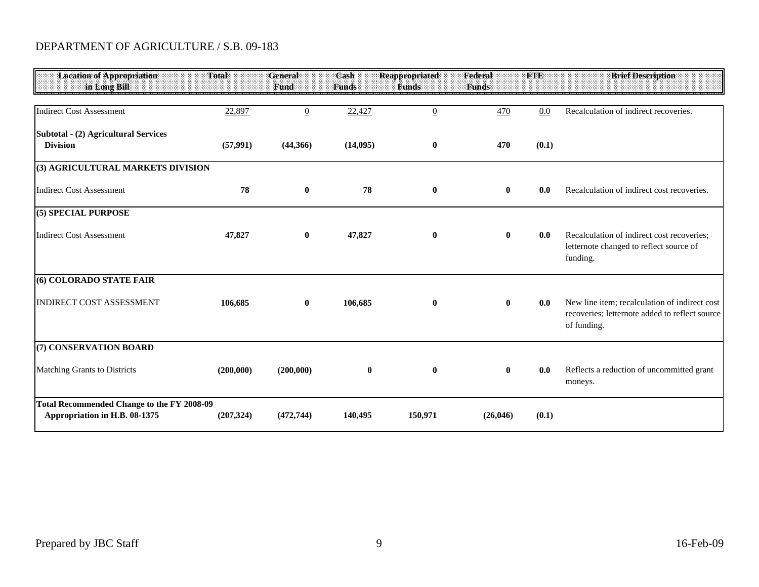## DEPARTMENT OF AGRICULTURE / S.B. 09-183

| <b>Location of Appropriation</b><br>in Long Bill                                   | Total      | <b>General</b><br>Fund | Cash<br><b>Funds</b> | <b>Reappropriated</b><br><b>Funds</b> | Federal<br><b>Funds</b> | <b>FTE</b> | <b>Brief Description</b>                                                                                       |
|------------------------------------------------------------------------------------|------------|------------------------|----------------------|---------------------------------------|-------------------------|------------|----------------------------------------------------------------------------------------------------------------|
| <b>Indirect Cost Assessment</b>                                                    | 22,897     | $\overline{0}$         | 22,427               | $\underline{0}$                       | 470                     | 0.0        | Recalculation of indirect recoveries.                                                                          |
| Subtotal - (2) Agricultural Services<br><b>Division</b>                            | (57, 991)  | (44,366)               | (14,095)             | $\bf{0}$                              | 470                     | (0.1)      |                                                                                                                |
| (3) AGRICULTURAL MARKETS DIVISION                                                  |            |                        |                      |                                       |                         |            |                                                                                                                |
| <b>Indirect Cost Assessment</b>                                                    | 78         | $\mathbf{0}$           | 78                   | $\bf{0}$                              | $\mathbf{0}$            | 0.0        | Recalculation of indirect cost recoveries.                                                                     |
| (5) SPECIAL PURPOSE                                                                |            |                        |                      |                                       |                         |            |                                                                                                                |
| <b>Indirect Cost Assessment</b>                                                    | 47,827     | $\bf{0}$               | 47,827               | $\bf{0}$                              | $\bf{0}$                | 0.0        | Recalculation of indirect cost recoveries:<br>letternote changed to reflect source of<br>funding.              |
| (6) COLORADO STATE FAIR                                                            |            |                        |                      |                                       |                         |            |                                                                                                                |
| <b>INDIRECT COST ASSESSMENT</b>                                                    | 106,685    | $\mathbf{0}$           | 106,685              | $\bf{0}$                              | $\bf{0}$                | 0.0        | New line item; recalculation of indirect cost<br>recoveries; letternote added to reflect source<br>of funding. |
| (7) CONSERVATION BOARD                                                             |            |                        |                      |                                       |                         |            |                                                                                                                |
| Matching Grants to Districts                                                       | (200,000)  | (200,000)              | $\bf{0}$             | $\bf{0}$                              | $\mathbf{0}$            | 0.0        | Reflects a reduction of uncommitted grant<br>moneys.                                                           |
| <b>Total Recommended Change to the FY 2008-09</b><br>Appropriation in H.B. 08-1375 | (207, 324) | (472, 744)             | 140,495              | 150,971                               | (26,046)                | (0.1)      |                                                                                                                |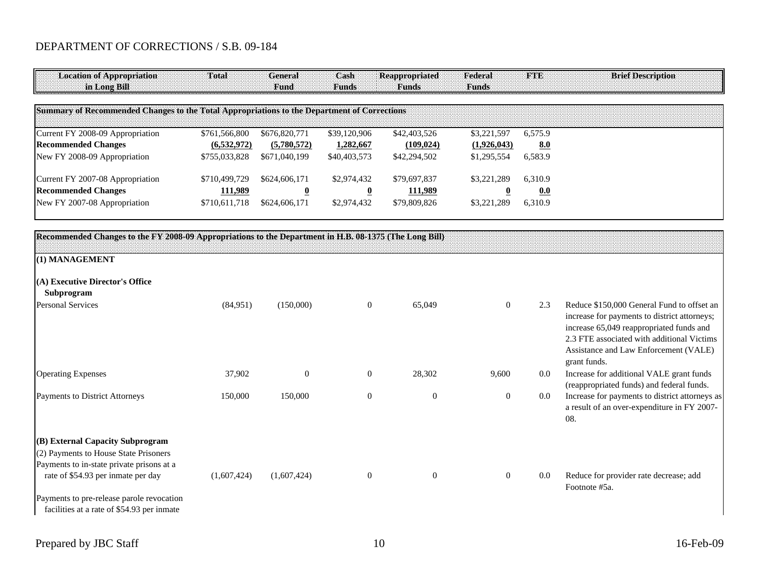| <b>Location of Appropriation</b><br>in Long Bill                                                                                                                                                                                                        | Total         | General<br>Fund         | Cash<br><b>Funds</b>    | <b>Reappropriated</b><br><b>Funds</b> | Federal<br><b>Funds</b> | <b>FTE</b> | <b>Brief Description</b>                                                                                                                                                                                                                      |
|---------------------------------------------------------------------------------------------------------------------------------------------------------------------------------------------------------------------------------------------------------|---------------|-------------------------|-------------------------|---------------------------------------|-------------------------|------------|-----------------------------------------------------------------------------------------------------------------------------------------------------------------------------------------------------------------------------------------------|
| Summary of Recommended Changes to the Total Appropriations to the Department of Corrections                                                                                                                                                             |               |                         |                         |                                       |                         |            |                                                                                                                                                                                                                                               |
| Current FY 2008-09 Appropriation                                                                                                                                                                                                                        | \$761,566,800 | \$676,820,771           | \$39,120,906            | \$42,403,526                          | \$3,221,597             | 6,575.9    |                                                                                                                                                                                                                                               |
| <b>Recommended Changes</b>                                                                                                                                                                                                                              | (6,532,972)   | (5,780,572)             | 1,282,667               | (109, 024)                            | (1,926,043)             | 8.0        |                                                                                                                                                                                                                                               |
| New FY 2008-09 Appropriation                                                                                                                                                                                                                            | \$755,033,828 | \$671,040,199           | \$40,403,573            | \$42,294,502                          | \$1,295,554             | 6,583.9    |                                                                                                                                                                                                                                               |
| Current FY 2007-08 Appropriation                                                                                                                                                                                                                        | \$710,499,729 | \$624,606,171           | \$2,974,432             | \$79,697,837                          | \$3,221,289             | 6,310.9    |                                                                                                                                                                                                                                               |
| <b>Recommended Changes</b>                                                                                                                                                                                                                              | 111,989       | $\overline{\mathbf{0}}$ | $\overline{\mathbf{0}}$ | 111,989                               | $\overline{\mathbf{0}}$ | 0.0        |                                                                                                                                                                                                                                               |
| New FY 2007-08 Appropriation                                                                                                                                                                                                                            | \$710,611,718 | \$624,606,171           | \$2,974,432             | \$79,809,826                          | \$3,221,289             | 6,310.9    |                                                                                                                                                                                                                                               |
| Recommended Changes to the FY 2008-09 Appropriations to the Department in H.B. 08-1375 (The Long Bill)                                                                                                                                                  |               |                         |                         |                                       |                         |            |                                                                                                                                                                                                                                               |
| (1) MANAGEMENT                                                                                                                                                                                                                                          |               |                         |                         |                                       |                         |            |                                                                                                                                                                                                                                               |
| (A) Executive Director's Office<br>Subprogram                                                                                                                                                                                                           |               |                         |                         |                                       |                         |            |                                                                                                                                                                                                                                               |
| <b>Personal Services</b>                                                                                                                                                                                                                                | (84,951)      | (150,000)               | $\mathbf{0}$            | 65,049                                | $\overline{0}$          | 2.3        | Reduce \$150,000 General Fund to offset an<br>increase for payments to district attorneys;<br>increase 65,049 reappropriated funds and<br>2.3 FTE associated with additional Victims<br>Assistance and Law Enforcement (VALE)<br>grant funds. |
| <b>Operating Expenses</b>                                                                                                                                                                                                                               | 37,902        | $\theta$                | $\overline{0}$          | 28,302                                | 9,600                   | 0.0        | Increase for additional VALE grant funds<br>(reappropriated funds) and federal funds.                                                                                                                                                         |
| Payments to District Attorneys                                                                                                                                                                                                                          | 150,000       | 150,000                 | $\mathbf{0}$            | $\boldsymbol{0}$                      | $\boldsymbol{0}$        | $0.0\,$    | Increase for payments to district attorneys as<br>a result of an over-expenditure in FY 2007-<br>08.                                                                                                                                          |
| (B) External Capacity Subprogram<br>(2) Payments to House State Prisoners<br>Payments to in-state private prisons at a<br>rate of \$54.93 per inmate per day<br>Payments to pre-release parole revocation<br>facilities at a rate of \$54.93 per inmate | (1,607,424)   | (1,607,424)             | $\mathbf{0}$            | $\boldsymbol{0}$                      | $\boldsymbol{0}$        | 0.0        | Reduce for provider rate decrease; add<br>Footnote #5a.                                                                                                                                                                                       |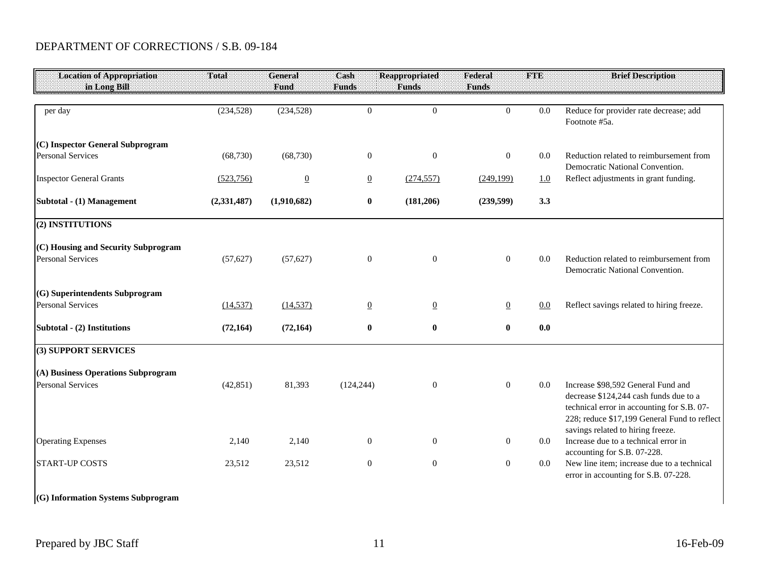| <b>Location of Appropriation</b>    | Total         | General<br><b>Fund</b> | Cash<br><b>Funds</b> | <b>Reappropriated</b> | Federal<br><b>Funds</b> | <b>FTE</b> | <b>Brief Description</b>                                                                                                                                                                                        |
|-------------------------------------|---------------|------------------------|----------------------|-----------------------|-------------------------|------------|-----------------------------------------------------------------------------------------------------------------------------------------------------------------------------------------------------------------|
| in Long Bill                        |               |                        |                      | <b>Funds</b>          |                         |            |                                                                                                                                                                                                                 |
| per day                             | (234, 528)    | (234, 528)             | $\boldsymbol{0}$     | $\overline{0}$        | $\overline{0}$          | 0.0        | Reduce for provider rate decrease; add<br>Footnote #5a.                                                                                                                                                         |
| (C) Inspector General Subprogram    |               |                        |                      |                       |                         |            |                                                                                                                                                                                                                 |
| <b>Personal Services</b>            | (68, 730)     | (68, 730)              | $\boldsymbol{0}$     | $\boldsymbol{0}$      | $\overline{0}$          | 0.0        | Reduction related to reimbursement from<br>Democratic National Convention.                                                                                                                                      |
| <b>Inspector General Grants</b>     | (523, 756)    | $\overline{0}$         | $\overline{0}$       | (274, 557)            | (249, 199)              | 1.0        | Reflect adjustments in grant funding.                                                                                                                                                                           |
| Subtotal - (1) Management           | (2, 331, 487) | (1,910,682)            | $\bf{0}$             | (181, 206)            | (239, 599)              | 3.3        |                                                                                                                                                                                                                 |
| (2) INSTITUTIONS                    |               |                        |                      |                       |                         |            |                                                                                                                                                                                                                 |
| (C) Housing and Security Subprogram |               |                        |                      |                       |                         |            |                                                                                                                                                                                                                 |
| <b>Personal Services</b>            | (57, 627)     | (57, 627)              | $\boldsymbol{0}$     | $\boldsymbol{0}$      | $\mathbf{0}$            | 0.0        | Reduction related to reimbursement from<br>Democratic National Convention.                                                                                                                                      |
| (G) Superintendents Subprogram      |               |                        |                      |                       |                         |            |                                                                                                                                                                                                                 |
| <b>Personal Services</b>            | (14, 537)     | (14, 537)              | $\overline{0}$       | $\overline{0}$        | $\overline{0}$          | 0.0        | Reflect savings related to hiring freeze.                                                                                                                                                                       |
| Subtotal - (2) Institutions         | (72, 164)     | (72, 164)              | $\bf{0}$             | $\bf{0}$              | $\bf{0}$                | 0.0        |                                                                                                                                                                                                                 |
| (3) SUPPORT SERVICES                |               |                        |                      |                       |                         |            |                                                                                                                                                                                                                 |
| (A) Business Operations Subprogram  |               |                        |                      |                       |                         |            |                                                                                                                                                                                                                 |
| <b>Personal Services</b>            | (42, 851)     | 81,393                 | (124, 244)           | $\boldsymbol{0}$      | $\overline{0}$          | 0.0        | Increase \$98,592 General Fund and<br>decrease \$124,244 cash funds due to a<br>technical error in accounting for S.B. 07-<br>228; reduce \$17,199 General Fund to reflect<br>savings related to hiring freeze. |
| <b>Operating Expenses</b>           | 2,140         | 2,140                  | $\boldsymbol{0}$     | $\boldsymbol{0}$      | $\boldsymbol{0}$        | $0.0\,$    | Increase due to a technical error in                                                                                                                                                                            |
| <b>START-UP COSTS</b>               | 23,512        | 23,512                 | $\boldsymbol{0}$     | $\boldsymbol{0}$      | $\boldsymbol{0}$        | $0.0\,$    | accounting for S.B. 07-228.<br>New line item; increase due to a technical<br>error in accounting for S.B. 07-228.                                                                                               |
| (G) Information Systems Subprogram  |               |                        |                      |                       |                         |            |                                                                                                                                                                                                                 |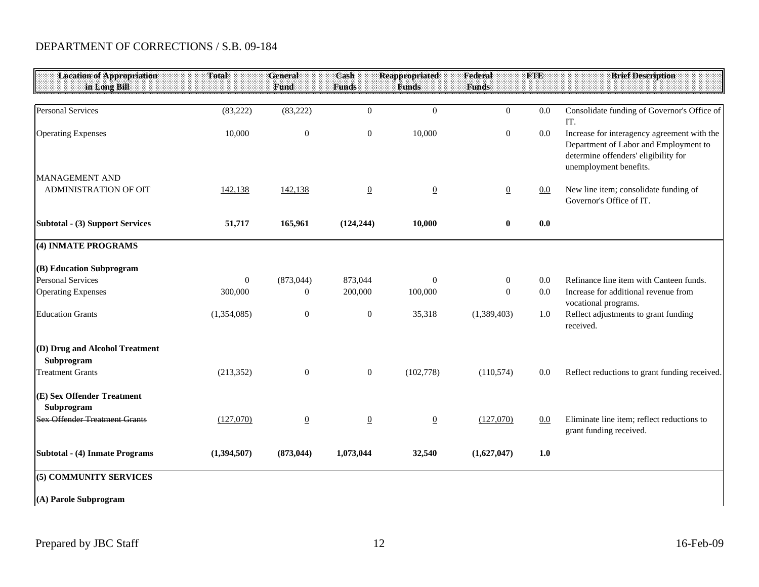| <b>Location of Appropriation</b>                      | Total        | <b>General</b> | Cash             | <b>Reappropriated</b> | Federal          | <b>FTE</b> | <b>Brief Description</b>                                                                                                                               |
|-------------------------------------------------------|--------------|----------------|------------------|-----------------------|------------------|------------|--------------------------------------------------------------------------------------------------------------------------------------------------------|
| in Long Bill                                          |              | Fund           | <b>Funds</b>     | <b>Funds</b>          | <b>Funds</b>     |            |                                                                                                                                                        |
| <b>Personal Services</b>                              | (83, 222)    | (83, 222)      | $\theta$         | $\theta$              | $\overline{0}$   | 0.0        | Consolidate funding of Governor's Office of<br>IT.                                                                                                     |
| <b>Operating Expenses</b>                             | 10,000       | $\mathbf{0}$   | $\boldsymbol{0}$ | 10,000                | $\boldsymbol{0}$ | 0.0        | Increase for interagency agreement with the<br>Department of Labor and Employment to<br>determine offenders' eligibility for<br>unemployment benefits. |
| <b>MANAGEMENT AND</b><br><b>ADMINISTRATION OF OIT</b> | 142,138      | 142,138        | $\overline{0}$   | $\overline{0}$        | $\overline{0}$   | 0.0        | New line item; consolidate funding of<br>Governor's Office of IT.                                                                                      |
| <b>Subtotal - (3) Support Services</b>                | 51,717       | 165,961        | (124, 244)       | 10,000                | $\bf{0}$         | 0.0        |                                                                                                                                                        |
| (4) INMATE PROGRAMS                                   |              |                |                  |                       |                  |            |                                                                                                                                                        |
| (B) Education Subprogram                              |              |                |                  |                       |                  |            |                                                                                                                                                        |
| <b>Personal Services</b>                              | $\mathbf{0}$ | (873, 044)     | 873,044          | $\mathbf{0}$          | $\boldsymbol{0}$ | 0.0        | Refinance line item with Canteen funds.                                                                                                                |
| <b>Operating Expenses</b>                             | 300,000      | $\mathbf{0}$   | 200,000          | 100,000               | $\boldsymbol{0}$ | 0.0        | Increase for additional revenue from<br>vocational programs.                                                                                           |
| <b>Education Grants</b>                               | (1,354,085)  | $\mathbf{0}$   | $\boldsymbol{0}$ | 35,318                | (1,389,403)      | 1.0        | Reflect adjustments to grant funding<br>received.                                                                                                      |
| (D) Drug and Alcohol Treatment<br>Subprogram          |              |                |                  |                       |                  |            |                                                                                                                                                        |
| <b>Treatment Grants</b>                               | (213, 352)   | $\theta$       | $\boldsymbol{0}$ | (102,778)             | (110, 574)       | 0.0        | Reflect reductions to grant funding received.                                                                                                          |
| (E) Sex Offender Treatment<br>Subprogram              |              |                |                  |                       |                  |            |                                                                                                                                                        |
| <b>Sex Offender Treatment Grants</b>                  | (127,070)    | $\overline{0}$ | $\overline{0}$   | $\overline{0}$        | (127,070)        | 0.0        | Eliminate line item; reflect reductions to<br>grant funding received.                                                                                  |
| Subtotal - (4) Inmate Programs                        | (1,394,507)  | (873, 044)     | 1,073,044        | 32,540                | (1,627,047)      | 1.0        |                                                                                                                                                        |
| (5) COMMUNITY SERVICES                                |              |                |                  |                       |                  |            |                                                                                                                                                        |
| (A) Parole Subprogram                                 |              |                |                  |                       |                  |            |                                                                                                                                                        |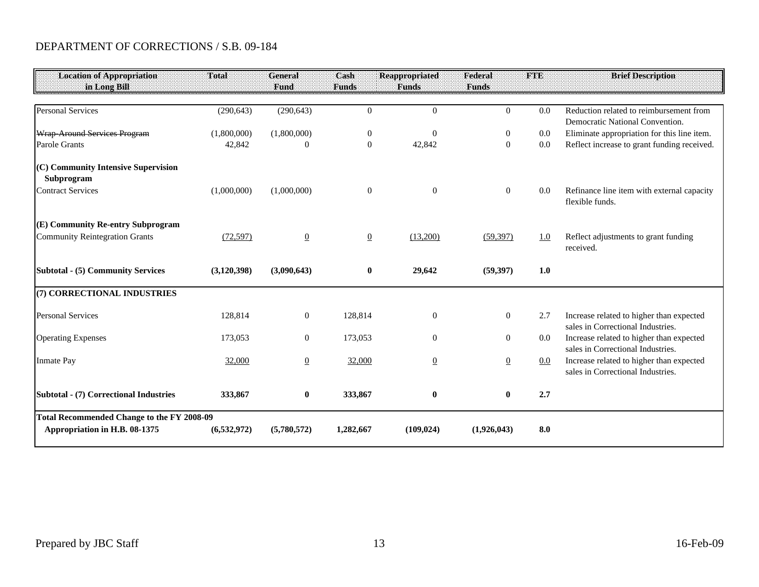| <b>Location of Appropriation</b><br>in Long Bill                                   | Total         | <b>General</b><br>Fund | Cash<br><b>Funds</b> | <b>Reappropriated</b><br><b>Funds</b> | Federal<br><b>Funds</b> | <b>FTE</b> | <b>Brief Description</b>                                                      |
|------------------------------------------------------------------------------------|---------------|------------------------|----------------------|---------------------------------------|-------------------------|------------|-------------------------------------------------------------------------------|
|                                                                                    |               |                        |                      |                                       |                         |            |                                                                               |
| <b>Personal Services</b>                                                           | (290, 643)    | (290, 643)             | $\theta$             | $\mathbf{0}$                          | $\overline{0}$          | 0.0        | Reduction related to reimbursement from                                       |
|                                                                                    |               |                        |                      |                                       |                         |            | Democratic National Convention.                                               |
| Wrap-Around Services Program                                                       | (1,800,000)   | (1,800,000)            | $\boldsymbol{0}$     | $\mathbf{0}$                          | $\boldsymbol{0}$        | $0.0\,$    | Eliminate appropriation for this line item.                                   |
| Parole Grants                                                                      | 42,842        | $\Omega$               | $\mathbf{0}$         | 42,842                                | $\overline{0}$          | 0.0        | Reflect increase to grant funding received.                                   |
| (C) Community Intensive Supervision<br>Subprogram<br><b>Contract Services</b>      | (1,000,000)   | (1,000,000)            | $\boldsymbol{0}$     | $\boldsymbol{0}$                      | $\mathbf{0}$            | 0.0        | Refinance line item with external capacity<br>flexible funds.                 |
| (E) Community Re-entry Subprogram<br><b>Community Reintegration Grants</b>         | (72, 597)     | $\overline{0}$         | $\underline{0}$      | (13,200)                              | (59, 397)               | 1.0        | Reflect adjustments to grant funding<br>received.                             |
| <b>Subtotal - (5) Community Services</b>                                           | (3,120,398)   | (3,090,643)            | $\bf{0}$             | 29,642                                | (59, 397)               | 1.0        |                                                                               |
| (7) CORRECTIONAL INDUSTRIES                                                        |               |                        |                      |                                       |                         |            |                                                                               |
| <b>Personal Services</b>                                                           | 128,814       | $\overline{0}$         | 128,814              | $\mathbf{0}$                          | $\mathbf{0}$            | 2.7        | Increase related to higher than expected<br>sales in Correctional Industries. |
| <b>Operating Expenses</b>                                                          | 173,053       | $\overline{0}$         | 173,053              | $\Omega$                              | $\mathbf{0}$            | $0.0\,$    | Increase related to higher than expected<br>sales in Correctional Industries. |
| <b>Inmate Pay</b>                                                                  | 32,000        | $\overline{0}$         | 32,000               | $\underline{0}$                       | $\underline{0}$         | $0.0\,$    | Increase related to higher than expected<br>sales in Correctional Industries. |
| <b>Subtotal - (7) Correctional Industries</b>                                      | 333,867       | $\bf{0}$               | 333,867              | $\bf{0}$                              | $\bf{0}$                | 2.7        |                                                                               |
| <b>Total Recommended Change to the FY 2008-09</b><br>Appropriation in H.B. 08-1375 | (6, 532, 972) | (5,780,572)            | 1,282,667            | (109, 024)                            | (1,926,043)             | 8.0        |                                                                               |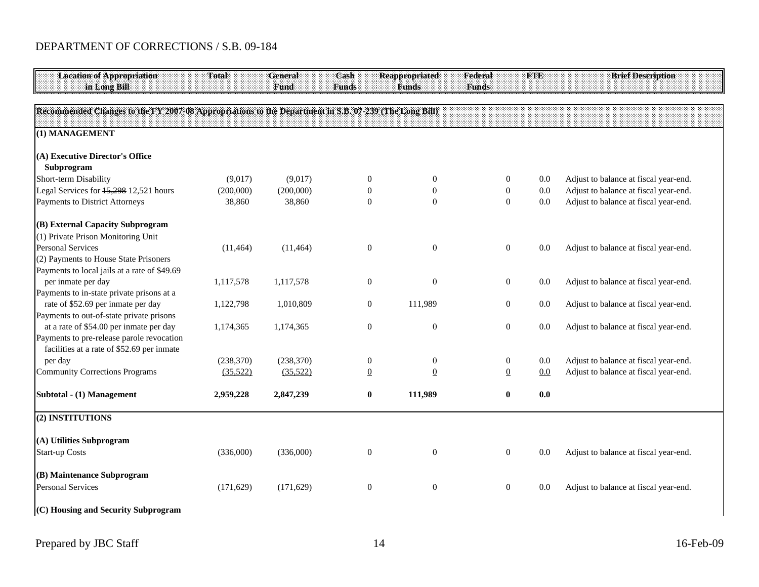| <b>Location of Appropriation</b><br>in Long Bill                                                      | Total      | General<br>Fund | Cash<br><b>Funds</b> | <b>Reappropriated</b><br><b>Funds</b> | Federal<br><b>Funds</b> | <b>FTE</b> | <b>Brief Description</b>              |
|-------------------------------------------------------------------------------------------------------|------------|-----------------|----------------------|---------------------------------------|-------------------------|------------|---------------------------------------|
|                                                                                                       |            |                 |                      |                                       |                         |            |                                       |
| Recommended Changes to the FY 2007-08 Appropriations to the Department in S.B. 07-239 (The Long Bill) |            |                 |                      |                                       |                         |            |                                       |
| (1) MANAGEMENT                                                                                        |            |                 |                      |                                       |                         |            |                                       |
|                                                                                                       |            |                 |                      |                                       |                         |            |                                       |
| (A) Executive Director's Office<br>Subprogram                                                         |            |                 |                      |                                       |                         |            |                                       |
| Short-term Disability                                                                                 | (9,017)    | (9,017)         | $\mathbf{0}$         | $\overline{0}$                        | $\boldsymbol{0}$        | $0.0\,$    | Adjust to balance at fiscal year-end. |
| Legal Services for 15,298 12,521 hours                                                                | (200,000)  | (200,000)       | $\theta$             | $\boldsymbol{0}$                      | $\boldsymbol{0}$        | $0.0\,$    | Adjust to balance at fiscal year-end. |
| Payments to District Attorneys                                                                        | 38,860     | 38,860          | $\overline{0}$       | $\boldsymbol{0}$                      | $\boldsymbol{0}$        | $0.0\,$    | Adjust to balance at fiscal year-end. |
| (B) External Capacity Subprogram                                                                      |            |                 |                      |                                       |                         |            |                                       |
| (1) Private Prison Monitoring Unit                                                                    |            |                 |                      |                                       |                         |            |                                       |
| <b>Personal Services</b>                                                                              | (11, 464)  | (11, 464)       | $\theta$             | $\overline{0}$                        | $\mathbf{0}$            | 0.0        | Adjust to balance at fiscal year-end. |
| (2) Payments to House State Prisoners                                                                 |            |                 |                      |                                       |                         |            |                                       |
| Payments to local jails at a rate of \$49.69                                                          |            |                 |                      |                                       |                         |            |                                       |
| per inmate per day                                                                                    | 1,117,578  | 1,117,578       | $\mathbf{0}$         | $\Omega$                              | $\boldsymbol{0}$        | $0.0\,$    | Adjust to balance at fiscal year-end. |
| Payments to in-state private prisons at a                                                             |            |                 |                      |                                       |                         |            |                                       |
| rate of \$52.69 per inmate per day                                                                    | 1,122,798  | 1,010,809       | $\mathbf{0}$         | 111,989                               | $\mathbf{0}$            | 0.0        | Adjust to balance at fiscal year-end. |
| Payments to out-of-state private prisons                                                              |            |                 |                      |                                       |                         |            |                                       |
| at a rate of \$54.00 per inmate per day                                                               | 1,174,365  | 1,174,365       | $\mathbf{0}$         | $\mathbf{0}$                          | $\boldsymbol{0}$        | 0.0        | Adjust to balance at fiscal year-end. |
| Payments to pre-release parole revocation                                                             |            |                 |                      |                                       |                         |            |                                       |
| facilities at a rate of \$52.69 per inmate                                                            |            |                 |                      |                                       |                         |            |                                       |
| per day                                                                                               | (238, 370) | (238, 370)      | $\mathbf{0}$         | $\mathbf{0}$                          | $\boldsymbol{0}$        | 0.0        | Adjust to balance at fiscal year-end. |
| <b>Community Corrections Programs</b>                                                                 | (35,522)   | (35,522)        | $\overline{0}$       | $\underline{0}$                       | $\overline{0}$          | 0.0        | Adjust to balance at fiscal year-end. |
| Subtotal - (1) Management                                                                             | 2,959,228  | 2,847,239       | $\boldsymbol{0}$     | 111,989                               | $\bf{0}$                | 0.0        |                                       |
| (2) INSTITUTIONS                                                                                      |            |                 |                      |                                       |                         |            |                                       |
| (A) Utilities Subprogram                                                                              |            |                 |                      |                                       |                         |            |                                       |
| <b>Start-up Costs</b>                                                                                 | (336,000)  | (336,000)       | $\mathbf{0}$         | $\overline{0}$                        | $\mathbf{0}$            | 0.0        | Adjust to balance at fiscal year-end. |
|                                                                                                       |            |                 |                      |                                       |                         |            |                                       |
| (B) Maintenance Subprogram                                                                            |            |                 |                      |                                       |                         |            |                                       |
| <b>Personal Services</b>                                                                              | (171, 629) | (171, 629)      | $\mathbf{0}$         | $\mathbf{0}$                          | $\mathbf{0}$            | $0.0\,$    | Adjust to balance at fiscal year-end. |
|                                                                                                       |            |                 |                      |                                       |                         |            |                                       |
| (C) Housing and Security Subprogram                                                                   |            |                 |                      |                                       |                         |            |                                       |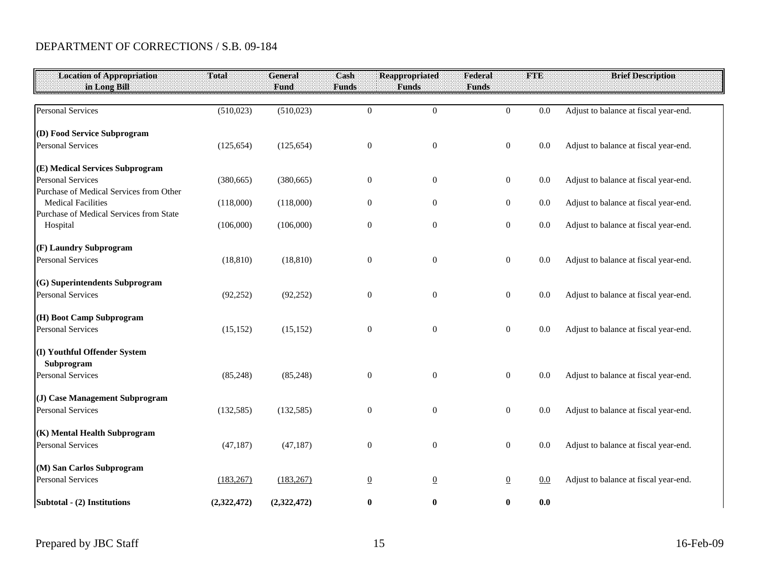| <b>Location of Appropriation</b>                                    | Total       | <b>General</b> | Cash             | <b>Reappropriated</b> | Federal          | <b>FTE</b> | <b>Brief Description</b>              |
|---------------------------------------------------------------------|-------------|----------------|------------------|-----------------------|------------------|------------|---------------------------------------|
| in Long Bill                                                        |             | Fund           | <b>Funds</b>     | <b>Funds</b>          | <b>Funds</b>     |            |                                       |
| <b>Personal Services</b>                                            | (510,023)   | (510, 023)     | $\boldsymbol{0}$ | $\boldsymbol{0}$      | $\mathbf{0}$     | 0.0        | Adjust to balance at fiscal year-end. |
| (D) Food Service Subprogram                                         |             |                |                  |                       |                  |            |                                       |
| <b>Personal Services</b>                                            | (125, 654)  | (125, 654)     | $\boldsymbol{0}$ | $\boldsymbol{0}$      | $\boldsymbol{0}$ | 0.0        | Adjust to balance at fiscal year-end. |
| (E) Medical Services Subprogram                                     |             |                |                  |                       |                  |            |                                       |
| <b>Personal Services</b><br>Purchase of Medical Services from Other | (380, 665)  | (380, 665)     | $\boldsymbol{0}$ | $\boldsymbol{0}$      | $\boldsymbol{0}$ | $0.0\,$    | Adjust to balance at fiscal year-end. |
| <b>Medical Facilities</b>                                           | (118,000)   | (118,000)      | $\boldsymbol{0}$ | $\boldsymbol{0}$      | $\boldsymbol{0}$ | $0.0\,$    | Adjust to balance at fiscal year-end. |
| Purchase of Medical Services from State<br>Hospital                 | (106,000)   | (106,000)      | $\boldsymbol{0}$ | $\boldsymbol{0}$      | $\boldsymbol{0}$ | $0.0\,$    | Adjust to balance at fiscal year-end. |
| (F) Laundry Subprogram                                              |             |                |                  |                       |                  |            |                                       |
| <b>Personal Services</b>                                            | (18, 810)   | (18, 810)      | $\boldsymbol{0}$ | $\boldsymbol{0}$      | $\boldsymbol{0}$ | $0.0\,$    | Adjust to balance at fiscal year-end. |
| (G) Superintendents Subprogram                                      |             |                |                  |                       |                  |            |                                       |
| <b>Personal Services</b>                                            | (92, 252)   | (92, 252)      | $\boldsymbol{0}$ | $\boldsymbol{0}$      | $\mathbf{0}$     | 0.0        | Adjust to balance at fiscal year-end. |
| (H) Boot Camp Subprogram                                            |             |                |                  |                       |                  |            |                                       |
| <b>Personal Services</b>                                            | (15, 152)   | (15, 152)      | $\boldsymbol{0}$ | $\boldsymbol{0}$      | $\boldsymbol{0}$ | 0.0        | Adjust to balance at fiscal year-end. |
| (I) Youthful Offender System                                        |             |                |                  |                       |                  |            |                                       |
| Subprogram<br><b>Personal Services</b>                              | (85, 248)   | (85, 248)      | $\mathbf{0}$     | $\boldsymbol{0}$      | $\mathbf{0}$     | 0.0        | Adjust to balance at fiscal year-end. |
| (J) Case Management Subprogram                                      |             |                |                  |                       |                  |            |                                       |
| <b>Personal Services</b>                                            | (132, 585)  | (132, 585)     | $\boldsymbol{0}$ | $\boldsymbol{0}$      | $\boldsymbol{0}$ | 0.0        | Adjust to balance at fiscal year-end. |
| (K) Mental Health Subprogram                                        |             |                |                  |                       |                  |            |                                       |
| <b>Personal Services</b>                                            | (47, 187)   | (47, 187)      | $\boldsymbol{0}$ | $\boldsymbol{0}$      | $\boldsymbol{0}$ | 0.0        | Adjust to balance at fiscal year-end. |
| (M) San Carlos Subprogram                                           |             |                |                  |                       |                  |            |                                       |
| <b>Personal Services</b>                                            | (183, 267)  | (183, 267)     | $\overline{0}$   | $\underline{0}$       | $\underline{0}$  | 0.0        | Adjust to balance at fiscal year-end. |
| Subtotal - (2) Institutions                                         | (2,322,472) | (2,322,472)    | $\bf{0}$         | $\bf{0}$              | $\bf{0}$         | 0.0        |                                       |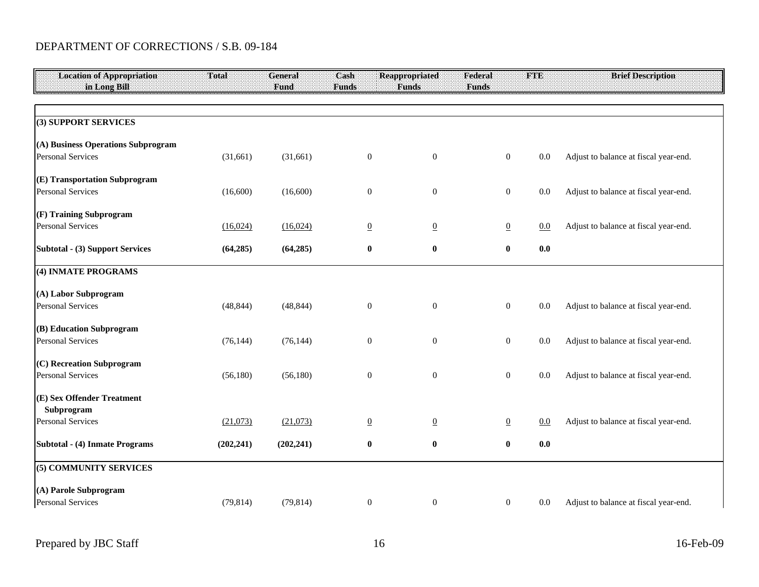| <b>Location of Appropriation</b>                     | Total      | <b>General</b> | Cash             | Reappropriated   | Federal          | FTE     | <b>Brief Description</b>              |
|------------------------------------------------------|------------|----------------|------------------|------------------|------------------|---------|---------------------------------------|
| in Long Bill                                         |            | Fund           | <b>Funds</b>     | <b>Funds</b>     | <b>Funds</b>     |         |                                       |
|                                                      |            |                |                  |                  |                  |         |                                       |
|                                                      |            |                |                  |                  |                  |         |                                       |
| (3) SUPPORT SERVICES                                 |            |                |                  |                  |                  |         |                                       |
| (A) Business Operations Subprogram                   |            |                |                  |                  |                  |         |                                       |
| <b>Personal Services</b>                             | (31,661)   | (31,661)       | $\mathbf{0}$     | $\boldsymbol{0}$ | $\overline{0}$   | $0.0\,$ | Adjust to balance at fiscal year-end. |
|                                                      |            |                |                  |                  |                  |         |                                       |
| (E) Transportation Subprogram                        |            |                |                  |                  |                  |         |                                       |
| <b>Personal Services</b>                             | (16,600)   | (16,600)       | $\mathbf{0}$     | $\mathbf{0}$     | $\boldsymbol{0}$ | $0.0\,$ | Adjust to balance at fiscal year-end. |
|                                                      |            |                |                  |                  |                  |         |                                       |
| (F) Training Subprogram                              |            |                |                  |                  |                  |         |                                       |
| <b>Personal Services</b>                             | (16,024)   | (16,024)       | $\overline{0}$   | $\underline{0}$  | $\overline{0}$   | $0.0\,$ | Adjust to balance at fiscal year-end. |
| <b>Subtotal - (3) Support Services</b>               | (64, 285)  | (64, 285)      | $\bf{0}$         | $\bf{0}$         | $\bf{0}$         | 0.0     |                                       |
|                                                      |            |                |                  |                  |                  |         |                                       |
| (4) INMATE PROGRAMS                                  |            |                |                  |                  |                  |         |                                       |
|                                                      |            |                |                  |                  |                  |         |                                       |
| (A) Labor Subprogram                                 |            |                |                  |                  |                  |         |                                       |
| <b>Personal Services</b>                             | (48, 844)  | (48, 844)      | $\boldsymbol{0}$ | $\boldsymbol{0}$ | $\boldsymbol{0}$ | 0.0     | Adjust to balance at fiscal year-end. |
|                                                      |            |                |                  |                  |                  |         |                                       |
| (B) Education Subprogram<br><b>Personal Services</b> | (76, 144)  | (76, 144)      | $\mathbf{0}$     | $\overline{0}$   | $\overline{0}$   | 0.0     | Adjust to balance at fiscal year-end. |
|                                                      |            |                |                  |                  |                  |         |                                       |
| (C) Recreation Subprogram                            |            |                |                  |                  |                  |         |                                       |
| <b>Personal Services</b>                             | (56,180)   | (56,180)       | $\mathbf{0}$     | $\overline{0}$   | $\overline{0}$   | 0.0     | Adjust to balance at fiscal year-end. |
|                                                      |            |                |                  |                  |                  |         |                                       |
| (E) Sex Offender Treatment                           |            |                |                  |                  |                  |         |                                       |
| Subprogram                                           |            |                |                  |                  |                  |         |                                       |
| <b>Personal Services</b>                             | (21,073)   | (21,073)       | $\overline{0}$   | $\underline{0}$  | $\overline{0}$   | 0.0     | Adjust to balance at fiscal year-end. |
| Subtotal - (4) Inmate Programs                       |            | (202, 241)     | $\bf{0}$         | $\bf{0}$         | $\bf{0}$         | 0.0     |                                       |
|                                                      | (202, 241) |                |                  |                  |                  |         |                                       |
| (5) COMMUNITY SERVICES                               |            |                |                  |                  |                  |         |                                       |
|                                                      |            |                |                  |                  |                  |         |                                       |
| (A) Parole Subprogram                                |            |                |                  |                  |                  |         |                                       |
| <b>Personal Services</b>                             | (79, 814)  | (79, 814)      | $\mathbf{0}$     | $\mathbf{0}$     | $\overline{0}$   | 0.0     | Adjust to balance at fiscal year-end. |
|                                                      |            |                |                  |                  |                  |         |                                       |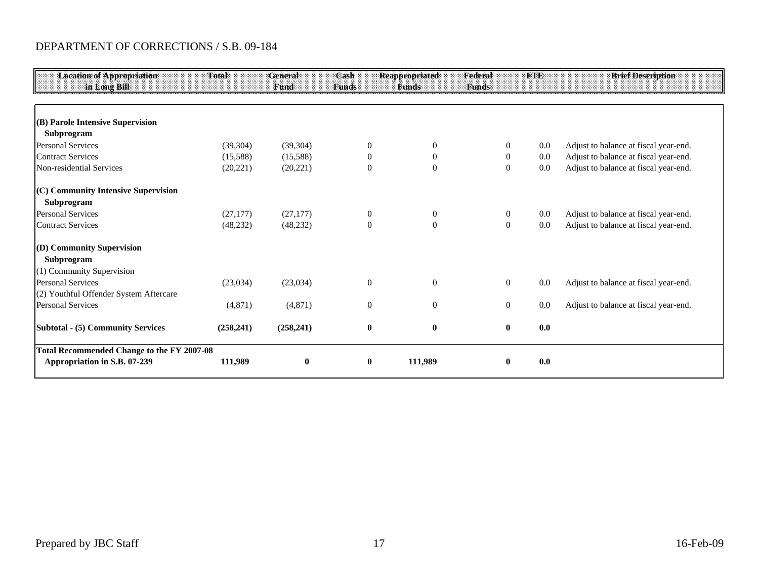| <b>Location of Appropriation</b><br>in Long Bill                                  | Total      | General<br>Fund | Cash<br><b>Funds</b> | <b>Reappropriated</b><br><b>Funds</b> | Federal<br><b>Funds</b> | <b>FTE</b> | <b>Brief Description</b>              |
|-----------------------------------------------------------------------------------|------------|-----------------|----------------------|---------------------------------------|-------------------------|------------|---------------------------------------|
| (B) Parole Intensive Supervision                                                  |            |                 |                      |                                       |                         |            |                                       |
| Subprogram                                                                        |            |                 |                      |                                       |                         |            |                                       |
| <b>Personal Services</b>                                                          | (39, 304)  | (39, 304)       | $\overline{0}$       | $\overline{0}$                        | 0                       | 0.0        | Adjust to balance at fiscal year-end. |
| <b>Contract Services</b>                                                          | (15,588)   | (15,588)        | $\Omega$             | $\Omega$                              | $\overline{0}$          | 0.0        | Adjust to balance at fiscal year-end. |
| Non-residential Services                                                          | (20, 221)  | (20, 221)       | $\theta$             | $\theta$                              | $\mathbf{0}$            | 0.0        | Adjust to balance at fiscal year-end. |
| (C) Community Intensive Supervision<br>Subprogram                                 |            |                 |                      |                                       |                         |            |                                       |
| <b>Personal Services</b>                                                          | (27, 177)  | (27, 177)       | $\mathbf{0}$         | $\overline{0}$                        | $\overline{0}$          | 0.0        | Adjust to balance at fiscal year-end. |
| <b>Contract Services</b>                                                          | (48, 232)  | (48, 232)       | $\theta$             | $\mathbf{0}$                          | $\overline{0}$          | 0.0        | Adjust to balance at fiscal year-end. |
| (D) Community Supervision<br>Subprogram                                           |            |                 |                      |                                       |                         |            |                                       |
| (1) Community Supervision                                                         |            |                 |                      |                                       |                         |            |                                       |
| <b>Personal Services</b>                                                          | (23,034)   | (23,034)        | $\boldsymbol{0}$     | $\mathbf{0}$                          | $\overline{0}$          | 0.0        | Adjust to balance at fiscal year-end. |
| (2) Youthful Offender System Aftercare<br><b>Personal Services</b>                | (4,871)    | (4,871)         | $\underline{0}$      | $\underline{0}$                       | $\underline{0}$         | 0.0        | Adjust to balance at fiscal year-end. |
| <b>Subtotal - (5) Community Services</b>                                          | (258, 241) | (258, 241)      | $\bf{0}$             | $\bf{0}$                              | $\bf{0}$                | 0.0        |                                       |
| <b>Total Recommended Change to the FY 2007-08</b><br>Appropriation in S.B. 07-239 | 111,989    | $\bf{0}$        | $\bf{0}$             | 111,989                               | 0                       | 0.0        |                                       |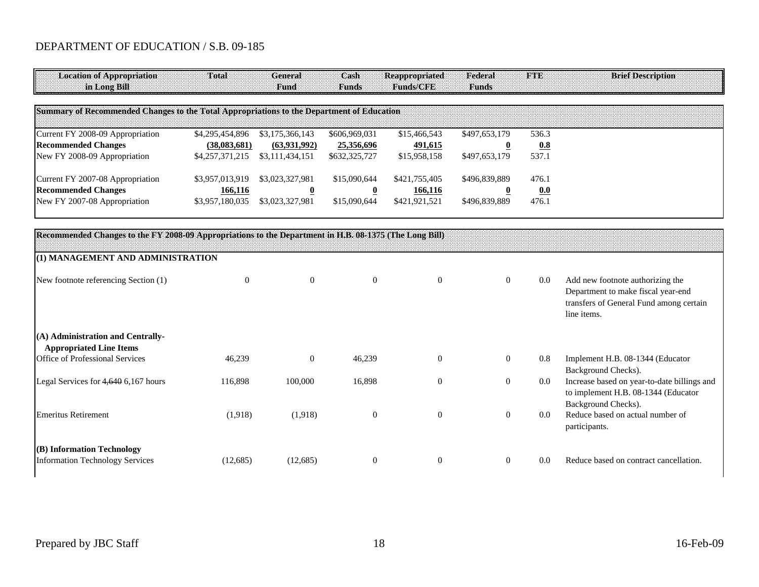| <b>Location of Appropriation</b><br>in Long Bill                                                       | Total           | General<br>Fund         | Cash<br><b>Funds</b>    | <b>Reappropriated</b><br>Funds/CFE | Federal<br><b>Funds</b> | <b>FTE</b> | <b>Brief Description</b>                                                                                                         |
|--------------------------------------------------------------------------------------------------------|-----------------|-------------------------|-------------------------|------------------------------------|-------------------------|------------|----------------------------------------------------------------------------------------------------------------------------------|
| Summary of Recommended Changes to the Total Appropriations to the Department of Education              |                 |                         |                         |                                    |                         |            |                                                                                                                                  |
| Current FY 2008-09 Appropriation                                                                       | \$4,295,454,896 | \$3,175,366,143         | \$606,969,031           | \$15,466,543                       | \$497,653,179           | 536.3      |                                                                                                                                  |
| <b>Recommended Changes</b>                                                                             | (38,083,681)    | (63,931,992)            | 25,356,696              | 491,615                            | $\overline{\mathbf{0}}$ | 0.8        |                                                                                                                                  |
| New FY 2008-09 Appropriation                                                                           | \$4,257,371,215 | \$3,111,434,151         | \$632,325,727           | \$15,958,158                       | \$497,653,179           | 537.1      |                                                                                                                                  |
| Current FY 2007-08 Appropriation                                                                       | \$3,957,013,919 | \$3,023,327,981         | \$15,090,644            | \$421,755,405                      | \$496,839,889           | 476.1      |                                                                                                                                  |
| <b>Recommended Changes</b>                                                                             | 166,116         | $\overline{\mathbf{0}}$ | $\overline{\mathbf{0}}$ | 166,116                            | $\overline{\mathbf{0}}$ | 0.0        |                                                                                                                                  |
| New FY 2007-08 Appropriation                                                                           | \$3,957,180,035 | \$3,023,327,981         | \$15,090,644            | \$421,921,521                      | \$496,839,889           | 476.1      |                                                                                                                                  |
| Recommended Changes to the FY 2008-09 Appropriations to the Department in H.B. 08-1375 (The Long Bill) |                 |                         |                         |                                    |                         |            |                                                                                                                                  |
| (1) MANAGEMENT AND ADMINISTRATION                                                                      |                 |                         |                         |                                    |                         |            |                                                                                                                                  |
| New footnote referencing Section (1)                                                                   | $\overline{0}$  | $\boldsymbol{0}$        | $\mathbf{0}$            | $\theta$                           | $\overline{0}$          | 0.0        | Add new footnote authorizing the<br>Department to make fiscal year-end<br>transfers of General Fund among certain<br>line items. |
| (A) Administration and Centrally-<br><b>Appropriated Line Items</b>                                    |                 |                         |                         |                                    |                         |            |                                                                                                                                  |
| Office of Professional Services                                                                        | 46,239          | $\boldsymbol{0}$        | 46,239                  | $\mathbf{0}$                       | $\boldsymbol{0}$        | 0.8        | Implement H.B. 08-1344 (Educator<br>Background Checks).                                                                          |
| Legal Services for 4,640 6,167 hours                                                                   | 116,898         | 100,000                 | 16,898                  | $\theta$                           | $\mathbf{0}$            | 0.0        | Increase based on year-to-date billings and<br>to implement H.B. 08-1344 (Educator<br>Background Checks).                        |
| <b>Emeritus Retirement</b>                                                                             | (1,918)         | (1,918)                 | $\boldsymbol{0}$        | $\boldsymbol{0}$                   | $\mathbf{0}$            | 0.0        | Reduce based on actual number of<br>participants.                                                                                |
| (B) Information Technology                                                                             |                 |                         |                         |                                    |                         |            |                                                                                                                                  |
| <b>Information Technology Services</b>                                                                 | (12,685)        | (12,685)                | $\boldsymbol{0}$        | $\boldsymbol{0}$                   | $\mathbf{0}$            | 0.0        | Reduce based on contract cancellation.                                                                                           |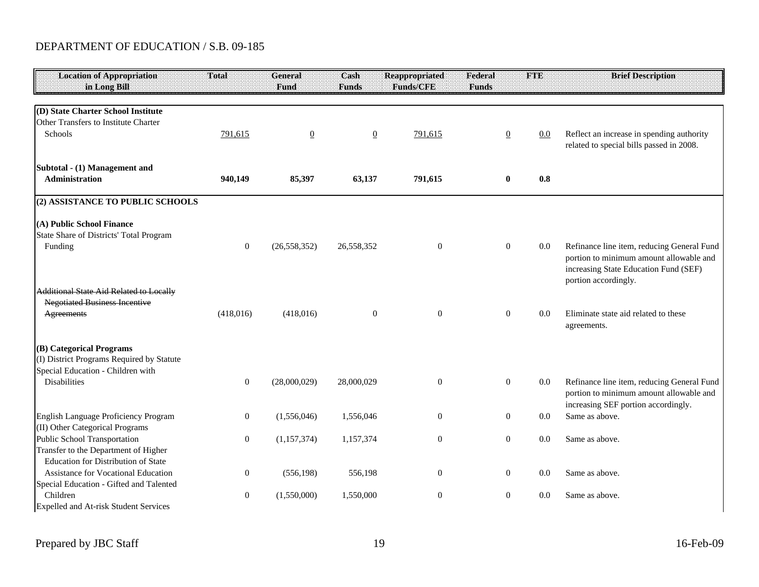| <b>Location of Appropriation</b><br>in Long Bill                                                            | Total            | <b>General</b><br>Fund | Cash<br><b>Funds</b> | <b>Reappropriated</b><br>Funds/CFE | Federal<br><b>Funds</b> | FTE     | <b>Brief Description</b>                                                                                                                               |
|-------------------------------------------------------------------------------------------------------------|------------------|------------------------|----------------------|------------------------------------|-------------------------|---------|--------------------------------------------------------------------------------------------------------------------------------------------------------|
| (D) State Charter School Institute<br>Other Transfers to Institute Charter<br><b>Schools</b>                | 791,615          | $\overline{0}$         | $\overline{0}$       | 791,615                            | $\overline{0}$          | $0.0\,$ | Reflect an increase in spending authority<br>related to special bills passed in 2008.                                                                  |
| Subtotal - (1) Management and<br>Administration                                                             | 940,149          | 85,397                 | 63,137               | 791,615                            | 0                       | 0.8     |                                                                                                                                                        |
| (2) ASSISTANCE TO PUBLIC SCHOOLS                                                                            |                  |                        |                      |                                    |                         |         |                                                                                                                                                        |
| (A) Public School Finance<br>State Share of Districts' Total Program<br>Funding                             | $\mathbf{0}$     | (26, 558, 352)         | 26,558,352           | $\overline{0}$                     | $\overline{0}$          | 0.0     | Refinance line item, reducing General Fund<br>portion to minimum amount allowable and<br>increasing State Education Fund (SEF)<br>portion accordingly. |
| <b>Additional State Aid Related to Locally</b><br><b>Negotiated Business Incentive</b><br><b>Agreements</b> | (418,016)        | (418,016)              | $\overline{0}$       | $\overline{0}$                     | $\overline{0}$          | 0.0     | Eliminate state aid related to these<br>agreements.                                                                                                    |
| (B) Categorical Programs<br>(I) District Programs Required by Statute<br>Special Education - Children with  |                  |                        |                      |                                    |                         |         |                                                                                                                                                        |
| Disabilities                                                                                                | $\mathbf{0}$     | (28,000,029)           | 28,000,029           | $\mathbf{0}$                       | $\boldsymbol{0}$        | 0.0     | Refinance line item, reducing General Fund<br>portion to minimum amount allowable and<br>increasing SEF portion accordingly.                           |
| English Language Proficiency Program<br>(II) Other Categorical Programs                                     | $\overline{0}$   | (1,556,046)            | 1,556,046            | $\theta$                           | $\overline{0}$          | 0.0     | Same as above.                                                                                                                                         |
| Public School Transportation<br>Transfer to the Department of Higher<br>Education for Distribution of State | $\mathbf{0}$     | (1, 157, 374)          | 1,157,374            | $\theta$                           | $\overline{0}$          | 0.0     | Same as above.                                                                                                                                         |
| Assistance for Vocational Education<br>Special Education - Gifted and Talented                              | $\boldsymbol{0}$ | (556, 198)             | 556,198              | $\mathbf{0}$                       | $\overline{0}$          | 0.0     | Same as above.                                                                                                                                         |
| Children<br>Expelled and At-risk Student Services                                                           | $\mathbf{0}$     | (1,550,000)            | 1,550,000            | $\theta$                           | $\boldsymbol{0}$        | 0.0     | Same as above.                                                                                                                                         |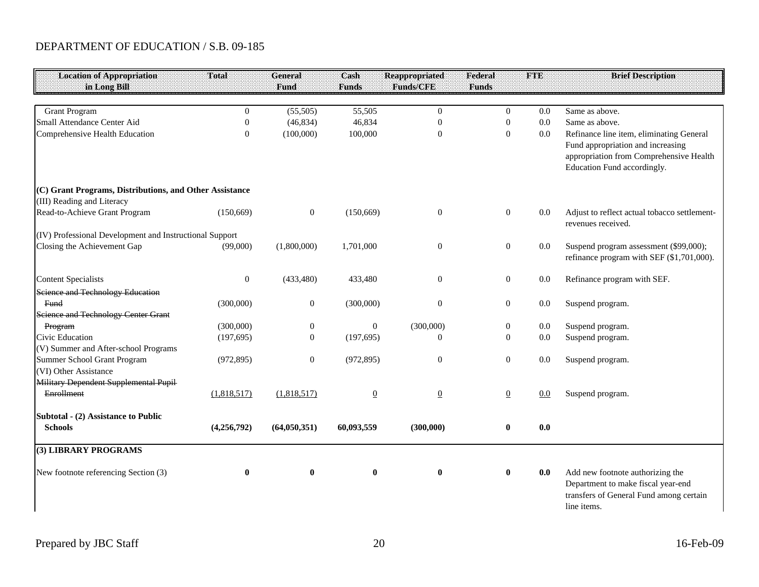| <b>Location of Appropriation</b>                                                      | Total            | <b>General</b>   | Cash           | <b>Reappropriated</b> | Federal          | <b>FTE</b> | <b>Brief Description</b>                                                                                                                                |
|---------------------------------------------------------------------------------------|------------------|------------------|----------------|-----------------------|------------------|------------|---------------------------------------------------------------------------------------------------------------------------------------------------------|
| in Long Bill                                                                          |                  | Fund             | <b>Funds</b>   | <b>Funds/CFE</b>      | <b>Funds</b>     |            |                                                                                                                                                         |
| <b>Grant Program</b>                                                                  | $\Omega$         | (55,505)         | 55,505         | $\mathbf{0}$          | $\overline{0}$   | 0.0        | Same as above.                                                                                                                                          |
| Small Attendance Center Aid                                                           | $\mathbf{0}$     | (46, 834)        | 46,834         | $\boldsymbol{0}$      | $\mathbf{0}$     | 0.0        | Same as above.                                                                                                                                          |
| Comprehensive Health Education                                                        | $\overline{0}$   | (100,000)        | 100,000        | $\boldsymbol{0}$      | $\mathbf{0}$     | $0.0\,$    | Refinance line item, eliminating General<br>Fund appropriation and increasing<br>appropriation from Comprehensive Health<br>Education Fund accordingly. |
| (C) Grant Programs, Distributions, and Other Assistance<br>(III) Reading and Literacy |                  |                  |                |                       |                  |            |                                                                                                                                                         |
| Read-to-Achieve Grant Program                                                         | (150, 669)       | $\boldsymbol{0}$ | (150, 669)     | $\boldsymbol{0}$      | $\boldsymbol{0}$ | 0.0        | Adjust to reflect actual tobacco settlement-<br>revenues received.                                                                                      |
| (IV) Professional Development and Instructional Support                               |                  |                  |                |                       |                  |            |                                                                                                                                                         |
| Closing the Achievement Gap                                                           | (99,000)         | (1,800,000)      | 1,701,000      | $\boldsymbol{0}$      | $\boldsymbol{0}$ | $0.0\,$    | Suspend program assessment (\$99,000);<br>refinance program with SEF (\$1,701,000).                                                                     |
| <b>Content Specialists</b>                                                            | $\boldsymbol{0}$ | (433, 480)       | 433,480        | $\boldsymbol{0}$      | $\boldsymbol{0}$ | 0.0        | Refinance program with SEF.                                                                                                                             |
| Science and Technology Education                                                      |                  |                  |                |                       |                  |            |                                                                                                                                                         |
| Fund                                                                                  | (300,000)        | $\boldsymbol{0}$ | (300,000)      | $\overline{0}$        | $\boldsymbol{0}$ | 0.0        | Suspend program.                                                                                                                                        |
| <b>Science and Technology Center Grant</b>                                            |                  |                  |                |                       |                  |            |                                                                                                                                                         |
| Program                                                                               | (300,000)        | $\boldsymbol{0}$ | $\mathbf{0}$   | (300,000)             | $\boldsymbol{0}$ | 0.0        | Suspend program.                                                                                                                                        |
| Civic Education                                                                       | (197, 695)       | $\overline{0}$   | (197, 695)     | $\Omega$              | $\overline{0}$   | 0.0        | Suspend program.                                                                                                                                        |
| (V) Summer and After-school Programs                                                  |                  |                  |                |                       |                  |            |                                                                                                                                                         |
| Summer School Grant Program                                                           | (972, 895)       | $\boldsymbol{0}$ | (972, 895)     | $\theta$              | $\boldsymbol{0}$ | 0.0        | Suspend program.                                                                                                                                        |
| (VI) Other Assistance                                                                 |                  |                  |                |                       |                  |            |                                                                                                                                                         |
| Military Dependent Supplemental Pupil                                                 |                  |                  |                |                       |                  |            |                                                                                                                                                         |
| Enrollment                                                                            | (1,818,517)      | (1,818,517)      | $\overline{0}$ | $\overline{0}$        | $\overline{0}$   | 0.0        | Suspend program.                                                                                                                                        |
| Subtotal - (2) Assistance to Public<br><b>Schools</b>                                 | (4,256,792)      | (64,050,351)     | 60,093,559     | (300,000)             | $\bf{0}$         | 0.0        |                                                                                                                                                         |
| (3) LIBRARY PROGRAMS                                                                  |                  |                  |                |                       |                  |            |                                                                                                                                                         |
| New footnote referencing Section (3)                                                  | $\bf{0}$         | $\bf{0}$         | $\mathbf{0}$   | $\bf{0}$              | $\bf{0}$         | 0.0        | Add new footnote authorizing the<br>Department to make fiscal year-end<br>transfers of General Fund among certain<br>line items.                        |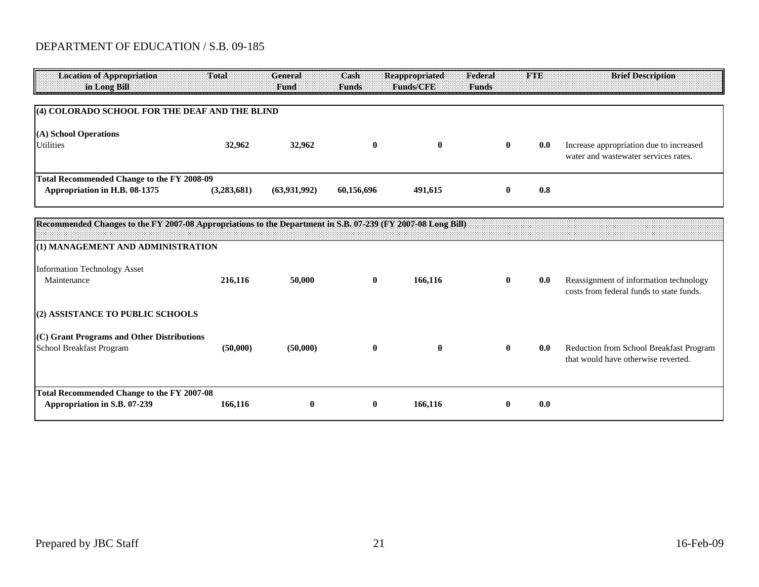| <b>Location of Appropriation</b><br>in Long Bill                                                                            | Total       | General<br>Fund | Cash<br><b>Funds</b> | <b>Reappropriated</b><br><b>Funds/CFE</b> | Federal<br>Funds | <b>FTE</b> | <b>Brief Description</b>                                                           |  |  |  |
|-----------------------------------------------------------------------------------------------------------------------------|-------------|-----------------|----------------------|-------------------------------------------|------------------|------------|------------------------------------------------------------------------------------|--|--|--|
| (4) COLORADO SCHOOL FOR THE DEAF AND THE BLIND                                                                              |             |                 |                      |                                           |                  |            |                                                                                    |  |  |  |
| (A) School Operations<br><b>Utilities</b>                                                                                   | 32,962      | 32,962          | $\bf{0}$             | $\bf{0}$                                  | $\bf{0}$         | 0.0        | Increase appropriation due to increased<br>water and wastewater services rates.    |  |  |  |
| <b>Total Recommended Change to the FY 2008-09</b><br>Appropriation in H.B. 08-1375                                          | (3,283,681) | (63,931,992)    | 60,156,696           | 491,615                                   | $\mathbf{0}$     | 0.8        |                                                                                    |  |  |  |
| Recommended Changes to the FY 2007-08 Appropriations to the Department in S.B. 07-239 (FY 2007-08 Long Bill)                |             |                 |                      |                                           |                  |            |                                                                                    |  |  |  |
| (1) MANAGEMENT AND ADMINISTRATION<br><b>Information Technology Asset</b><br>Maintenance<br>(2) ASSISTANCE TO PUBLIC SCHOOLS | 216,116     | 50,000          | $\mathbf{0}$         | 166,116                                   | $\mathbf{0}$     | 0.0        | Reassignment of information technology<br>costs from federal funds to state funds. |  |  |  |
| (C) Grant Programs and Other Distributions<br>School Breakfast Program                                                      | (50,000)    | (50,000)        | $\bf{0}$             | $\bf{0}$                                  | $\bf{0}$         | 0.0        | Reduction from School Breakfast Program<br>that would have otherwise reverted.     |  |  |  |
| <b>Total Recommended Change to the FY 2007-08</b><br>Appropriation in S.B. 07-239                                           | 166,116     | $\bf{0}$        | $\bf{0}$             | 166,116                                   | $\bf{0}$         | 0.0        |                                                                                    |  |  |  |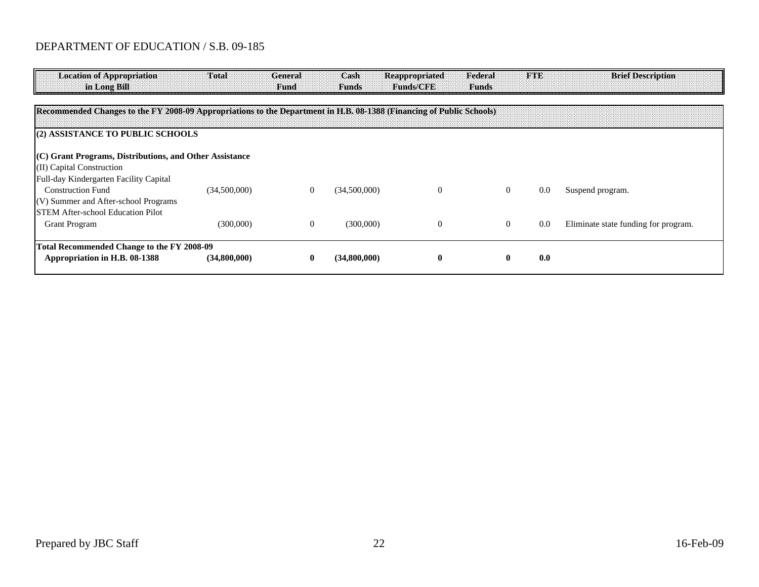| <b>Location of Appropriation</b><br>in Long Bill                                                                     | Total        | General<br>Fund | Cash<br><b>Funds</b> | <b>Reappropriated</b><br><b>Emms/CRE</b> | Federal<br>Funds | <b>FTE</b> | <b>Brief Description</b>             |
|----------------------------------------------------------------------------------------------------------------------|--------------|-----------------|----------------------|------------------------------------------|------------------|------------|--------------------------------------|
|                                                                                                                      |              |                 |                      |                                          |                  |            |                                      |
| Recommended Changes to the FY 2008-09 Appropriations to the Department in H.B. 08-1388 (Financing of Public Schools) |              |                 |                      |                                          |                  |            |                                      |
|                                                                                                                      |              |                 |                      |                                          |                  |            |                                      |
| (2) ASSISTANCE TO PUBLIC SCHOOLS                                                                                     |              |                 |                      |                                          |                  |            |                                      |
|                                                                                                                      |              |                 |                      |                                          |                  |            |                                      |
| $(C)$ Grant Programs, Distributions, and Other Assistance                                                            |              |                 |                      |                                          |                  |            |                                      |
| (II) Capital Construction                                                                                            |              |                 |                      |                                          |                  |            |                                      |
| Full-day Kindergarten Facility Capital                                                                               |              |                 |                      |                                          |                  |            |                                      |
| <b>Construction Fund</b>                                                                                             | (34,500,000) | $\theta$        | (34,500,000)         | $\Omega$                                 | $\theta$         | 0.0        | Suspend program.                     |
| (V) Summer and After-school Programs                                                                                 |              |                 |                      |                                          |                  |            |                                      |
| <b>STEM After-school Education Pilot</b>                                                                             |              |                 |                      |                                          |                  |            |                                      |
| <b>Grant Program</b>                                                                                                 | (300,000)    | $\theta$        | (300,000)            | $\theta$                                 | $\theta$         | 0.0        | Eliminate state funding for program. |
|                                                                                                                      |              |                 |                      |                                          |                  |            |                                      |
| Total Recommended Change to the FY 2008-09                                                                           |              |                 |                      |                                          |                  |            |                                      |
| Appropriation in H.B. 08-1388                                                                                        | (34,800,000) |                 | (34,800,000)         | v                                        |                  | 0.0        |                                      |
|                                                                                                                      |              |                 |                      |                                          |                  |            |                                      |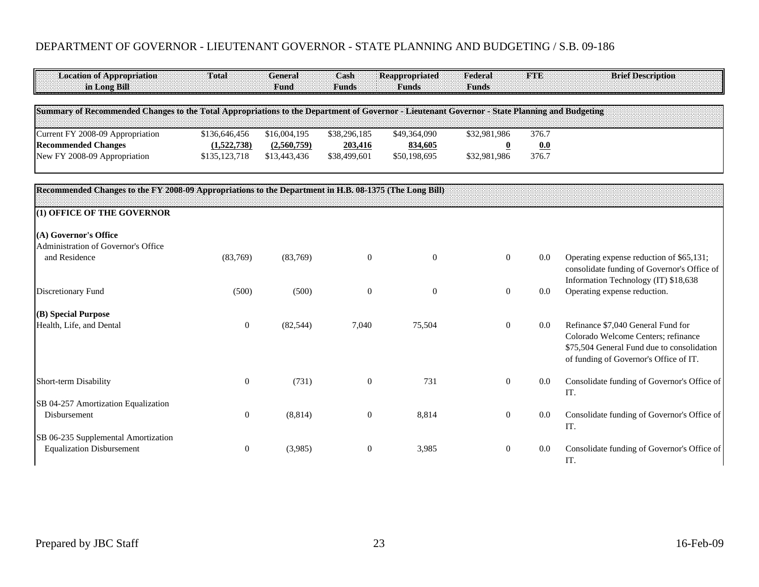| <b>Location of Appropriation</b><br>in Long Bill                                                       | Total                                                                                                                                         | <b>General</b><br>Fund      | Cash<br><b>Funds</b>    | <b>Reappropriated</b><br><b>Funds</b> | Federal<br><b>Funds</b>                 | <b>FTE</b>   | <b>Brief Description</b>                                                                                                                                          |  |  |  |  |  |  |
|--------------------------------------------------------------------------------------------------------|-----------------------------------------------------------------------------------------------------------------------------------------------|-----------------------------|-------------------------|---------------------------------------|-----------------------------------------|--------------|-------------------------------------------------------------------------------------------------------------------------------------------------------------------|--|--|--|--|--|--|
|                                                                                                        | Summary of Recommended Changes to the Total Appropriations to the Department of Governor - Lieutenant Governor - State Planning and Budgeting |                             |                         |                                       |                                         |              |                                                                                                                                                                   |  |  |  |  |  |  |
| Current FY 2008-09 Appropriation<br><b>Recommended Changes</b>                                         | \$136,646,456<br>(1,522,738)                                                                                                                  | \$16,004,195<br>(2,560,759) | \$38,296,185<br>203,416 | \$49,364,090<br>834,605               | \$32,981,986<br>$\overline{\mathbf{0}}$ | 376.7<br>0.0 |                                                                                                                                                                   |  |  |  |  |  |  |
| New FY 2008-09 Appropriation                                                                           | \$135,123,718                                                                                                                                 | \$13,443,436                | \$38,499,601            | \$50,198,695                          | \$32,981,986                            | 376.7        |                                                                                                                                                                   |  |  |  |  |  |  |
| Recommended Changes to the FY 2008-09 Appropriations to the Department in H.B. 08-1375 (The Long Bill) |                                                                                                                                               |                             |                         |                                       |                                         |              |                                                                                                                                                                   |  |  |  |  |  |  |
| (1) OFFICE OF THE GOVERNOR                                                                             |                                                                                                                                               |                             |                         |                                       |                                         |              |                                                                                                                                                                   |  |  |  |  |  |  |
| (A) Governor's Office<br>Administration of Governor's Office                                           |                                                                                                                                               |                             |                         |                                       |                                         |              |                                                                                                                                                                   |  |  |  |  |  |  |
| and Residence                                                                                          | (83,769)                                                                                                                                      | (83,769)                    | $\boldsymbol{0}$        | $\boldsymbol{0}$                      | $\boldsymbol{0}$                        | 0.0          | Operating expense reduction of \$65,131;<br>consolidate funding of Governor's Office of<br>Information Technology (IT) \$18,638                                   |  |  |  |  |  |  |
| Discretionary Fund                                                                                     | (500)                                                                                                                                         | (500)                       | $\boldsymbol{0}$        | $\boldsymbol{0}$                      | $\overline{0}$                          | 0.0          | Operating expense reduction.                                                                                                                                      |  |  |  |  |  |  |
| (B) Special Purpose                                                                                    |                                                                                                                                               |                             |                         |                                       |                                         |              |                                                                                                                                                                   |  |  |  |  |  |  |
| Health, Life, and Dental                                                                               | $\boldsymbol{0}$                                                                                                                              | (82, 544)                   | 7,040                   | 75,504                                | $\overline{0}$                          | 0.0          | Refinance \$7,040 General Fund for<br>Colorado Welcome Centers; refinance<br>\$75,504 General Fund due to consolidation<br>of funding of Governor's Office of IT. |  |  |  |  |  |  |
| Short-term Disability                                                                                  | $\overline{0}$                                                                                                                                | (731)                       | $\boldsymbol{0}$        | 731                                   | $\boldsymbol{0}$                        | 0.0          | Consolidate funding of Governor's Office of<br>IT.                                                                                                                |  |  |  |  |  |  |
| SB 04-257 Amortization Equalization<br>Disbursement                                                    | $\theta$                                                                                                                                      | (8,814)                     | $\boldsymbol{0}$        | 8,814                                 | $\overline{0}$                          | 0.0          | Consolidate funding of Governor's Office of<br>IT.                                                                                                                |  |  |  |  |  |  |
| SB 06-235 Supplemental Amortization<br><b>Equalization Disbursement</b>                                | $\mathbf{0}$                                                                                                                                  | (3,985)                     | $\boldsymbol{0}$        | 3,985                                 | $\boldsymbol{0}$                        | 0.0          | Consolidate funding of Governor's Office of<br>IT.                                                                                                                |  |  |  |  |  |  |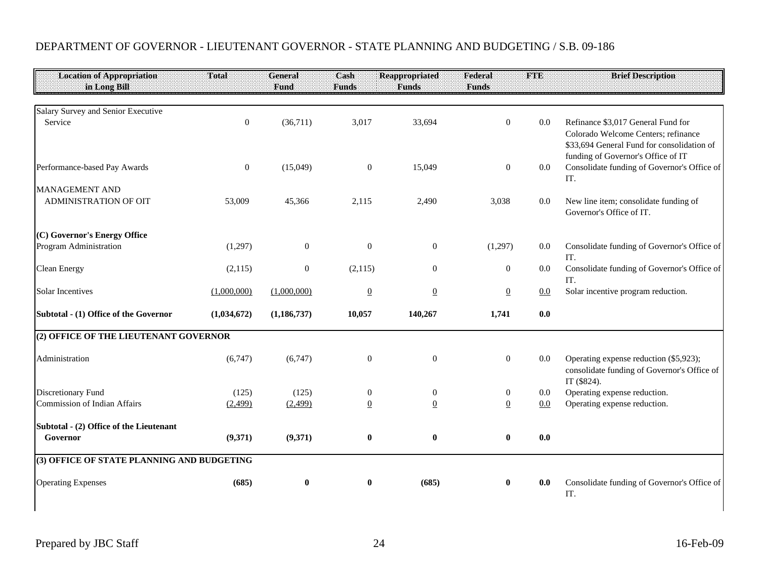| <b>Location of Appropriation</b>           | Total            | General          | Cash             | <b>Reappropriated</b> | Federal          | <b>FTE</b> | <b>Brief Description</b>                                                              |
|--------------------------------------------|------------------|------------------|------------------|-----------------------|------------------|------------|---------------------------------------------------------------------------------------|
| in Long Bill                               |                  | Fund             | <b>Funds</b>     | <b>Funds</b>          | <b>Funds</b>     |            |                                                                                       |
| Salary Survey and Senior Executive         |                  |                  |                  |                       |                  |            |                                                                                       |
| Service                                    | $\boldsymbol{0}$ | (36,711)         | 3,017            | 33,694                | $\overline{0}$   | $0.0\,$    | Refinance \$3,017 General Fund for<br>Colorado Welcome Centers; refinance             |
|                                            |                  |                  |                  |                       |                  |            | \$33,694 General Fund for consolidation of<br>funding of Governor's Office of IT      |
| Performance-based Pay Awards               | $\overline{0}$   | (15,049)         | $\mathbf{0}$     | 15,049                | $\mathbf{0}$     | 0.0        | Consolidate funding of Governor's Office of<br>IT.                                    |
| <b>MANAGEMENT AND</b>                      |                  |                  |                  |                       |                  |            |                                                                                       |
| ADMINISTRATION OF OIT                      | 53,009           | 45,366           | 2,115            | 2,490                 | 3,038            | 0.0        | New line item; consolidate funding of<br>Governor's Office of IT.                     |
| (C) Governor's Energy Office               |                  |                  |                  |                       |                  |            |                                                                                       |
| Program Administration                     | (1,297)          | $\mathbf{0}$     | $\boldsymbol{0}$ | $\mathbf{0}$          | (1,297)          | 0.0        | Consolidate funding of Governor's Office of<br>IT.                                    |
| <b>Clean Energy</b>                        | (2,115)          | $\boldsymbol{0}$ | (2,115)          | $\mathbf{0}$          | $\boldsymbol{0}$ | 0.0        | Consolidate funding of Governor's Office of<br>IT.                                    |
| <b>Solar Incentives</b>                    | (1,000,000)      | (1,000,000)      | $\underline{0}$  | $\underline{0}$       | $\overline{0}$   | 0.0        | Solar incentive program reduction.                                                    |
| Subtotal - (1) Office of the Governor      | (1,034,672)      | (1, 186, 737)    | 10,057           | 140,267               | 1,741            | 0.0        |                                                                                       |
| (2) OFFICE OF THE LIEUTENANT GOVERNOR      |                  |                  |                  |                       |                  |            |                                                                                       |
| Administration                             | (6,747)          | (6,747)          | $\mathbf{0}$     | $\mathbf{0}$          | $\mathbf{0}$     | 0.0        | Operating expense reduction (\$5,923);<br>consolidate funding of Governor's Office of |
| Discretionary Fund                         | (125)            | (125)            | $\mathbf{0}$     | $\boldsymbol{0}$      | $\mathbf{0}$     | 0.0        | IT (\$824).<br>Operating expense reduction.                                           |
| Commission of Indian Affairs               | (2,499)          | (2,499)          | $\underline{0}$  | $\underline{0}$       | $\overline{0}$   | 0.0        | Operating expense reduction.                                                          |
| Subtotal - (2) Office of the Lieutenant    |                  |                  |                  |                       |                  |            |                                                                                       |
| Governor                                   | (9,371)          | (9,371)          | $\bf{0}$         | $\bf{0}$              | $\bf{0}$         | 0.0        |                                                                                       |
| (3) OFFICE OF STATE PLANNING AND BUDGETING |                  |                  |                  |                       |                  |            |                                                                                       |
| <b>Operating Expenses</b>                  | (685)            | $\bf{0}$         | $\bf{0}$         | (685)                 | $\bf{0}$         | 0.0        | Consolidate funding of Governor's Office of<br>IT.                                    |
|                                            |                  |                  |                  |                       |                  |            |                                                                                       |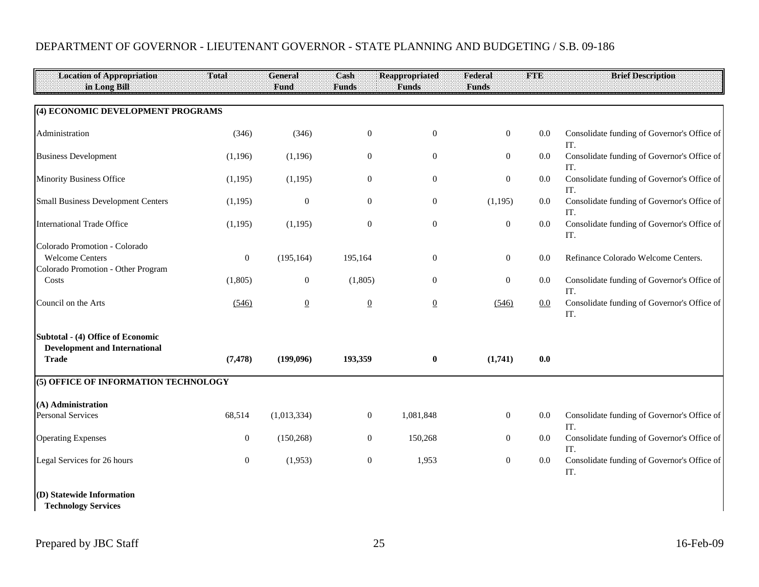| <b>Location of Appropriation</b><br>in Long Bill                                              | Total            | General<br>Fund | Cash<br><b>Funds</b> | <b>Reappropriated</b><br><b>Funds</b> | Federal<br><b>Funds</b> | <b>FTE</b> | <b>Brief Description</b>                           |
|-----------------------------------------------------------------------------------------------|------------------|-----------------|----------------------|---------------------------------------|-------------------------|------------|----------------------------------------------------|
|                                                                                               |                  |                 |                      |                                       |                         |            |                                                    |
| (4) ECONOMIC DEVELOPMENT PROGRAMS                                                             |                  |                 |                      |                                       |                         |            |                                                    |
| Administration                                                                                | (346)            | (346)           | $\boldsymbol{0}$     | $\boldsymbol{0}$                      | $\boldsymbol{0}$        | 0.0        | Consolidate funding of Governor's Office of<br>IT. |
| <b>Business Development</b>                                                                   | (1,196)          | (1,196)         | $\mathbf{0}$         | $\boldsymbol{0}$                      | $\boldsymbol{0}$        | 0.0        | Consolidate funding of Governor's Office of<br>IT. |
| Minority Business Office                                                                      | (1,195)          | (1,195)         | $\mathbf{0}$         | $\boldsymbol{0}$                      | $\boldsymbol{0}$        | 0.0        | Consolidate funding of Governor's Office of<br>IT. |
| <b>Small Business Development Centers</b>                                                     | (1,195)          | $\mathbf{0}$    | $\boldsymbol{0}$     | $\boldsymbol{0}$                      | (1,195)                 | 0.0        | Consolidate funding of Governor's Office of<br>IT. |
| <b>International Trade Office</b>                                                             | (1,195)          | (1,195)         | $\boldsymbol{0}$     | $\boldsymbol{0}$                      | $\boldsymbol{0}$        | 0.0        | Consolidate funding of Governor's Office of<br>IT. |
| Colorado Promotion - Colorado<br><b>Welcome Centers</b><br>Colorado Promotion - Other Program | $\boldsymbol{0}$ | (195, 164)      | 195,164              | $\mathbf{0}$                          | $\boldsymbol{0}$        | 0.0        | Refinance Colorado Welcome Centers.                |
| Costs                                                                                         | (1,805)          | $\mathbf{0}$    | (1,805)              | $\overline{0}$                        | $\boldsymbol{0}$        | 0.0        | Consolidate funding of Governor's Office of<br>IT. |
| Council on the Arts                                                                           | (546)            | $\overline{0}$  | $\overline{0}$       | $\overline{0}$                        | (546)                   | 0.0        | Consolidate funding of Governor's Office of<br>IT. |
| Subtotal - (4) Office of Economic<br><b>Development and International</b>                     |                  |                 |                      |                                       |                         |            |                                                    |
| Trade                                                                                         | (7, 478)         | (199,096)       | 193,359              | $\bf{0}$                              | (1,741)                 | 0.0        |                                                    |
| (5) OFFICE OF INFORMATION TECHNOLOGY                                                          |                  |                 |                      |                                       |                         |            |                                                    |
| (A) Administration                                                                            |                  |                 |                      |                                       |                         |            |                                                    |
| <b>Personal Services</b>                                                                      | 68,514           | (1,013,334)     | $\boldsymbol{0}$     | 1,081,848                             | $\boldsymbol{0}$        | 0.0        | Consolidate funding of Governor's Office of<br>IT. |
| <b>Operating Expenses</b>                                                                     | $\mathbf{0}$     | (150, 268)      | $\boldsymbol{0}$     | 150,268                               | $\boldsymbol{0}$        | 0.0        | Consolidate funding of Governor's Office of<br>IT. |
| Legal Services for 26 hours                                                                   | $\boldsymbol{0}$ | (1,953)         | $\boldsymbol{0}$     | 1,953                                 | $\boldsymbol{0}$        | 0.0        | Consolidate funding of Governor's Office of<br>IT. |
| (D) Statewide Information<br><b>Technology Services</b>                                       |                  |                 |                      |                                       |                         |            |                                                    |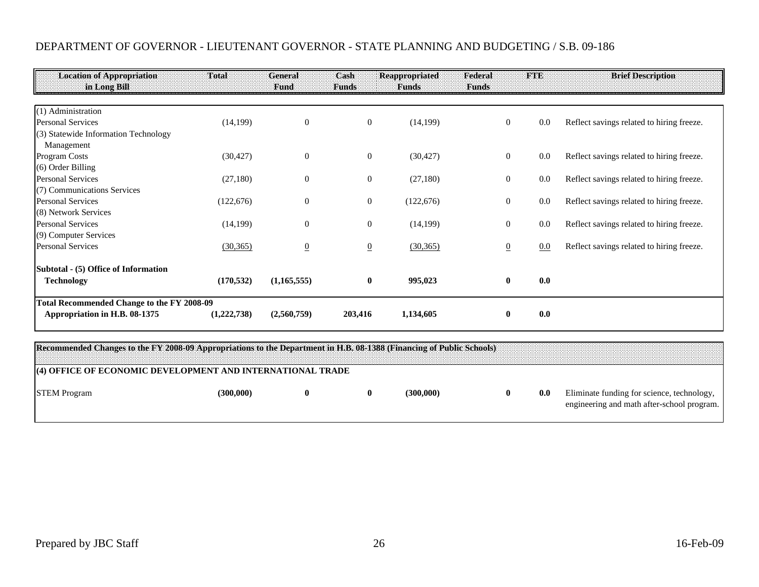| <b>Location of Appropriation</b>                  | Total       | <b>General</b> | Cash             | Reappropriated | Federal        | THE | <b>Brief Description</b>                  |
|---------------------------------------------------|-------------|----------------|------------------|----------------|----------------|-----|-------------------------------------------|
| in Long Bill.                                     |             | Fund           | <b>Funds</b>     | <b>Funds</b>   | <b>Funds</b>   |     |                                           |
| (1) Administration                                |             |                |                  |                |                |     |                                           |
| <b>Personal Services</b>                          | (14, 199)   | $\mathbf{0}$   | $\boldsymbol{0}$ | (14, 199)      | $\overline{0}$ | 0.0 | Reflect savings related to hiring freeze. |
| (3) Statewide Information Technology              |             |                |                  |                |                |     |                                           |
| Management                                        |             |                |                  |                |                |     |                                           |
| Program Costs                                     | (30, 427)   | $\theta$       | $\boldsymbol{0}$ | (30, 427)      | $\overline{0}$ | 0.0 | Reflect savings related to hiring freeze. |
| $(6)$ Order Billing                               |             |                |                  |                |                |     |                                           |
| <b>Personal Services</b>                          | (27,180)    | $\mathbf{0}$   | $\boldsymbol{0}$ | (27,180)       | $\overline{0}$ | 0.0 | Reflect savings related to hiring freeze. |
| (7) Communications Services                       |             |                |                  |                |                |     |                                           |
| <b>Personal Services</b>                          | (122, 676)  | $\theta$       | $\boldsymbol{0}$ | (122, 676)     | $\overline{0}$ | 0.0 | Reflect savings related to hiring freeze. |
| (8) Network Services                              |             |                |                  |                |                |     |                                           |
| <b>Personal Services</b>                          | (14, 199)   | $\theta$       | $\boldsymbol{0}$ | (14, 199)      | $\overline{0}$ | 0.0 | Reflect savings related to hiring freeze. |
| (9) Computer Services                             |             |                |                  |                |                |     |                                           |
| <b>Personal Services</b>                          | (30, 365)   | $\overline{0}$ | $\overline{0}$   | (30, 365)      | $\overline{0}$ | 0.0 | Reflect savings related to hiring freeze. |
| Subtotal - (5) Office of Information              |             |                |                  |                |                |     |                                           |
| <b>Technology</b>                                 | (170, 532)  | (1,165,555)    | $\bf{0}$         | 995,023        | $\bf{0}$       | 0.0 |                                           |
| <b>Total Recommended Change to the FY 2008-09</b> |             |                |                  |                |                |     |                                           |
| Appropriation in H.B. 08-1375                     | (1,222,738) | (2,560,759)    | 203,416          | 1,134,605      | 0              | 0.0 |                                           |

**Recommended Changes to the FY 2008-09 Appropriations to the Department in H.B. 08-1388 (Financing of Public Schools)**

#### **(4) OFFICE OF ECONOMIC DEVELOPMENT AND INTERNATIONAL TRADE**

| <b>STEM Program</b> | (300.000) |  | (300.000) | 0.0 | Eliminate funding for science, technology,<br>engineering and math after-school program. |
|---------------------|-----------|--|-----------|-----|------------------------------------------------------------------------------------------|
|                     |           |  |           |     |                                                                                          |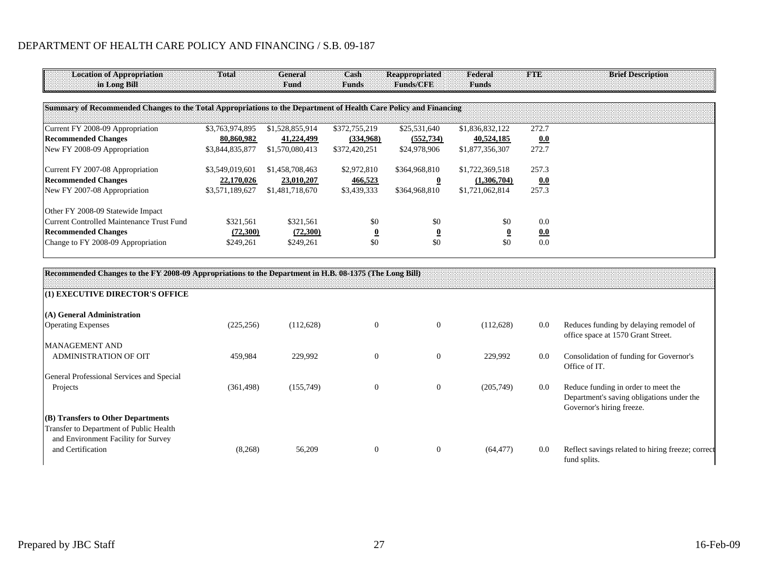| <b>Location of Appropriation</b><br>in Long Bill                                                                 | Total           | General<br>Fund | Cash<br><b>Funds</b>    | <b>Reappropriated</b><br>Hunds/GJ99 | Federal<br><b>Funds</b> | <b>FTE:</b> | <b>Brief Description</b> |
|------------------------------------------------------------------------------------------------------------------|-----------------|-----------------|-------------------------|-------------------------------------|-------------------------|-------------|--------------------------|
| Summary of Recommended Changes to the Total Appropriations to the Department of Health Care Policy and Financing |                 |                 |                         |                                     |                         |             |                          |
| Current FY 2008-09 Appropriation                                                                                 | \$3,763,974,895 | \$1,528,855,914 | \$372,755,219           | \$25,531,640                        | \$1,836,832,122         | 272.7       |                          |
| <b>Recommended Changes</b>                                                                                       | 80,860,982      | 41,224,499      | (334,968)               | (552, 734)                          | 40,524,185              | 0.0         |                          |
| New FY 2008-09 Appropriation                                                                                     | \$3,844,835,877 | \$1,570,080,413 | \$372,420,251           | \$24,978,906                        | \$1,877,356,307         | 272.7       |                          |
| Current FY 2007-08 Appropriation                                                                                 | \$3,549,019,601 | \$1,458,708,463 | \$2,972,810             | \$364,968,810                       | \$1,722,369,518         | 257.3       |                          |
| <b>Recommended Changes</b>                                                                                       | 22,170,026      | 23,010,207      | 466,523                 | $\bf{0}$                            | (1,306,704)             | 0.0         |                          |
| New FY 2007-08 Appropriation                                                                                     | \$3,571,189,627 | \$1,481,718,670 | \$3,439,333             | \$364,968,810                       | \$1,721,062,814         | 257.3       |                          |
| Other FY 2008-09 Statewide Impact                                                                                |                 |                 |                         |                                     |                         |             |                          |
| Current Controlled Maintenance Trust Fund                                                                        | \$321,561       | \$321,561       | \$0                     | \$0                                 | \$0                     | 0.0         |                          |
| <b>Recommended Changes</b>                                                                                       | (72,300)        | (72,300)        | $\overline{\mathbf{0}}$ | $\overline{\mathbf{0}}$             |                         | 0.0         |                          |
| Change to FY 2008-09 Appropriation                                                                               | \$249,261       | \$249,261       | \$0                     | \$0                                 | \$0                     | 0.0         |                          |

| (Recommended Changes to the FY 2008-09 Appropriations to the Department in H.B. 08-1375 (The Long Bill) |            |            |                |                |           |     |                                                                                                               |
|---------------------------------------------------------------------------------------------------------|------------|------------|----------------|----------------|-----------|-----|---------------------------------------------------------------------------------------------------------------|
| (1) EXECUTIVE DIRECTOR'S OFFICE                                                                         |            |            |                |                |           |     |                                                                                                               |
| $(A)$ General Administration                                                                            |            |            |                |                |           |     |                                                                                                               |
| <b>Operating Expenses</b>                                                                               | (225, 256) | (112, 628) | $\overline{0}$ | $\overline{0}$ | (112,628) | 0.0 | Reduces funding by delaying remodel of<br>office space at 1570 Grant Street.                                  |
| MANAGEMENT AND                                                                                          |            |            |                |                |           |     |                                                                                                               |
| <b>ADMINISTRATION OF OIT</b>                                                                            | 459,984    | 229,992    | $\Omega$       | $\theta$       | 229,992   | 0.0 | Consolidation of funding for Governor's<br>Office of IT.                                                      |
| General Professional Services and Special                                                               |            |            |                |                |           |     |                                                                                                               |
| Projects                                                                                                | (361, 498) | (155,749)  | $\theta$       | $\theta$       | (205,749) | 0.0 | Reduce funding in order to meet the<br>Department's saving obligations under the<br>Governor's hiring freeze. |
| $  (B)$ Transfers to Other Departments                                                                  |            |            |                |                |           |     |                                                                                                               |
| Transfer to Department of Public Health<br>and Environment Facility for Survey                          |            |            |                |                |           |     |                                                                                                               |
| and Certification                                                                                       | (8,268)    | 56,209     | $\Omega$       | $\theta$       | (64, 477) | 0.0 | Reflect savings related to hiring freeze; correct<br>fund splits.                                             |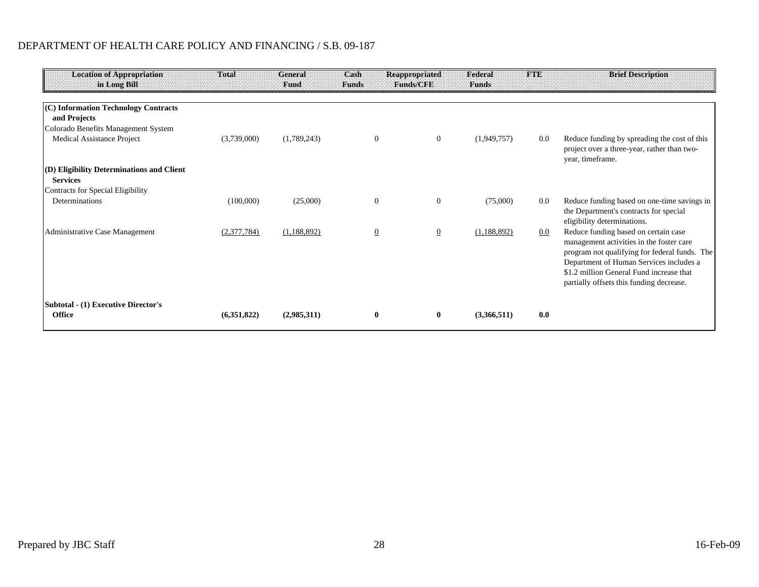| <b>Location of Appropriation</b><br>in Long Bill             | Total       | <b>General</b><br>Fund | Cash<br><b>Funds</b> | <b>Reappropriated</b><br><b>Funds/CEE</b> | Federal<br><b>Funds</b> | <b>FTE</b> | <b>Brief Description</b>                                                                                                                                                                                                                                             |
|--------------------------------------------------------------|-------------|------------------------|----------------------|-------------------------------------------|-------------------------|------------|----------------------------------------------------------------------------------------------------------------------------------------------------------------------------------------------------------------------------------------------------------------------|
|                                                              |             |                        |                      |                                           |                         |            |                                                                                                                                                                                                                                                                      |
| (C) Information Technology Contracts<br>and Projects         |             |                        |                      |                                           |                         |            |                                                                                                                                                                                                                                                                      |
| Colorado Benefits Management System                          |             |                        |                      |                                           |                         |            |                                                                                                                                                                                                                                                                      |
| Medical Assistance Project                                   | (3,739,000) | (1,789,243)            | $\overline{0}$       | $\overline{0}$                            | (1,949,757)             | 0.0        | Reduce funding by spreading the cost of this<br>project over a three-year, rather than two-<br>year, timeframe.                                                                                                                                                      |
| (D) Eligibility Determinations and Client<br><b>Services</b> |             |                        |                      |                                           |                         |            |                                                                                                                                                                                                                                                                      |
| Contracts for Special Eligibility                            |             |                        |                      |                                           |                         |            |                                                                                                                                                                                                                                                                      |
| Determinations                                               | (100,000)   | (25,000)               | $\mathbf{0}$         | $\bf{0}$                                  | (75,000)                | 0.0        | Reduce funding based on one-time savings in<br>the Department's contracts for special<br>eligibility determinations.                                                                                                                                                 |
| Administrative Case Management                               | (2,377,784) | (1,188,892)            | $\overline{0}$       | $\overline{0}$                            | (1, 188, 892)           | 0.0        | Reduce funding based on certain case<br>management activities in the foster care<br>program not qualifying for federal funds. The<br>Department of Human Services includes a<br>\$1.2 million General Fund increase that<br>partially offsets this funding decrease. |
| Subtotal - (1) Executive Director's<br><b>Office</b>         | (6,351,822) | (2,985,311)            | $\bf{0}$             | $\bf{0}$                                  | (3,366,511)             | 0.0        |                                                                                                                                                                                                                                                                      |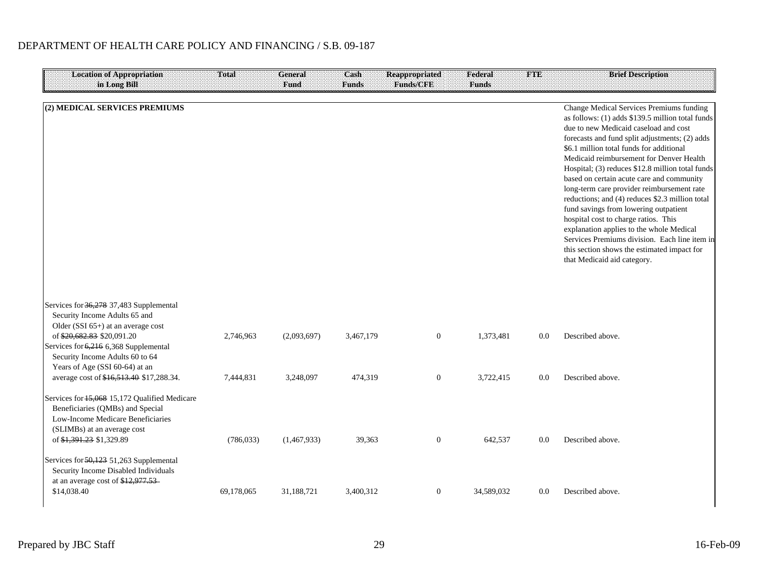| <b>Location of Appropriation</b><br>in Long Bill                                                                                                                                                                                                           | <b>Total</b>            | <b>General</b><br>Fund   | Cash<br><b>Funds</b> | <b>Reappropriated</b><br><b>Funds/CFE</b> | Federal<br><b>Funds</b> | FTE        | <b>Brief Description</b>                                                                                                                                                                                                                                                                                                                                                                                                                                                                                                                                                                                                                                                                                                                      |
|------------------------------------------------------------------------------------------------------------------------------------------------------------------------------------------------------------------------------------------------------------|-------------------------|--------------------------|----------------------|-------------------------------------------|-------------------------|------------|-----------------------------------------------------------------------------------------------------------------------------------------------------------------------------------------------------------------------------------------------------------------------------------------------------------------------------------------------------------------------------------------------------------------------------------------------------------------------------------------------------------------------------------------------------------------------------------------------------------------------------------------------------------------------------------------------------------------------------------------------|
| (2) MEDICAL SERVICES PREMIUMS                                                                                                                                                                                                                              |                         |                          |                      |                                           |                         |            | Change Medical Services Premiums funding<br>as follows: (1) adds \$139.5 million total funds<br>due to new Medicaid caseload and cost<br>forecasts and fund split adjustments; (2) adds<br>\$6.1 million total funds for additional<br>Medicaid reimbursement for Denver Health<br>Hospital; (3) reduces \$12.8 million total funds<br>based on certain acute care and community<br>long-term care provider reimbursement rate<br>reductions; and (4) reduces \$2.3 million total<br>fund savings from lowering outpatient<br>hospital cost to charge ratios. This<br>explanation applies to the whole Medical<br>Services Premiums division. Each line item in<br>this section shows the estimated impact for<br>that Medicaid aid category. |
| Services for 36,278 37,483 Supplemental<br>Security Income Adults 65 and<br>Older (SSI 65+) at an average cost<br>of \$20,682.83 \$20,091.20<br>Services for 6,216 6,368 Supplemental<br>Security Income Adults 60 to 64<br>Years of Age (SSI 60-64) at an | 2,746,963               | (2,093,697)              | 3,467,179            | $\boldsymbol{0}$                          | 1,373,481               | 0.0        | Described above.                                                                                                                                                                                                                                                                                                                                                                                                                                                                                                                                                                                                                                                                                                                              |
| average cost of \$16,513.40 \$17,288.34.<br>Services for 15,068 15,172 Qualified Medicare<br>Beneficiaries (QMBs) and Special<br>Low-Income Medicare Beneficiaries<br>(SLIMBs) at an average cost<br>of \$1,391.23 \$1,329.89                              | 7,444,831<br>(786, 033) | 3,248,097<br>(1,467,933) | 474,319<br>39,363    | $\boldsymbol{0}$<br>$\mathbf{0}$          | 3,722,415<br>642,537    | 0.0<br>0.0 | Described above.<br>Described above.                                                                                                                                                                                                                                                                                                                                                                                                                                                                                                                                                                                                                                                                                                          |
| Services for 50,123 51,263 Supplemental<br>Security Income Disabled Individuals<br>at an average cost of \$12,977.53<br>\$14,038.40                                                                                                                        | 69,178,065              | 31,188,721               | 3,400,312            | $\overline{0}$                            | 34,589,032              | 0.0        | Described above.                                                                                                                                                                                                                                                                                                                                                                                                                                                                                                                                                                                                                                                                                                                              |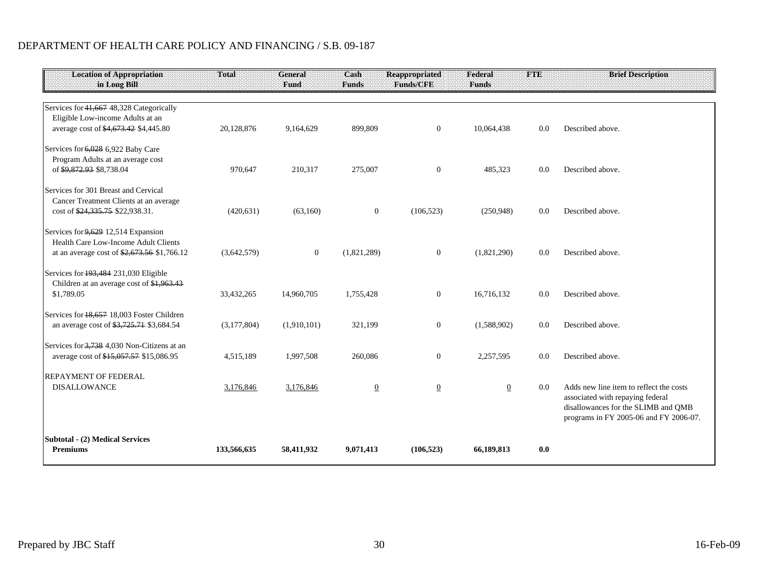| <b>Location of Appropriation</b><br>in Long Bill                                                                           | <b>Total</b> | <b>General</b><br>Fund | Cash<br><b>Funds</b> | <b>Reappropriated</b><br><b>Funds/CFE</b> | Federal<br><b>Funds</b> | <b>FTE</b> | <b>Brief Description</b>                                                                                                                                     |
|----------------------------------------------------------------------------------------------------------------------------|--------------|------------------------|----------------------|-------------------------------------------|-------------------------|------------|--------------------------------------------------------------------------------------------------------------------------------------------------------------|
|                                                                                                                            |              |                        |                      |                                           |                         |            |                                                                                                                                                              |
| Services for 41,667 48,328 Categorically<br>Eligible Low-income Adults at an<br>average cost of \$4,673.42 \$4,445.80      | 20,128,876   | 9,164,629              | 899,809              | $\overline{0}$                            | 10,064,438              | 0.0        | Described above.                                                                                                                                             |
| Services for 6,028 6,922 Baby Care<br>Program Adults at an average cost<br>of \$9,872.93 \$8,738.04                        | 970,647      | 210,317                | 275,007              | $\mathbf{0}$                              | 485,323                 | 0.0        | Described above.                                                                                                                                             |
| Services for 301 Breast and Cervical<br>Cancer Treatment Clients at an average<br>cost of \$24,335.75 \$22,938.31.         | (420, 631)   | (63,160)               | $\overline{0}$       | (106, 523)                                | (250,948)               | 0.0        | Described above.                                                                                                                                             |
| Services for 9,629 12,514 Expansion<br>Health Care Low-Income Adult Clients<br>at an average cost of \$2,673.56 \$1,766.12 | (3,642,579)  | $\mathbf{0}$           | (1,821,289)          | $\mathbf{0}$                              | (1,821,290)             | 0.0        | Described above.                                                                                                                                             |
| Services for 193,484 231,030 Eligible<br>Children at an average cost of \$1,963.43<br>\$1,789.05                           | 33,432,265   | 14,960,705             | 1,755,428            | $\overline{0}$                            | 16.716.132              | 0.0        | Described above.                                                                                                                                             |
| Services for 18.657 18.003 Foster Children<br>an average cost of \$3,725.71 \$3,684.54                                     | (3,177,804)  | (1,910,101)            | 321,199              | $\boldsymbol{0}$                          | (1,588,902)             | 0.0        | Described above.                                                                                                                                             |
| Services for 3.738 4.030 Non-Citizens at an<br>average cost of \$15,057.57 \$15,086.95                                     | 4,515,189    | 1,997,508              | 260,086              | $\mathbf{0}$                              | 2,257,595               | 0.0        | Described above.                                                                                                                                             |
| <b>REPAYMENT OF FEDERAL</b><br><b>DISALLOWANCE</b>                                                                         | 3,176,846    | 3,176,846              | $\overline{0}$       | $\overline{0}$                            | $\overline{0}$          | 0.0        | Adds new line item to reflect the costs<br>associated with repaying federal<br>disallowances for the SLIMB and QMB<br>programs in FY 2005-06 and FY 2006-07. |
| <b>Subtotal - (2) Medical Services</b><br><b>Premiums</b>                                                                  | 133,566,635  | 58,411,932             | 9,071,413            | (106, 523)                                | 66,189,813              | 0.0        |                                                                                                                                                              |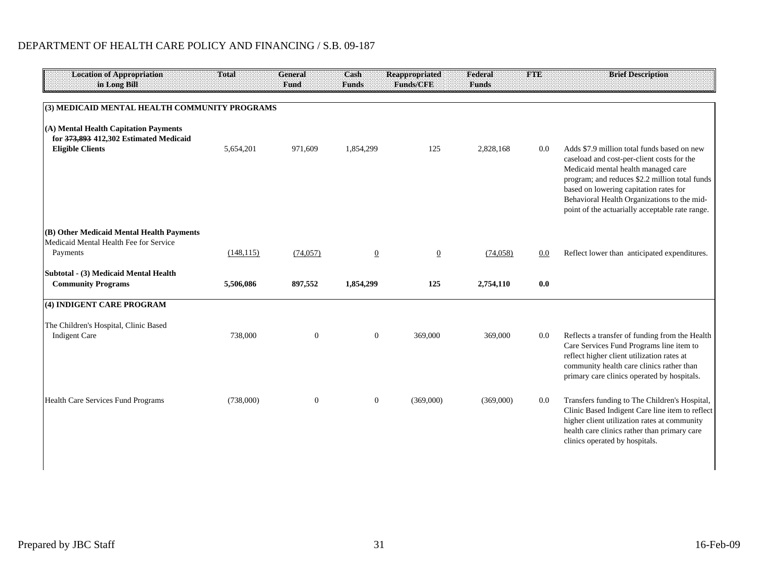| <b>Location of Appropriation</b><br>in Long Bill                                                           | Total      | <b>General</b><br>Fund | Cash<br><b>Funds</b> | <b>Reappropriated</b><br>Funds/CFF | Federal<br><b>Funds</b> | <b>THE</b> | <b>Brief Description</b>                                                                                                                                                                                                                                                                                                       |
|------------------------------------------------------------------------------------------------------------|------------|------------------------|----------------------|------------------------------------|-------------------------|------------|--------------------------------------------------------------------------------------------------------------------------------------------------------------------------------------------------------------------------------------------------------------------------------------------------------------------------------|
|                                                                                                            |            |                        |                      |                                    |                         |            |                                                                                                                                                                                                                                                                                                                                |
| (3) MEDICAID MENTAL HEALTH COMMUNITY PROGRAMS                                                              |            |                        |                      |                                    |                         |            |                                                                                                                                                                                                                                                                                                                                |
| (A) Mental Health Capitation Payments<br>for 373,893 412,302 Estimated Medicaid<br><b>Eligible Clients</b> | 5,654,201  | 971,609                | 1,854,299            | 125                                | 2,828,168               | 0.0        | Adds \$7.9 million total funds based on new<br>caseload and cost-per-client costs for the<br>Medicaid mental health managed care<br>program; and reduces \$2.2 million total funds<br>based on lowering capitation rates for<br>Behavioral Health Organizations to the mid-<br>point of the actuarially acceptable rate range. |
|                                                                                                            |            |                        |                      |                                    |                         |            |                                                                                                                                                                                                                                                                                                                                |
| (B) Other Medicaid Mental Health Payments<br>Medicaid Mental Health Fee for Service<br>Payments            | (148, 115) | (74, 057)              | $\overline{0}$       | $\overline{0}$                     | (74, 058)               | 0.0        | Reflect lower than anticipated expenditures.                                                                                                                                                                                                                                                                                   |
| Subtotal - (3) Medicaid Mental Health<br><b>Community Programs</b>                                         | 5,506,086  | 897,552                | 1,854,299            | 125                                | 2,754,110               | 0.0        |                                                                                                                                                                                                                                                                                                                                |
|                                                                                                            |            |                        |                      |                                    |                         |            |                                                                                                                                                                                                                                                                                                                                |
| (4) INDIGENT CARE PROGRAM                                                                                  |            |                        |                      |                                    |                         |            |                                                                                                                                                                                                                                                                                                                                |
| The Children's Hospital, Clinic Based                                                                      |            |                        |                      |                                    |                         |            |                                                                                                                                                                                                                                                                                                                                |
| <b>Indigent Care</b>                                                                                       | 738,000    | $\boldsymbol{0}$       | $\mathbf{0}$         | 369,000                            | 369,000                 | 0.0        | Reflects a transfer of funding from the Health<br>Care Services Fund Programs line item to<br>reflect higher client utilization rates at<br>community health care clinics rather than<br>primary care clinics operated by hospitals.                                                                                           |
| Health Care Services Fund Programs                                                                         | (738,000)  | $\mathbf{0}$           | $\mathbf{0}$         | (369,000)                          | (369,000)               | 0.0        | Transfers funding to The Children's Hospital,<br>Clinic Based Indigent Care line item to reflect<br>higher client utilization rates at community<br>health care clinics rather than primary care<br>clinics operated by hospitals.                                                                                             |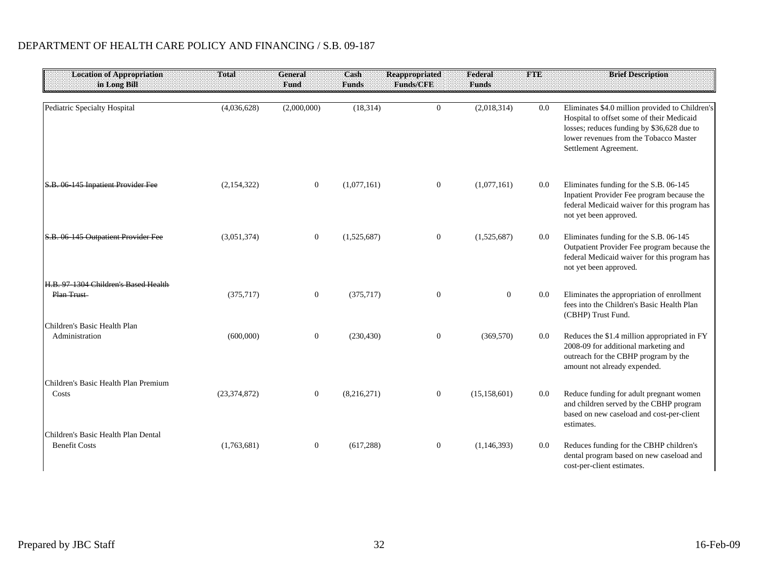| <b>Location of Appropriation</b><br>in Long Bill            | Total          | <b>General</b><br>Fund | Cash<br><b>Funds</b> | <b>Reappropriated</b><br>Funds/CFE | Federal<br><b>Funds</b> | IMB. | <b>Brief Description</b>                                                                                                                                                                                      |
|-------------------------------------------------------------|----------------|------------------------|----------------------|------------------------------------|-------------------------|------|---------------------------------------------------------------------------------------------------------------------------------------------------------------------------------------------------------------|
|                                                             |                |                        |                      |                                    |                         |      |                                                                                                                                                                                                               |
| Pediatric Specialty Hospital                                | (4,036,628)    | (2,000,000)            | (18, 314)            | $\overline{0}$                     | (2,018,314)             | 0.0  | Eliminates \$4.0 million provided to Children's<br>Hospital to offset some of their Medicaid<br>losses; reduces funding by \$36,628 due to<br>lower revenues from the Tobacco Master<br>Settlement Agreement. |
| S.B. 06 145 Inpatient Provider Fee                          | (2,154,322)    | $\boldsymbol{0}$       | (1,077,161)          | $\boldsymbol{0}$                   | (1,077,161)             | 0.0  | Eliminates funding for the S.B. 06-145<br>Inpatient Provider Fee program because the<br>federal Medicaid waiver for this program has<br>not yet been approved.                                                |
| S.B. 06 145 Outpatient Provider Fee                         | (3,051,374)    | $\mathbf{0}$           | (1,525,687)          | $\mathbf{0}$                       | (1,525,687)             | 0.0  | Eliminates funding for the S.B. 06-145<br>Outpatient Provider Fee program because the<br>federal Medicaid waiver for this program has<br>not yet been approved.                                               |
| H.B. 97 1304 Children's Based Health<br>Plan Trust          | (375, 717)     | $\boldsymbol{0}$       | (375, 717)           | $\boldsymbol{0}$                   | $\overline{0}$          | 0.0  | Eliminates the appropriation of enrollment<br>fees into the Children's Basic Health Plan<br>(CBHP) Trust Fund.                                                                                                |
| Children's Basic Health Plan<br>Administration              | (600,000)      | $\boldsymbol{0}$       | (230, 430)           | $\boldsymbol{0}$                   | (369, 570)              | 0.0  | Reduces the \$1.4 million appropriated in FY<br>2008-09 for additional marketing and<br>outreach for the CBHP program by the<br>amount not already expended.                                                  |
| Children's Basic Health Plan Premium<br>Costs               | (23, 374, 872) | $\mathbf{0}$           | (8,216,271)          | $\boldsymbol{0}$                   | (15, 158, 601)          | 0.0  | Reduce funding for adult pregnant women<br>and children served by the CBHP program<br>based on new caseload and cost-per-client<br>estimates.                                                                 |
| Children's Basic Health Plan Dental<br><b>Benefit Costs</b> | (1,763,681)    | $\boldsymbol{0}$       | (617, 288)           | $\boldsymbol{0}$                   | (1, 146, 393)           | 0.0  | Reduces funding for the CBHP children's<br>dental program based on new caseload and<br>cost-per-client estimates.                                                                                             |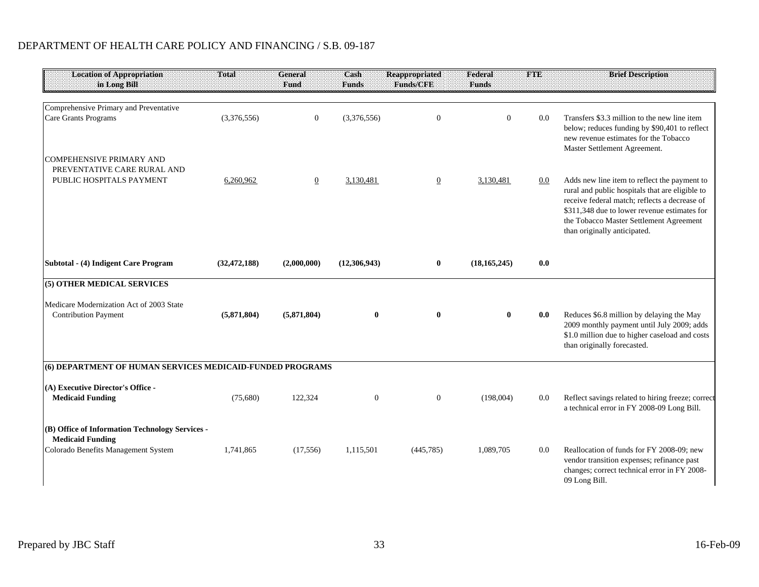| <b>Location of Appropriation</b><br>in Long Bill                                                                  | Total          | General<br>Fund | Cash<br><b>Funds</b> | <b>Reappropriated</b><br>Funds/CFE | Federal<br><b>Funds</b> | <b>TORE</b> | <b>Brief Description</b>                                                                                                                                                                                                                                                    |
|-------------------------------------------------------------------------------------------------------------------|----------------|-----------------|----------------------|------------------------------------|-------------------------|-------------|-----------------------------------------------------------------------------------------------------------------------------------------------------------------------------------------------------------------------------------------------------------------------------|
|                                                                                                                   |                |                 |                      |                                    |                         |             |                                                                                                                                                                                                                                                                             |
| Comprehensive Primary and Preventative<br>Care Grants Programs                                                    | (3,376,556)    | $\mathbf{0}$    | (3,376,556)          | $\boldsymbol{0}$                   | $\Omega$                | 0.0         | Transfers \$3.3 million to the new line item<br>below; reduces funding by \$90,401 to reflect<br>new revenue estimates for the Tobacco<br>Master Settlement Agreement.                                                                                                      |
| COMPEHENSIVE PRIMARY AND<br>PREVENTATIVE CARE RURAL AND                                                           |                |                 |                      |                                    |                         |             |                                                                                                                                                                                                                                                                             |
| PUBLIC HOSPITALS PAYMENT                                                                                          | 6,260,962      | $\overline{0}$  | 3,130,481            | $\overline{0}$                     | 3,130,481               | 0.0         | Adds new line item to reflect the payment to<br>rural and public hospitals that are eligible to<br>receive federal match; reflects a decrease of<br>\$311,348 due to lower revenue estimates for<br>the Tobacco Master Settlement Agreement<br>than originally anticipated. |
| Subtotal - (4) Indigent Care Program                                                                              | (32, 472, 188) | (2,000,000)     | (12,306,943)         | $\bf{0}$                           | (18, 165, 245)          | 0.0         |                                                                                                                                                                                                                                                                             |
| (5) OTHER MEDICAL SERVICES                                                                                        |                |                 |                      |                                    |                         |             |                                                                                                                                                                                                                                                                             |
| Medicare Modernization Act of 2003 State<br><b>Contribution Payment</b>                                           | (5,871,804)    | (5,871,804)     | $\bf{0}$             | $\bf{0}$                           |                         | 0.0         | Reduces \$6.8 million by delaying the May<br>2009 monthly payment until July 2009; adds<br>\$1.0 million due to higher caseload and costs<br>than originally forecasted.                                                                                                    |
| (6) DEPARTMENT OF HUMAN SERVICES MEDICAID-FUNDED PROGRAMS                                                         |                |                 |                      |                                    |                         |             |                                                                                                                                                                                                                                                                             |
| (A) Executive Director's Office -<br><b>Medicaid Funding</b>                                                      | (75,680)       | 122,324         | $\mathbf{0}$         | $\mathbf{0}$                       | (198,004)               | 0.0         | Reflect savings related to hiring freeze; correct<br>a technical error in FY 2008-09 Long Bill.                                                                                                                                                                             |
| (B) Office of Information Technology Services -<br><b>Medicaid Funding</b><br>Colorado Benefits Management System | 1,741,865      | (17, 556)       | 1,115,501            | (445, 785)                         | 1,089,705               | 0.0         | Reallocation of funds for FY 2008-09; new<br>vendor transition expenses; refinance past<br>changes; correct technical error in FY 2008-<br>09 Long Bill.                                                                                                                    |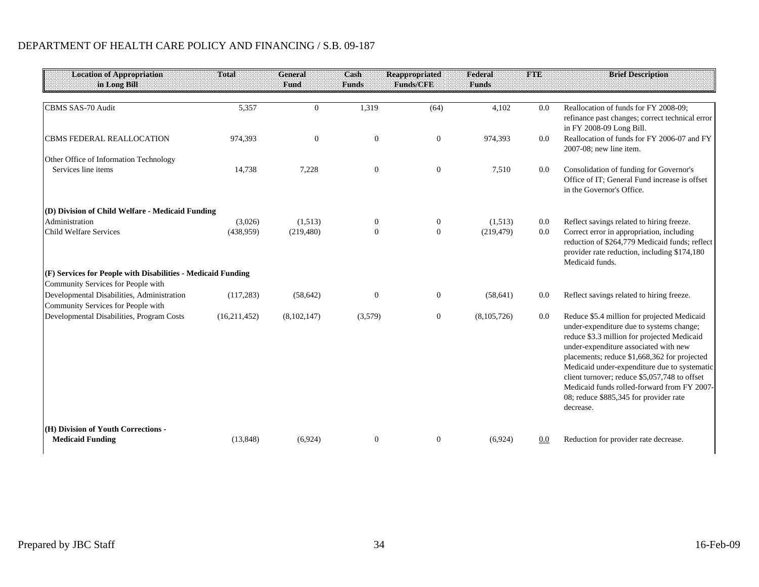| <b>Location of Appropriation</b>                                                 | Total        | <b>General</b> | Cash         | <b>Reappropriated</b> | Federal      | <b>THE</b> | <b>Brief Description</b>                                                                                                                                                                                                                                                                                                                                                                                                               |
|----------------------------------------------------------------------------------|--------------|----------------|--------------|-----------------------|--------------|------------|----------------------------------------------------------------------------------------------------------------------------------------------------------------------------------------------------------------------------------------------------------------------------------------------------------------------------------------------------------------------------------------------------------------------------------------|
| in Long Bill                                                                     |              | Fund           | <b>Funds</b> | <b>Funds/CFE</b>      | <b>Funds</b> |            |                                                                                                                                                                                                                                                                                                                                                                                                                                        |
| CBMS SAS-70 Audit                                                                | 5,357        | $\theta$       | 1,319        | (64)                  | 4,102        | 0.0        | Reallocation of funds for FY 2008-09;<br>refinance past changes; correct technical error<br>in FY 2008-09 Long Bill.                                                                                                                                                                                                                                                                                                                   |
| <b>CBMS FEDERAL REALLOCATION</b>                                                 | 974,393      | $\overline{0}$ | $\mathbf{0}$ | $\boldsymbol{0}$      | 974,393      | 0.0        | Reallocation of funds for FY 2006-07 and FY<br>2007-08; new line item.                                                                                                                                                                                                                                                                                                                                                                 |
| Other Office of Information Technology<br>Services line items                    | 14,738       | 7,228          | $\mathbf{0}$ | $\boldsymbol{0}$      | 7,510        | 0.0        | Consolidation of funding for Governor's<br>Office of IT: General Fund increase is offset<br>in the Governor's Office.                                                                                                                                                                                                                                                                                                                  |
| (D) Division of Child Welfare - Medicaid Funding                                 |              |                |              |                       |              |            |                                                                                                                                                                                                                                                                                                                                                                                                                                        |
| Administration                                                                   | (3,026)      | (1,513)        | $\bf{0}$     | $\boldsymbol{0}$      | (1,513)      | 0.0        | Reflect savings related to hiring freeze.                                                                                                                                                                                                                                                                                                                                                                                              |
| Child Welfare Services                                                           | (438,959)    | (219, 480)     | $\mathbf{0}$ | $\boldsymbol{0}$      | (219, 479)   | 0.0        | Correct error in appropriation, including<br>reduction of \$264,779 Medicaid funds; reflect<br>provider rate reduction, including \$174,180<br>Medicaid funds.                                                                                                                                                                                                                                                                         |
| (F) Services for People with Disabilities - Medicaid Funding                     |              |                |              |                       |              |            |                                                                                                                                                                                                                                                                                                                                                                                                                                        |
| Community Services for People with                                               |              |                |              |                       |              |            |                                                                                                                                                                                                                                                                                                                                                                                                                                        |
| Developmental Disabilities, Administration<br>Community Services for People with | (117, 283)   | (58, 642)      | $\mathbf{0}$ | $\boldsymbol{0}$      | (58, 641)    | 0.0        | Reflect savings related to hiring freeze.                                                                                                                                                                                                                                                                                                                                                                                              |
| Developmental Disabilities, Program Costs                                        | (16,211,452) | (8,102,147)    | (3,579)      | $\boldsymbol{0}$      | (8,105,726)  | 0.0        | Reduce \$5.4 million for projected Medicaid<br>under-expenditure due to systems change;<br>reduce \$3.3 million for projected Medicaid<br>under-expenditure associated with new<br>placements; reduce \$1,668,362 for projected<br>Medicaid under-expenditure due to systematic<br>client turnover; reduce \$5,057,748 to offset<br>Medicaid funds rolled-forward from FY 2007-<br>08; reduce \$885,345 for provider rate<br>decrease. |
| (H) Division of Youth Corrections -<br><b>Medicaid Funding</b>                   | (13, 848)    | (6,924)        | $\mathbf{0}$ | $\overline{0}$        | (6,924)      | 0.0        | Reduction for provider rate decrease.                                                                                                                                                                                                                                                                                                                                                                                                  |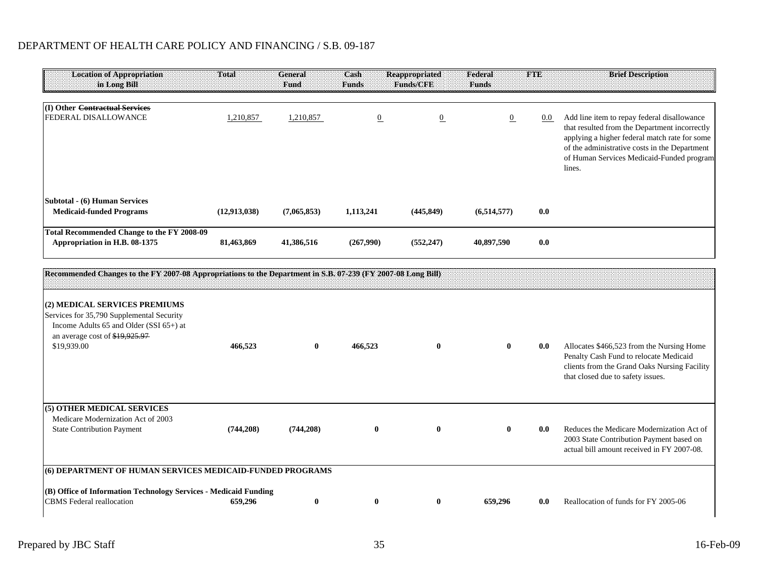| <b>Location of Appropriation</b><br>in Long Bill                            | <b>Total</b> | General<br>Fund | Cash<br><b>Funds</b> | <b>Reappropriated</b><br><b>Funds/CFE</b> | Federal<br><b>Funds</b> | <b>FTE</b> | <b>Brief Description</b>                                                                                                                                                                                                                              |
|-----------------------------------------------------------------------------|--------------|-----------------|----------------------|-------------------------------------------|-------------------------|------------|-------------------------------------------------------------------------------------------------------------------------------------------------------------------------------------------------------------------------------------------------------|
| (I) Other Contractual Services<br>FEDERAL DISALLOWANCE                      | 1,210,857    | 1,210,857       | $\overline{0}$       | $\overline{0}$                            | $\boldsymbol{0}$        | $0.0\,$    | Add line item to repay federal disallowance<br>that resulted from the Department incorrectly<br>applying a higher federal match rate for some<br>of the administrative costs in the Department<br>of Human Services Medicaid-Funded program<br>lines. |
| Subtotal - (6) Human Services<br><b>Medicaid-funded Programs</b>            | (12,913,038) | (7,065,853)     | 1,113,241            | (445, 849)                                | (6,514,577)             | 0.0        |                                                                                                                                                                                                                                                       |
| Total Recommended Change to the FY 2008-09<br>Appropriation in H.B. 08-1375 | 81,463,869   | 41,386,516      | (267,990)            | (552, 247)                                | 40,897,590              | 0.0        |                                                                                                                                                                                                                                                       |

| Recommended Changes to the FY 2007-08 Appropriations to the Department in S.B. 07-239 (FY 2007-08 Long Bill)                                                           |            |            |              |              |              |     |                                                                                                                                                                          |
|------------------------------------------------------------------------------------------------------------------------------------------------------------------------|------------|------------|--------------|--------------|--------------|-----|--------------------------------------------------------------------------------------------------------------------------------------------------------------------------|
| (2) MEDICAL SERVICES PREMIUMS<br>Services for 35,790 Supplemental Security<br>Income Adults 65 and Older (SSI 65+) at<br>an average cost of \$19,925.97<br>\$19,939.00 | 466,523    | $\bf{0}$   | 466,523      | $\bf{0}$     | $\mathbf{0}$ | 0.0 | Allocates \$466,523 from the Nursing Home<br>Penalty Cash Fund to relocate Medicaid<br>clients from the Grand Oaks Nursing Facility<br>that closed due to safety issues. |
| (5) OTHER MEDICAL SERVICES<br>Medicare Modernization Act of 2003<br><b>State Contribution Payment</b>                                                                  | (744, 208) | (744, 208) | $\mathbf{0}$ | $\mathbf 0$  | $\mathbf{0}$ | 0.0 | Reduces the Medicare Modernization Act of<br>2003 State Contribution Payment based on<br>actual bill amount received in FY 2007-08.                                      |
| (6) DEPARTMENT OF HUMAN SERVICES MEDICAID-FUNDED PROGRAMS<br>(B) Office of Information Technology Services - Medicaid Funding<br><b>CBMS</b> Federal reallocation      | 659,296    | 0          | $\mathbf{0}$ | $\mathbf{0}$ | 659,296      | 0.0 | Reallocation of funds for FY 2005-06                                                                                                                                     |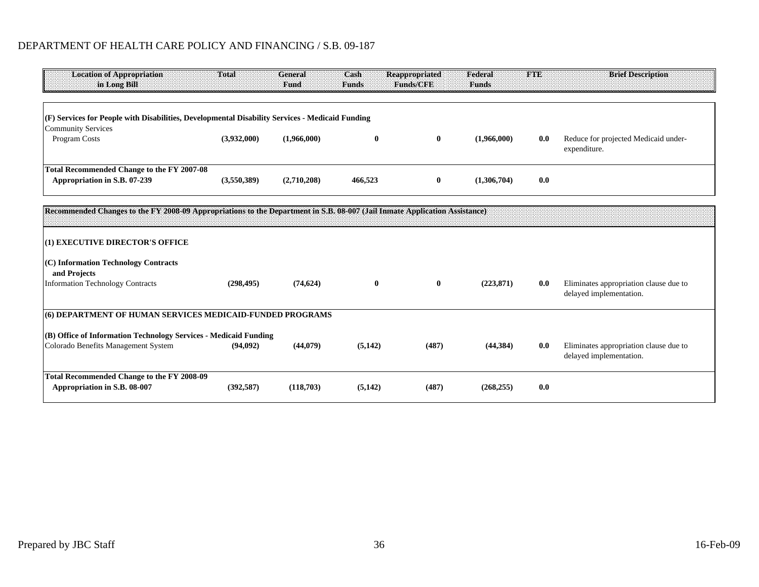| <b>Location of Appropriation</b><br>in Long Bill                                                        | <b>Total</b> | General<br>Fund | Cash<br><b>Funds</b> | <b>Reappropriated</b><br>Funds/CFE | Federal<br><b>Funds</b> | TOND | <b>Brief Description</b>                                          |
|---------------------------------------------------------------------------------------------------------|--------------|-----------------|----------------------|------------------------------------|-------------------------|------|-------------------------------------------------------------------|
| $(F)$ Services for People with Disabilities, Developmental Disability Services - Medicaid Funding       |              |                 |                      |                                    |                         |      |                                                                   |
| <b>Community Services</b>                                                                               |              |                 |                      |                                    |                         |      |                                                                   |
| Program Costs                                                                                           | (3,932,000)  | (1,966,000)     | $\bf{0}$             | $\bf{0}$                           | (1,966,000)             | 0.0  | Reduce for projected Medicaid under-<br>expenditure.              |
| <b>Total Recommended Change to the FY 2007-08</b>                                                       |              |                 |                      |                                    |                         |      |                                                                   |
| Appropriation in S.B. 07-239                                                                            | (3,550,389)  | (2,710,208)     | 466,523              | $\bf{0}$                           | (1,306,704)             | 0.0  |                                                                   |
| (1) EXECUTIVE DIRECTOR'S OFFICE                                                                         |              |                 |                      |                                    |                         |      |                                                                   |
|                                                                                                         |              |                 |                      |                                    |                         |      |                                                                   |
| (C) Information Technology Contracts<br>and Projects                                                    |              |                 |                      |                                    |                         |      |                                                                   |
| <b>Information Technology Contracts</b>                                                                 | (298, 495)   | (74, 624)       | $\bf{0}$             | $\bf{0}$                           | (223, 871)              | 0.0  | Eliminates appropriation clause due to<br>delayed implementation. |
| (6) DEPARTMENT OF HUMAN SERVICES MEDICAID-FUNDED PROGRAMS                                               |              |                 |                      |                                    |                         |      |                                                                   |
| (B) Office of Information Technology Services - Medicaid Funding<br>Colorado Benefits Management System | (94,092)     | (44,079)        | (5,142)              | (487)                              | (44,384)                | 0.0  | Eliminates appropriation clause due to<br>delayed implementation. |
|                                                                                                         |              |                 |                      |                                    |                         |      |                                                                   |
| Total Recommended Change to the FY 2008-09<br>Appropriation in S.B. 08-007                              | (392, 587)   | (118,703)       | (5, 142)             | (487)                              | (268, 255)              | 0.0  |                                                                   |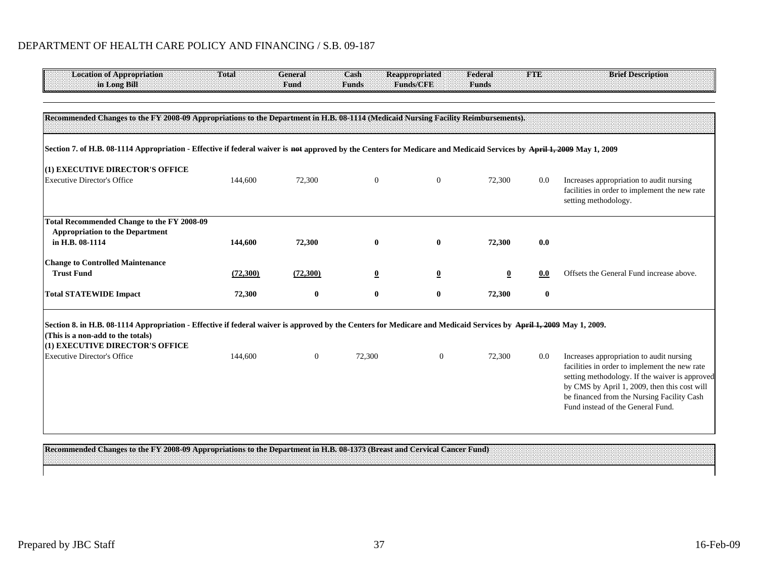| <b>Location of Appropriation</b><br>in Long Bill                                                                                                                      | <b>Total</b> | <b>General</b><br>Fund | Cash<br><b>Funds</b>    | <b>Reappropriated</b><br><b>Funds/CFE</b> | Federal<br><b>Funds</b> | <b>FTE</b> | <b>Brief Description</b>                                                                                                                                                                                                                                                       |
|-----------------------------------------------------------------------------------------------------------------------------------------------------------------------|--------------|------------------------|-------------------------|-------------------------------------------|-------------------------|------------|--------------------------------------------------------------------------------------------------------------------------------------------------------------------------------------------------------------------------------------------------------------------------------|
| Recommended Changes to the FY 2008-09 Appropriations to the Department in H.B. 08-1114 (Medicaid Nursing Facility Reimbursements).                                    |              |                        |                         |                                           |                         |            |                                                                                                                                                                                                                                                                                |
| Section 7. of H.B. 08-1114 Appropriation - Effective if federal waiver is not approved by the Centers for Medicare and Medicaid Services by April 1, 2009 May 1, 2009 |              |                        |                         |                                           |                         |            |                                                                                                                                                                                                                                                                                |
| (1) EXECUTIVE DIRECTOR'S OFFICE<br><b>Executive Director's Office</b>                                                                                                 | 144,600      | 72,300                 | $\mathbf{0}$            | $\boldsymbol{0}$                          | 72,300                  | 0.0        | Increases appropriation to audit nursing                                                                                                                                                                                                                                       |
|                                                                                                                                                                       |              |                        |                         |                                           |                         |            | facilities in order to implement the new rate<br>setting methodology.                                                                                                                                                                                                          |
| <b>Total Recommended Change to the FY 2008-09</b><br><b>Appropriation to the Department</b>                                                                           |              |                        |                         |                                           |                         |            |                                                                                                                                                                                                                                                                                |
| in H.B. 08-1114                                                                                                                                                       | 144,600      | 72,300                 | $\bf{0}$                | $\bf{0}$                                  | 72,300                  | 0.0        |                                                                                                                                                                                                                                                                                |
| <b>Change to Controlled Maintenance</b>                                                                                                                               |              |                        |                         |                                           |                         |            |                                                                                                                                                                                                                                                                                |
| <b>Trust Fund</b>                                                                                                                                                     | (72,300)     | (72,300)               | $\overline{\mathbf{0}}$ | $\overline{\mathbf{0}}$                   | 0                       | 0.0        | Offsets the General Fund increase above.                                                                                                                                                                                                                                       |
| <b>Total STATEWIDE Impact</b>                                                                                                                                         | 72,300       | $\bf{0}$               | $\bf{0}$                | $\bf{0}$                                  | 72,300                  | $\bf{0}$   |                                                                                                                                                                                                                                                                                |
| Section 8. in H.B. 08-1114 Appropriation - Effective if federal waiver is approved by the Centers for Medicare and Medicaid Services by April 1, 2009 May 1, 2009.    |              |                        |                         |                                           |                         |            |                                                                                                                                                                                                                                                                                |
| (This is a non-add to the totals)<br>(1) EXECUTIVE DIRECTOR'S OFFICE                                                                                                  |              |                        |                         |                                           |                         |            |                                                                                                                                                                                                                                                                                |
| <b>Executive Director's Office</b>                                                                                                                                    | 144,600      | $\overline{0}$         | 72,300                  | $\overline{0}$                            | 72,300                  | 0.0        | Increases appropriation to audit nursing<br>facilities in order to implement the new rate<br>setting methodology. If the waiver is approved<br>by CMS by April 1, 2009, then this cost will<br>be financed from the Nursing Facility Cash<br>Fund instead of the General Fund. |
|                                                                                                                                                                       |              |                        |                         |                                           |                         |            |                                                                                                                                                                                                                                                                                |

**Recommended Changes to the FY 2008-09 Appropriations to the Department in H.B. 08-1373 (Breast and Cervical Cancer Fund)**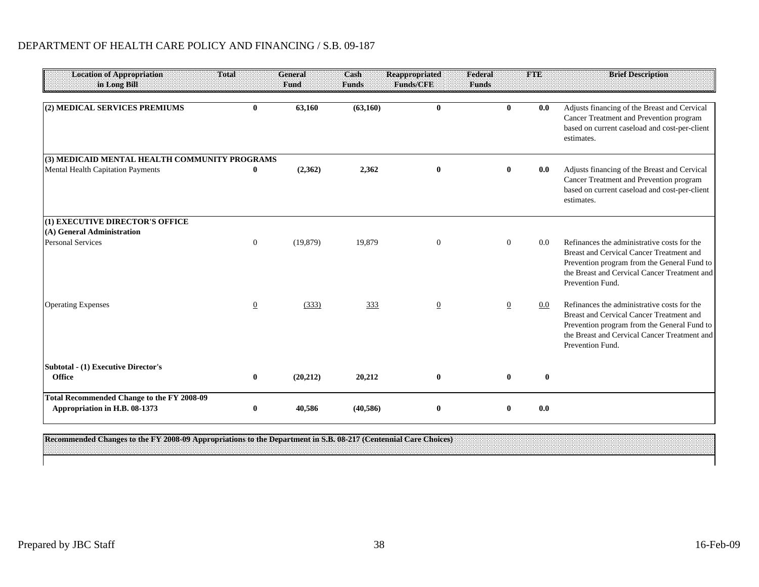| <b>Location of Appropriation</b><br>in Long Bill                                   | <b>Total</b>   | <b>General</b><br>Fund | Cash<br><b>Funds</b> | <b>Reappropriated</b><br><b>Funds/CFE</b> | Federal<br><b>Funds</b> | <b>THE</b> | <b>Brief Description</b>                                                                                                                                                                                   |
|------------------------------------------------------------------------------------|----------------|------------------------|----------------------|-------------------------------------------|-------------------------|------------|------------------------------------------------------------------------------------------------------------------------------------------------------------------------------------------------------------|
| (2) MEDICAL SERVICES PREMIUMS                                                      | $\mathbf{0}$   | 63,160                 | (63,160)             | $\mathbf{0}$                              | $\mathbf{0}$            | 0.0        | Adjusts financing of the Breast and Cervical<br>Cancer Treatment and Prevention program<br>based on current caseload and cost-per-client<br>estimates.                                                     |
| (3) MEDICAID MENTAL HEALTH COMMUNITY PROGRAMS                                      |                |                        |                      |                                           |                         |            |                                                                                                                                                                                                            |
| Mental Health Capitation Payments                                                  | 0              | (2,362)                | 2,362                | $\bf{0}$                                  | $\mathbf{0}$            | 0.0        | Adjusts financing of the Breast and Cervical<br>Cancer Treatment and Prevention program<br>based on current caseload and cost-per-client<br>estimates.                                                     |
| (1) EXECUTIVE DIRECTOR'S OFFICE                                                    |                |                        |                      |                                           |                         |            |                                                                                                                                                                                                            |
| (A) General Administration                                                         |                |                        |                      |                                           |                         |            |                                                                                                                                                                                                            |
| <b>Personal Services</b>                                                           | $\overline{0}$ | (19, 879)              | 19,879               | $\boldsymbol{0}$                          | $\Omega$                | 0.0        | Refinances the administrative costs for the<br>Breast and Cervical Cancer Treatment and<br>Prevention program from the General Fund to<br>the Breast and Cervical Cancer Treatment and<br>Prevention Fund. |
| <b>Operating Expenses</b>                                                          | $\overline{0}$ | (333)                  | 333                  | $\overline{0}$                            | 0                       | 0.0        | Refinances the administrative costs for the<br>Breast and Cervical Cancer Treatment and<br>Prevention program from the General Fund to<br>the Breast and Cervical Cancer Treatment and<br>Prevention Fund. |
| <b>Subtotal - (1) Executive Director's</b><br><b>Office</b>                        | $\bf{0}$       | (20, 212)              | 20,212               | $\bf{0}$                                  | $\mathbf{0}$            | $\bf{0}$   |                                                                                                                                                                                                            |
| <b>Total Recommended Change to the FY 2008-09</b><br>Appropriation in H.B. 08-1373 | 0              | 40,586                 | (40, 586)            | $\bf{0}$                                  |                         | 0.0        |                                                                                                                                                                                                            |

**Recommended Changes to the FY 2008-09 Appropriations to the Department in S.B. 08-217 (Centennial Care Choices)**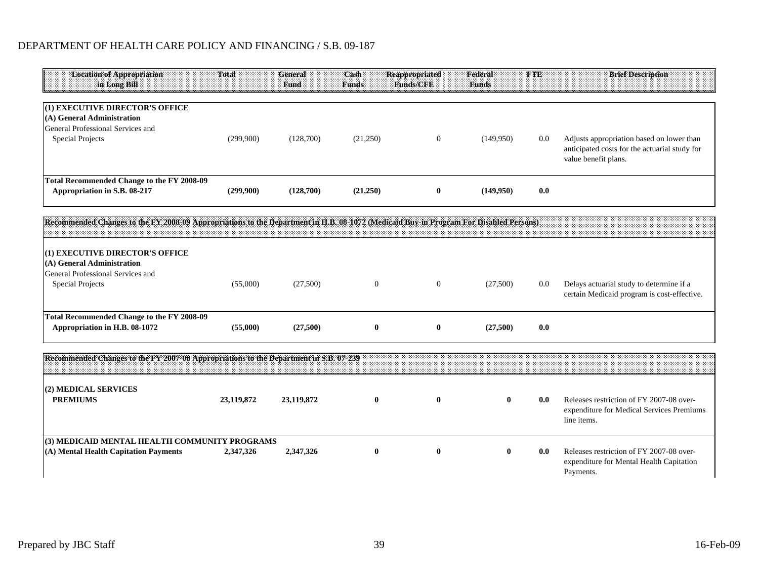| <b>Location of Appropriation</b><br>in Long Bill                                                                                      | <b>Total</b> | <b>General</b><br>Fund | Cash<br><b>Funds</b> | <b>Reappropriated</b><br>Funds/CFE | Federal<br><b>Funds</b> | <b>FTE</b> | <b>Brief Description</b>                                                                                           |
|---------------------------------------------------------------------------------------------------------------------------------------|--------------|------------------------|----------------------|------------------------------------|-------------------------|------------|--------------------------------------------------------------------------------------------------------------------|
| (1) EXECUTIVE DIRECTOR'S OFFICE                                                                                                       |              |                        |                      |                                    |                         |            |                                                                                                                    |
| (A) General Administration                                                                                                            |              |                        |                      |                                    |                         |            |                                                                                                                    |
| General Professional Services and                                                                                                     |              |                        |                      |                                    |                         |            |                                                                                                                    |
| <b>Special Projects</b>                                                                                                               | (299,900)    | (128,700)              | (21,250)             | $\overline{0}$                     | (149,950)               | 0.0        | Adjusts appropriation based on lower than<br>anticipated costs for the actuarial study for<br>value benefit plans. |
| Total Recommended Change to the FY 2008-09                                                                                            |              |                        |                      |                                    |                         |            |                                                                                                                    |
| Appropriation in S.B. 08-217                                                                                                          | (299,900)    | (128,700)              | (21,250)             | $\bf{0}$                           | (149,950)               | 0.0        |                                                                                                                    |
| Recommended Changes to the FY 2008-09 Appropriations to the Department in H.B. 08-1072 (Medicaid Buy-in Program For Disabled Persons) |              |                        |                      |                                    |                         |            |                                                                                                                    |
|                                                                                                                                       |              |                        |                      |                                    |                         |            |                                                                                                                    |
| (1) EXECUTIVE DIRECTOR'S OFFICE                                                                                                       |              |                        |                      |                                    |                         |            |                                                                                                                    |
| (A) General Administration                                                                                                            |              |                        |                      |                                    |                         |            |                                                                                                                    |
| General Professional Services and                                                                                                     |              |                        |                      |                                    |                         |            |                                                                                                                    |
| <b>Special Projects</b>                                                                                                               | (55,000)     | (27,500)               | $\overline{0}$       | $\theta$                           | (27,500)                | 0.0        | Delays actuarial study to determine if a<br>certain Medicaid program is cost-effective.                            |
| Total Recommended Change to the FY 2008-09                                                                                            |              |                        |                      |                                    |                         |            |                                                                                                                    |
| Appropriation in H.B. 08-1072                                                                                                         | (55,000)     | (27,500)               | $\bf{0}$             | $\bf{0}$                           | (27,500)                | 0.0        |                                                                                                                    |
| Recommended Changes to the FY 2007-08 Appropriations to the Department in S.B. 07-239                                                 |              |                        |                      |                                    |                         |            |                                                                                                                    |
|                                                                                                                                       |              |                        |                      |                                    |                         |            |                                                                                                                    |
| (2) MEDICAL SERVICES                                                                                                                  |              |                        |                      |                                    |                         |            |                                                                                                                    |
| <b>PREMIUMS</b>                                                                                                                       | 23,119,872   | 23,119,872             | $\bf{0}$             | $\bf{0}$                           | 0                       | 0.0        | Releases restriction of FY 2007-08 over-<br>expenditure for Medical Services Premiums<br>line items.               |
| (3) MEDICAID MENTAL HEALTH COMMUNITY PROGRAMS                                                                                         |              |                        |                      |                                    |                         |            |                                                                                                                    |
| (A) Mental Health Capitation Payments                                                                                                 | 2,347,326    | 2,347,326              | $\bf{0}$             | $\bf{0}$                           | $\mathbf{0}$            | 0.0        | Releases restriction of FY 2007-08 over-<br>expenditure for Mental Health Capitation<br>Payments.                  |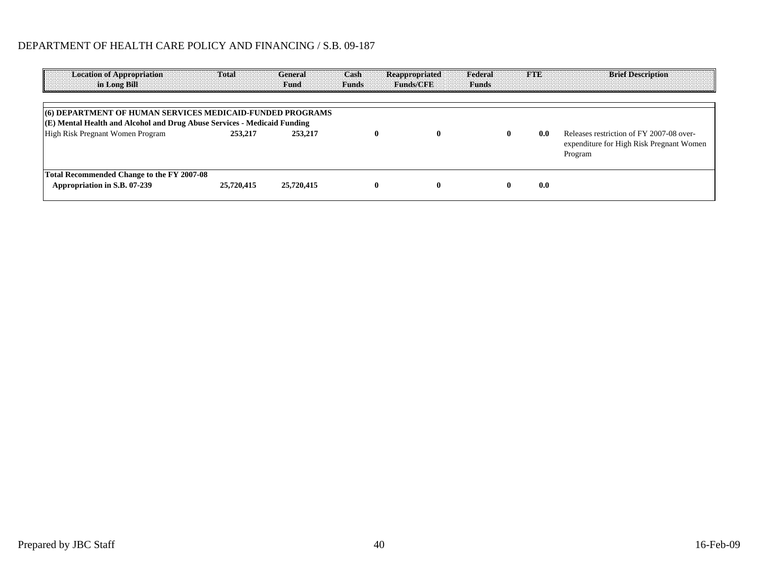| <b>Location of Appropriation</b><br>in Long Bill                                                                                                                          | <b>Total</b> | <b>General</b><br>Fund | Cash<br><b>Funds</b> | <b>Reappropriated</b><br><b>Funds/GRB</b> | Federal Federal<br>Funds |     | <b>Brief Description</b><br><b>FTE EXECUTE</b>                                                  |
|---------------------------------------------------------------------------------------------------------------------------------------------------------------------------|--------------|------------------------|----------------------|-------------------------------------------|--------------------------|-----|-------------------------------------------------------------------------------------------------|
| (6) DEPARTMENT OF HUMAN SERVICES MEDICAID-FUNDED PROGRAMS<br>(E) Mental Health and Alcohol and Drug Abuse Services - Medicaid Funding<br>High Risk Pregnant Women Program | 253,217      | 253,217                |                      |                                           | $\mathbf{0}$             | 0.0 | Releases restriction of FY 2007-08 over-<br>expenditure for High Risk Pregnant Women<br>Program |
| Total Recommended Change to the FY 2007-08<br>Appropriation in S.B. 07-239                                                                                                | 25,720,415   | 25,720,415             |                      |                                           |                          | 0.0 |                                                                                                 |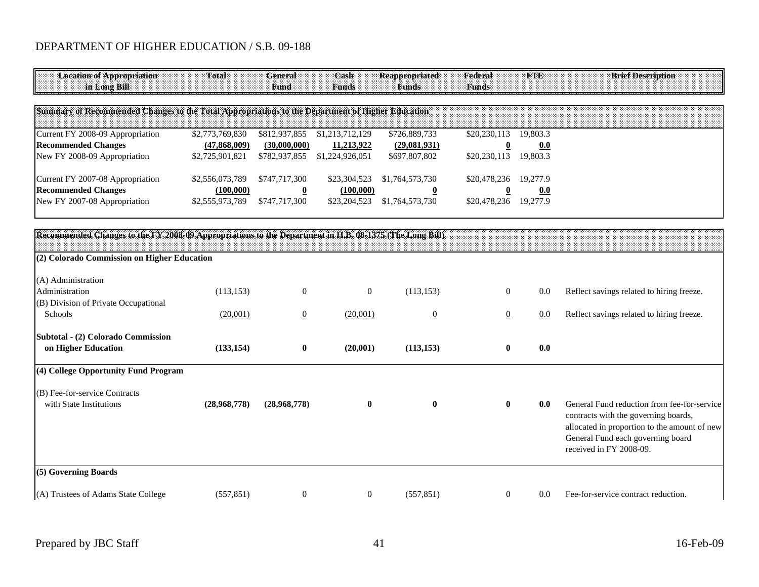| <b>Location of Appropriation</b><br><b>in Long Bill</b>                                          | <b>Total</b>                                       | <b>General</b><br><b>Fund</b>                  | Cash<br>Funds                                    | Reappropriated<br>Funds                        | Federal<br><b>Funds</b>      | <b>Hav</b>                  | <b>Brief Description</b> |  |
|--------------------------------------------------------------------------------------------------|----------------------------------------------------|------------------------------------------------|--------------------------------------------------|------------------------------------------------|------------------------------|-----------------------------|--------------------------|--|
| Summary of Recommended Changes to the Total Appropriations to the Department of Higher Education |                                                    |                                                |                                                  |                                                |                              |                             |                          |  |
| Current FY 2008-09 Appropriation<br><b>Recommended Changes</b><br>New FY 2008-09 Appropriation   | \$2,773,769,830<br>(47,868,009)<br>\$2,725,901,821 | \$812,937,855<br>(30,000,000)<br>\$782,937,855 | \$1,213,712,129<br>11,213,922<br>\$1,224,926,051 | \$726,889,733<br>(29,081,931)<br>\$697,807,802 | \$20,230,113<br>\$20,230,113 | 19.803.3<br>0.0<br>19,803.3 |                          |  |
| Current FY 2007-08 Appropriation<br><b>Recommended Changes</b><br>New FY 2007-08 Appropriation   | \$2,556,073,789<br>(100,000)<br>\$2,555,973,789    | \$747,717,300<br>\$747,717,300                 | \$23,304,523<br>(100,000)<br>\$23,204,523        | \$1,764,573,730<br>\$1,764,573,730             | \$20,478,236<br>\$20,478,236 | 19.277.9<br>0.0<br>19.277.9 |                          |  |

| Recommended Changes to the FY 2008-09 Appropriations to the Department in H.B. 08-1375 (The Long Bill) |              |                |                  |                |                |     |                                                                                                                                                                                                     |
|--------------------------------------------------------------------------------------------------------|--------------|----------------|------------------|----------------|----------------|-----|-----------------------------------------------------------------------------------------------------------------------------------------------------------------------------------------------------|
| (2) Colorado Commission on Higher Education                                                            |              |                |                  |                |                |     |                                                                                                                                                                                                     |
| (A) Administration                                                                                     |              |                |                  |                |                |     |                                                                                                                                                                                                     |
| Administration                                                                                         | (113, 153)   | $\mathbf{0}$   | $\boldsymbol{0}$ | (113, 153)     | $\overline{0}$ | 0.0 | Reflect savings related to hiring freeze.                                                                                                                                                           |
| (B) Division of Private Occupational                                                                   |              |                |                  |                |                |     |                                                                                                                                                                                                     |
| Schools                                                                                                | (20,001)     | $\overline{0}$ | (20,001)         | $\overline{0}$ | $\overline{0}$ | 0.0 | Reflect savings related to hiring freeze.                                                                                                                                                           |
| Subtotal - (2) Colorado Commission                                                                     |              |                |                  |                |                |     |                                                                                                                                                                                                     |
| on Higher Education                                                                                    | (133, 154)   | $\bf{0}$       | (20,001)         | (113, 153)     | $\bf{0}$       | 0.0 |                                                                                                                                                                                                     |
| (4) College Opportunity Fund Program                                                                   |              |                |                  |                |                |     |                                                                                                                                                                                                     |
| (B) Fee-for-service Contracts                                                                          |              |                |                  |                |                |     |                                                                                                                                                                                                     |
| with State Institutions                                                                                | (28,968,778) | (28,968,778)   | $\bf{0}$         | $\bf{0}$       | $\bf{0}$       | 0.0 | General Fund reduction from fee-for-service<br>contracts with the governing boards,<br>allocated in proportion to the amount of new<br>General Fund each governing board<br>received in FY 2008-09. |
| (5) Governing Boards                                                                                   |              |                |                  |                |                |     |                                                                                                                                                                                                     |
| (A) Trustees of Adams State College                                                                    | (557, 851)   | $\overline{0}$ | $\boldsymbol{0}$ | (557, 851)     | $\overline{0}$ | 0.0 | Fee-for-service contract reduction.                                                                                                                                                                 |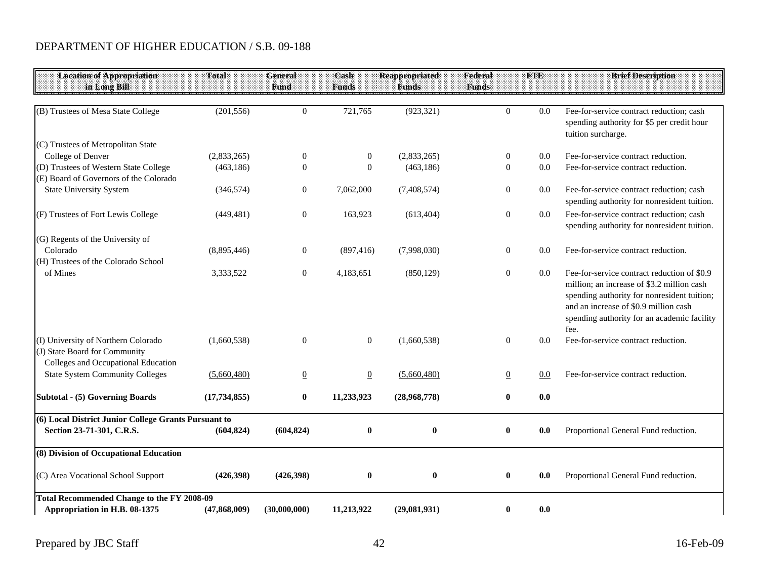| <b>Location of Appropriation</b>                     | Total          | General          | Cash            | <b>Reappropriated</b> | Federal          | <b>FTE</b> | <b>Brief Description</b>                                                                  |
|------------------------------------------------------|----------------|------------------|-----------------|-----------------------|------------------|------------|-------------------------------------------------------------------------------------------|
| in Long Bill                                         |                | Fund             | <b>Funds</b>    | <b>Funds</b>          | <b>Funds</b>     |            |                                                                                           |
|                                                      |                |                  |                 |                       |                  |            |                                                                                           |
| (B) Trustees of Mesa State College                   | (201, 556)     | $\overline{0}$   | 721,765         | (923, 321)            | $\Omega$         | 0.0        | Fee-for-service contract reduction; cash                                                  |
|                                                      |                |                  |                 |                       |                  |            | spending authority for \$5 per credit hour                                                |
| (C) Trustees of Metropolitan State                   |                |                  |                 |                       |                  |            | tuition surcharge.                                                                        |
| College of Denver                                    | (2,833,265)    | $\mathbf{0}$     | $\overline{0}$  | (2,833,265)           | $\mathbf{0}$     | 0.0        | Fee-for-service contract reduction.                                                       |
| (D) Trustees of Western State College                | (463, 186)     | $\mathbf{0}$     | $\Omega$        | (463, 186)            | $\overline{0}$   | 0.0        | Fee-for-service contract reduction.                                                       |
| (E) Board of Governors of the Colorado               |                |                  |                 |                       |                  |            |                                                                                           |
| <b>State University System</b>                       | (346, 574)     | $\mathbf{0}$     | 7,062,000       | (7,408,574)           | $\mathbf{0}$     | 0.0        | Fee-for-service contract reduction; cash                                                  |
|                                                      |                |                  |                 |                       |                  |            | spending authority for nonresident tuition.                                               |
| (F) Trustees of Fort Lewis College                   | (449, 481)     | $\mathbf{0}$     | 163,923         | (613, 404)            | $\mathbf{0}$     | 0.0        | Fee-for-service contract reduction; cash                                                  |
|                                                      |                |                  |                 |                       |                  |            | spending authority for nonresident tuition.                                               |
| (G) Regents of the University of                     |                |                  |                 |                       |                  |            |                                                                                           |
| Colorado                                             | (8,895,446)    | $\mathbf{0}$     | (897, 416)      | (7,998,030)           | $\overline{0}$   | 0.0        | Fee-for-service contract reduction.                                                       |
| (H) Trustees of the Colorado School                  |                |                  |                 |                       |                  |            |                                                                                           |
| of Mines                                             | 3,333,522      | $\boldsymbol{0}$ | 4,183,651       | (850, 129)            | $\boldsymbol{0}$ | $0.0\,$    | Fee-for-service contract reduction of \$0.9<br>million; an increase of \$3.2 million cash |
|                                                      |                |                  |                 |                       |                  |            | spending authority for nonresident tuition;                                               |
|                                                      |                |                  |                 |                       |                  |            | and an increase of \$0.9 million cash                                                     |
|                                                      |                |                  |                 |                       |                  |            | spending authority for an academic facility                                               |
|                                                      |                |                  |                 |                       |                  |            | fee.                                                                                      |
| (I) University of Northern Colorado                  | (1,660,538)    | $\overline{0}$   | $\overline{0}$  | (1,660,538)           | $\mathbf{0}$     | 0.0        | Fee-for-service contract reduction.                                                       |
| (J) State Board for Community                        |                |                  |                 |                       |                  |            |                                                                                           |
| Colleges and Occupational Education                  |                |                  |                 |                       |                  |            |                                                                                           |
| <b>State System Community Colleges</b>               | (5,660,480)    | $\overline{0}$   | $\underline{0}$ | (5,660,480)           | $\underline{0}$  | $0.0\,$    | Fee-for-service contract reduction.                                                       |
| <b>Subtotal - (5) Governing Boards</b>               | (17, 734, 855) | $\bf{0}$         | 11,233,923      | (28,968,778)          | $\bf{0}$         | 0.0        |                                                                                           |
| (6) Local District Junior College Grants Pursuant to |                |                  |                 |                       |                  |            |                                                                                           |
| Section 23-71-301, C.R.S.                            | (604, 824)     | (604, 824)       | $\bf{0}$        | $\bf{0}$              | $\bf{0}$         | 0.0        | Proportional General Fund reduction.                                                      |
|                                                      |                |                  |                 |                       |                  |            |                                                                                           |
| (8) Division of Occupational Education               |                |                  |                 |                       |                  |            |                                                                                           |
| (C) Area Vocational School Support                   | (426,398)      | (426,398)        | $\bf{0}$        | $\boldsymbol{0}$      | $\bf{0}$         | 0.0        | Proportional General Fund reduction.                                                      |
|                                                      |                |                  |                 |                       |                  |            |                                                                                           |
| Total Recommended Change to the FY 2008-09           |                |                  |                 |                       |                  |            |                                                                                           |
| Appropriation in H.B. 08-1375                        | (47, 868, 009) | (30,000,000)     | 11,213,922      | (29,081,931)          | $\bf{0}$         | 0.0        |                                                                                           |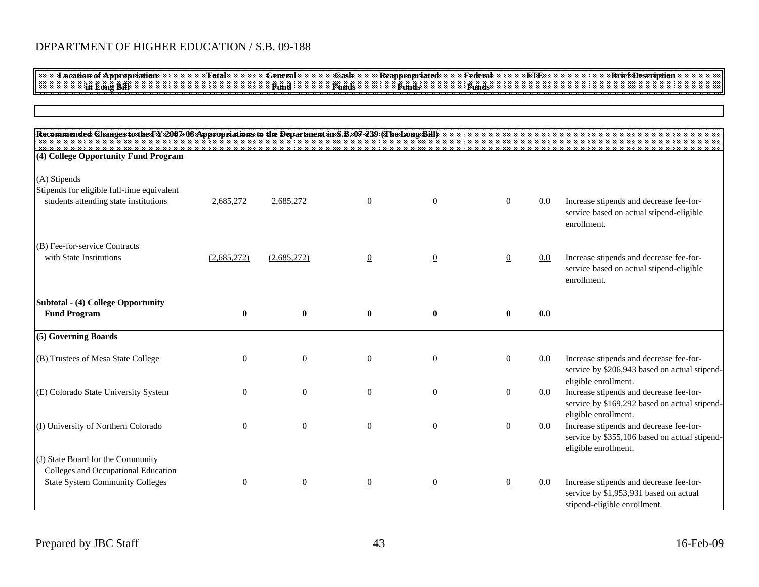| <b>Location of Appropriation</b><br>in Long Bill                                                                   | <b>Total</b>     | <b>General</b><br>Fund | Cash<br><b>Funds</b> | <b>Reappropriated</b><br><b>Funds</b> | Federal<br><b>Funds</b> | <b>FTE</b> | <b>Brief Description</b>                                                                                          |
|--------------------------------------------------------------------------------------------------------------------|------------------|------------------------|----------------------|---------------------------------------|-------------------------|------------|-------------------------------------------------------------------------------------------------------------------|
|                                                                                                                    |                  |                        |                      |                                       |                         |            |                                                                                                                   |
|                                                                                                                    |                  |                        |                      |                                       |                         |            |                                                                                                                   |
| Recommended Changes to the FY 2007-08 Appropriations to the Department in S.B. 07-239 (The Long Bill)              |                  |                        |                      |                                       |                         |            |                                                                                                                   |
| (4) College Opportunity Fund Program                                                                               |                  |                        |                      |                                       |                         |            |                                                                                                                   |
| (A) Stipends<br>Stipends for eligible full-time equivalent<br>students attending state institutions                | 2,685,272        | 2,685,272              | $\overline{0}$       | $\mathbf{0}$                          | $\boldsymbol{0}$        | $0.0\,$    | Increase stipends and decrease fee-for-<br>service based on actual stipend-eligible<br>enrollment.                |
| (B) Fee-for-service Contracts<br>with State Institutions                                                           | (2,685,272)      | (2,685,272)            | $\overline{0}$       | $\overline{0}$                        | $\overline{0}$          | $0.0\,$    | Increase stipends and decrease fee-for-<br>service based on actual stipend-eligible<br>enrollment.                |
| <b>Subtotal - (4) College Opportunity</b><br><b>Fund Program</b>                                                   | $\bf{0}$         | $\bf{0}$               | $\boldsymbol{0}$     | $\bf{0}$                              | $\bf{0}$                | 0.0        |                                                                                                                   |
| (5) Governing Boards                                                                                               |                  |                        |                      |                                       |                         |            |                                                                                                                   |
| (B) Trustees of Mesa State College                                                                                 | $\boldsymbol{0}$ | $\mathbf{0}$           | $\overline{0}$       | $\mathbf{0}$                          | $\boldsymbol{0}$        | $0.0\,$    | Increase stipends and decrease fee-for-<br>service by \$206,943 based on actual stipend-<br>eligible enrollment.  |
| (E) Colorado State University System                                                                               | $\mathbf{0}$     | $\mathbf{0}$           | $\boldsymbol{0}$     | $\mathbf{0}$                          | $\boldsymbol{0}$        | $0.0\,$    | Increase stipends and decrease fee-for-<br>service by \$169,292 based on actual stipend-<br>eligible enrollment.  |
| (I) University of Northern Colorado                                                                                | $\mathbf{0}$     | $\mathbf{0}$           | $\boldsymbol{0}$     | $\mathbf{0}$                          | $\boldsymbol{0}$        | $0.0\,$    | Increase stipends and decrease fee-for-<br>service by \$355,106 based on actual stipend-<br>eligible enrollment.  |
| (J) State Board for the Community<br>Colleges and Occupational Education<br><b>State System Community Colleges</b> | $\underline{0}$  | $\underline{0}$        | $\overline{0}$       | $\overline{0}$                        | $\overline{0}$          | 0.0        | Increase stipends and decrease fee-for-<br>service by \$1,953,931 based on actual<br>stipend-eligible enrollment. |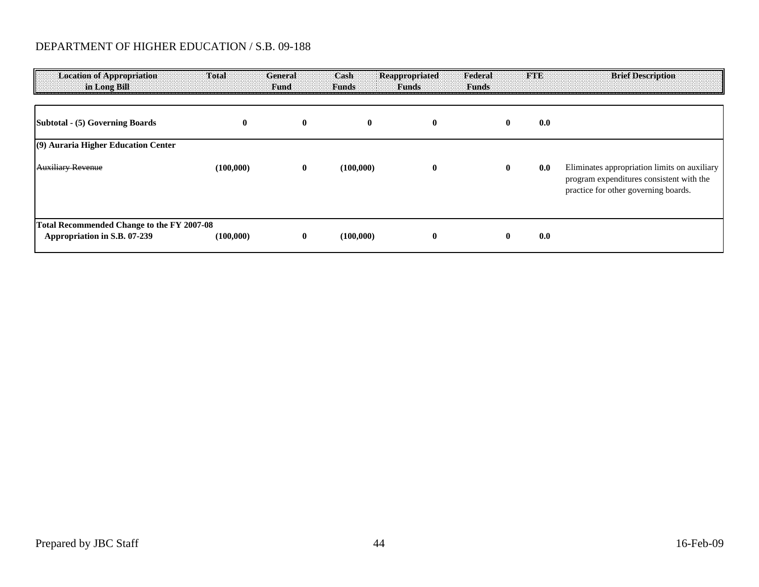| <b>Location of Appropriation</b><br>in Long Bill                           | <b>Total</b> | General<br>Fund | Cash<br><b>Funds</b> | Reappropriated<br><b>Funds</b> | Federal<br><b>Funds</b> | <b>FTE</b> | <b>Brief Description</b>                                                                                                         |
|----------------------------------------------------------------------------|--------------|-----------------|----------------------|--------------------------------|-------------------------|------------|----------------------------------------------------------------------------------------------------------------------------------|
| Subtotal - (5) Governing Boards                                            | $\mathbf{0}$ | $\bf{0}$        | $\mathbf 0$          | $\bf{0}$                       |                         | 0.0        |                                                                                                                                  |
| (9) Auraria Higher Education Center                                        |              |                 |                      |                                |                         |            |                                                                                                                                  |
| <b>Auxiliary Revenue</b>                                                   | (100,000)    | $\bf{0}$        | (100,000)            | $\bf{0}$                       |                         | 0.0        | Eliminates appropriation limits on auxiliary<br>program expenditures consistent with the<br>practice for other governing boards. |
| Total Recommended Change to the FY 2007-08<br>Appropriation in S.B. 07-239 | (100,000)    | 0               | (100,000)            | $\bf{0}$                       |                         | 0.0        |                                                                                                                                  |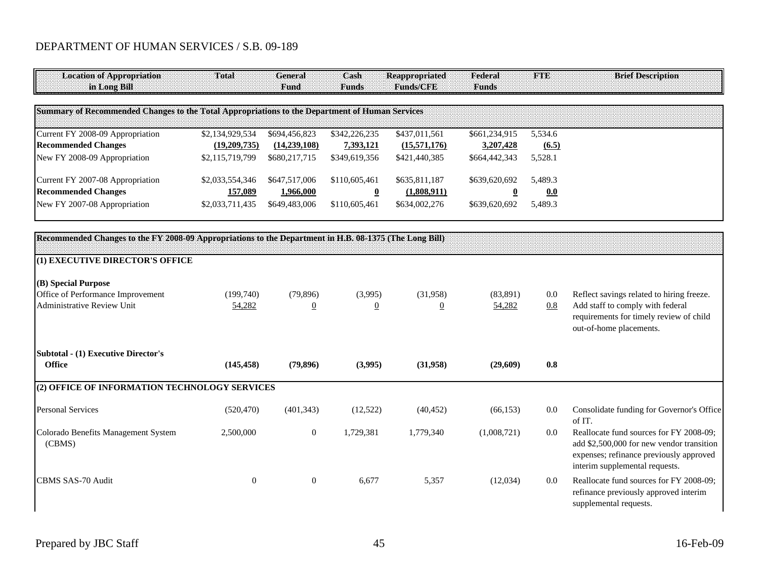| <b>Location of Appropriation</b><br>in Long Bill                                                       | Total           | <b>General</b><br>Fund | Cash<br><b>Funds</b>    | <b>Reappropriated</b><br><b>Funds/CFE</b> | Federal<br><b>Funds</b> | <b>FTE</b> | <b>Brief Description</b>                                                                                                                                          |
|--------------------------------------------------------------------------------------------------------|-----------------|------------------------|-------------------------|-------------------------------------------|-------------------------|------------|-------------------------------------------------------------------------------------------------------------------------------------------------------------------|
| Summary of Recommended Changes to the Total Appropriations to the Department of Human Services         |                 |                        |                         |                                           |                         |            |                                                                                                                                                                   |
| Current FY 2008-09 Appropriation                                                                       | \$2,134,929,534 | \$694,456,823          | \$342,226,235           | \$437,011,561                             | \$661,234,915           | 5,534.6    |                                                                                                                                                                   |
| <b>Recommended Changes</b>                                                                             | (19,209,735)    | (14, 239, 108)         | 7,393,121               | (15,571,176)                              | 3,207,428               | (6.5)      |                                                                                                                                                                   |
| New FY 2008-09 Appropriation                                                                           | \$2,115,719,799 | \$680,217,715          | \$349,619,356           | \$421,440,385                             | \$664,442,343           | 5,528.1    |                                                                                                                                                                   |
| Current FY 2007-08 Appropriation                                                                       | \$2,033,554,346 | \$647,517,006          | \$110,605,461           | \$635,811,187                             | \$639,620,692           | 5.489.3    |                                                                                                                                                                   |
| <b>Recommended Changes</b>                                                                             | 157,089         | 1,966,000              | $\overline{\mathbf{0}}$ | (1,808,911)                               | $\overline{\mathbf{0}}$ | 0.0        |                                                                                                                                                                   |
| New FY 2007-08 Appropriation                                                                           | \$2,033,711,435 | \$649,483,006          | \$110,605,461           | \$634,002,276                             | \$639,620,692           | 5,489.3    |                                                                                                                                                                   |
| Recommended Changes to the FY 2008-09 Appropriations to the Department in H.B. 08-1375 (The Long Bill) |                 |                        |                         |                                           |                         |            |                                                                                                                                                                   |
| (1) EXECUTIVE DIRECTOR'S OFFICE                                                                        |                 |                        |                         |                                           |                         |            |                                                                                                                                                                   |
| (B) Special Purpose                                                                                    |                 |                        |                         |                                           |                         |            |                                                                                                                                                                   |
| Office of Performance Improvement                                                                      | (199,740)       | (79, 896)              | (3,995)                 | (31,958)                                  | (83, 891)               | 0.0        | Reflect savings related to hiring freeze.                                                                                                                         |
| Administrative Review Unit                                                                             | 54,282          | $\overline{0}$         | $\overline{0}$          | $\overline{0}$                            | 54,282                  | 0.8        | Add staff to comply with federal<br>requirements for timely review of child<br>out-of-home placements.                                                            |
| <b>Subtotal - (1) Executive Director's</b>                                                             |                 |                        |                         |                                           |                         |            |                                                                                                                                                                   |
| Office                                                                                                 | (145, 458)      | (79, 896)              | (3,995)                 | (31,958)                                  | (29,609)                | 0.8        |                                                                                                                                                                   |
| (2) OFFICE OF INFORMATION TECHNOLOGY SERVICES                                                          |                 |                        |                         |                                           |                         |            |                                                                                                                                                                   |
| <b>Personal Services</b>                                                                               | (520, 470)      | (401, 343)             | (12, 522)               | (40, 452)                                 | (66, 153)               | 0.0        | Consolidate funding for Governor's Office<br>of IT.                                                                                                               |
| Colorado Benefits Management System<br>(CBMS)                                                          | 2,500,000       | $\boldsymbol{0}$       | 1,729,381               | 1,779,340                                 | (1,008,721)             | 0.0        | Reallocate fund sources for FY 2008-09;<br>add \$2,500,000 for new vendor transition<br>expenses; refinance previously approved<br>interim supplemental requests. |
| CBMS SAS-70 Audit                                                                                      | $\overline{0}$  | $\mathbf{0}$           | 6,677                   | 5,357                                     | (12,034)                | 0.0        | Reallocate fund sources for FY 2008-09;<br>refinance previously approved interim<br>supplemental requests.                                                        |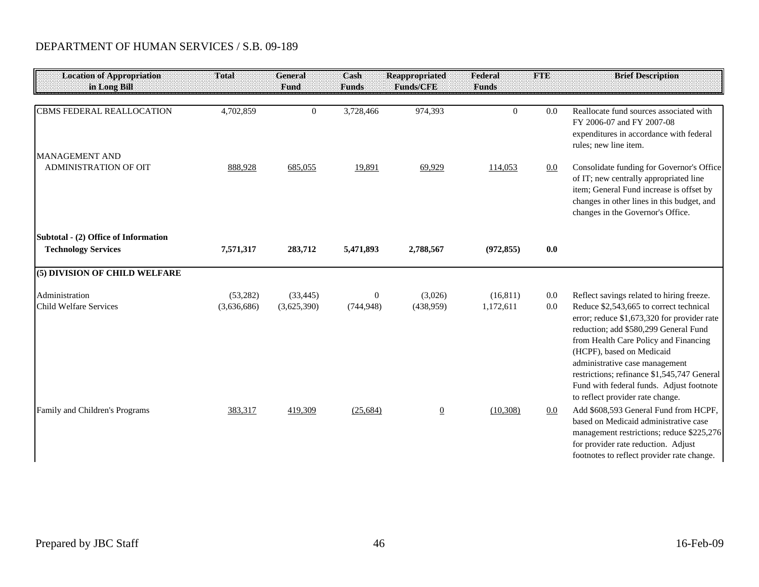| <b>Location of Appropriation</b><br>in Long Bill                   | Total                   | General<br>Fund          | Cash<br><b>Funds</b>           | <b>Reappropriated</b><br><b>Funds/CFE</b> | Federal<br><b>Funds</b> | <b>FTE</b> | <b>Brief Description</b>                                                                                                                                                                                                                                                                                                                                                                                            |
|--------------------------------------------------------------------|-------------------------|--------------------------|--------------------------------|-------------------------------------------|-------------------------|------------|---------------------------------------------------------------------------------------------------------------------------------------------------------------------------------------------------------------------------------------------------------------------------------------------------------------------------------------------------------------------------------------------------------------------|
| <b>CBMS FEDERAL REALLOCATION</b><br><b>MANAGEMENT AND</b>          | 4,702,859               | $\mathbf{0}$             | 3,728,466                      | 974,393                                   | $\overline{0}$          | 0.0        | Reallocate fund sources associated with<br>FY 2006-07 and FY 2007-08<br>expenditures in accordance with federal<br>rules; new line item.                                                                                                                                                                                                                                                                            |
| <b>ADMINISTRATION OF OIT</b>                                       | 888,928                 | 685,055                  | 19,891                         | 69,929                                    | 114,053                 | 0.0        | Consolidate funding for Governor's Office<br>of IT; new centrally appropriated line<br>item; General Fund increase is offset by<br>changes in other lines in this budget, and<br>changes in the Governor's Office.                                                                                                                                                                                                  |
| Subtotal - (2) Office of Information<br><b>Technology Services</b> | 7,571,317               | 283,712                  | 5,471,893                      | 2,788,567                                 | (972, 855)              | 0.0        |                                                                                                                                                                                                                                                                                                                                                                                                                     |
| (5) DIVISION OF CHILD WELFARE                                      |                         |                          |                                |                                           |                         |            |                                                                                                                                                                                                                                                                                                                                                                                                                     |
| Administration<br><b>Child Welfare Services</b>                    | (53,282)<br>(3,636,686) | (33, 445)<br>(3,625,390) | $\boldsymbol{0}$<br>(744, 948) | (3,026)<br>(438,959)                      | (16, 811)<br>1,172,611  | 0.0<br>0.0 | Reflect savings related to hiring freeze.<br>Reduce \$2,543,665 to correct technical<br>error; reduce \$1,673,320 for provider rate<br>reduction; add \$580,299 General Fund<br>from Health Care Policy and Financing<br>(HCPF), based on Medicaid<br>administrative case management<br>restrictions; refinance \$1,545,747 General<br>Fund with federal funds. Adjust footnote<br>to reflect provider rate change. |
| Family and Children's Programs                                     | 383,317                 | 419,309                  | (25, 684)                      | $\overline{0}$                            | (10, 308)               | 0.0        | Add \$608,593 General Fund from HCPF,<br>based on Medicaid administrative case<br>management restrictions; reduce \$225,276<br>for provider rate reduction. Adjust<br>footnotes to reflect provider rate change.                                                                                                                                                                                                    |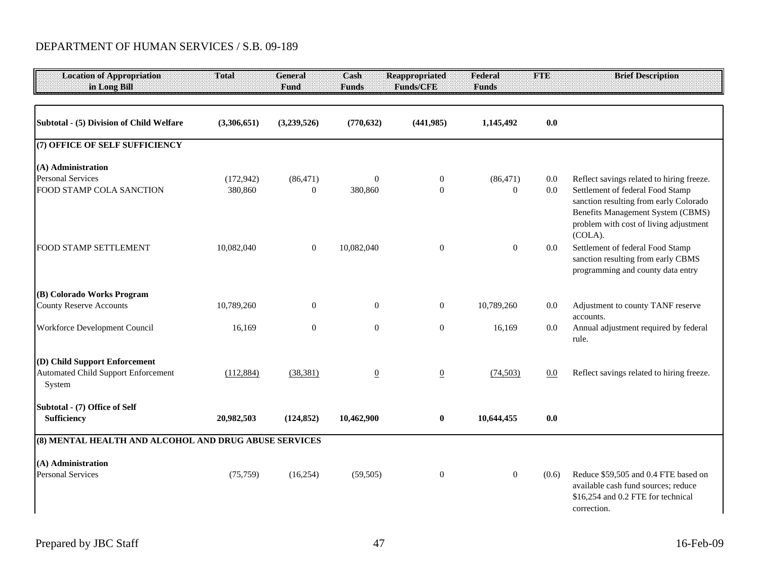| <b>Location of Appropriation</b><br>in Long Bill                                      | Total                 | General<br>Fund               | Cash<br><b>Funds</b> | <b>Reappropriated</b><br>Funds/CFE | Federal<br><b>Funds</b>   | <b>FTE</b> | <b>Brief Description</b>                                                                                                         |
|---------------------------------------------------------------------------------------|-----------------------|-------------------------------|----------------------|------------------------------------|---------------------------|------------|----------------------------------------------------------------------------------------------------------------------------------|
| Subtotal - (5) Division of Child Welfare                                              | (3,306,651)           | (3,239,526)                   | (770, 632)           | (441, 985)                         | 1,145,492                 | 0.0        |                                                                                                                                  |
| (7) OFFICE OF SELF SUFFICIENCY                                                        |                       |                               |                      |                                    |                           |            |                                                                                                                                  |
| (A) Administration<br><b>Personal Services</b><br>FOOD STAMP COLA SANCTION            | (172, 942)<br>380,860 | (86, 471)<br>$\boldsymbol{0}$ | $\theta$<br>380,860  | $\boldsymbol{0}$<br>$\overline{0}$ | (86, 471)<br>$\mathbf{0}$ | 0.0<br>0.0 | Reflect savings related to hiring freeze.<br>Settlement of federal Food Stamp                                                    |
|                                                                                       |                       |                               |                      |                                    |                           |            | sanction resulting from early Colorado<br>Benefits Management System (CBMS)<br>problem with cost of living adjustment<br>(COLA). |
| FOOD STAMP SETTLEMENT                                                                 | 10,082,040            | $\boldsymbol{0}$              | 10,082,040           | $\boldsymbol{0}$                   | $\mathbf{0}$              | 0.0        | Settlement of federal Food Stamp<br>sanction resulting from early CBMS<br>programming and county data entry                      |
| (B) Colorado Works Program                                                            |                       |                               |                      |                                    |                           |            |                                                                                                                                  |
| <b>County Reserve Accounts</b>                                                        | 10,789,260            | $\boldsymbol{0}$              | $\overline{0}$       | $\overline{0}$                     | 10,789,260                | $0.0\,$    | Adjustment to county TANF reserve<br>accounts.                                                                                   |
| Workforce Development Council                                                         | 16,169                | $\boldsymbol{0}$              | $\overline{0}$       | $\boldsymbol{0}$                   | 16,169                    | $0.0\,$    | Annual adjustment required by federal<br>rule.                                                                                   |
| (D) Child Support Enforcement<br><b>Automated Child Support Enforcement</b><br>System | (112, 884)            | (38, 381)                     | $\overline{0}$       | $\underline{0}$                    | (74, 503)                 | 0.0        | Reflect savings related to hiring freeze.                                                                                        |
| Subtotal - (7) Office of Self<br><b>Sufficiency</b>                                   | 20,982,503            | (124, 852)                    | 10,462,900           | $\bf{0}$                           | 10,644,455                | 0.0        |                                                                                                                                  |
| (8) MENTAL HEALTH AND ALCOHOL AND DRUG ABUSE SERVICES                                 |                       |                               |                      |                                    |                           |            |                                                                                                                                  |
| (A) Administration<br><b>Personal Services</b>                                        | (75, 759)             | (16,254)                      | (59, 505)            | $\boldsymbol{0}$                   | $\mathbf{0}$              | (0.6)      | Reduce \$59,505 and 0.4 FTE based on<br>available cash fund sources; reduce<br>\$16,254 and 0.2 FTE for technical<br>correction. |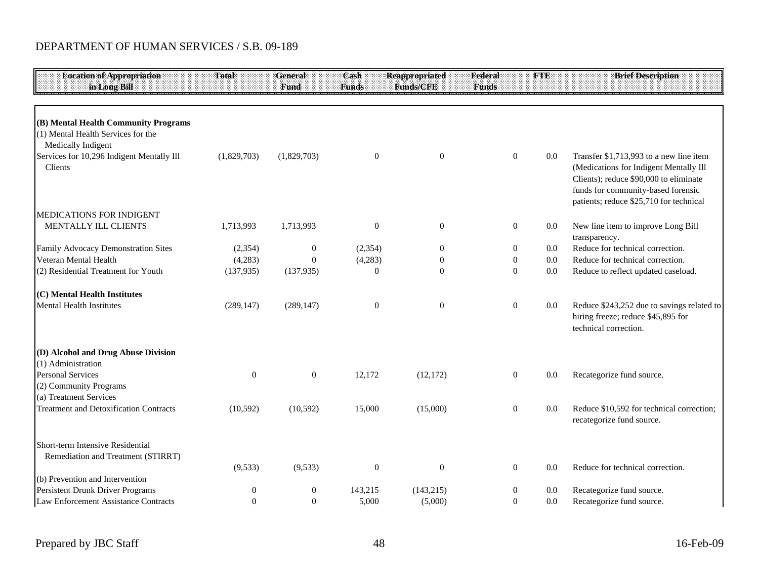| <b>Location of Appropriation</b>                         | Total          | General          | Cash             | <b>Reappropriated</b> | Federal          | <b>BIND</b> | <b>Brief Description</b>                                                                                  |
|----------------------------------------------------------|----------------|------------------|------------------|-----------------------|------------------|-------------|-----------------------------------------------------------------------------------------------------------|
| in Long Bill                                             |                | Fund             | <b>Funds</b>     | Funds/CFE             | <b>Funds</b>     |             |                                                                                                           |
|                                                          |                |                  |                  |                       |                  |             |                                                                                                           |
| (B) Mental Health Community Programs                     |                |                  |                  |                       |                  |             |                                                                                                           |
| (1) Mental Health Services for the<br>Medically Indigent |                |                  |                  |                       |                  |             |                                                                                                           |
| Services for 10,296 Indigent Mentally Ill                | (1,829,703)    | (1,829,703)      | $\boldsymbol{0}$ | $\boldsymbol{0}$      | $\boldsymbol{0}$ | 0.0         | Transfer \$1,713,993 to a new line item                                                                   |
| Clients                                                  |                |                  |                  |                       |                  |             | (Medications for Indigent Mentally Ill                                                                    |
|                                                          |                |                  |                  |                       |                  |             | Clients); reduce \$90,000 to eliminate<br>funds for community-based forensic                              |
|                                                          |                |                  |                  |                       |                  |             | patients; reduce \$25,710 for technical                                                                   |
| <b>MEDICATIONS FOR INDIGENT</b>                          |                |                  |                  |                       |                  |             |                                                                                                           |
| MENTALLY ILL CLIENTS                                     | 1,713,993      | 1,713,993        | $\mathbf{0}$     | $\boldsymbol{0}$      | $\mathbf{0}$     | 0.0         | New line item to improve Long Bill<br>transparency.                                                       |
| Family Advocacy Demonstration Sites                      | (2, 354)       | $\boldsymbol{0}$ | (2, 354)         | $\boldsymbol{0}$      | $\boldsymbol{0}$ | $0.0\,$     | Reduce for technical correction.                                                                          |
| Veteran Mental Health                                    | (4,283)        | $\mathbf{0}$     | (4,283)          | $\overline{0}$        | $\mathbf{0}$     | 0.0         | Reduce for technical correction.                                                                          |
| (2) Residential Treatment for Youth                      | (137, 935)     | (137, 935)       | $\overline{0}$   | $\mathbf{0}$          | $\theta$         | 0.0         | Reduce to reflect updated caseload.                                                                       |
| (C) Mental Health Institutes                             |                |                  |                  |                       |                  |             |                                                                                                           |
| <b>Mental Health Institutes</b>                          | (289, 147)     | (289, 147)       | $\mathbf{0}$     | $\boldsymbol{0}$      | $\mathbf{0}$     | 0.0         | Reduce \$243,252 due to savings related to<br>hiring freeze; reduce \$45,895 for<br>technical correction. |
| (D) Alcohol and Drug Abuse Division                      |                |                  |                  |                       |                  |             |                                                                                                           |
| (1) Administration                                       |                |                  |                  |                       |                  |             |                                                                                                           |
| <b>Personal Services</b>                                 | $\overline{0}$ | $\boldsymbol{0}$ | 12,172           | (12, 172)             | $\boldsymbol{0}$ | 0.0         | Recategorize fund source.                                                                                 |
| (2) Community Programs                                   |                |                  |                  |                       |                  |             |                                                                                                           |
| (a) Treatment Services                                   |                |                  |                  |                       |                  |             |                                                                                                           |
| <b>Treatment and Detoxification Contracts</b>            | (10, 592)      | (10, 592)        | 15,000           | (15,000)              | $\boldsymbol{0}$ | 0.0         | Reduce \$10,592 for technical correction;<br>recategorize fund source.                                    |
| Short-term Intensive Residential                         |                |                  |                  |                       |                  |             |                                                                                                           |
| Remediation and Treatment (STIRRT)                       |                |                  |                  |                       |                  |             |                                                                                                           |
|                                                          | (9,533)        | (9, 533)         | $\mathbf{0}$     | $\boldsymbol{0}$      | $\mathbf{0}$     | 0.0         | Reduce for technical correction.                                                                          |
| (b) Prevention and Intervention                          |                |                  |                  |                       |                  |             |                                                                                                           |
| Persistent Drunk Driver Programs                         | 0              | $\overline{0}$   | 143,215          | (143, 215)            | $\boldsymbol{0}$ | 0.0         | Recategorize fund source.                                                                                 |
| Law Enforcement Assistance Contracts                     | $\overline{0}$ | $\overline{0}$   | 5,000            | (5,000)               | $\overline{0}$   | 0.0         | Recategorize fund source.                                                                                 |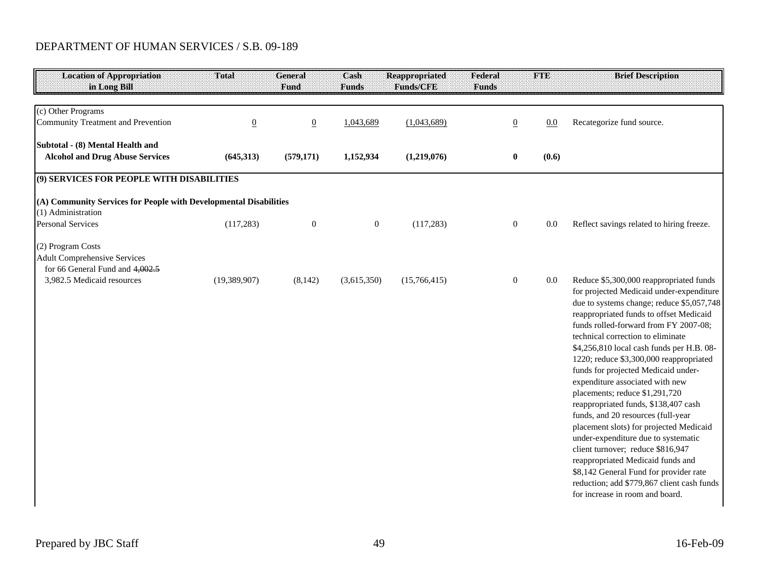| <b>Location of Appropriation</b><br>in Long Bill                                                                          | <b>Total</b>   | <b>General</b><br>Fund | Cash<br><b>Funds</b> | <b>Reappropriated</b><br><b>Funds/CFE</b> | Federal<br><b>Funds</b> | <b>FTE</b> | <b>Brief Description</b>                                                                                                                                                                                                                                                                                                                                 |
|---------------------------------------------------------------------------------------------------------------------------|----------------|------------------------|----------------------|-------------------------------------------|-------------------------|------------|----------------------------------------------------------------------------------------------------------------------------------------------------------------------------------------------------------------------------------------------------------------------------------------------------------------------------------------------------------|
| (c) Other Programs                                                                                                        |                |                        |                      |                                           |                         |            |                                                                                                                                                                                                                                                                                                                                                          |
| <b>Community Treatment and Prevention</b>                                                                                 | $\overline{0}$ | $\overline{0}$         | 1,043,689            | (1,043,689)                               | $\overline{0}$          | 0.0        | Recategorize fund source.                                                                                                                                                                                                                                                                                                                                |
| Subtotal - (8) Mental Health and<br><b>Alcohol and Drug Abuse Services</b>                                                | (645,313)      | (579, 171)             | 1,152,934            | (1,219,076)                               | $\bf{0}$                | (0.6)      |                                                                                                                                                                                                                                                                                                                                                          |
| (9) SERVICES FOR PEOPLE WITH DISABILITIES                                                                                 |                |                        |                      |                                           |                         |            |                                                                                                                                                                                                                                                                                                                                                          |
| (A) Community Services for People with Developmental Disabilities                                                         |                |                        |                      |                                           |                         |            |                                                                                                                                                                                                                                                                                                                                                          |
| (1) Administration<br><b>Personal Services</b>                                                                            | (117, 283)     | $\boldsymbol{0}$       | $\boldsymbol{0}$     | (117, 283)                                | $\boldsymbol{0}$        | 0.0        | Reflect savings related to hiring freeze.                                                                                                                                                                                                                                                                                                                |
| (2) Program Costs<br><b>Adult Comprehensive Services</b><br>for 66 General Fund and 4,002.5<br>3,982.5 Medicaid resources | (19, 389, 907) | (8,142)                | (3,615,350)          | (15,766,415)                              | $\boldsymbol{0}$        | 0.0        | Reduce \$5,300,000 reappropriated funds<br>for projected Medicaid under-expenditure<br>due to systems change; reduce \$5,057,748<br>reappropriated funds to offset Medicaid<br>funds rolled-forward from FY 2007-08;<br>technical correction to eliminate<br>\$4,256,810 local cash funds per H.B. 08-                                                   |
|                                                                                                                           |                |                        |                      |                                           |                         |            | 1220; reduce \$3,300,000 reappropriated<br>funds for projected Medicaid under-<br>expenditure associated with new<br>placements; reduce \$1,291,720<br>reappropriated funds, \$138,407 cash<br>funds, and 20 resources (full-year<br>placement slots) for projected Medicaid<br>under-expenditure due to systematic<br>client turnover; reduce \$816,947 |
|                                                                                                                           |                |                        |                      |                                           |                         |            | reappropriated Medicaid funds and<br>\$8,142 General Fund for provider rate<br>reduction; add \$779,867 client cash funds<br>for increase in room and board.                                                                                                                                                                                             |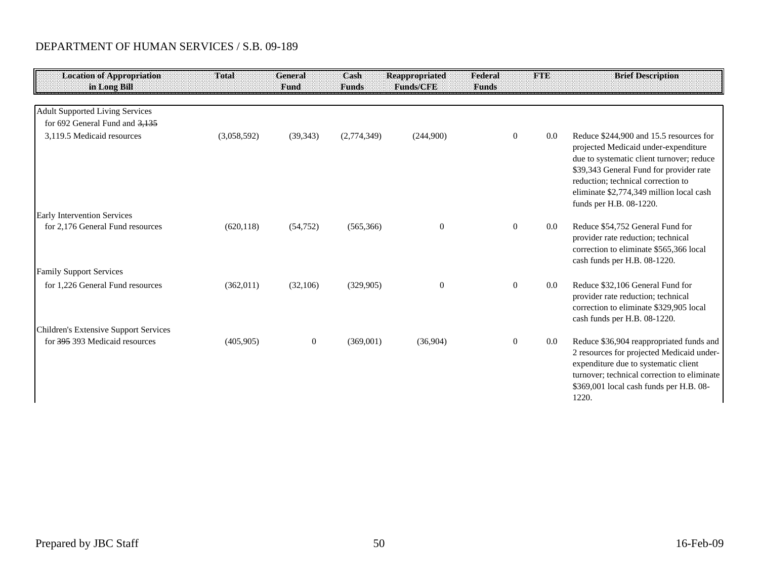| <b>Location of Appropriation</b><br>in Long Bill | Total       | General<br>Fund  | Cash<br><b>Eunds</b> | <b>Reappropriated</b><br><b>Funds/CFE</b> | Federal<br><b>Funds</b> | <b>FTE</b> | <b>Brief Description</b>                                                                                                                                                                                                                                                             |
|--------------------------------------------------|-------------|------------------|----------------------|-------------------------------------------|-------------------------|------------|--------------------------------------------------------------------------------------------------------------------------------------------------------------------------------------------------------------------------------------------------------------------------------------|
| <b>Adult Supported Living Services</b>           |             |                  |                      |                                           |                         |            |                                                                                                                                                                                                                                                                                      |
| for 692 General Fund and $3,135$                 |             |                  |                      |                                           |                         |            |                                                                                                                                                                                                                                                                                      |
| 3,119.5 Medicaid resources                       | (3,058,592) | (39, 343)        | (2,774,349)          | (244,900)                                 | $\overline{0}$          | 0.0        | Reduce \$244,900 and 15.5 resources for<br>projected Medicaid under-expenditure<br>due to systematic client turnover; reduce<br>\$39,343 General Fund for provider rate<br>reduction; technical correction to<br>eliminate \$2,774,349 million local cash<br>funds per H.B. 08-1220. |
| <b>Early Intervention Services</b>               |             |                  |                      |                                           |                         |            |                                                                                                                                                                                                                                                                                      |
| for 2,176 General Fund resources                 | (620, 118)  | (54, 752)        | (565, 366)           | $\boldsymbol{0}$                          | $\Omega$                | 0.0        | Reduce \$54,752 General Fund for<br>provider rate reduction; technical<br>correction to eliminate \$565,366 local<br>cash funds per H.B. 08-1220.                                                                                                                                    |
| <b>Family Support Services</b>                   |             |                  |                      |                                           |                         |            |                                                                                                                                                                                                                                                                                      |
| for 1.226 General Fund resources                 | (362,011)   | (32,106)         | (329, 905)           | $\theta$                                  | $\overline{0}$          | 0.0        | Reduce \$32,106 General Fund for<br>provider rate reduction; technical<br>correction to eliminate \$329,905 local<br>cash funds per H.B. 08-1220.                                                                                                                                    |
| Children's Extensive Support Services            |             |                  |                      |                                           |                         |            |                                                                                                                                                                                                                                                                                      |
| for 395 393 Medicaid resources                   | (405,905)   | $\boldsymbol{0}$ | (369,001)            | (36,904)                                  | $\overline{0}$          | 0.0        | Reduce \$36,904 reappropriated funds and<br>2 resources for projected Medicaid under-<br>expenditure due to systematic client<br>turnover; technical correction to eliminate<br>\$369,001 local cash funds per H.B. 08-<br>1220.                                                     |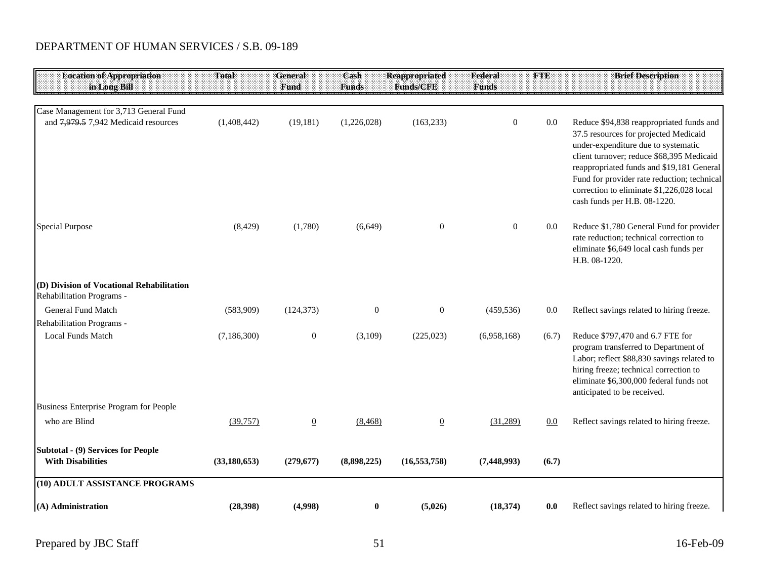| <b>Location of Appropriation</b><br>in Long Bill                               | Total          | <b>General</b><br>Fund | Cash<br><b>Funds</b> | <b>Reappropriated</b><br>Funds/CFE | Federal<br><b>Funds</b> | <b>FTE</b> | <b>Brief Description</b>                                                                                                                                                                                                                                                                                                                       |
|--------------------------------------------------------------------------------|----------------|------------------------|----------------------|------------------------------------|-------------------------|------------|------------------------------------------------------------------------------------------------------------------------------------------------------------------------------------------------------------------------------------------------------------------------------------------------------------------------------------------------|
|                                                                                |                |                        |                      |                                    |                         |            |                                                                                                                                                                                                                                                                                                                                                |
| Case Management for 3,713 General Fund<br>and 7,979.5 7,942 Medicaid resources | (1,408,442)    | (19, 181)              | (1,226,028)          | (163, 233)                         | $\mathbf{0}$            | 0.0        | Reduce \$94,838 reappropriated funds and<br>37.5 resources for projected Medicaid<br>under-expenditure due to systematic<br>client turnover; reduce \$68,395 Medicaid<br>reappropriated funds and \$19,181 General<br>Fund for provider rate reduction; technical<br>correction to eliminate \$1,226,028 local<br>cash funds per H.B. 08-1220. |
| <b>Special Purpose</b>                                                         | (8, 429)       | (1,780)                | (6,649)              | $\mathbf{0}$                       | $\overline{0}$          | 0.0        | Reduce \$1,780 General Fund for provider<br>rate reduction; technical correction to<br>eliminate \$6,649 local cash funds per<br>H.B. 08-1220.                                                                                                                                                                                                 |
| (D) Division of Vocational Rehabilitation<br>Rehabilitation Programs -         |                |                        |                      |                                    |                         |            |                                                                                                                                                                                                                                                                                                                                                |
| <b>General Fund Match</b>                                                      | (583,909)      | (124, 373)             | $\boldsymbol{0}$     | $\boldsymbol{0}$                   | (459, 536)              | 0.0        | Reflect savings related to hiring freeze.                                                                                                                                                                                                                                                                                                      |
| Rehabilitation Programs -                                                      |                |                        |                      |                                    |                         |            |                                                                                                                                                                                                                                                                                                                                                |
| <b>Local Funds Match</b>                                                       | (7, 186, 300)  | $\boldsymbol{0}$       | (3,109)              | (225, 023)                         | (6,958,168)             | (6.7)      | Reduce \$797,470 and 6.7 FTE for<br>program transferred to Department of<br>Labor; reflect \$88,830 savings related to<br>hiring freeze; technical correction to<br>eliminate \$6,300,000 federal funds not<br>anticipated to be received.                                                                                                     |
| Business Enterprise Program for People                                         |                |                        |                      |                                    |                         |            |                                                                                                                                                                                                                                                                                                                                                |
| who are Blind                                                                  | (39,757)       | $\overline{0}$         | (8, 468)             | $\overline{0}$                     | (31,289)                | 0.0        | Reflect savings related to hiring freeze.                                                                                                                                                                                                                                                                                                      |
| Subtotal - (9) Services for People<br><b>With Disabilities</b>                 | (33, 180, 653) | (279, 677)             | (8,898,225)          | (16, 553, 758)                     | (7, 448, 993)           | (6.7)      |                                                                                                                                                                                                                                                                                                                                                |
| (10) ADULT ASSISTANCE PROGRAMS                                                 |                |                        |                      |                                    |                         |            |                                                                                                                                                                                                                                                                                                                                                |
| (A) Administration                                                             | (28, 398)      | (4,998)                | $\bf{0}$             | (5,026)                            | (18, 374)               | 0.0        | Reflect savings related to hiring freeze.                                                                                                                                                                                                                                                                                                      |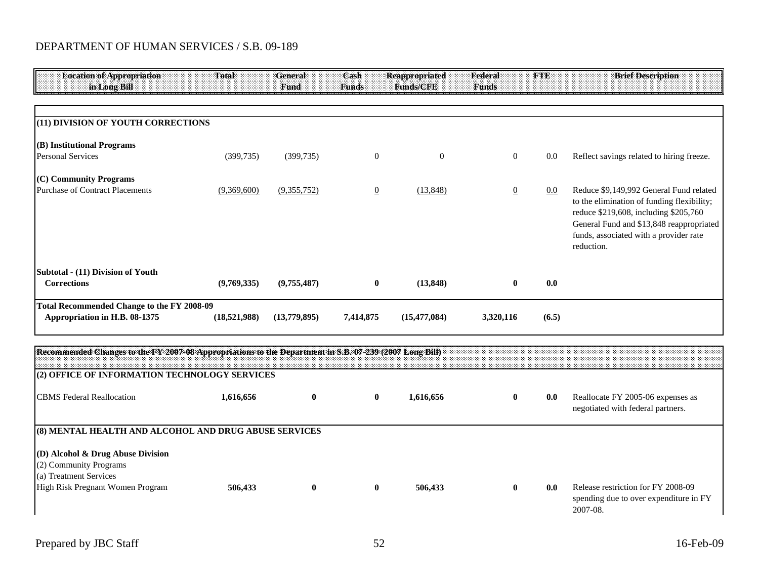| <b>Location of Appropriation</b><br>in Long Bill                                                                          | Total        | <b>General</b><br>Fund | Cash<br><b>Funds</b> | <b>Reappropriated</b><br><b>Funds/CFE</b> | Federal<br><b>Funds</b> | <b>FTE</b> | <b>Brief Description</b>                                                                                                                                                                                                           |
|---------------------------------------------------------------------------------------------------------------------------|--------------|------------------------|----------------------|-------------------------------------------|-------------------------|------------|------------------------------------------------------------------------------------------------------------------------------------------------------------------------------------------------------------------------------------|
|                                                                                                                           |              |                        |                      |                                           |                         |            |                                                                                                                                                                                                                                    |
| (11) DIVISION OF YOUTH CORRECTIONS                                                                                        |              |                        |                      |                                           |                         |            |                                                                                                                                                                                                                                    |
| (B) Institutional Programs<br><b>Personal Services</b>                                                                    | (399, 735)   | (399, 735)             | $\boldsymbol{0}$     | $\mathbf{0}$                              | $\mathbf{0}$            | 0.0        | Reflect savings related to hiring freeze.                                                                                                                                                                                          |
| (C) Community Programs<br><b>Purchase of Contract Placements</b>                                                          | (9,369,600)  | (9,355,752)            | $\overline{0}$       | (13, 848)                                 | $\overline{0}$          | 0.0        | Reduce \$9,149,992 General Fund related<br>to the elimination of funding flexibility;<br>reduce \$219,608, including \$205,760<br>General Fund and \$13,848 reappropriated<br>funds, associated with a provider rate<br>reduction. |
| Subtotal - (11) Division of Youth<br>Corrections                                                                          | (9,769,335)  | (9,755,487)            | $\bf{0}$             | (13, 848)                                 | $\bf{0}$                | 0.0        |                                                                                                                                                                                                                                    |
| <b>Total Recommended Change to the FY 2008-09</b><br>Appropriation in H.B. 08-1375                                        | (18,521,988) | (13,779,895)           | 7,414,875            | (15, 477, 084)                            | 3,320,116               | (6.5)      |                                                                                                                                                                                                                                    |
| Recommended Changes to the FY 2007-08 Appropriations to the Department in S.B. 07-239 (2007 Long Bill)                    |              |                        |                      |                                           |                         |            |                                                                                                                                                                                                                                    |
| (2) OFFICE OF INFORMATION TECHNOLOGY SERVICES                                                                             |              |                        |                      |                                           |                         |            |                                                                                                                                                                                                                                    |
| <b>CBMS</b> Federal Reallocation                                                                                          | 1,616,656    | $\bf{0}$               | $\bf{0}$             | 1,616,656                                 | $\bf{0}$                | 0.0        | Reallocate FY 2005-06 expenses as<br>negotiated with federal partners.                                                                                                                                                             |
| (8) MENTAL HEALTH AND ALCOHOL AND DRUG ABUSE SERVICES                                                                     |              |                        |                      |                                           |                         |            |                                                                                                                                                                                                                                    |
| (D) Alcohol & Drug Abuse Division<br>(2) Community Programs<br>(a) Treatment Services<br>High Risk Pregnant Women Program | 506,433      | $\bf{0}$               | $\bf{0}$             | 506,433                                   | $\bf{0}$                | 0.0        | Release restriction for FY 2008-09                                                                                                                                                                                                 |

spending due to over expenditure in FY 2007-08.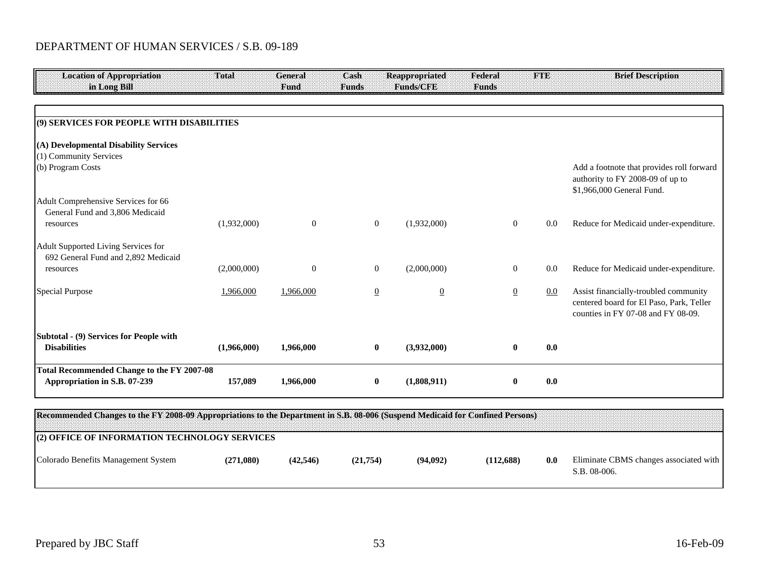| <b>Location of Appropriation</b>                                                                                              | Total       | General   | Cash           | <b>Reappropriated</b><br><b>Funds/CFE</b> | Federal        | <b>FTE</b> | <b>Brief Description</b>                                                                                                |
|-------------------------------------------------------------------------------------------------------------------------------|-------------|-----------|----------------|-------------------------------------------|----------------|------------|-------------------------------------------------------------------------------------------------------------------------|
| in Long Bill                                                                                                                  |             | Fund      | <b>Funds</b>   |                                           | <b>Funds</b>   |            |                                                                                                                         |
|                                                                                                                               |             |           |                |                                           |                |            |                                                                                                                         |
| (9) SERVICES FOR PEOPLE WITH DISABILITIES                                                                                     |             |           |                |                                           |                |            |                                                                                                                         |
| (A) Developmental Disability Services<br>(1) Community Services                                                               |             |           |                |                                           |                |            |                                                                                                                         |
| (b) Program Costs                                                                                                             |             |           |                |                                           |                |            | Add a footnote that provides roll forward<br>authority to FY 2008-09 of up to<br>\$1,966,000 General Fund.              |
| Adult Comprehensive Services for 66<br>General Fund and 3,806 Medicaid                                                        |             |           |                |                                           |                |            |                                                                                                                         |
| resources                                                                                                                     | (1,932,000) | $\theta$  | $\overline{0}$ | (1,932,000)                               | $\overline{0}$ | 0.0        | Reduce for Medicaid under-expenditure.                                                                                  |
| Adult Supported Living Services for<br>692 General Fund and 2,892 Medicaid                                                    |             |           |                |                                           |                |            |                                                                                                                         |
| resources                                                                                                                     | (2,000,000) | $\theta$  | $\overline{0}$ | (2,000,000)                               | $\overline{0}$ | 0.0        | Reduce for Medicaid under-expenditure.                                                                                  |
| <b>Special Purpose</b>                                                                                                        | 1,966,000   | 1,966,000 | $\overline{0}$ | $\overline{0}$                            | $\overline{0}$ | 0.0        | Assist financially-troubled community<br>centered board for El Paso, Park, Teller<br>counties in FY 07-08 and FY 08-09. |
| Subtotal - (9) Services for People with                                                                                       |             |           |                |                                           |                |            |                                                                                                                         |
| <b>Disabilities</b>                                                                                                           | (1,966,000) | 1,966,000 | $\bf{0}$       | (3,932,000)                               | $\bf{0}$       | 0.0        |                                                                                                                         |
| <b>Total Recommended Change to the FY 2007-08</b><br>Appropriation in S.B. 07-239                                             | 157,089     | 1,966,000 | $\bf{0}$       | (1,808,911)                               | $\bf{0}$       | 0.0        |                                                                                                                         |
|                                                                                                                               |             |           |                |                                           |                |            |                                                                                                                         |
| Recommended Changes to the FY 2008-09 Appropriations to the Department in S.B. 08-006 (Suspend Medicaid for Confined Persons) |             |           |                |                                           |                |            |                                                                                                                         |
| (2) OFFICE OF INFORMATION TECHNOLOGY SERVICES                                                                                 |             |           |                |                                           |                |            |                                                                                                                         |
| Colorado Benefits Management System                                                                                           | (271,080)   | (42, 546) | (21,754)       | (94,092)                                  | (112,688)      | 0.0        | Eliminate CBMS changes associated with<br>S.B. 08-006.                                                                  |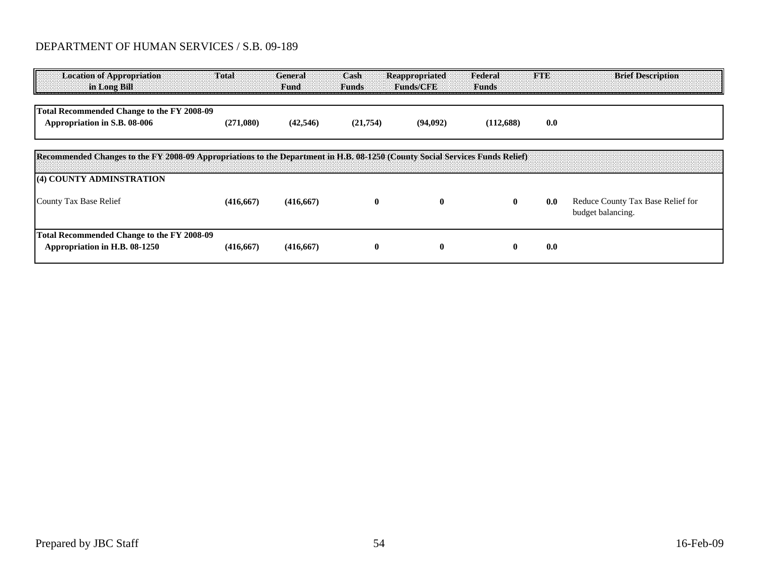| <b>Location of Appropriation</b><br>in Long Bill                                                                                                         | Total      | General<br>Fund | Cash<br><b>Funds</b> | Reappropriated<br><b>Funds/CFB</b> | Federal<br><b>Funds</b> | ETE | <b>Brief Description</b>                               |
|----------------------------------------------------------------------------------------------------------------------------------------------------------|------------|-----------------|----------------------|------------------------------------|-------------------------|-----|--------------------------------------------------------|
| Total Recommended Change to the FY 2008-09<br>Appropriation in S.B. 08-006                                                                               | (271,080)  | (42, 546)       | (21,754)             | (94,092)                           | (112,688)               | 0.0 |                                                        |
| Recommended Changes to the FY 2008-09 Appropriations to the Department in H.B. 08-1250 (County Social Services Funds Relief)<br>(4) COUNTY ADMINSTRATION |            |                 |                      |                                    |                         |     |                                                        |
| County Tax Base Relief                                                                                                                                   | (416, 667) | (416, 667)      | $\bf{0}$             | $\bf{0}$                           | $\bf{0}$                | 0.0 | Reduce County Tax Base Relief for<br>budget balancing. |
| Total Recommended Change to the FY 2008-09<br>Appropriation in H.B. 08-1250                                                                              | (416, 667) | (416, 667)      | v                    | $\bf{0}$                           | $\mathbf{0}$            | 0.0 |                                                        |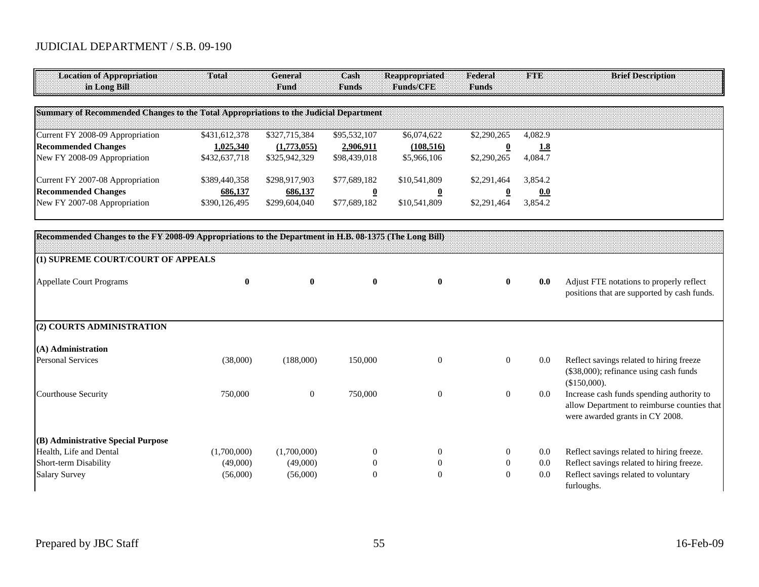| <b>Location of Appropriation</b><br>in Long Bill                                                       | Total         | General<br>Fund  | Cash<br><b>Funds</b>    | <b>Reappropriated</b><br>Funds/CFE | Federal<br><b>Funds</b> | <b>FTE</b> | <b>Brief Description</b>                                                                                                    |
|--------------------------------------------------------------------------------------------------------|---------------|------------------|-------------------------|------------------------------------|-------------------------|------------|-----------------------------------------------------------------------------------------------------------------------------|
| Summary of Recommended Changes to the Total Appropriations to the Judicial Department                  |               |                  |                         |                                    |                         |            |                                                                                                                             |
| Current FY 2008-09 Appropriation                                                                       | \$431,612,378 | \$327,715,384    | \$95,532,107            | \$6,074,622                        | \$2,290,265             | 4,082.9    |                                                                                                                             |
| <b>Recommended Changes</b>                                                                             | 1,025,340     | (1,773,055)      | 2,906,911               | (108, 516)                         | $\overline{\mathbf{0}}$ | 1.8        |                                                                                                                             |
| New FY 2008-09 Appropriation                                                                           | \$432,637,718 | \$325,942,329    | \$98,439,018            | \$5,966,106                        | \$2,290,265             | 4,084.7    |                                                                                                                             |
| Current FY 2007-08 Appropriation                                                                       | \$389,440,358 | \$298,917,903    | \$77,689,182            | \$10,541,809                       | \$2,291,464             | 3,854.2    |                                                                                                                             |
| <b>Recommended Changes</b>                                                                             | 686,137       | 686,137          | $\overline{\mathbf{0}}$ | $\overline{0}$                     | $\bf{0}$                | 0.0        |                                                                                                                             |
| New FY 2007-08 Appropriation                                                                           | \$390,126,495 | \$299,604,040    | \$77,689,182            | \$10,541,809                       | \$2,291,464             | 3,854.2    |                                                                                                                             |
|                                                                                                        |               |                  |                         |                                    |                         |            |                                                                                                                             |
| Recommended Changes to the FY 2008-09 Appropriations to the Department in H.B. 08-1375 (The Long Bill) |               |                  |                         |                                    |                         |            |                                                                                                                             |
| (1) SUPREME COURT/COURT OF APPEALS                                                                     |               |                  |                         |                                    |                         |            |                                                                                                                             |
| <b>Appellate Court Programs</b>                                                                        | $\bf{0}$      | $\bf{0}$         | $\mathbf{0}$            | $\mathbf{0}$                       | $\bf{0}$                | 0.0        | Adjust FTE notations to properly reflect<br>positions that are supported by cash funds.                                     |
| (2) COURTS ADMINISTRATION                                                                              |               |                  |                         |                                    |                         |            |                                                                                                                             |
| $(A)$ Administration                                                                                   |               |                  |                         |                                    |                         |            |                                                                                                                             |
| <b>Personal Services</b>                                                                               | (38,000)      | (188,000)        | 150,000                 | $\mathbf{0}$                       | $\overline{0}$          | 0.0        | Reflect savings related to hiring freeze<br>(\$38,000); refinance using cash funds<br>(\$150,000).                          |
| Courthouse Security                                                                                    | 750,000       | $\boldsymbol{0}$ | 750,000                 | $\mathbf{0}$                       | $\mathbf{0}$            | $0.0\,$    | Increase cash funds spending authority to<br>allow Department to reimburse counties that<br>were awarded grants in CY 2008. |
| (B) Administrative Special Purpose                                                                     |               |                  |                         |                                    |                         |            |                                                                                                                             |
| Health, Life and Dental                                                                                | (1,700,000)   | (1,700,000)      | $\overline{0}$          | $\overline{0}$                     | $\theta$                | 0.0        | Reflect savings related to hiring freeze.                                                                                   |
| Short-term Disability                                                                                  | (49,000)      | (49,000)         | $\overline{0}$          | $\mathbf{0}$                       | $\mathbf{0}$            | 0.0        | Reflect savings related to hiring freeze.                                                                                   |
| <b>Salary Survey</b>                                                                                   | (56,000)      | (56,000)         | $\overline{0}$          | $\Omega$                           | $\overline{0}$          | 0.0        | Reflect savings related to voluntary<br>furloughs.                                                                          |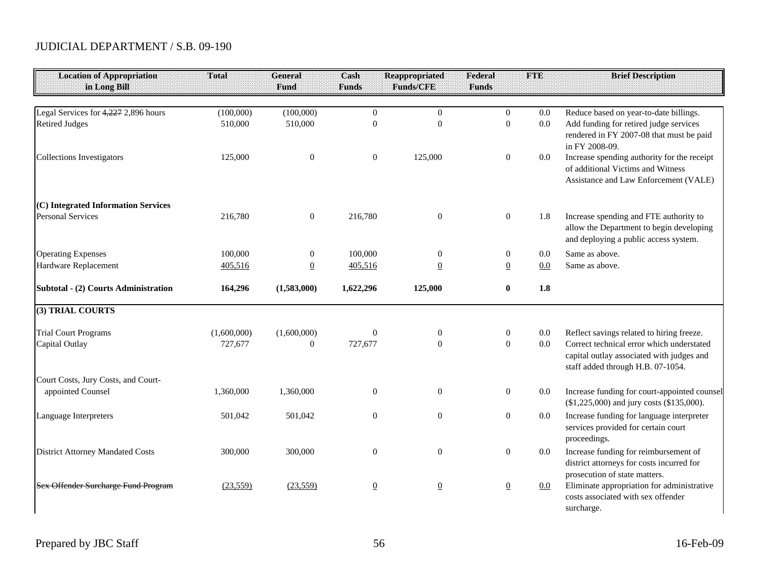| <b>Location of Appropriation</b>        | Total       | <b>General</b>   | Cash             | <b>Reappropriated</b> | Federal          | <b>FTE</b> | <b>Brief Description</b>                                                                                                    |
|-----------------------------------------|-------------|------------------|------------------|-----------------------|------------------|------------|-----------------------------------------------------------------------------------------------------------------------------|
| in Long Bill                            |             | Fund             | <b>Funds</b>     | Funds/CFE             | <b>Funds</b>     |            |                                                                                                                             |
| Legal Services for 4,227 2,896 hours    | (100,000)   | (100,000)        | $\theta$         | $\overline{0}$        | $\overline{0}$   | 0.0        | Reduce based on year-to-date billings.                                                                                      |
| <b>Retired Judges</b>                   | 510,000     | 510,000          | $\overline{0}$   | $\overline{0}$        | $\boldsymbol{0}$ | 0.0        | Add funding for retired judge services<br>rendered in FY 2007-08 that must be paid<br>in FY 2008-09.                        |
| <b>Collections Investigators</b>        | 125,000     | $\boldsymbol{0}$ | $\boldsymbol{0}$ | 125,000               | $\boldsymbol{0}$ | 0.0        | Increase spending authority for the receipt<br>of additional Victims and Witness<br>Assistance and Law Enforcement (VALE)   |
| (C) Integrated Information Services     |             |                  |                  |                       |                  |            |                                                                                                                             |
| <b>Personal Services</b>                | 216,780     | $\mathbf{0}$     | 216,780          | $\overline{0}$        | $\boldsymbol{0}$ | 1.8        | Increase spending and FTE authority to<br>allow the Department to begin developing<br>and deploying a public access system. |
| <b>Operating Expenses</b>               | 100,000     | $\boldsymbol{0}$ | 100,000          | $\boldsymbol{0}$      | $\boldsymbol{0}$ | 0.0        | Same as above.                                                                                                              |
| Hardware Replacement                    | 405,516     | $\underline{0}$  | 405,516          | $\overline{0}$        | $\underline{0}$  | 0.0        | Same as above.                                                                                                              |
| Subtotal - (2) Courts Administration    | 164,296     | (1,583,000)      | 1,622,296        | 125,000               | $\bf{0}$         | 1.8        |                                                                                                                             |
| (3) TRIAL COURTS                        |             |                  |                  |                       |                  |            |                                                                                                                             |
| <b>Trial Court Programs</b>             | (1,600,000) | (1,600,000)      | $\boldsymbol{0}$ | $\boldsymbol{0}$      | $\mathbf{0}$     | 0.0        | Reflect savings related to hiring freeze.                                                                                   |
| Capital Outlay                          | 727,677     | $\boldsymbol{0}$ | 727,677          | $\theta$              | $\overline{0}$   | 0.0        | Correct technical error which understated<br>capital outlay associated with judges and<br>staff added through H.B. 07-1054. |
| Court Costs, Jury Costs, and Court-     |             |                  |                  |                       |                  |            |                                                                                                                             |
| appointed Counsel                       | 1,360,000   | 1,360,000        | $\boldsymbol{0}$ | $\boldsymbol{0}$      | $\boldsymbol{0}$ | 0.0        | Increase funding for court-appointed counsel<br>(\$1,225,000) and jury costs (\$135,000).                                   |
| Language Interpreters                   | 501,042     | 501,042          | $\boldsymbol{0}$ | $\boldsymbol{0}$      | $\boldsymbol{0}$ | 0.0        | Increase funding for language interpreter<br>services provided for certain court<br>proceedings.                            |
| <b>District Attorney Mandated Costs</b> | 300,000     | 300,000          | $\overline{0}$   | $\boldsymbol{0}$      | $\mathbf{0}$     | $0.0\,$    | Increase funding for reimbursement of<br>district attorneys for costs incurred for<br>prosecution of state matters.         |
| Sex Offender Surcharge Fund Program     | (23, 559)   | (23, 559)        | $\overline{0}$   | $\overline{0}$        | $\underline{0}$  | 0.0        | Eliminate appropriation for administrative<br>costs associated with sex offender<br>surcharge.                              |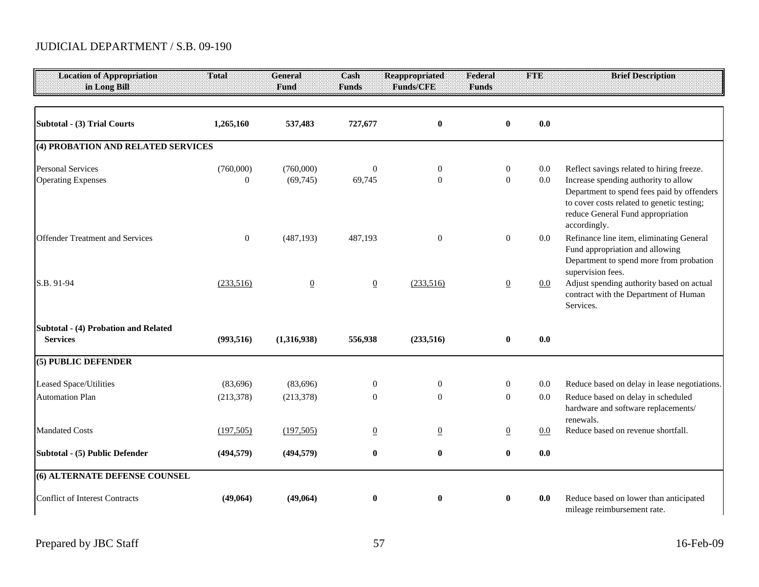| <b>Location of Appropriation</b><br>in Long Bill        | Total                         | General<br>Fund        | Cash<br><b>Funds</b>       | <b>Reappropriated</b><br><b>Funds/CFE</b> | Federal<br><b>Funds</b> | <b>FTE</b>                         |                    | <b>Brief Description</b>                                                                                                                                                                                                           |
|---------------------------------------------------------|-------------------------------|------------------------|----------------------------|-------------------------------------------|-------------------------|------------------------------------|--------------------|------------------------------------------------------------------------------------------------------------------------------------------------------------------------------------------------------------------------------------|
|                                                         |                               |                        |                            |                                           |                         |                                    |                    |                                                                                                                                                                                                                                    |
| Subtotal - (3) Trial Courts                             | 1,265,160                     | 537,483                | 727,677                    | $\boldsymbol{0}$                          |                         | $\bf{0}$                           | 0.0                |                                                                                                                                                                                                                                    |
| (4) PROBATION AND RELATED SERVICES                      |                               |                        |                            |                                           |                         |                                    |                    |                                                                                                                                                                                                                                    |
| <b>Personal Services</b><br><b>Operating Expenses</b>   | (760,000)<br>$\boldsymbol{0}$ | (760,000)<br>(69, 745) | $\boldsymbol{0}$<br>69,745 | $\boldsymbol{0}$<br>$\overline{0}$        |                         | $\overline{0}$<br>$\boldsymbol{0}$ | $0.0\,$<br>$0.0\,$ | Reflect savings related to hiring freeze.<br>Increase spending authority to allow<br>Department to spend fees paid by offenders<br>to cover costs related to genetic testing;<br>reduce General Fund appropriation<br>accordingly. |
| <b>Offender Treatment and Services</b>                  | $\mathbf{0}$                  | (487, 193)             | 487,193                    | $\mathbf{0}$                              |                         | $\boldsymbol{0}$                   | $0.0\,$            | Refinance line item, eliminating General<br>Fund appropriation and allowing<br>Department to spend more from probation<br>supervision fees.                                                                                        |
| S.B. 91-94                                              | (233,516)                     | $\underline{0}$        | $\overline{0}$             | (233,516)                                 |                         | $\overline{0}$                     | 0.0                | Adjust spending authority based on actual<br>contract with the Department of Human<br>Services.                                                                                                                                    |
| Subtotal - (4) Probation and Related<br><b>Services</b> | (993, 516)                    | (1,316,938)            | 556,938                    | (233,516)                                 |                         | $\bf{0}$                           | 0.0                |                                                                                                                                                                                                                                    |
| (5) PUBLIC DEFENDER                                     |                               |                        |                            |                                           |                         |                                    |                    |                                                                                                                                                                                                                                    |
| Leased Space/Utilities<br><b>Automation Plan</b>        | (83,696)<br>(213, 378)        | (83,696)<br>(213, 378) | $\overline{0}$<br>$\theta$ | $\overline{0}$<br>$\theta$                |                         | $\mathbf{0}$<br>$\overline{0}$     | $0.0\,$<br>$0.0\,$ | Reduce based on delay in lease negotiations.<br>Reduce based on delay in scheduled<br>hardware and software replacements/                                                                                                          |
| <b>Mandated Costs</b>                                   | (197, 505)                    | (197, 505)             | $\underline{0}$            | $\overline{0}$                            |                         | $\underline{0}$                    | $0.0\,$            | renewals.<br>Reduce based on revenue shortfall.                                                                                                                                                                                    |
| Subtotal - (5) Public Defender                          | (494, 579)                    | (494, 579)             | $\bf{0}$                   | $\bf{0}$                                  |                         | $\bf{0}$                           | 0.0                |                                                                                                                                                                                                                                    |
| (6) ALTERNATE DEFENSE COUNSEL                           |                               |                        |                            |                                           |                         |                                    |                    |                                                                                                                                                                                                                                    |
| <b>Conflict of Interest Contracts</b>                   | (49,064)                      | (49,064)               | $\bf{0}$                   | $\boldsymbol{0}$                          |                         | $\bf{0}$                           | 0.0                | Reduce based on lower than anticipated<br>mileage reimbursement rate.                                                                                                                                                              |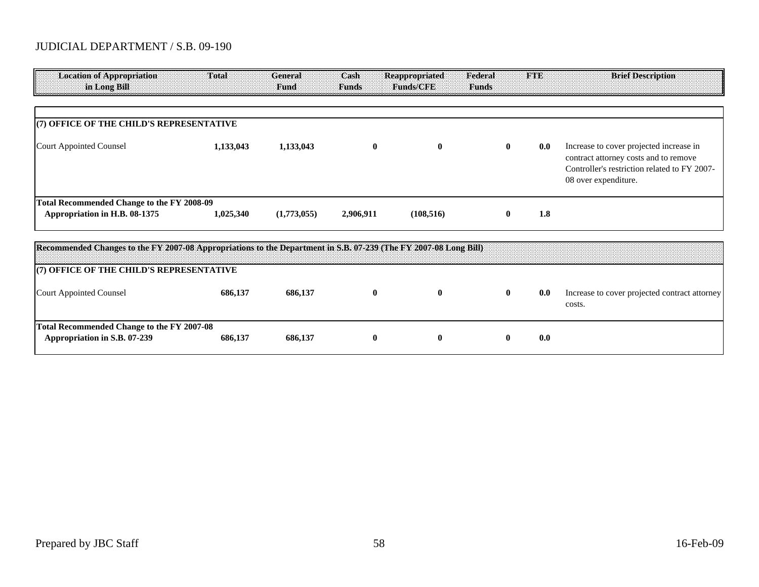| <b>Location of Appropriation</b><br>in Long Bill                                                                 | Total     | General<br>Fund | Cash<br><b>Funds</b> | <b>Reappropriated</b><br>Funds/CFE | Federal<br><b>Funds</b> | <b>TOBB</b> | <b>Brief Description</b>                                                                                                                                 |
|------------------------------------------------------------------------------------------------------------------|-----------|-----------------|----------------------|------------------------------------|-------------------------|-------------|----------------------------------------------------------------------------------------------------------------------------------------------------------|
|                                                                                                                  |           |                 |                      |                                    |                         |             |                                                                                                                                                          |
| (7) OFFICE OF THE CHILD'S REPRESENTATIVE                                                                         |           |                 |                      |                                    |                         |             |                                                                                                                                                          |
| <b>Court Appointed Counsel</b>                                                                                   | 1,133,043 | 1,133,043       | $\mathbf{0}$         | $\bf{0}$                           | $\mathbf{0}$            | 0.0         | Increase to cover projected increase in<br>contract attorney costs and to remove<br>Controller's restriction related to FY 2007-<br>08 over expenditure. |
| <b>Total Recommended Change to the FY 2008-09</b>                                                                |           |                 |                      |                                    |                         |             |                                                                                                                                                          |
| Appropriation in H.B. 08-1375                                                                                    | 1,025,340 | (1,773,055)     | 2,906,911            | (108, 516)                         | $\mathbf{0}$            | 1.8         |                                                                                                                                                          |
| Recommended Changes to the FY 2007-08 Appropriations to the Department in S.B. 07-239 (The FY 2007-08 Long Bill) |           |                 |                      |                                    |                         |             |                                                                                                                                                          |
| (7) OFFICE OF THE CHILD'S REPRESENTATIVE                                                                         |           |                 |                      |                                    |                         |             |                                                                                                                                                          |
|                                                                                                                  |           |                 |                      |                                    |                         |             |                                                                                                                                                          |
| <b>Court Appointed Counsel</b>                                                                                   | 686,137   | 686,137         | $\mathbf{0}$         | $\mathbf{0}$                       | $\mathbf{0}$            | 0.0         | Increase to cover projected contract attorney<br>costs.                                                                                                  |
| <b>Total Recommended Change to the FY 2007-08</b><br>Appropriation in S.B. 07-239                                | 686,137   | 686,137         | $\mathbf{0}$         | $\mathbf{0}$                       | $\mathbf{0}$            | 0.0         |                                                                                                                                                          |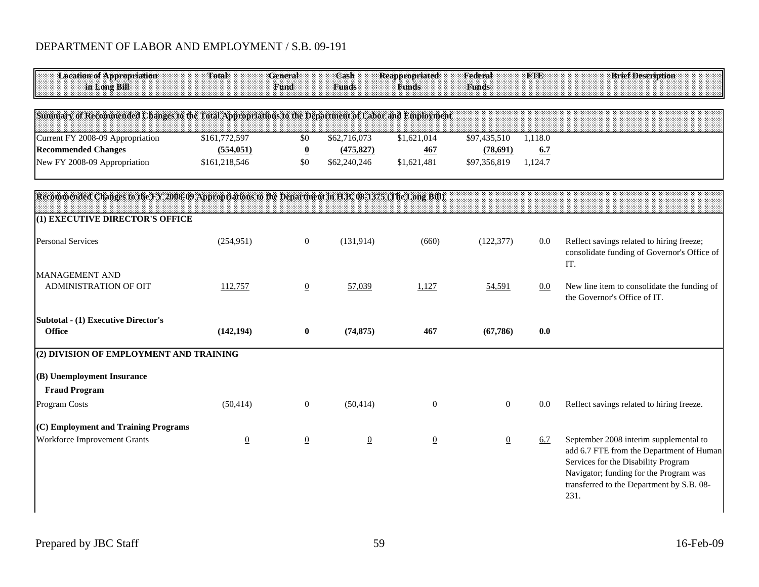## DEPARTMENT OF LABOR AND EMPLOYMENT / S.B. 09-191

| <b>Location of Appropriation</b><br>in Long Bill                                                       | Total          | General<br>Fund          | Cash<br><b>Funds</b> | <b>Reappropriated</b><br><b>Funds</b> | Federal<br><b>Funds</b> | <b>FTE</b> | <b>Brief Description</b>                                                                                                                                                                                                 |
|--------------------------------------------------------------------------------------------------------|----------------|--------------------------|----------------------|---------------------------------------|-------------------------|------------|--------------------------------------------------------------------------------------------------------------------------------------------------------------------------------------------------------------------------|
| Summary of Recommended Changes to the Total Appropriations to the Department of Labor and Employment   |                |                          |                      |                                       |                         |            |                                                                                                                                                                                                                          |
| Current FY 2008-09 Appropriation                                                                       | \$161,772,597  | \$0                      | \$62,716,073         | \$1,621,014                           | \$97,435,510            | 1,118.0    |                                                                                                                                                                                                                          |
| <b>Recommended Changes</b>                                                                             | (554, 051)     | $\underline{\mathbf{0}}$ | (475, 827)           | <b>467</b>                            | (78,691)                | 6.7        |                                                                                                                                                                                                                          |
| New FY 2008-09 Appropriation                                                                           | \$161,218,546  | \$0                      | \$62,240,246         | \$1,621,481                           | \$97,356,819            | 1.124.7    |                                                                                                                                                                                                                          |
| Recommended Changes to the FY 2008-09 Appropriations to the Department in H.B. 08-1375 (The Long Bill) |                |                          |                      |                                       |                         |            |                                                                                                                                                                                                                          |
| (1) EXECUTIVE DIRECTOR'S OFFICE                                                                        |                |                          |                      |                                       |                         |            |                                                                                                                                                                                                                          |
| <b>Personal Services</b>                                                                               | (254, 951)     | $\boldsymbol{0}$         | (131, 914)           | (660)                                 | (122, 377)              | 0.0        | Reflect savings related to hiring freeze;<br>consolidate funding of Governor's Office of<br>IT.                                                                                                                          |
| <b>MANAGEMENT AND</b><br><b>ADMINISTRATION OF OIT</b>                                                  | 112,757        | $\underline{0}$          | 57,039               | 1,127                                 | 54,591                  | 0.0        | New line item to consolidate the funding of<br>the Governor's Office of IT.                                                                                                                                              |
| <b>Subtotal - (1) Executive Director's</b><br><b>Office</b>                                            | (142, 194)     | $\bf{0}$                 | (74, 875)            | 467                                   | (67, 786)               | 0.0        |                                                                                                                                                                                                                          |
| (2) DIVISION OF EMPLOYMENT AND TRAINING                                                                |                |                          |                      |                                       |                         |            |                                                                                                                                                                                                                          |
| (B) Unemployment Insurance                                                                             |                |                          |                      |                                       |                         |            |                                                                                                                                                                                                                          |
| <b>Fraud Program</b><br>Program Costs                                                                  | (50, 414)      | $\boldsymbol{0}$         | (50, 414)            | $\mathbf{0}$                          | $\mathbf{0}$            | 0.0        | Reflect savings related to hiring freeze.                                                                                                                                                                                |
| (C) Employment and Training Programs                                                                   |                |                          |                      |                                       |                         |            |                                                                                                                                                                                                                          |
| Workforce Improvement Grants                                                                           | $\overline{0}$ | $\overline{0}$           | $\overline{0}$       | $\overline{0}$                        | $\overline{0}$          | 6.7        | September 2008 interim supplemental to<br>add 6.7 FTE from the Department of Human<br>Services for the Disability Program<br>Navigator; funding for the Program was<br>transferred to the Department by S.B. 08-<br>231. |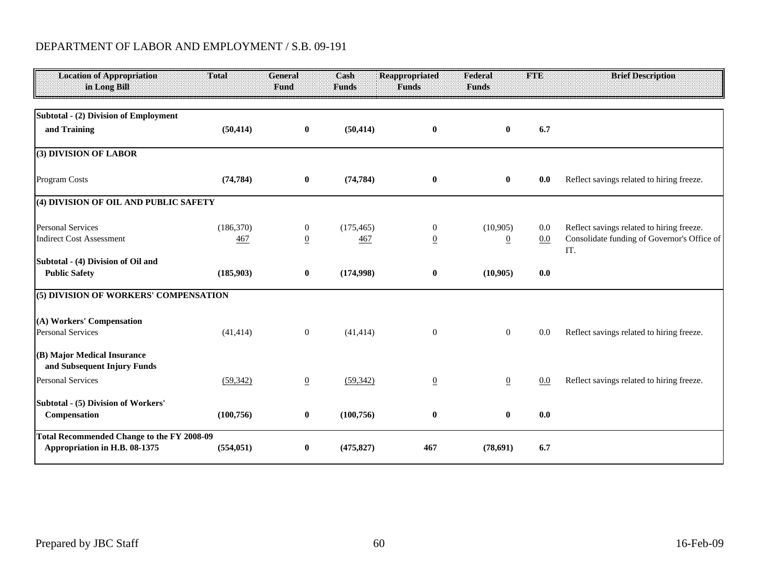# DEPARTMENT OF LABOR AND EMPLOYMENT / S.B. 09-191

| <b>Location of Appropriation</b><br>in Long Bill                                   | <b>Total</b> | General<br>Fund | Cash<br><b>Funds</b> | <b>Reappropriated</b><br><b>Funds</b> | Federal<br><b>Funds</b> | FTE | <b>Brief Description</b>                           |
|------------------------------------------------------------------------------------|--------------|-----------------|----------------------|---------------------------------------|-------------------------|-----|----------------------------------------------------|
| <b>Subtotal - (2) Division of Employment</b>                                       |              |                 |                      |                                       |                         |     |                                                    |
| and Training                                                                       | (50, 414)    | $\bf{0}$        | (50, 414)            | $\bf{0}$                              | $\bf{0}$                | 6.7 |                                                    |
| (3) DIVISION OF LABOR                                                              |              |                 |                      |                                       |                         |     |                                                    |
| Program Costs                                                                      | (74, 784)    | $\bf{0}$        | (74, 784)            | $\bf{0}$                              | $\bf{0}$                | 0.0 | Reflect savings related to hiring freeze.          |
| (4) DIVISION OF OIL AND PUBLIC SAFETY                                              |              |                 |                      |                                       |                         |     |                                                    |
| <b>Personal Services</b>                                                           | (186,370)    | $\overline{0}$  | (175, 465)           | $\mathbf{0}$                          | (10, 905)               | 0.0 | Reflect savings related to hiring freeze.          |
| <b>Indirect Cost Assessment</b>                                                    | 467          | $\overline{0}$  | 467                  | $\overline{0}$                        | $\overline{0}$          | 0.0 | Consolidate funding of Governor's Office of<br>IT. |
| Subtotal - (4) Division of Oil and                                                 |              |                 |                      |                                       |                         |     |                                                    |
| <b>Public Safety</b>                                                               | (185,903)    | $\mathbf{0}$    | (174,998)            | $\bf{0}$                              | (10,905)                | 0.0 |                                                    |
| (5) DIVISION OF WORKERS' COMPENSATION                                              |              |                 |                      |                                       |                         |     |                                                    |
| (A) Workers' Compensation                                                          |              |                 |                      |                                       |                         |     |                                                    |
| <b>Personal Services</b>                                                           | (41, 414)    | $\overline{0}$  | (41, 414)            | $\boldsymbol{0}$                      | $\mathbf{0}$            | 0.0 | Reflect savings related to hiring freeze.          |
| (B) Major Medical Insurance<br>and Subsequent Injury Funds                         |              |                 |                      |                                       |                         |     |                                                    |
| <b>Personal Services</b>                                                           | (59, 342)    | $\overline{0}$  | (59, 342)            | $\overline{0}$                        | $\underline{0}$         | 0.0 | Reflect savings related to hiring freeze.          |
| Subtotal - (5) Division of Workers'                                                |              |                 |                      |                                       |                         |     |                                                    |
| Compensation                                                                       | (100, 756)   | $\bf{0}$        | (100, 756)           | $\bf{0}$                              | $\bf{0}$                | 0.0 |                                                    |
| <b>Total Recommended Change to the FY 2008-09</b><br>Appropriation in H.B. 08-1375 | (554, 051)   | $\bf{0}$        | (475, 827)           | 467                                   | (78,691)                | 6.7 |                                                    |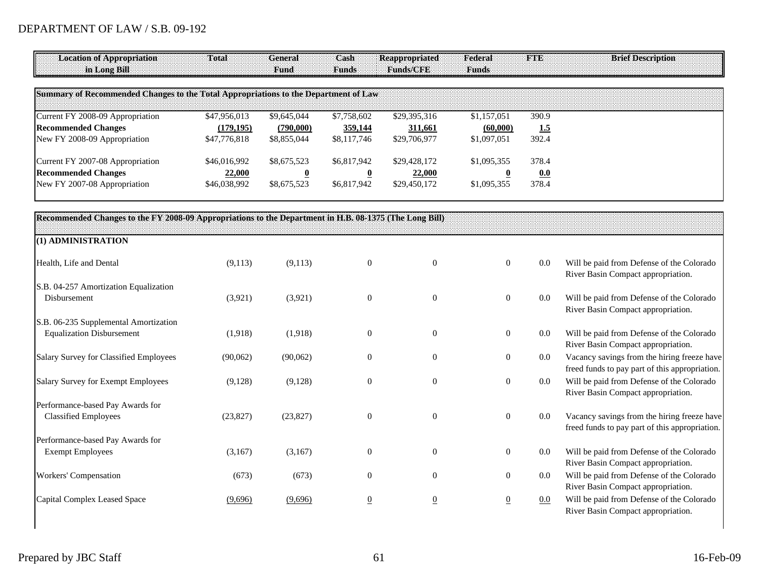| <b>Location of Appropriation</b><br>in Long Bill                                                       | Total                                      | General<br>Fund                                       | Cash<br><b>Funds</b>                                  | <b>Reappropriated</b><br>Funds/CFE      | Federal<br><b>Funds</b>                | FTE                   | <b>Brief Description</b>                                                                      |
|--------------------------------------------------------------------------------------------------------|--------------------------------------------|-------------------------------------------------------|-------------------------------------------------------|-----------------------------------------|----------------------------------------|-----------------------|-----------------------------------------------------------------------------------------------|
| Summary of Recommended Changes to the Total Appropriations to the Department of Law                    |                                            |                                                       |                                                       |                                         |                                        |                       |                                                                                               |
| Current FY 2008-09 Appropriation<br><b>Recommended Changes</b><br>New FY 2008-09 Appropriation         | \$47,956,013<br>(179, 195)<br>\$47,776,818 | \$9,645,044<br>(790,000)<br>\$8,855,044               | \$7,758,602<br>359,144<br>\$8,117,746                 | \$29,395,316<br>311,661<br>\$29,706,977 | \$1,157,051<br>(60,000)<br>\$1,097,051 | 390.9<br>1.5<br>392.4 |                                                                                               |
| Current FY 2007-08 Appropriation<br><b>Recommended Changes</b><br>New FY 2007-08 Appropriation         | \$46,016,992<br>22,000<br>\$46,038,992     | \$8,675,523<br>$\overline{\mathbf{0}}$<br>\$8,675,523 | \$6,817,942<br>$\overline{\mathbf{0}}$<br>\$6,817,942 | \$29,428,172<br>22,000<br>\$29,450,172  | \$1,095,355<br>\$1,095,355             | 378.4<br>0.0<br>378.4 |                                                                                               |
| Recommended Changes to the FY 2008-09 Appropriations to the Department in H.B. 08-1375 (The Long Bill) |                                            |                                                       |                                                       |                                         |                                        |                       |                                                                                               |
| (1) ADMINISTRATION                                                                                     |                                            |                                                       |                                                       |                                         |                                        |                       |                                                                                               |
| Health, Life and Dental                                                                                | (9,113)                                    | (9,113)                                               | $\boldsymbol{0}$                                      | $\boldsymbol{0}$                        | $\mathbf{0}$                           | 0.0                   | Will be paid from Defense of the Colorado<br>River Basin Compact appropriation.               |
| S.B. 04-257 Amortization Equalization<br>Disbursement                                                  | (3,921)                                    | (3,921)                                               | $\boldsymbol{0}$                                      | $\boldsymbol{0}$                        | $\boldsymbol{0}$                       | $0.0\,$               | Will be paid from Defense of the Colorado<br>River Basin Compact appropriation.               |
| S.B. 06-235 Supplemental Amortization<br><b>Equalization Disbursement</b>                              | (1,918)                                    | (1,918)                                               | $\boldsymbol{0}$                                      | $\mathbf{0}$                            | $\boldsymbol{0}$                       | 0.0                   | Will be paid from Defense of the Colorado<br>River Basin Compact appropriation.               |
| Salary Survey for Classified Employees                                                                 | (90,062)                                   | (90,062)                                              | $\boldsymbol{0}$                                      | $\boldsymbol{0}$                        | $\boldsymbol{0}$                       | $0.0\,$               | Vacancy savings from the hiring freeze have<br>freed funds to pay part of this appropriation. |
| Salary Survey for Exempt Employees                                                                     | (9,128)                                    | (9,128)                                               | $\mathbf{0}$                                          | $\theta$                                | $\mathbf{0}$                           | 0.0                   | Will be paid from Defense of the Colorado<br>River Basin Compact appropriation.               |
| Performance-based Pay Awards for<br><b>Classified Employees</b>                                        | (23, 827)                                  | (23, 827)                                             | $\mathbf{0}$                                          | $\mathbf{0}$                            | $\boldsymbol{0}$                       | $0.0\,$               | Vacancy savings from the hiring freeze have<br>freed funds to pay part of this appropriation. |
| Performance-based Pay Awards for<br><b>Exempt Employees</b>                                            | (3,167)                                    | (3,167)                                               | $\boldsymbol{0}$                                      | $\boldsymbol{0}$                        | $\boldsymbol{0}$                       | $0.0\,$               | Will be paid from Defense of the Colorado<br>River Basin Compact appropriation.               |
| Workers' Compensation                                                                                  | (673)                                      | (673)                                                 | $\overline{0}$                                        | $\overline{0}$                          | $\mathbf{0}$                           | $0.0\,$               | Will be paid from Defense of the Colorado<br>River Basin Compact appropriation.               |
| Capital Complex Leased Space                                                                           | (9,696)                                    | (9,696)                                               | $\overline{0}$                                        | $\overline{0}$                          | $\underline{0}$                        | 0.0                   | Will be paid from Defense of the Colorado<br>River Basin Compact appropriation.               |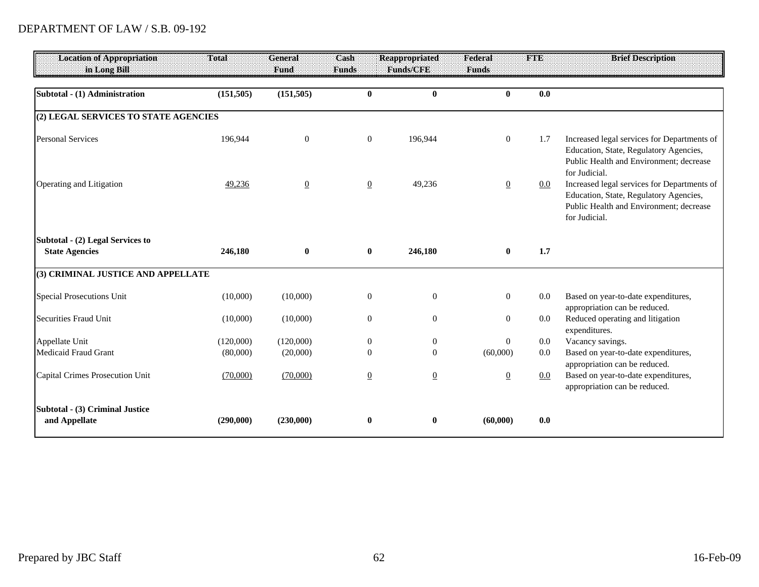| <b>Location of Appropriation</b><br>in Long Bill        | Total      | General<br>Fund | Cash<br><b>Funds</b> | <b>Reappropriated</b><br><b>Funds/CFE</b> | Federal<br>Funds | FIE     | <b>Brief Description</b>                                                                                                                          |
|---------------------------------------------------------|------------|-----------------|----------------------|-------------------------------------------|------------------|---------|---------------------------------------------------------------------------------------------------------------------------------------------------|
| Subtotal - (1) Administration                           | (151, 505) | (151, 505)      | $\mathbf{0}$         | $\mathbf{0}$                              | $\mathbf{0}$     | 0.0     |                                                                                                                                                   |
| (2) LEGAL SERVICES TO STATE AGENCIES                    |            |                 |                      |                                           |                  |         |                                                                                                                                                   |
| <b>Personal Services</b>                                | 196,944    | $\overline{0}$  | $\boldsymbol{0}$     | 196,944                                   | $\mathbf{0}$     | 1.7     | Increased legal services for Departments of<br>Education, State, Regulatory Agencies,<br>Public Health and Environment; decrease<br>for Judicial. |
| Operating and Litigation                                | 49,236     | $\overline{0}$  | $\overline{0}$       | 49,236                                    | $\overline{0}$   | 0.0     | Increased legal services for Departments of<br>Education, State, Regulatory Agencies,<br>Public Health and Environment; decrease<br>for Judicial. |
| Subtotal - (2) Legal Services to                        |            |                 |                      |                                           |                  |         |                                                                                                                                                   |
| <b>State Agencies</b>                                   | 246,180    | $\mathbf{0}$    | $\bf{0}$             | 246,180                                   | $\bf{0}$         | 1.7     |                                                                                                                                                   |
| (3) CRIMINAL JUSTICE AND APPELLATE                      |            |                 |                      |                                           |                  |         |                                                                                                                                                   |
| Special Prosecutions Unit                               | (10,000)   | (10,000)        | $\boldsymbol{0}$     | $\boldsymbol{0}$                          | $\boldsymbol{0}$ | 0.0     | Based on year-to-date expenditures,<br>appropriation can be reduced.                                                                              |
| <b>Securities Fraud Unit</b>                            | (10,000)   | (10,000)        | $\theta$             | $\theta$                                  | $\mathbf{0}$     | $0.0\,$ | Reduced operating and litigation<br>expenditures.                                                                                                 |
| Appellate Unit                                          | (120,000)  | (120,000)       | $\boldsymbol{0}$     | $\boldsymbol{0}$                          | $\mathbf{0}$     | $0.0\,$ | Vacancy savings.                                                                                                                                  |
| <b>Medicaid Fraud Grant</b>                             | (80,000)   | (20,000)        | $\Omega$             | $\Omega$                                  | (60,000)         | 0.0     | Based on year-to-date expenditures,                                                                                                               |
| Capital Crimes Prosecution Unit                         | (70,000)   | (70,000)        | $\overline{0}$       | $\overline{0}$                            | $\underline{0}$  | 0.0     | appropriation can be reduced.<br>Based on year-to-date expenditures,<br>appropriation can be reduced.                                             |
| <b>Subtotal - (3) Criminal Justice</b><br>and Appellate | (290,000)  | (230,000)       | $\bf{0}$             | $\bf{0}$                                  | (60,000)         | 0.0     |                                                                                                                                                   |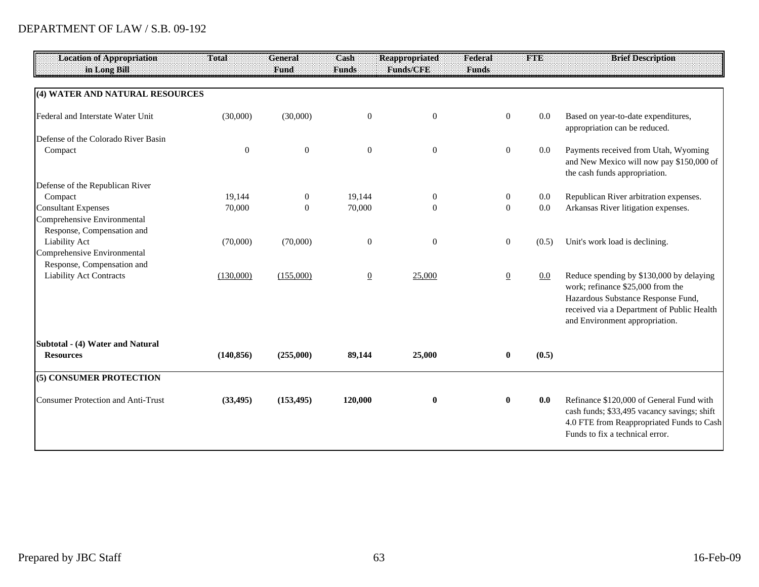| 0.0<br>Based on year-to-date expenditures,<br>appropriation can be reduced.                                                                                                                                |
|------------------------------------------------------------------------------------------------------------------------------------------------------------------------------------------------------------|
|                                                                                                                                                                                                            |
|                                                                                                                                                                                                            |
|                                                                                                                                                                                                            |
|                                                                                                                                                                                                            |
| Payments received from Utah, Wyoming<br>$0.0\,$<br>and New Mexico will now pay \$150,000 of<br>the cash funds appropriation.                                                                               |
|                                                                                                                                                                                                            |
| Republican River arbitration expenses.<br>$0.0\,$                                                                                                                                                          |
| Arkansas River litigation expenses.<br>0.0                                                                                                                                                                 |
|                                                                                                                                                                                                            |
|                                                                                                                                                                                                            |
| Unit's work load is declining.<br>(0.5)                                                                                                                                                                    |
|                                                                                                                                                                                                            |
|                                                                                                                                                                                                            |
| Reduce spending by \$130,000 by delaying<br>0.0<br>work; refinance \$25,000 from the<br>Hazardous Substance Response Fund,<br>received via a Department of Public Health<br>and Environment appropriation. |
|                                                                                                                                                                                                            |
| (0.5)                                                                                                                                                                                                      |
|                                                                                                                                                                                                            |
| Refinance \$120,000 of General Fund with<br>0.0<br>cash funds; \$33,495 vacancy savings; shift<br>4.0 FTE from Reappropriated Funds to Cash<br>Funds to fix a technical error.                             |
|                                                                                                                                                                                                            |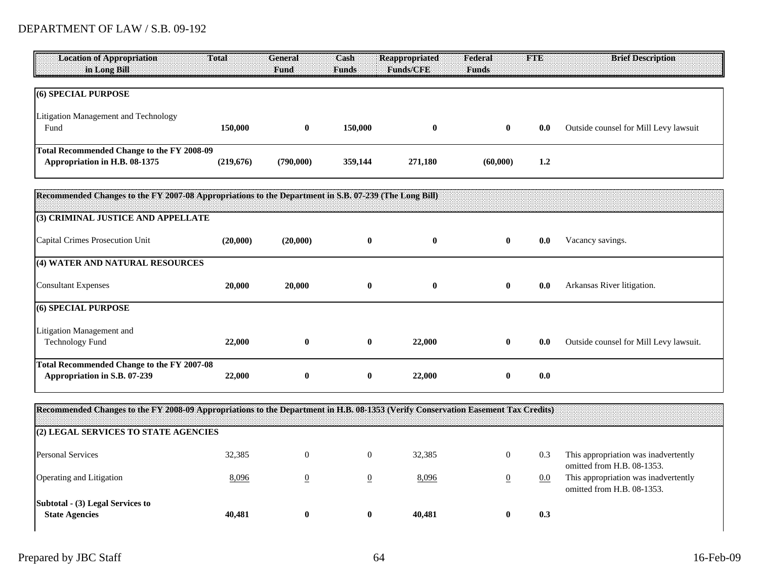| <b>Location of Appropriation</b>           | Total     | General   | Cash         | Reappropriated   | Federal      |         | <b>Brief Description</b><br><b>BENDER ANDERSON ANDERSON ANDERS SOM DE SON DE SON DE SON DE SON DE SON DE SON DE SON DE SON DE SON DE SON DE</b> |
|--------------------------------------------|-----------|-----------|--------------|------------------|--------------|---------|-------------------------------------------------------------------------------------------------------------------------------------------------|
| in Long Bill                               |           | :Fund     | <b>Funds</b> | <b>Funds/CFE</b> | <b>Funds</b> |         |                                                                                                                                                 |
|                                            |           |           |              |                  |              |         |                                                                                                                                                 |
| (6) SPECIAL PURPOSE                        |           |           |              |                  |              |         |                                                                                                                                                 |
| Litigation Management and Technology       |           |           |              |                  |              |         |                                                                                                                                                 |
| Fund                                       | 150,000   | v         | 150,000      |                  |              | 0.0     | Outside counsel for Mill Levy lawsuit                                                                                                           |
|                                            |           |           |              |                  |              |         |                                                                                                                                                 |
| Total Recommended Change to the FY 2008-09 |           |           |              |                  |              |         |                                                                                                                                                 |
| Appropriation in H.B. 08-1375              | (219,676) | (790,000) | 359,144      | 271,180          | (60,000)     | $1.2\,$ |                                                                                                                                                 |

| Recommended Changes to the FY 2007-08 Appropriations to the Department in S.B. 07-239 (The Long Bill) |          |          |          |          |          |     |                                        |
|-------------------------------------------------------------------------------------------------------|----------|----------|----------|----------|----------|-----|----------------------------------------|
| (3) CRIMINAL JUSTICE AND APPELLATE                                                                    |          |          |          |          |          |     |                                        |
| Capital Crimes Prosecution Unit                                                                       | (20,000) | (20,000) | $\bf{0}$ | $\bf{0}$ | $\bf{0}$ | 0.0 | Vacancy savings.                       |
| (4) WATER AND NATURAL RESOURCES                                                                       |          |          |          |          |          |     |                                        |
| <b>Consultant Expenses</b>                                                                            | 20,000   | 20,000   | $\bf{0}$ | $\bf{0}$ | $\bf{0}$ | 0.0 | Arkansas River litigation.             |
| (6) SPECIAL PURPOSE                                                                                   |          |          |          |          |          |     |                                        |
| Litigation Management and<br><b>Technology Fund</b>                                                   | 22,000   | $\bf{0}$ | $\bf{0}$ | 22,000   | $\bf{0}$ | 0.0 | Outside counsel for Mill Levy lawsuit. |
| Total Recommended Change to the FY 2007-08<br>Appropriation in S.B. 07-239                            | 22,000   | $\bf{0}$ | $\bf{0}$ | 22,000   | $\bf{0}$ | 0.0 |                                        |

**Recommended Changes to the FY 2008-09 Appropriations to the Department in H.B. 08-1353 (Verify Conservation Easement Tax Credits)**

| (2) LEGAL SERVICES TO STATE AGENCIES                             |        |          |   |        |            |                                                                    |
|------------------------------------------------------------------|--------|----------|---|--------|------------|--------------------------------------------------------------------|
| <b>Personal Services</b>                                         | 32,385 | $\theta$ | O | 32,385 | 0.3        | This appropriation was inadvertently<br>omitted from H.B. 08-1353. |
| <b>Operating and Litigation</b>                                  | 8,096  |          |   | 8,096  | <u>0.0</u> | This appropriation was inadvertently<br>omitted from H.B. 08-1353. |
| <b>Subtotal - (3) Legal Services to</b><br><b>State Agencies</b> | 40,481 | 0        | v | 40,481 | 0.3        |                                                                    |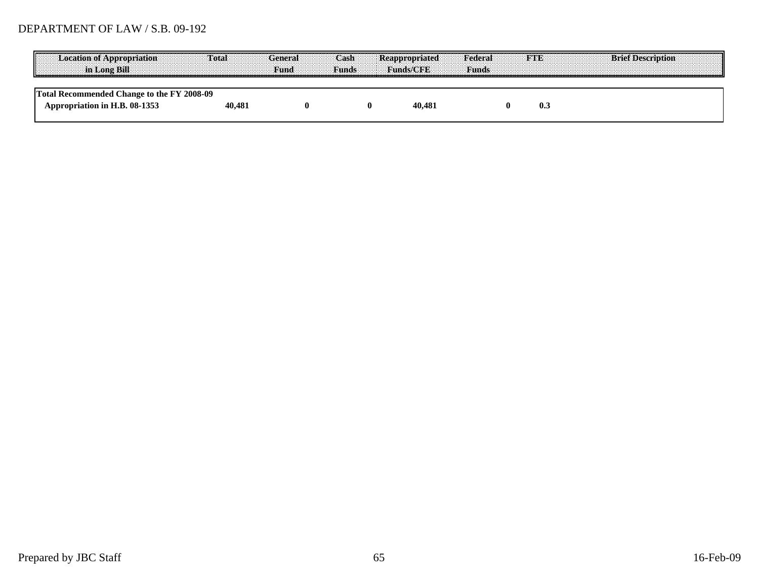| .<br><b>Example 2018</b> In Long Rill <b>Example 2019</b> Fund <b>Example 2019</b> Fund <b>Example 2019</b> | Tota   | ast |        | Federal |            |  |
|-------------------------------------------------------------------------------------------------------------|--------|-----|--------|---------|------------|--|
| commended Change to the FY 2008-09<br>ropriation in H.B. 08-1353                                            | 40.481 |     | 40.481 |         | <b>U.L</b> |  |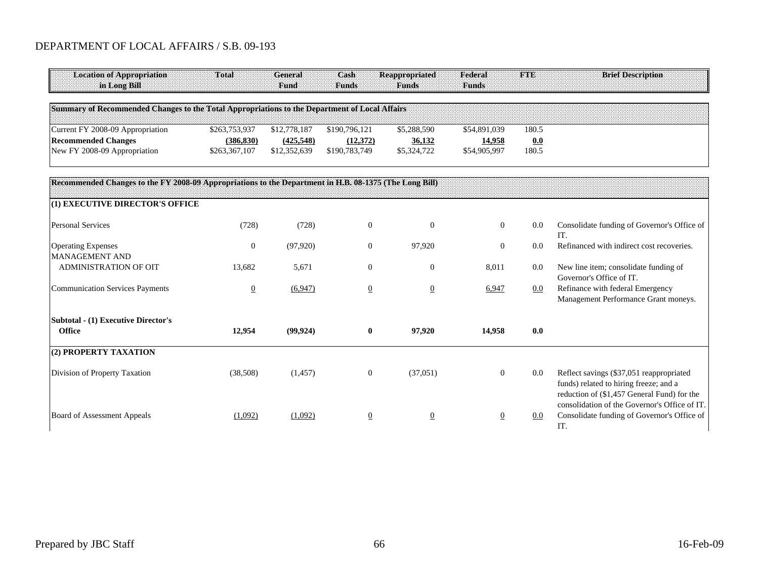### DEPARTMENT OF LOCAL AFFAIRS / S.B. 09-193

| <b>Location of Appropriation</b><br>in Long Bill                                                       | Total                       | General<br>Fund           | Cash<br><b>Funds</b>      | <b>Reappropriated</b><br><b>Funds</b> | Federal<br>Funds       | <b>FTE</b>   | <b>Brief Description</b>                                                                                                                                                           |
|--------------------------------------------------------------------------------------------------------|-----------------------------|---------------------------|---------------------------|---------------------------------------|------------------------|--------------|------------------------------------------------------------------------------------------------------------------------------------------------------------------------------------|
| Summary of Recommended Changes to the Total Appropriations to the Department of Local Affairs          |                             |                           |                           |                                       |                        |              |                                                                                                                                                                                    |
|                                                                                                        |                             |                           |                           |                                       |                        | 180.5        |                                                                                                                                                                                    |
| Current FY 2008-09 Appropriation                                                                       | \$263,753,937               | \$12,778,187              | \$190,796,121             | \$5,288,590                           | \$54,891,039           |              |                                                                                                                                                                                    |
| <b>Recommended Changes</b><br>New FY 2008-09 Appropriation                                             | (386, 830)<br>\$263,367,107 | (425,548)<br>\$12,352,639 | (12,372)<br>\$190,783,749 | 36,132<br>\$5,324,722                 | 14,958<br>\$54,905,997 | 0.0<br>180.5 |                                                                                                                                                                                    |
| Recommended Changes to the FY 2008-09 Appropriations to the Department in H.B. 08-1375 (The Long Bill) |                             |                           |                           |                                       |                        |              |                                                                                                                                                                                    |
| (1) EXECUTIVE DIRECTOR'S OFFICE                                                                        |                             |                           |                           |                                       |                        |              |                                                                                                                                                                                    |
| <b>Personal Services</b>                                                                               | (728)                       | (728)                     | $\mathbf{0}$              | $\mathbf{0}$                          | $\overline{0}$         | 0.0          | Consolidate funding of Governor's Office of                                                                                                                                        |
| <b>Operating Expenses</b><br><b>MANAGEMENT AND</b>                                                     | $\mathbf{0}$                | (97, 920)                 | $\mathbf{0}$              | 97,920                                | $\overline{0}$         | 0.0          | IT.<br>Refinanced with indirect cost recoveries.                                                                                                                                   |
| ADMINISTRATION OF OIT                                                                                  | 13,682                      | 5,671                     | $\theta$                  | $\mathbf{0}$                          | 8,011                  | 0.0          | New line item; consolidate funding of<br>Governor's Office of IT.                                                                                                                  |
| <b>Communication Services Payments</b>                                                                 | $\overline{0}$              | (6,947)                   | $\overline{0}$            | $\overline{0}$                        | 6,947                  | $0.0\,$      | Refinance with federal Emergency<br>Management Performance Grant moneys.                                                                                                           |
| <b>Subtotal - (1) Executive Director's</b><br><b>Office</b>                                            | 12,954                      | (99, 924)                 | $\bf{0}$                  | 97,920                                | 14,958                 | 0.0          |                                                                                                                                                                                    |
|                                                                                                        |                             |                           |                           |                                       |                        |              |                                                                                                                                                                                    |
| (2) PROPERTY TAXATION                                                                                  |                             |                           |                           |                                       |                        |              |                                                                                                                                                                                    |
| Division of Property Taxation                                                                          | (38,508)                    | (1, 457)                  | $\mathbf{0}$              | (37,051)                              | $\mathbf{0}$           | $0.0\,$      | Reflect savings (\$37,051 reappropriated<br>funds) related to hiring freeze; and a<br>reduction of (\$1,457 General Fund) for the<br>consolidation of the Governor's Office of IT. |
| <b>Board of Assessment Appeals</b>                                                                     | (1,092)                     | (1,092)                   | $\overline{0}$            | $\overline{0}$                        | $\overline{0}$         | $0.0\,$      | Consolidate funding of Governor's Office of<br>IT.                                                                                                                                 |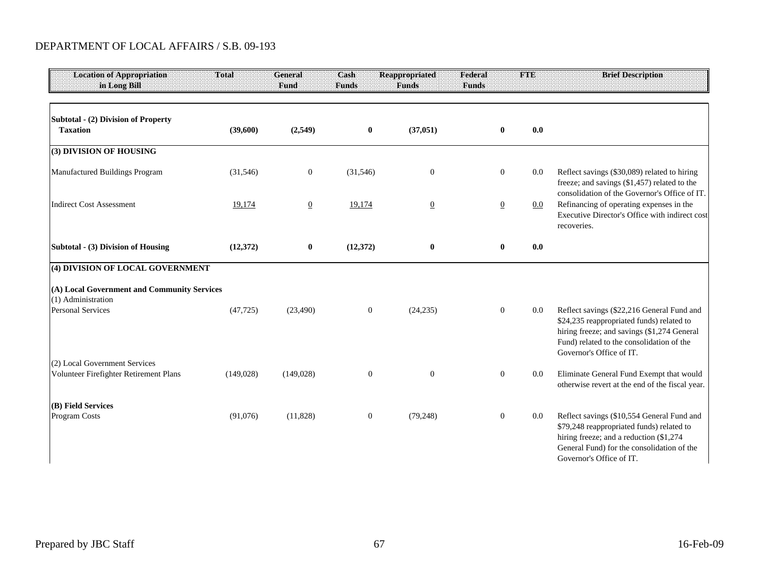### DEPARTMENT OF LOCAL AFFAIRS / S.B. 09-193

| <b>Location of Appropriation</b><br>in Long Bill                  | Total      | General<br>Fund  | Cash<br><b>Funds</b> | <b>Reappropriated</b><br><b>Funds</b> | Federal<br><b>Funds</b> | FIE                       | <b>Brief Description</b>                                                                                                                                                                                        |
|-------------------------------------------------------------------|------------|------------------|----------------------|---------------------------------------|-------------------------|---------------------------|-----------------------------------------------------------------------------------------------------------------------------------------------------------------------------------------------------------------|
| Subtotal - (2) Division of Property<br><b>Taxation</b>            | (39,600)   | (2,549)          | $\bf{0}$             | (37, 051)                             |                         | $\bf{0}$<br>0.0           |                                                                                                                                                                                                                 |
| (3) DIVISION OF HOUSING                                           |            |                  |                      |                                       |                         |                           |                                                                                                                                                                                                                 |
| Manufactured Buildings Program                                    | (31, 546)  | $\boldsymbol{0}$ | (31, 546)            | $\mathbf{0}$                          |                         | $\boldsymbol{0}$<br>0.0   | Reflect savings (\$30,089) related to hiring<br>freeze; and savings (\$1,457) related to the<br>consolidation of the Governor's Office of IT.                                                                   |
| <b>Indirect Cost Assessment</b>                                   | 19,174     | $\overline{0}$   | 19,174               | $\overline{0}$                        |                         | $\overline{0}$<br>$0.0\,$ | Refinancing of operating expenses in the<br>Executive Director's Office with indirect cost<br>recoveries.                                                                                                       |
| Subtotal - (3) Division of Housing                                | (12, 372)  | $\bf{0}$         | (12, 372)            | $\boldsymbol{0}$                      |                         | $\bf{0}$<br>0.0           |                                                                                                                                                                                                                 |
| (4) DIVISION OF LOCAL GOVERNMENT                                  |            |                  |                      |                                       |                         |                           |                                                                                                                                                                                                                 |
| (A) Local Government and Community Services<br>(1) Administration |            |                  |                      |                                       |                         |                           |                                                                                                                                                                                                                 |
| <b>Personal Services</b>                                          | (47, 725)  | (23, 490)        | $\mathbf{0}$         | (24, 235)                             |                         | $\mathbf{0}$<br>0.0       | Reflect savings (\$22,216 General Fund and<br>\$24,235 reappropriated funds) related to<br>hiring freeze; and savings (\$1,274 General<br>Fund) related to the consolidation of the<br>Governor's Office of IT. |
| (2) Local Government Services                                     |            |                  |                      |                                       |                         |                           |                                                                                                                                                                                                                 |
| Volunteer Firefighter Retirement Plans                            | (149, 028) | (149, 028)       | $\boldsymbol{0}$     | $\boldsymbol{0}$                      |                         | $\boldsymbol{0}$<br>0.0   | Eliminate General Fund Exempt that would<br>otherwise revert at the end of the fiscal year.                                                                                                                     |
| (B) Field Services                                                |            |                  |                      |                                       |                         |                           |                                                                                                                                                                                                                 |
| Program Costs                                                     | (91,076)   | (11,828)         | $\boldsymbol{0}$     | (79, 248)                             |                         | $\boldsymbol{0}$<br>0.0   | Reflect savings (\$10,554 General Fund and<br>\$79,248 reappropriated funds) related to<br>hiring freeze; and a reduction (\$1,274)<br>General Fund) for the consolidation of the<br>Governor's Office of IT.   |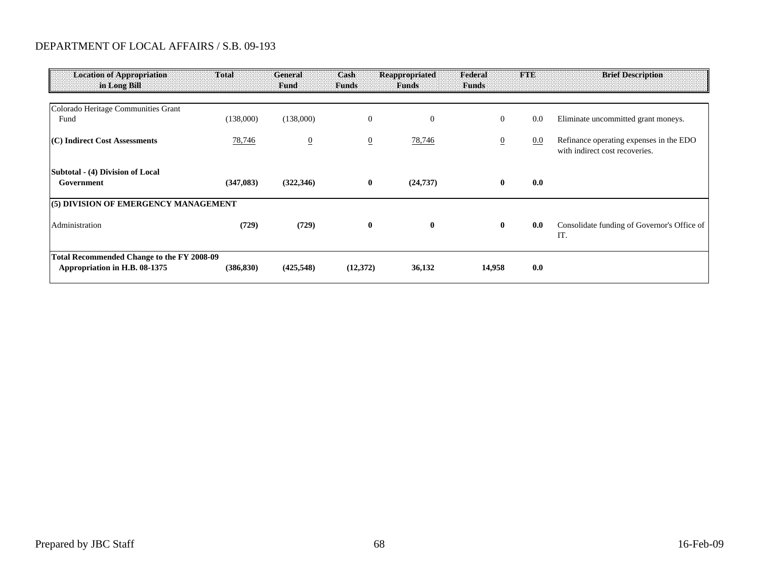### DEPARTMENT OF LOCAL AFFAIRS / S.B. 09-193

| <b>Location of Appropriation</b><br>in Long Bill                            | Total      | General<br>Fund | Cash<br><b>Funds</b> | <b>Reappropriated</b><br><b>Funds</b> | Federal<br><b>Funds</b> | <b>FTE</b> | <b>Brief Description</b>                                                  |
|-----------------------------------------------------------------------------|------------|-----------------|----------------------|---------------------------------------|-------------------------|------------|---------------------------------------------------------------------------|
|                                                                             |            |                 |                      |                                       |                         |            |                                                                           |
| Colorado Heritage Communities Grant<br>Fund                                 | (138,000)  | (138,000)       | $\mathbf{0}$         | $\theta$                              | $\mathbf{0}$            | 0.0        | Eliminate uncommitted grant moneys.                                       |
| (C) Indirect Cost Assessments                                               | 78,746     | $\overline{0}$  | $\overline{0}$       | 78,746                                | $\overline{0}$          | 0.0        | Refinance operating expenses in the EDO<br>with indirect cost recoveries. |
| Subtotal - (4) Division of Local<br>Government                              | (347, 083) | (322, 346)      | $\bf{0}$             | (24, 737)                             | $\bf{0}$                | 0.0        |                                                                           |
| (5) DIVISION OF EMERGENCY MANAGEMENT                                        |            |                 |                      |                                       |                         |            |                                                                           |
| Administration                                                              | (729)      | (729)           | $\bf{0}$             | $\bf{0}$                              | $\bf{0}$                | 0.0        | Consolidate funding of Governor's Office of<br>IT.                        |
| Total Recommended Change to the FY 2008-09<br>Appropriation in H.B. 08-1375 | (386, 830) | (425, 548)      | (12,372)             | 36,132                                | 14,958                  | 0.0        |                                                                           |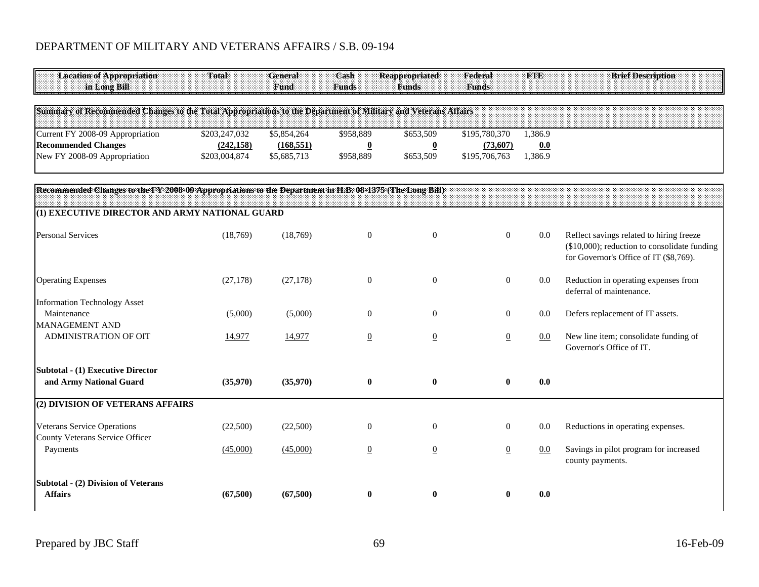# DEPARTMENT OF MILITARY AND VETERANS AFFAIRS / S.B. 09-194

| <b>Location of Appropriation</b><br>in Long Bill                                                              | Total                                        | <b>General</b><br>Fund                   | Cash<br><b>Funds</b>                              | <b>Reappropriated</b><br><b>Funds</b>             | Federal<br><b>Funds</b>                    | <b>FTE</b>                | <b>Brief Description</b>                                                                                                           |
|---------------------------------------------------------------------------------------------------------------|----------------------------------------------|------------------------------------------|---------------------------------------------------|---------------------------------------------------|--------------------------------------------|---------------------------|------------------------------------------------------------------------------------------------------------------------------------|
| Summary of Recommended Changes to the Total Appropriations to the Department of Military and Veterans Affairs |                                              |                                          |                                                   |                                                   |                                            |                           |                                                                                                                                    |
| Current FY 2008-09 Appropriation<br><b>Recommended Changes</b><br>New FY 2008-09 Appropriation                | \$203,247,032<br>(242, 158)<br>\$203,004,874 | \$5,854,264<br>(168, 551)<br>\$5,685,713 | \$958,889<br>$\overline{\mathbf{0}}$<br>\$958,889 | \$653,509<br>$\overline{\mathbf{0}}$<br>\$653,509 | \$195,780,370<br>(73,607)<br>\$195,706,763 | 1,386.9<br>0.0<br>1,386.9 |                                                                                                                                    |
| Recommended Changes to the FY 2008-09 Appropriations to the Department in H.B. 08-1375 (The Long Bill)        |                                              |                                          |                                                   |                                                   |                                            |                           |                                                                                                                                    |
| (1) EXECUTIVE DIRECTOR AND ARMY NATIONAL GUARD                                                                |                                              |                                          |                                                   |                                                   |                                            |                           |                                                                                                                                    |
| <b>Personal Services</b>                                                                                      | (18,769)                                     | (18, 769)                                | $\boldsymbol{0}$                                  | $\mathbf{0}$                                      | $\mathbf{0}$                               | $0.0\,$                   | Reflect savings related to hiring freeze<br>(\$10,000); reduction to consolidate funding<br>for Governor's Office of IT (\$8,769). |
| <b>Operating Expenses</b>                                                                                     | (27, 178)                                    | (27, 178)                                | $\boldsymbol{0}$                                  | $\mathbf{0}$                                      | $\boldsymbol{0}$                           | 0.0                       | Reduction in operating expenses from<br>deferral of maintenance.                                                                   |
| <b>Information Technology Asset</b><br>Maintenance<br><b>MANAGEMENT AND</b>                                   | (5,000)                                      | (5,000)                                  | $\overline{0}$                                    | $\overline{0}$                                    | $\overline{0}$                             | 0.0                       | Defers replacement of IT assets.                                                                                                   |
| ADMINISTRATION OF OIT                                                                                         | 14,977                                       | 14,977                                   | $\Omega$                                          | $\underline{0}$                                   | $\overline{0}$                             | $0.0\,$                   | New line item; consolidate funding of<br>Governor's Office of IT.                                                                  |
| Subtotal - (1) Executive Director<br>and Army National Guard                                                  | (35,970)                                     | (35,970)                                 | $\bf{0}$                                          | $\bf{0}$                                          | $\mathbf{0}$                               | 0.0                       |                                                                                                                                    |
| (2) DIVISION OF VETERANS AFFAIRS                                                                              |                                              |                                          |                                                   |                                                   |                                            |                           |                                                                                                                                    |
| <b>Veterans Service Operations</b><br>County Veterans Service Officer                                         | (22,500)                                     | (22,500)                                 | $\mathbf{0}$                                      | $\mathbf{0}$                                      | $\overline{0}$                             | 0.0                       | Reductions in operating expenses.                                                                                                  |
| Payments                                                                                                      | (45,000)                                     | (45,000)                                 | $\overline{0}$                                    | $\underline{0}$                                   | $\underline{0}$                            | 0.0                       | Savings in pilot program for increased<br>county payments.                                                                         |
| <b>Subtotal - (2) Division of Veterans</b><br><b>Affairs</b>                                                  | (67,500)                                     | (67,500)                                 | $\bf{0}$                                          | $\bf{0}$                                          | 0                                          | 0.0                       |                                                                                                                                    |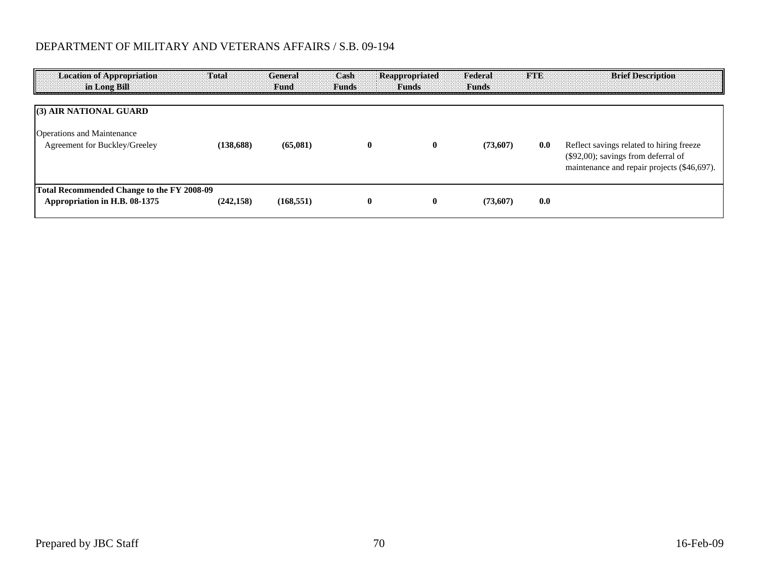# DEPARTMENT OF MILITARY AND VETERANS AFFAIRS / S.B. 09-194

| <b>Location of Appropriation</b><br>in Long Bill                            | Total      | General<br>Fund | Cash<br><b>Funds</b> | Reappropriated<br><b>Funds</b> | Federal<br><b>Funds</b> |     | <b>Brief Description</b>                                                                                                          |
|-----------------------------------------------------------------------------|------------|-----------------|----------------------|--------------------------------|-------------------------|-----|-----------------------------------------------------------------------------------------------------------------------------------|
| (3) AIR NATIONAL GUARD                                                      |            |                 |                      |                                |                         |     |                                                                                                                                   |
| <b>Operations and Maintenance</b><br>Agreement for Buckley/Greeley          | (138.688)  | (65,081)        | 0                    | $\mathbf{0}$                   | (73,607)                | 0.0 | Reflect savings related to hiring freeze<br>$(\$92,00)$ ; savings from deferral of<br>maintenance and repair projects (\$46,697). |
| Total Recommended Change to the FY 2008-09<br>Appropriation in H.B. 08-1375 | (242, 158) | (168, 551)      | $\bf{0}$             | $\mathbf{0}$                   | (73,607)                | 0.0 |                                                                                                                                   |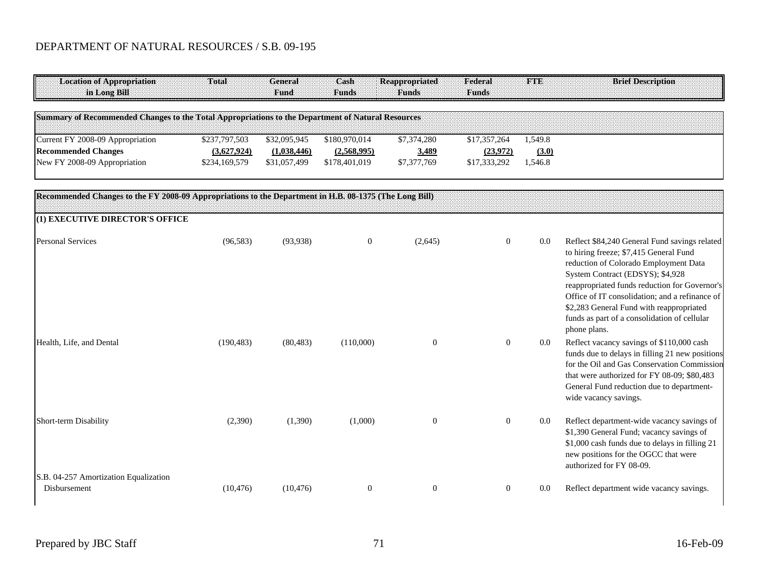| Location of Appropriation<br>in Long Bill                                                 | Total                       | General<br><b>Fund</b> :   | Cash<br>:Runds:              | : Funds                     | Federal<br>Funds         |                  |  |  |
|-------------------------------------------------------------------------------------------|-----------------------------|----------------------------|------------------------------|-----------------------------|--------------------------|------------------|--|--|
| of Recommended Changes to the Total Appropriations to the Department of Natural Resources |                             |                            |                              |                             |                          |                  |  |  |
| Current FY 2008-09 Appropriation                                                          | \$237,797,503               | \$32,095,945               | \$180,970,014                | \$7,374,280                 | \$17,357,264             | 1,549.8          |  |  |
| <b>Recommended Changes</b><br>New FY 2008-09 Appropriation                                | 3,627,924)<br>\$234,169,579 | (1.038.446<br>\$31,057,499 | (2,568,995)<br>\$178,401,019 | <u>3,489</u><br>\$7,377,769 | (23,972)<br>\$17,333,292 | (3.0)<br>1,546.8 |  |  |

| Recommended Changes to the FY 2008-09 Appropriations to the Department in H.B. 08-1375 (The Long Bill) |            |           |                  |                |              |     |                                                                                                                                                                                                                                                                                                                                                                                     |
|--------------------------------------------------------------------------------------------------------|------------|-----------|------------------|----------------|--------------|-----|-------------------------------------------------------------------------------------------------------------------------------------------------------------------------------------------------------------------------------------------------------------------------------------------------------------------------------------------------------------------------------------|
| (1) EXECUTIVE DIRECTOR'S OFFICE                                                                        |            |           |                  |                |              |     |                                                                                                                                                                                                                                                                                                                                                                                     |
| <b>Personal Services</b>                                                                               | (96, 583)  | (93, 938) | $\boldsymbol{0}$ | (2,645)        | $\mathbf{0}$ | 0.0 | Reflect \$84,240 General Fund savings related<br>to hiring freeze; \$7,415 General Fund<br>reduction of Colorado Employment Data<br>System Contract (EDSYS); \$4,928<br>reappropriated funds reduction for Governor's<br>Office of IT consolidation; and a refinance of<br>\$2,283 General Fund with reappropriated<br>funds as part of a consolidation of cellular<br>phone plans. |
| Health, Life, and Dental                                                                               | (190, 483) | (80, 483) | (110,000)        | $\overline{0}$ | $\Omega$     | 0.0 | Reflect vacancy savings of \$110,000 cash<br>funds due to delays in filling 21 new positions<br>for the Oil and Gas Conservation Commission<br>that were authorized for FY 08-09; \$80,483<br>General Fund reduction due to department-<br>wide vacancy savings.                                                                                                                    |
| Short-term Disability                                                                                  | (2,390)    | (1,390)   | (1,000)          | $\mathbf{0}$   | $\mathbf{0}$ | 0.0 | Reflect department-wide vacancy savings of<br>\$1,390 General Fund; vacancy savings of<br>\$1,000 cash funds due to delays in filling 21<br>new positions for the OGCC that were<br>authorized for FY 08-09.                                                                                                                                                                        |
| S.B. 04-257 Amortization Equalization<br>Disbursement                                                  | (10, 476)  | (10, 476) | $\overline{0}$   | $\Omega$       | $\Omega$     | 0.0 | Reflect department wide vacancy savings.                                                                                                                                                                                                                                                                                                                                            |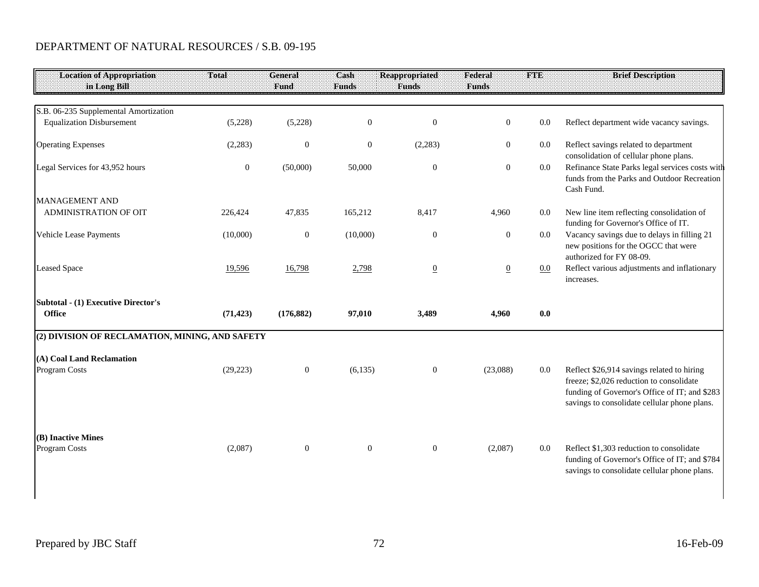| <b>Location of Appropriation</b><br>in Long Bill | Total            | General<br>Fund | Cash<br><b>Funds</b> | <b>Reappropriated</b><br><b>Funds</b> | Federal<br><b>Funds</b> | <b>FTE</b> | <b>Brief Description</b>                                                                                                                                                                |
|--------------------------------------------------|------------------|-----------------|----------------------|---------------------------------------|-------------------------|------------|-----------------------------------------------------------------------------------------------------------------------------------------------------------------------------------------|
|                                                  |                  |                 |                      |                                       |                         |            |                                                                                                                                                                                         |
| S.B. 06-235 Supplemental Amortization            |                  |                 |                      |                                       |                         |            |                                                                                                                                                                                         |
| <b>Equalization Disbursement</b>                 | (5,228)          | (5,228)         | $\boldsymbol{0}$     | $\boldsymbol{0}$                      | $\mathbf{0}$            | 0.0        | Reflect department wide vacancy savings.                                                                                                                                                |
| <b>Operating Expenses</b>                        | (2,283)          | $\mathbf{0}$    | $\boldsymbol{0}$     | (2,283)                               | $\boldsymbol{0}$        | $0.0\,$    | Reflect savings related to department<br>consolidation of cellular phone plans.                                                                                                         |
| Legal Services for 43,952 hours                  | $\boldsymbol{0}$ | (50,000)        | 50,000               | $\mathbf{0}$                          | $\overline{0}$          | $0.0\,$    | Refinance State Parks legal services costs with<br>funds from the Parks and Outdoor Recreation<br>Cash Fund.                                                                            |
| MANAGEMENT AND                                   |                  |                 |                      |                                       |                         |            |                                                                                                                                                                                         |
| ADMINISTRATION OF OIT                            | 226,424          | 47,835          | 165,212              | 8,417                                 | 4,960                   | $0.0\,$    | New line item reflecting consolidation of<br>funding for Governor's Office of IT.                                                                                                       |
| Vehicle Lease Payments                           | (10,000)         | $\mathbf{0}$    | (10,000)             | $\boldsymbol{0}$                      | $\boldsymbol{0}$        | $0.0\,$    | Vacancy savings due to delays in filling 21<br>new positions for the OGCC that were<br>authorized for FY 08-09.                                                                         |
| <b>Leased Space</b>                              | 19,596           | 16,798          | 2,798                | $\overline{0}$                        | $\overline{0}$          | $0.0\,$    | Reflect various adjustments and inflationary<br>increases.                                                                                                                              |
| Subtotal - (1) Executive Director's              |                  |                 |                      |                                       |                         |            |                                                                                                                                                                                         |
| <b>Office</b>                                    | (71, 423)        | (176, 882)      | 97,010               | 3,489                                 | 4,960                   | 0.0        |                                                                                                                                                                                         |
| (2) DIVISION OF RECLAMATION, MINING, AND SAFETY  |                  |                 |                      |                                       |                         |            |                                                                                                                                                                                         |
| (A) Coal Land Reclamation                        |                  |                 |                      |                                       |                         |            |                                                                                                                                                                                         |
| Program Costs                                    | (29, 223)        | $\overline{0}$  | (6,135)              | $\boldsymbol{0}$                      | (23,088)                | $0.0\,$    | Reflect \$26,914 savings related to hiring<br>freeze; \$2,026 reduction to consolidate<br>funding of Governor's Office of IT; and \$283<br>savings to consolidate cellular phone plans. |
| (B) Inactive Mines<br>Program Costs              | (2,087)          | $\overline{0}$  | $\mathbf{0}$         | $\mathbf{0}$                          | (2,087)                 | $0.0\,$    | Reflect \$1,303 reduction to consolidate<br>funding of Governor's Office of IT; and \$784<br>savings to consolidate cellular phone plans.                                               |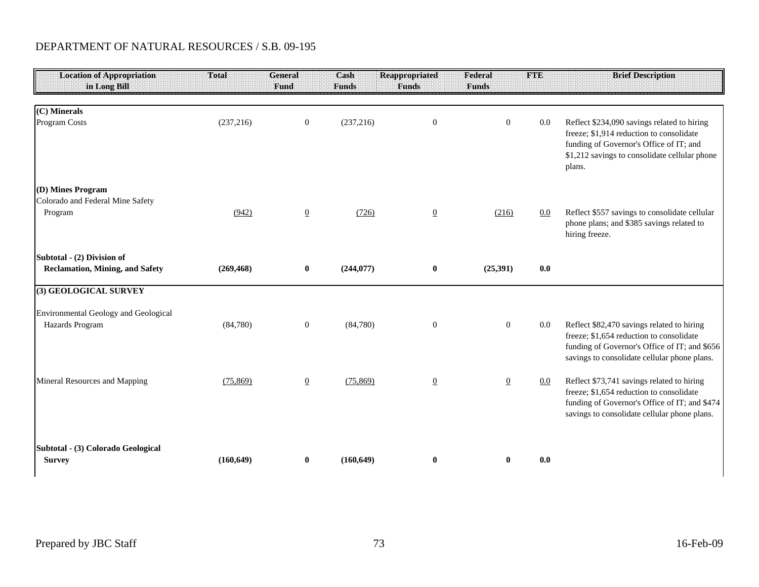| <b>Location of Appropriation</b><br>in Long Bill        | Total      | <b>General</b><br>Fund | Cash<br><b>Funds</b> | <b>Reappropriated</b><br><b>Funds</b> | Federal<br><b>Funds</b> | <b>FTE</b> | <b>Brief Description</b>                                                                                                                                                                      |
|---------------------------------------------------------|------------|------------------------|----------------------|---------------------------------------|-------------------------|------------|-----------------------------------------------------------------------------------------------------------------------------------------------------------------------------------------------|
|                                                         |            |                        |                      |                                       |                         |            |                                                                                                                                                                                               |
| (C) Minerals<br>Program Costs                           | (237, 216) | $\boldsymbol{0}$       | (237, 216)           | $\boldsymbol{0}$                      | $\mathbf{0}$            | $0.0\,$    | Reflect \$234,090 savings related to hiring<br>freeze; \$1,914 reduction to consolidate<br>funding of Governor's Office of IT; and<br>\$1,212 savings to consolidate cellular phone<br>plans. |
| (D) Mines Program                                       |            |                        |                      |                                       |                         |            |                                                                                                                                                                                               |
| Colorado and Federal Mine Safety<br>Program             | (942)      | $\overline{0}$         | (726)                | $\underline{0}$                       | (216)                   | $0.0\,$    | Reflect \$557 savings to consolidate cellular<br>phone plans; and \$385 savings related to<br>hiring freeze.                                                                                  |
| Subtotal - (2) Division of                              |            |                        |                      |                                       |                         |            |                                                                                                                                                                                               |
| <b>Reclamation, Mining, and Safety</b>                  | (269, 468) | $\bf{0}$               | (244, 077)           | $\bf{0}$                              | (25,391)                | 0.0        |                                                                                                                                                                                               |
| (3) GEOLOGICAL SURVEY                                   |            |                        |                      |                                       |                         |            |                                                                                                                                                                                               |
| Environmental Geology and Geological<br>Hazards Program | (84,780)   | $\boldsymbol{0}$       | (84,780)             | $\mathbf{0}$                          | $\boldsymbol{0}$        | $0.0\,$    | Reflect \$82,470 savings related to hiring<br>freeze; \$1,654 reduction to consolidate<br>funding of Governor's Office of IT; and \$656<br>savings to consolidate cellular phone plans.       |
| Mineral Resources and Mapping                           | (75, 869)  | $\overline{0}$         | (75, 869)            | $\overline{0}$                        | $\overline{0}$          | 0.0        | Reflect \$73,741 savings related to hiring<br>freeze; \$1,654 reduction to consolidate<br>funding of Governor's Office of IT; and \$474<br>savings to consolidate cellular phone plans.       |
| Subtotal - (3) Colorado Geological<br><b>Survey</b>     | (160, 649) | $\bf{0}$               | (160, 649)           | $\bf{0}$                              | $\bf{0}$                | 0.0        |                                                                                                                                                                                               |

 $\mathsf{l}$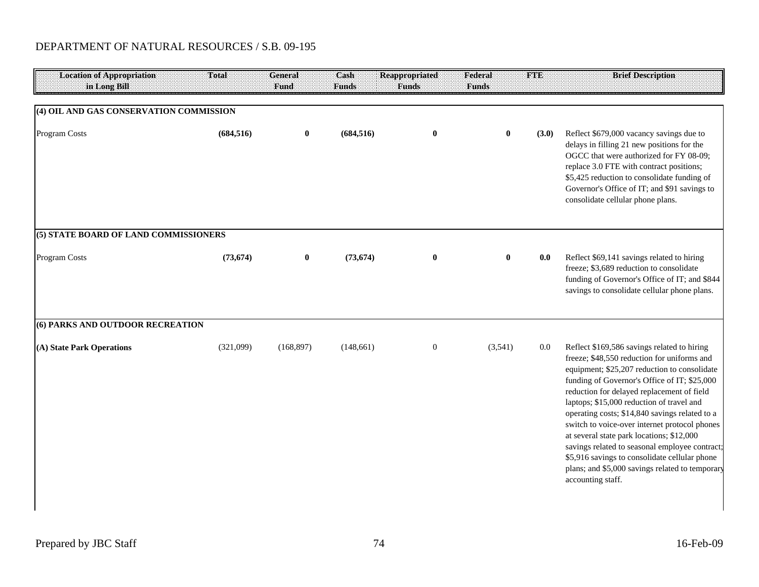| <b>Location of Appropriation</b><br>in Long Bill | Total      | <b>General</b><br>Fund | Cash<br>Funds | <b>Reappropriated</b><br><b>Funds</b> | Federal<br><b>Funds</b> | FIE   | <b>Brief Description</b>                                                                                                                                                                                                                                                                                                                                                                                                                                                                                                                                                                                         |
|--------------------------------------------------|------------|------------------------|---------------|---------------------------------------|-------------------------|-------|------------------------------------------------------------------------------------------------------------------------------------------------------------------------------------------------------------------------------------------------------------------------------------------------------------------------------------------------------------------------------------------------------------------------------------------------------------------------------------------------------------------------------------------------------------------------------------------------------------------|
| (4) OIL AND GAS CONSERVATION COMMISSION          |            |                        |               |                                       |                         |       |                                                                                                                                                                                                                                                                                                                                                                                                                                                                                                                                                                                                                  |
| Program Costs                                    | (684, 516) | $\bf{0}$               | (684, 516)    | $\bf{0}$                              | $\bf{0}$                | (3.0) | Reflect \$679,000 vacancy savings due to<br>delays in filling 21 new positions for the<br>OGCC that were authorized for FY 08-09;<br>replace 3.0 FTE with contract positions;<br>\$5,425 reduction to consolidate funding of<br>Governor's Office of IT; and \$91 savings to<br>consolidate cellular phone plans.                                                                                                                                                                                                                                                                                                |
| (5) STATE BOARD OF LAND COMMISSIONERS            |            |                        |               |                                       |                         |       |                                                                                                                                                                                                                                                                                                                                                                                                                                                                                                                                                                                                                  |
| Program Costs                                    | (73, 674)  | $\bf{0}$               | (73, 674)     | $\bf{0}$                              | $\bf{0}$                | 0.0   | Reflect \$69,141 savings related to hiring<br>freeze; \$3,689 reduction to consolidate<br>funding of Governor's Office of IT; and \$844<br>savings to consolidate cellular phone plans.                                                                                                                                                                                                                                                                                                                                                                                                                          |
| (6) PARKS AND OUTDOOR RECREATION                 |            |                        |               |                                       |                         |       |                                                                                                                                                                                                                                                                                                                                                                                                                                                                                                                                                                                                                  |
| (A) State Park Operations                        | (321,099)  | (168, 897)             | (148, 661)    | $\boldsymbol{0}$                      | (3,541)                 | 0.0   | Reflect \$169,586 savings related to hiring<br>freeze; \$48,550 reduction for uniforms and<br>equipment; \$25,207 reduction to consolidate<br>funding of Governor's Office of IT; \$25,000<br>reduction for delayed replacement of field<br>laptops; \$15,000 reduction of travel and<br>operating costs; \$14,840 savings related to a<br>switch to voice-over internet protocol phones<br>at several state park locations; \$12,000<br>savings related to seasonal employee contract;<br>\$5,916 savings to consolidate cellular phone<br>plans; and \$5,000 savings related to temporary<br>accounting staff. |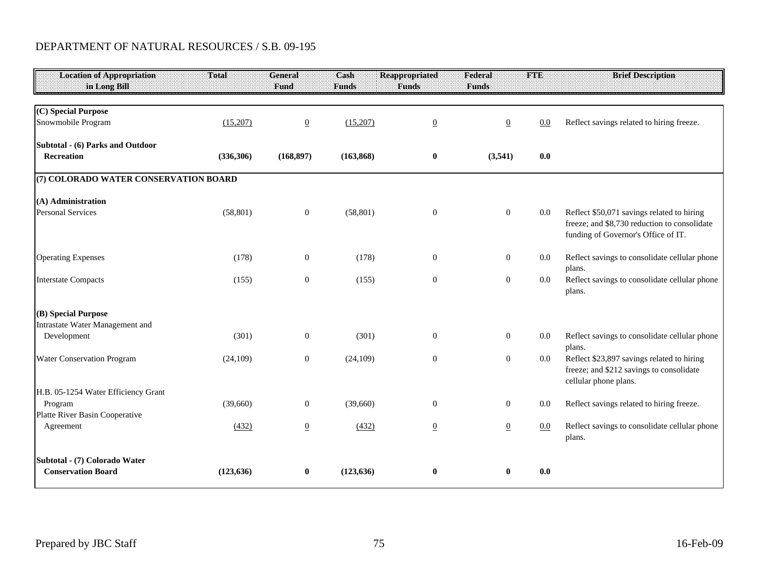| <b>Location of Appropriation</b><br>in Long Bill | Total      | <b>General</b><br>Fund | Cash<br><b>Funds</b> | <b>Reappropriated</b><br><b>Funds</b> | Federal<br><b>Funds</b> | <b>FTE</b> | <b>Brief Description</b>                                                                                                          |
|--------------------------------------------------|------------|------------------------|----------------------|---------------------------------------|-------------------------|------------|-----------------------------------------------------------------------------------------------------------------------------------|
|                                                  |            |                        |                      |                                       |                         |            |                                                                                                                                   |
| (C) Special Purpose<br>Snowmobile Program        | (15,207)   | $\overline{0}$         | (15,207)             | $\underline{0}$                       | $\underline{0}$         | 0.0        | Reflect savings related to hiring freeze.                                                                                         |
| Subtotal - (6) Parks and Outdoor<br>Recreation   | (336, 306) | (168, 897)             | (163, 868)           | $\bf{0}$                              | (3,541)                 | 0.0        |                                                                                                                                   |
| (7) COLORADO WATER CONSERVATION BOARD            |            |                        |                      |                                       |                         |            |                                                                                                                                   |
| (A) Administration                               |            |                        |                      |                                       |                         |            |                                                                                                                                   |
| <b>Personal Services</b>                         | (58, 801)  | $\overline{0}$         | (58, 801)            | $\boldsymbol{0}$                      | $\mathbf{0}$            | 0.0        | Reflect \$50,071 savings related to hiring<br>freeze; and \$8,730 reduction to consolidate<br>funding of Governor's Office of IT. |
| <b>Operating Expenses</b>                        | (178)      | $\overline{0}$         | (178)                | $\boldsymbol{0}$                      | $\boldsymbol{0}$        | 0.0        | Reflect savings to consolidate cellular phone<br>plans.                                                                           |
| <b>Interstate Compacts</b>                       | (155)      | $\mathbf{0}$           | (155)                | $\boldsymbol{0}$                      | $\boldsymbol{0}$        | 0.0        | Reflect savings to consolidate cellular phone<br>plans.                                                                           |
| (B) Special Purpose                              |            |                        |                      |                                       |                         |            |                                                                                                                                   |
| Intrastate Water Management and                  |            |                        |                      |                                       |                         |            |                                                                                                                                   |
| Development                                      | (301)      | $\overline{0}$         | (301)                | $\boldsymbol{0}$                      | $\boldsymbol{0}$        | 0.0        | Reflect savings to consolidate cellular phone<br>plans.                                                                           |
| Water Conservation Program                       | (24,109)   | $\mathbf{0}$           | (24, 109)            | $\boldsymbol{0}$                      | $\boldsymbol{0}$        | 0.0        | Reflect \$23,897 savings related to hiring<br>freeze; and \$212 savings to consolidate<br>cellular phone plans.                   |
| H.B. 05-1254 Water Efficiency Grant              |            |                        |                      |                                       |                         |            |                                                                                                                                   |
| Program<br>Platte River Basin Cooperative        | (39,660)   | $\boldsymbol{0}$       | (39,660)             | $\boldsymbol{0}$                      | $\boldsymbol{0}$        | 0.0        | Reflect savings related to hiring freeze.                                                                                         |
| Agreement                                        | (432)      | $\underline{0}$        | (432)                | $\overline{0}$                        | $\underline{0}$         | 0.0        | Reflect savings to consolidate cellular phone<br>plans.                                                                           |
| Subtotal - (7) Colorado Water                    |            |                        |                      |                                       |                         |            |                                                                                                                                   |
| <b>Conservation Board</b>                        | (123, 636) | $\bf{0}$               | (123, 636)           | $\bf{0}$                              | $\bf{0}$                | 0.0        |                                                                                                                                   |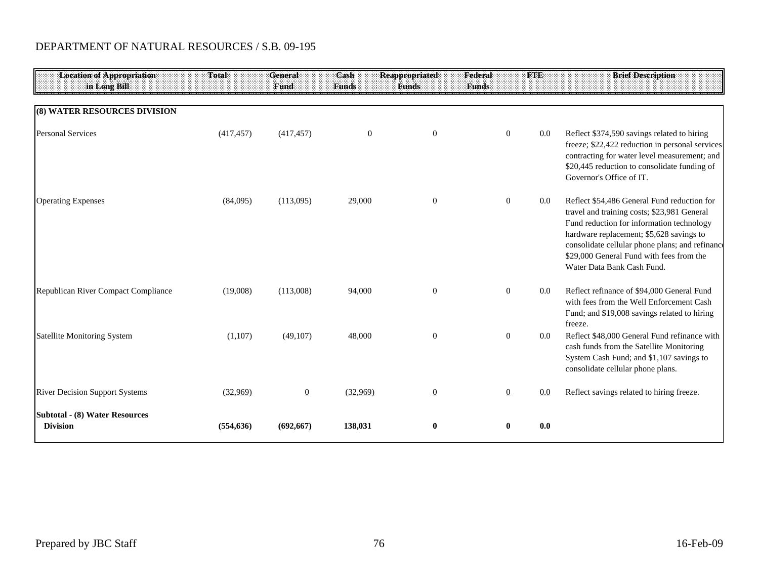| <b>Location of Appropriation</b><br>in Long Bill         | Total      | General<br>Fund | Cash<br><b>Funds</b> | <b>Reappropriated</b><br><b>Funds</b> | Federal<br><b>Funds</b> | <b>FTE</b> | <b>Brief Description</b>                                                                                                                                                                                                                                                                                         |
|----------------------------------------------------------|------------|-----------------|----------------------|---------------------------------------|-------------------------|------------|------------------------------------------------------------------------------------------------------------------------------------------------------------------------------------------------------------------------------------------------------------------------------------------------------------------|
| <b>(8) WATER RESOURCES DIVISION</b>                      |            |                 |                      |                                       |                         |            |                                                                                                                                                                                                                                                                                                                  |
| <b>Personal Services</b>                                 | (417, 457) | (417, 457)      | $\boldsymbol{0}$     | $\mathbf{0}$                          | $\mathbf{0}$            | $0.0\,$    | Reflect \$374,590 savings related to hiring<br>freeze; \$22,422 reduction in personal services<br>contracting for water level measurement; and<br>\$20,445 reduction to consolidate funding of<br>Governor's Office of IT.                                                                                       |
| <b>Operating Expenses</b>                                | (84,095)   | (113,095)       | 29,000               | $\mathbf{0}$                          | $\mathbf{0}$            | $0.0\,$    | Reflect \$54,486 General Fund reduction for<br>travel and training costs; \$23,981 General<br>Fund reduction for information technology<br>hardware replacement; \$5,628 savings to<br>consolidate cellular phone plans; and refinance<br>\$29,000 General Fund with fees from the<br>Water Data Bank Cash Fund. |
| Republican River Compact Compliance                      | (19,008)   | (113,008)       | 94,000               | $\mathbf{0}$                          | $\mathbf{0}$            | $0.0\,$    | Reflect refinance of \$94,000 General Fund<br>with fees from the Well Enforcement Cash<br>Fund; and \$19,008 savings related to hiring<br>freeze.                                                                                                                                                                |
| Satellite Monitoring System                              | (1,107)    | (49,107)        | 48,000               | $\mathbf{0}$                          | $\overline{0}$          | 0.0        | Reflect \$48,000 General Fund refinance with<br>cash funds from the Satellite Monitoring<br>System Cash Fund; and \$1,107 savings to<br>consolidate cellular phone plans.                                                                                                                                        |
| <b>River Decision Support Systems</b>                    | (32,969)   | $\overline{0}$  | (32.969)             | $\underline{0}$                       | $\overline{0}$          | 0.0        | Reflect savings related to hiring freeze.                                                                                                                                                                                                                                                                        |
| <b>Subtotal - (8) Water Resources</b><br><b>Division</b> | (554, 636) | (692, 667)      | 138,031              | $\bf{0}$                              | $\bf{0}$                | 0.0        |                                                                                                                                                                                                                                                                                                                  |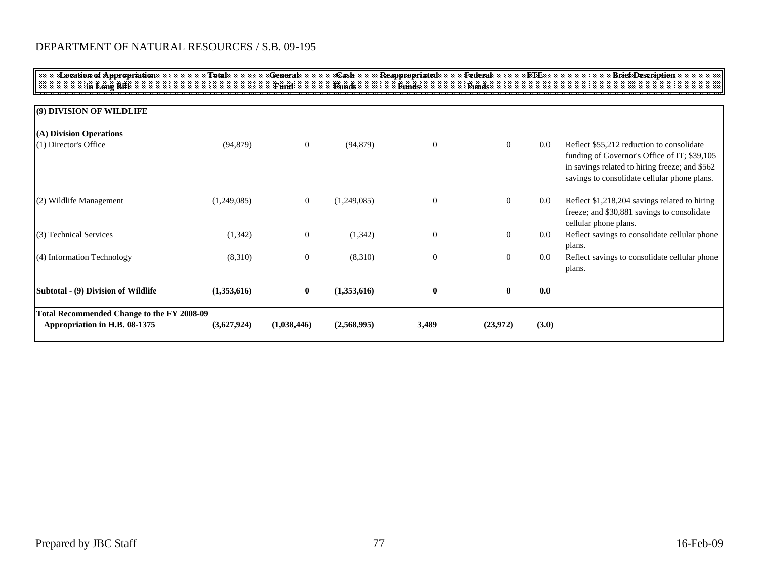| <b>Location of Appropriation</b><br>in Long Bill                            | Total       | General<br>Fund | Cash<br>Funds | <b>Reappropriated</b><br><b>Funds</b> | Federal<br><b>Funds</b> | <b>FTE</b> | <b>Brief Description</b>                                                                                                                                                                    |
|-----------------------------------------------------------------------------|-------------|-----------------|---------------|---------------------------------------|-------------------------|------------|---------------------------------------------------------------------------------------------------------------------------------------------------------------------------------------------|
| (9) DIVISION OF WILDLIFE                                                    |             |                 |               |                                       |                         |            |                                                                                                                                                                                             |
| (A) Division Operations                                                     |             |                 |               |                                       |                         |            |                                                                                                                                                                                             |
| (1) Director's Office                                                       | (94, 879)   | $\overline{0}$  | (94, 879)     | $\Omega$                              | $\overline{0}$          | $0.0\,$    | Reflect \$55,212 reduction to consolidate<br>funding of Governor's Office of IT; \$39,105<br>in savings related to hiring freeze; and \$562<br>savings to consolidate cellular phone plans. |
| (2) Wildlife Management                                                     | (1,249,085) | $\overline{0}$  | (1,249,085)   | $\overline{0}$                        | $\mathbf{0}$            | $0.0\,$    | Reflect \$1,218,204 savings related to hiring<br>freeze; and \$30,881 savings to consolidate<br>cellular phone plans.                                                                       |
| (3) Technical Services                                                      | (1,342)     | $\overline{0}$  | (1, 342)      | $\mathbf{0}$                          | $\mathbf{0}$            | 0.0        | Reflect savings to consolidate cellular phone<br>plans.                                                                                                                                     |
| (4) Information Technology                                                  | (8,310)     | $\overline{0}$  | (8,310)       | $\overline{0}$                        | $\overline{0}$          | $0.0\,$    | Reflect savings to consolidate cellular phone<br>plans.                                                                                                                                     |
| Subtotal - (9) Division of Wildlife                                         | (1,353,616) | $\bf{0}$        | (1,353,616)   | $\bf{0}$                              | $\bf{0}$                | 0.0        |                                                                                                                                                                                             |
| Total Recommended Change to the FY 2008-09<br>Appropriation in H.B. 08-1375 | (3,627,924) | (1,038,446)     | (2,568,995)   | 3,489                                 | (23,972)                | (3.0)      |                                                                                                                                                                                             |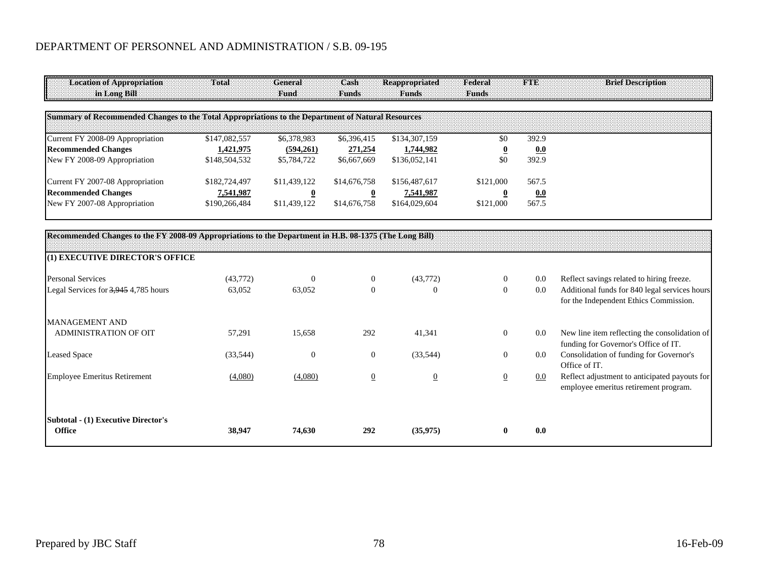| Location of Appropriation<br>in Long Bill                                                         | Total         | General<br>Fund | Cash<br>Funds | Reappropriated<br>Funds | Federal<br><b>Funds</b> | <b>FILE</b> | <b>Brief Description</b> |
|---------------------------------------------------------------------------------------------------|---------------|-----------------|---------------|-------------------------|-------------------------|-------------|--------------------------|
|                                                                                                   |               |                 |               |                         |                         |             |                          |
| Summary of Recommended Changes to the Total Appropriations to the Department of Natural Resources |               |                 |               |                         |                         |             |                          |
| Current FY 2008-09 Appropriation                                                                  | \$147,082,557 | \$6,378,983     | \$6,396,415   | \$134,307,159           | \$0                     | 392.9       |                          |
| <b>Recommended Changes</b>                                                                        | 1.421.975     | (594,261)       | 271,254       | 1,744,982               |                         | 0.0         |                          |
| New FY 2008-09 Appropriation                                                                      | \$148,504,532 | \$5,784,722     | \$6,667,669   | \$136,052,141           | \$0                     | 392.9       |                          |
| Current FY 2007-08 Appropriation                                                                  | \$182,724,497 | \$11,439,122    | \$14,676,758  | \$156,487,617           | \$121,000               | 567.5       |                          |
| <b>Recommended Changes</b>                                                                        | 7,541,987     |                 |               | 7,541,987               |                         | 0.0         |                          |
| New FY 2007-08 Appropriation                                                                      | \$190,266,484 | \$11,439,122    | \$14,676,758  | \$164,029,604           | \$121,000               | 567.5       |                          |

| Recommended Changes to the FY 2008-09 Appropriations to the Department in H.B. 08-1375 (The Long Bill) |           |          |                |                |                |     |                                                                                         |
|--------------------------------------------------------------------------------------------------------|-----------|----------|----------------|----------------|----------------|-----|-----------------------------------------------------------------------------------------|
| (1) EXECUTIVE DIRECTOR'S OFFICE                                                                        |           |          |                |                |                |     |                                                                                         |
| <b>Personal Services</b>                                                                               | (43,772)  | $\Omega$ | $\theta$       | (43,772)       | $\Omega$       | 0.0 | Reflect savings related to hiring freeze.                                               |
| Legal Services for 3,945 4,785 hours                                                                   | 63,052    | 63,052   | $\Omega$       |                | $\overline{0}$ | 0.0 | Additional funds for 840 legal services hours<br>for the Independent Ethics Commission. |
| MANAGEMENT AND                                                                                         |           |          |                |                |                |     |                                                                                         |
| <b>ADMINISTRATION OF OIT</b>                                                                           | 57,291    | 15,658   | 292            | 41,341         | $\overline{0}$ | 0.0 | New line item reflecting the consolidation of<br>funding for Governor's Office of IT.   |
| <b>Leased Space</b>                                                                                    | (33, 544) | $\theta$ | $\overline{0}$ | (33, 544)      | $\overline{0}$ | 0.0 | Consolidation of funding for Governor's<br>Office of IT.                                |
| <b>Employee Emeritus Retirement</b>                                                                    | (4,080)   | (4,080)  | $\overline{0}$ | $\overline{0}$ |                | 0.0 | Reflect adjustment to anticipated payouts for<br>employee emeritus retirement program.  |
| <b>Subtotal - (1) Executive Director's</b><br><b>Office</b>                                            | 38,947    | 74,630   | 292            | (35,975)       | $\mathbf{0}$   | 0.0 |                                                                                         |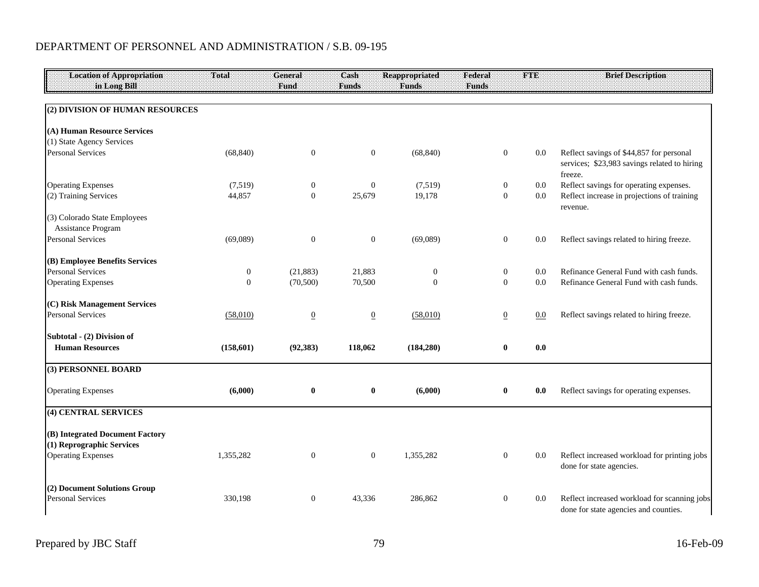| <b>Location of Appropriation</b><br>in Long Bill             | Total            | General<br>Fund  | Cash<br><b>Funds</b> | <b>Reappropriated</b><br><b>Funds</b> | Federal<br><b>Funds</b> | <b>FTE</b> | <b>Brief Description</b>                                                                            |
|--------------------------------------------------------------|------------------|------------------|----------------------|---------------------------------------|-------------------------|------------|-----------------------------------------------------------------------------------------------------|
|                                                              |                  |                  |                      |                                       |                         |            |                                                                                                     |
| (2) DIVISION OF HUMAN RESOURCES                              |                  |                  |                      |                                       |                         |            |                                                                                                     |
| (A) Human Resource Services                                  |                  |                  |                      |                                       |                         |            |                                                                                                     |
| (1) State Agency Services                                    |                  |                  |                      |                                       |                         |            |                                                                                                     |
| <b>Personal Services</b>                                     | (68, 840)        | $\mathbf{0}$     | $\overline{0}$       | (68, 840)                             | $\mathbf{0}$            | 0.0        | Reflect savings of \$44,857 for personal<br>services; \$23,983 savings related to hiring<br>freeze. |
| <b>Operating Expenses</b>                                    | (7,519)          | $\boldsymbol{0}$ | $\mathbf{0}$         | (7,519)                               | $\boldsymbol{0}$        | 0.0        | Reflect savings for operating expenses.                                                             |
| (2) Training Services                                        | 44,857           | $\overline{0}$   | 25,679               | 19,178                                | $\mathbf{0}$            | $0.0\,$    | Reflect increase in projections of training<br>revenue.                                             |
| (3) Colorado State Employees<br>Assistance Program           |                  |                  |                      |                                       |                         |            |                                                                                                     |
| <b>Personal Services</b>                                     | (69,089)         | $\mathbf{0}$     | $\mathbf{0}$         | (69,089)                              | $\mathbf{0}$            | 0.0        | Reflect savings related to hiring freeze.                                                           |
| (B) Employee Benefits Services                               |                  |                  |                      |                                       |                         |            |                                                                                                     |
| <b>Personal Services</b>                                     | $\boldsymbol{0}$ | (21, 883)        | 21,883               | $\overline{0}$                        | $\boldsymbol{0}$        | $0.0\,$    | Refinance General Fund with cash funds.                                                             |
| <b>Operating Expenses</b>                                    | $\overline{0}$   | (70, 500)        | 70,500               | $\Omega$                              | $\boldsymbol{0}$        | $0.0\,$    | Refinance General Fund with cash funds.                                                             |
| (C) Risk Management Services                                 |                  |                  |                      |                                       |                         |            |                                                                                                     |
| <b>Personal Services</b>                                     | (58,010)         | $\overline{0}$   | $\overline{0}$       | (58,010)                              | $\overline{0}$          | 0.0        | Reflect savings related to hiring freeze.                                                           |
| Subtotal - (2) Division of                                   |                  |                  |                      |                                       |                         |            |                                                                                                     |
| <b>Human Resources</b>                                       | (158, 601)       | (92, 383)        | 118,062              | (184, 280)                            | $\bf{0}$                | 0.0        |                                                                                                     |
| (3) PERSONNEL BOARD                                          |                  |                  |                      |                                       |                         |            |                                                                                                     |
| <b>Operating Expenses</b>                                    | (6,000)          | $\bf{0}$         | $\bf{0}$             | (6,000)                               | $\bf{0}$                | 0.0        | Reflect savings for operating expenses.                                                             |
| (4) CENTRAL SERVICES                                         |                  |                  |                      |                                       |                         |            |                                                                                                     |
| (B) Integrated Document Factory<br>(1) Reprographic Services |                  |                  |                      |                                       |                         |            |                                                                                                     |
| <b>Operating Expenses</b>                                    | 1,355,282        | $\mathbf{0}$     | $\mathbf{0}$         | 1,355,282                             | $\boldsymbol{0}$        | 0.0        | Reflect increased workload for printing jobs<br>done for state agencies.                            |
| (2) Document Solutions Group<br><b>Personal Services</b>     | 330,198          | $\boldsymbol{0}$ | 43,336               | 286,862                               | $\boldsymbol{0}$        | 0.0        | Reflect increased workload for scanning jobs<br>done for state agencies and counties.               |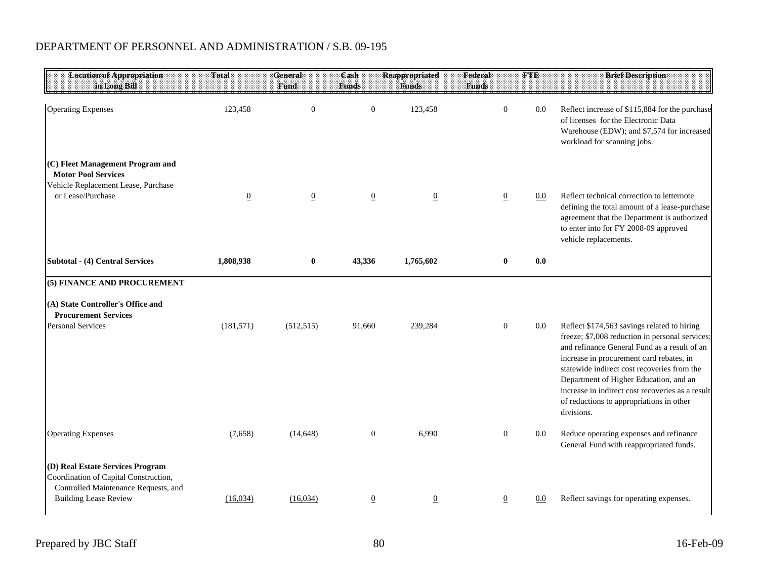| <b>Location of Appropriation</b>                                                                                  | <b>Total</b>   | <b>General</b> | Cash           | <b>Reappropriated</b> | Federal          | <b>FINE</b> | <b>Brief Description</b>                                                                                                                                                                                                                                                                                                                                                                          |
|-------------------------------------------------------------------------------------------------------------------|----------------|----------------|----------------|-----------------------|------------------|-------------|---------------------------------------------------------------------------------------------------------------------------------------------------------------------------------------------------------------------------------------------------------------------------------------------------------------------------------------------------------------------------------------------------|
| in Long Bill                                                                                                      |                | Fund           | <b>Funds</b>   | <b>Funds</b>          | <b>Funds</b>     |             |                                                                                                                                                                                                                                                                                                                                                                                                   |
| <b>Operating Expenses</b><br>(C) Fleet Management Program and                                                     | 123,458        | $\overline{0}$ | $\theta$       | 123,458               | $\Omega$         | 0.0         | Reflect increase of \$115,884 for the purchase<br>of licenses for the Electronic Data<br>Warehouse (EDW); and \$7,574 for increased<br>workload for scanning jobs.                                                                                                                                                                                                                                |
| <b>Motor Pool Services</b>                                                                                        |                |                |                |                       |                  |             |                                                                                                                                                                                                                                                                                                                                                                                                   |
| Vehicle Replacement Lease, Purchase<br>or Lease/Purchase                                                          | $\overline{0}$ | $\overline{0}$ | $\overline{0}$ | $\overline{0}$        | $\overline{0}$   | $0.0\,$     | Reflect technical correction to letternote<br>defining the total amount of a lease-purchase<br>agreement that the Department is authorized<br>to enter into for FY 2008-09 approved<br>vehicle replacements.                                                                                                                                                                                      |
| <b>Subtotal - (4) Central Services</b>                                                                            | 1,808,938      | $\bf{0}$       | 43,336         | 1,765,602             | $\mathbf{0}$     | 0.0         |                                                                                                                                                                                                                                                                                                                                                                                                   |
| (5) FINANCE AND PROCUREMENT                                                                                       |                |                |                |                       |                  |             |                                                                                                                                                                                                                                                                                                                                                                                                   |
| (A) State Controller's Office and<br><b>Procurement Services</b>                                                  |                |                |                |                       |                  |             |                                                                                                                                                                                                                                                                                                                                                                                                   |
| <b>Personal Services</b>                                                                                          | (181, 571)     | (512, 515)     | 91,660         | 239,284               | $\mathbf{0}$     | $0.0\,$     | Reflect \$174,563 savings related to hiring<br>freeze; \$7,008 reduction in personal services;<br>and refinance General Fund as a result of an<br>increase in procurement card rebates, in<br>statewide indirect cost recoveries from the<br>Department of Higher Education, and an<br>increase in indirect cost recoveries as a result<br>of reductions to appropriations in other<br>divisions. |
| <b>Operating Expenses</b>                                                                                         | (7,658)        | (14, 648)      | $\overline{0}$ | 6,990                 | $\boldsymbol{0}$ | $0.0\,$     | Reduce operating expenses and refinance<br>General Fund with reappropriated funds.                                                                                                                                                                                                                                                                                                                |
| (D) Real Estate Services Program<br>Coordination of Capital Construction,<br>Controlled Maintenance Requests, and |                |                |                |                       |                  |             |                                                                                                                                                                                                                                                                                                                                                                                                   |
| <b>Building Lease Review</b>                                                                                      | (16,034)       | (16,034)       | $\overline{0}$ | $\overline{0}$        | $\overline{0}$   | 0.0         | Reflect savings for operating expenses.                                                                                                                                                                                                                                                                                                                                                           |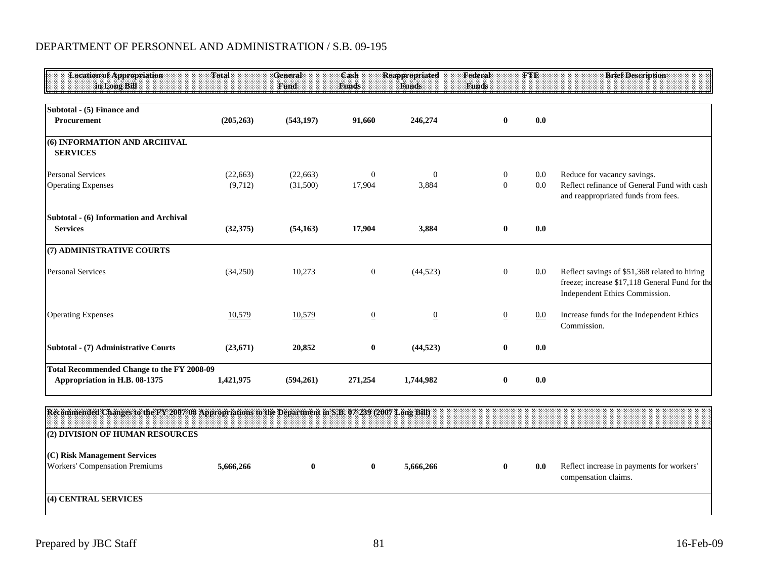| <b>Location of Appropriation</b><br>in Long Bill                                   | Total      | General<br>Fund | Cash<br><b>Funds</b> | <b>Reappropriated</b><br><b>Funds</b> | Federal<br><b>Funds</b> | FTE     | <b>Brief Description</b>                                                                                                          |
|------------------------------------------------------------------------------------|------------|-----------------|----------------------|---------------------------------------|-------------------------|---------|-----------------------------------------------------------------------------------------------------------------------------------|
| Subtotal - (5) Finance and                                                         |            |                 |                      |                                       |                         |         |                                                                                                                                   |
| Procurement                                                                        | (205, 263) | (543, 197)      | 91,660               | 246,274                               | $\bf{0}$                | 0.0     |                                                                                                                                   |
| (6) INFORMATION AND ARCHIVAL<br><b>SERVICES</b>                                    |            |                 |                      |                                       |                         |         |                                                                                                                                   |
| <b>Personal Services</b>                                                           | (22, 663)  | (22,663)        | $\theta$             | $\Omega$                              | $\overline{0}$          | $0.0\,$ | Reduce for vacancy savings.                                                                                                       |
| <b>Operating Expenses</b>                                                          | (9,712)    | (31,500)        | 17,904               | 3,884                                 | $\overline{0}$          | 0.0     | Reflect refinance of General Fund with cash<br>and reappropriated funds from fees.                                                |
| Subtotal - (6) Information and Archival                                            |            |                 |                      |                                       |                         |         |                                                                                                                                   |
| <b>Services</b>                                                                    | (32,375)   | (54, 163)       | 17,904               | 3,884                                 | $\bf{0}$                | 0.0     |                                                                                                                                   |
| (7) ADMINISTRATIVE COURTS                                                          |            |                 |                      |                                       |                         |         |                                                                                                                                   |
| <b>Personal Services</b>                                                           | (34,250)   | 10,273          | $\overline{0}$       | (44, 523)                             | $\overline{0}$          | $0.0\,$ | Reflect savings of \$51,368 related to hiring<br>freeze; increase \$17,118 General Fund for the<br>Independent Ethics Commission. |
| <b>Operating Expenses</b>                                                          | 10,579     | 10,579          | $\overline{0}$       | $\overline{0}$                        | $\overline{0}$          | 0.0     | Increase funds for the Independent Ethics<br>Commission.                                                                          |
| Subtotal - (7) Administrative Courts                                               | (23,671)   | 20,852          | $\bf{0}$             | (44, 523)                             | $\bf{0}$                | 0.0     |                                                                                                                                   |
| <b>Total Recommended Change to the FY 2008-09</b><br>Appropriation in H.B. 08-1375 | 1,421,975  | (594,261)       | 271,254              | 1,744,982                             | $\bf{0}$                | 0.0     |                                                                                                                                   |

| [Recommended Changes to the FY 2007-08 Appropriations to the Department in S.B. 07-239 (2007 Long Bill) |           |  |           |     |                                                                   |
|---------------------------------------------------------------------------------------------------------|-----------|--|-----------|-----|-------------------------------------------------------------------|
| (2) DIVISION OF HUMAN RESOURCES                                                                         |           |  |           |     |                                                                   |
| (C) Risk Management Services<br>Workers' Compensation Premiums                                          | 5,666,266 |  | 5,666,266 | 0.0 | Reflect increase in payments for workers'<br>compensation claims. |
| (4) CENTRAL SERVICES                                                                                    |           |  |           |     |                                                                   |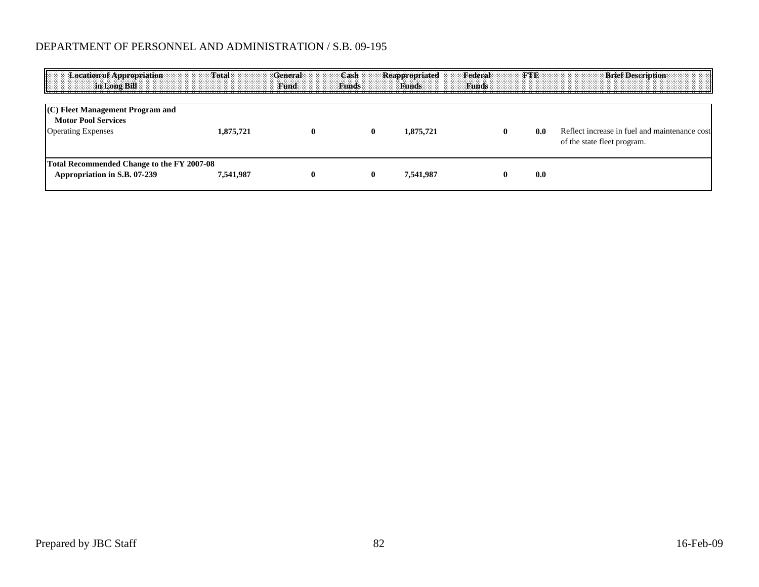| <b>Location of Appropriation</b><br>in Long Bill                                            | <b>Total</b> | General<br>-Fund: | <b>Cash</b><br><b>Funds</b> | Reappropriated<br><b>Funds</b> | Federal<br><b>Funds</b> | <b>STATISTICAL</b> | <b>Brief Description</b>                                                     |
|---------------------------------------------------------------------------------------------|--------------|-------------------|-----------------------------|--------------------------------|-------------------------|--------------------|------------------------------------------------------------------------------|
| (C) Fleet Management Program and<br><b>Motor Pool Services</b><br><b>Operating Expenses</b> | 1,875,721    | $\mathbf{0}$      |                             | 1,875,721                      | 0                       | 0.0                | Reflect increase in fuel and maintenance cost<br>of the state fleet program. |
| Total Recommended Change to the FY 2007-08<br>Appropriation in S.B. 07-239                  | 7,541,987    | $\mathbf{0}$      |                             | 7,541,987                      |                         | 0.0                |                                                                              |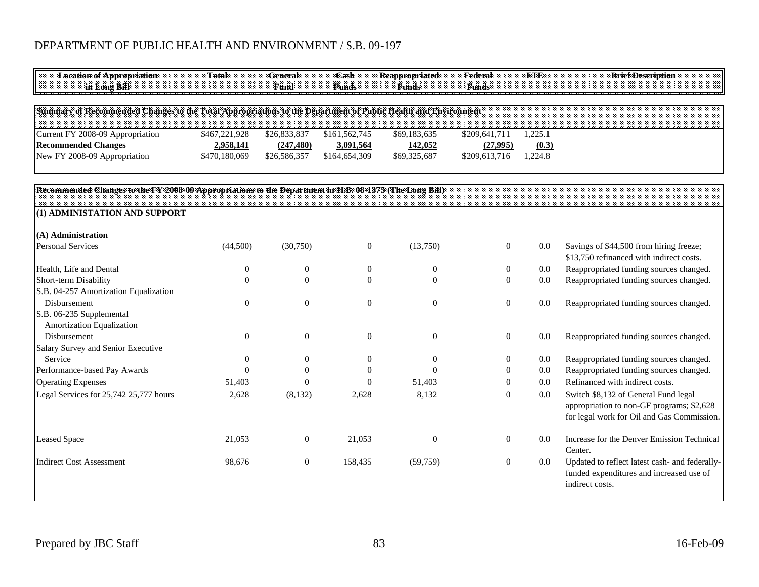| <b>Location of Appropriation</b><br>in Long Bill                                                              | Total            | <b>General</b><br>Fund | Cash<br>Funds    | <b>Reappropriated</b><br><b>Funds</b> | Federal<br><b>Funds</b> | <b>FTE</b> | <b>Brief Description</b>                                                                                                        |
|---------------------------------------------------------------------------------------------------------------|------------------|------------------------|------------------|---------------------------------------|-------------------------|------------|---------------------------------------------------------------------------------------------------------------------------------|
| Summary of Recommended Changes to the Total Appropriations to the Department of Public Health and Environment |                  |                        |                  |                                       |                         |            |                                                                                                                                 |
| Current FY 2008-09 Appropriation                                                                              | \$467,221,928    | \$26,833,837           | \$161,562,745    | \$69,183,635                          | \$209,641,711           | 1.225.1    |                                                                                                                                 |
| <b>Recommended Changes</b>                                                                                    | 2,958,141        | (247, 480)             | 3,091,564        | 142,052                               | (27,995)                | (0.3)      |                                                                                                                                 |
| New FY 2008-09 Appropriation                                                                                  | \$470,180,069    | \$26,586,357           | \$164,654,309    | \$69,325,687                          | \$209,613,716           | 1,224.8    |                                                                                                                                 |
| Recommended Changes to the FY 2008-09 Appropriations to the Department in H.B. 08-1375 (The Long Bill)        |                  |                        |                  |                                       |                         |            |                                                                                                                                 |
| (1) ADMINISTATION AND SUPPORT                                                                                 |                  |                        |                  |                                       |                         |            |                                                                                                                                 |
| (A) Administration                                                                                            |                  |                        |                  |                                       |                         |            |                                                                                                                                 |
| <b>Personal Services</b>                                                                                      | (44,500)         | (30,750)               | $\boldsymbol{0}$ | (13,750)                              | $\boldsymbol{0}$        | 0.0        | Savings of \$44,500 from hiring freeze;<br>\$13,750 refinanced with indirect costs.                                             |
| Health, Life and Dental                                                                                       | $\boldsymbol{0}$ | $\boldsymbol{0}$       | $\boldsymbol{0}$ | $\boldsymbol{0}$                      | $\boldsymbol{0}$        | 0.0        | Reappropriated funding sources changed.                                                                                         |
| Short-term Disability                                                                                         | $\theta$         | $\theta$               | $\theta$         | $\theta$                              | $\boldsymbol{0}$        | 0.0        | Reappropriated funding sources changed.                                                                                         |
| S.B. 04-257 Amortization Equalization                                                                         |                  |                        |                  |                                       |                         |            |                                                                                                                                 |
| Disbursement                                                                                                  | $\Omega$         | $\theta$               | $\theta$         | $\theta$                              | $\boldsymbol{0}$        | 0.0        | Reappropriated funding sources changed.                                                                                         |
| S.B. 06-235 Supplemental<br>Amortization Equalization                                                         |                  |                        |                  |                                       |                         |            |                                                                                                                                 |
| Disbursement                                                                                                  | $\boldsymbol{0}$ | $\boldsymbol{0}$       | $\mathbf{0}$     | $\theta$                              | $\mathbf{0}$            | 0.0        | Reappropriated funding sources changed.                                                                                         |
| Salary Survey and Senior Executive                                                                            |                  |                        |                  |                                       |                         |            |                                                                                                                                 |
| Service                                                                                                       | $\Omega$         | $\theta$               | $\theta$         | $\Omega$                              | 0                       | 0.0        | Reappropriated funding sources changed.                                                                                         |
| Performance-based Pay Awards                                                                                  | $\Omega$         | $\theta$               | 0                | $\Omega$                              | $\theta$                | 0.0        | Reappropriated funding sources changed.                                                                                         |
| <b>Operating Expenses</b>                                                                                     | 51,403           | $\Omega$               | $\Omega$         | 51,403                                | $\overline{0}$          | 0.0        | Refinanced with indirect costs.                                                                                                 |
| Legal Services for 25,742 25,777 hours                                                                        | 2,628            | (8, 132)               | 2,628            | 8,132                                 | $\mathbf{0}$            | 0.0        | Switch \$8,132 of General Fund legal<br>appropriation to non-GF programs; \$2,628<br>for legal work for Oil and Gas Commission. |
| <b>Leased Space</b>                                                                                           | 21,053           | $\mathbf{0}$           | 21,053           | $\theta$                              | $\mathbf{0}$            | 0.0        | Increase for the Denver Emission Technical<br>Center.                                                                           |
| <b>Indirect Cost Assessment</b>                                                                               | 98,676           | $\overline{0}$         | 158,435          | (59,759)                              | $\overline{0}$          | 0.0        | Updated to reflect latest cash- and federally-<br>funded expenditures and increased use of<br>indirect costs.                   |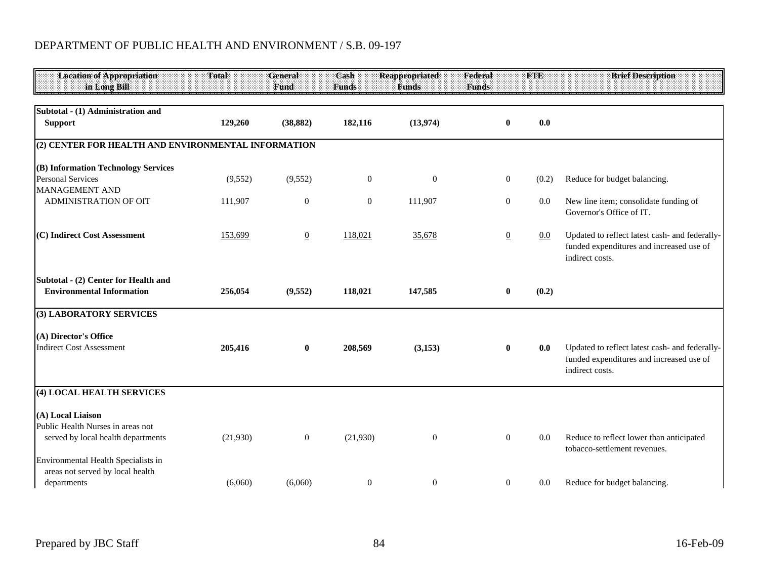| <b>Location of Appropriation</b><br>in Long Bill                                                                                    | Total    | <b>General</b><br>Fund | Cash<br><b>Funds</b> | <b>Reappropriated</b><br><b>Funds</b> | Federal<br><b>Funds</b> | <b>FTE</b> | <b>Brief Description</b>                                                                                      |
|-------------------------------------------------------------------------------------------------------------------------------------|----------|------------------------|----------------------|---------------------------------------|-------------------------|------------|---------------------------------------------------------------------------------------------------------------|
| Subtotal - (1) Administration and<br><b>Support</b>                                                                                 | 129,260  | (38, 882)              | 182,116              | (13,974)                              | $\bf{0}$                | 0.0        |                                                                                                               |
| (2) CENTER FOR HEALTH AND ENVIRONMENTAL INFORMATION                                                                                 |          |                        |                      |                                       |                         |            |                                                                                                               |
| (B) Information Technology Services<br><b>Personal Services</b>                                                                     | (9, 552) | (9, 552)               | $\boldsymbol{0}$     | $\mathbf{0}$                          | $\boldsymbol{0}$        | (0.2)      | Reduce for budget balancing.                                                                                  |
| <b>MANAGEMENT AND</b><br><b>ADMINISTRATION OF OIT</b>                                                                               | 111,907  | $\theta$               | $\mathbf{0}$         | 111,907                               | $\boldsymbol{0}$        | 0.0        | New line item; consolidate funding of<br>Governor's Office of IT.                                             |
| (C) Indirect Cost Assessment                                                                                                        | 153,699  | $\overline{0}$         | 118,021              | 35,678                                | $\overline{0}$          | $0.0\,$    | Updated to reflect latest cash- and federally-<br>funded expenditures and increased use of<br>indirect costs. |
| Subtotal - (2) Center for Health and<br><b>Environmental Information</b>                                                            | 256,054  | (9, 552)               | 118,021              | 147,585                               | $\bf{0}$                | (0.2)      |                                                                                                               |
| (3) LABORATORY SERVICES                                                                                                             |          |                        |                      |                                       |                         |            |                                                                                                               |
| (A) Director's Office<br><b>Indirect Cost Assessment</b>                                                                            | 205,416  | $\bf{0}$               | 208,569              | (3,153)                               | $\bf{0}$                | 0.0        | Updated to reflect latest cash- and federally-<br>funded expenditures and increased use of<br>indirect costs. |
| (4) LOCAL HEALTH SERVICES                                                                                                           |          |                        |                      |                                       |                         |            |                                                                                                               |
| (A) Local Liaison<br>Public Health Nurses in areas not<br>served by local health departments<br>Environmental Health Specialists in | (21,930) | $\overline{0}$         | (21,930)             | $\mathbf{0}$                          | $\boldsymbol{0}$        | 0.0        | Reduce to reflect lower than anticipated<br>tobacco-settlement revenues.                                      |
| areas not served by local health<br>departments                                                                                     | (6,060)  | (6,060)                | $\boldsymbol{0}$     | $\boldsymbol{0}$                      | $\overline{0}$          | 0.0        | Reduce for budget balancing.                                                                                  |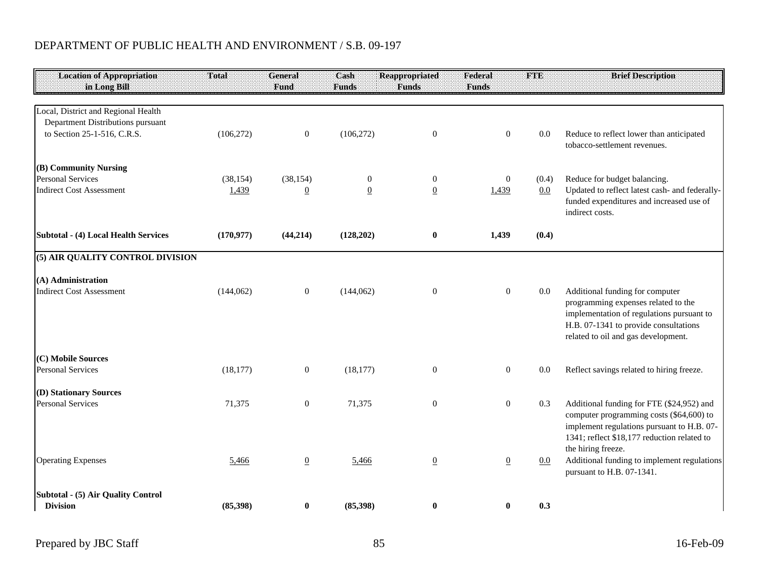| <b>Location of Appropriation</b><br>in Long Bill                         | Total      | General<br>Fund  | Cash<br><b>Funds</b> | <b>Reappropriated</b><br><b>Funds</b> | Federal<br><b>Funds</b> | <b>FTE</b> | <b>Brief Description</b>                                                                                                                                                                            |
|--------------------------------------------------------------------------|------------|------------------|----------------------|---------------------------------------|-------------------------|------------|-----------------------------------------------------------------------------------------------------------------------------------------------------------------------------------------------------|
|                                                                          |            |                  |                      |                                       |                         |            |                                                                                                                                                                                                     |
| Local, District and Regional Health<br>Department Distributions pursuant |            |                  |                      |                                       |                         |            |                                                                                                                                                                                                     |
| to Section 25-1-516, C.R.S.                                              | (106, 272) | $\mathbf{0}$     | (106, 272)           | $\mathbf{0}$                          | $\boldsymbol{0}$        | 0.0        | Reduce to reflect lower than anticipated                                                                                                                                                            |
|                                                                          |            |                  |                      |                                       |                         |            | tobacco-settlement revenues.                                                                                                                                                                        |
| (B) Community Nursing                                                    |            |                  |                      |                                       |                         |            |                                                                                                                                                                                                     |
| <b>Personal Services</b>                                                 | (38, 154)  | (38, 154)        | $\overline{0}$       | $\overline{0}$                        | $\mathbf{0}$            | (0.4)      | Reduce for budget balancing.                                                                                                                                                                        |
| <b>Indirect Cost Assessment</b>                                          | 1,439      | $\mathbf{0}$     | $\overline{0}$       | $\underline{0}$                       | 1,439                   | $0.0\,$    | Updated to reflect latest cash- and federally-<br>funded expenditures and increased use of<br>indirect costs.                                                                                       |
| Subtotal - (4) Local Health Services                                     | (170, 977) | (44, 214)        | (128,202)            | $\bf{0}$                              | 1,439                   | (0.4)      |                                                                                                                                                                                                     |
| (5) AIR QUALITY CONTROL DIVISION                                         |            |                  |                      |                                       |                         |            |                                                                                                                                                                                                     |
| (A) Administration                                                       |            |                  |                      |                                       |                         |            |                                                                                                                                                                                                     |
| <b>Indirect Cost Assessment</b>                                          | (144, 062) | $\overline{0}$   | (144, 062)           | $\overline{0}$                        | $\boldsymbol{0}$        | 0.0        | Additional funding for computer<br>programming expenses related to the<br>implementation of regulations pursuant to<br>H.B. 07-1341 to provide consultations<br>related to oil and gas development. |
| (C) Mobile Sources                                                       |            |                  |                      |                                       |                         |            |                                                                                                                                                                                                     |
| <b>Personal Services</b>                                                 | (18, 177)  | $\mathbf{0}$     | (18, 177)            | $\mathbf{0}$                          | $\overline{0}$          | 0.0        | Reflect savings related to hiring freeze.                                                                                                                                                           |
| (D) Stationary Sources                                                   |            |                  |                      |                                       |                         |            |                                                                                                                                                                                                     |
| <b>Personal Services</b>                                                 | 71,375     | $\boldsymbol{0}$ | 71,375               | $\mathbf{0}$                          | $\boldsymbol{0}$        | 0.3        | Additional funding for FTE (\$24,952) and<br>computer programming costs (\$64,600) to<br>implement regulations pursuant to H.B. 07-<br>1341; reflect \$18,177 reduction related to                  |
| <b>Operating Expenses</b>                                                | 5,466      | $\overline{0}$   | 5,466                | $\underline{0}$                       | $\underline{0}$         | 0.0        | the hiring freeze.<br>Additional funding to implement regulations<br>pursuant to H.B. 07-1341.                                                                                                      |
| Subtotal - (5) Air Quality Control<br><b>Division</b>                    | (85,398)   | $\bf{0}$         | (85,398)             | $\bf{0}$                              | $\bf{0}$                | 0.3        |                                                                                                                                                                                                     |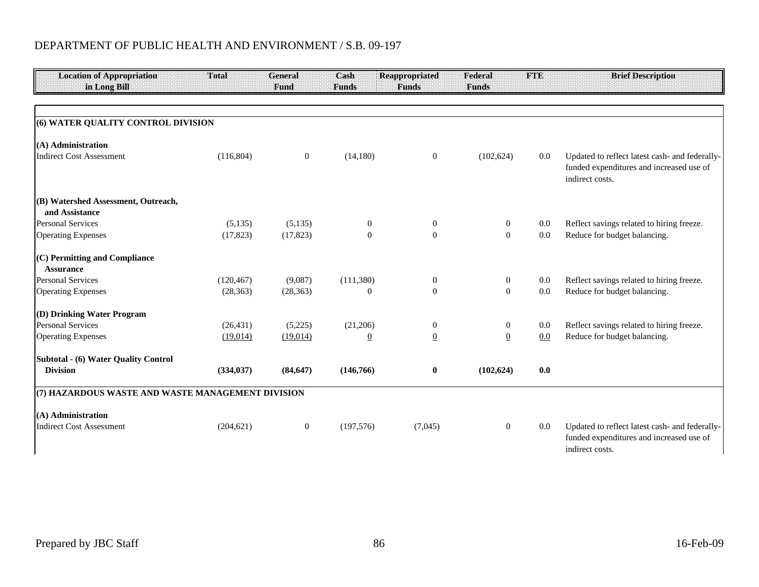| <b>Location of Appropriation</b><br>in Long Bill  | Total      | General<br>Fund | Cash<br><b>Funds</b> | <b>Reappropriated</b><br><b>Funds</b> | Federal<br><b>Funds</b> | <b>FTE</b> | <b>Brief Description</b>                                                                                      |
|---------------------------------------------------|------------|-----------------|----------------------|---------------------------------------|-------------------------|------------|---------------------------------------------------------------------------------------------------------------|
|                                                   |            |                 |                      |                                       |                         |            |                                                                                                               |
| (6) WATER QUALITY CONTROL DIVISION                |            |                 |                      |                                       |                         |            |                                                                                                               |
| (A) Administration                                |            |                 |                      |                                       |                         |            |                                                                                                               |
| <b>Indirect Cost Assessment</b>                   | (116, 804) | $\overline{0}$  | (14, 180)            | $\overline{0}$                        | (102, 624)              | 0.0        | Updated to reflect latest cash- and federally-<br>funded expenditures and increased use of<br>indirect costs. |
| (B) Watershed Assessment, Outreach,               |            |                 |                      |                                       |                         |            |                                                                                                               |
| and Assistance                                    |            |                 |                      |                                       |                         |            |                                                                                                               |
| <b>Personal Services</b>                          | (5,135)    | (5,135)         | $\boldsymbol{0}$     | $\boldsymbol{0}$                      | $\overline{0}$          | 0.0        | Reflect savings related to hiring freeze.                                                                     |
| <b>Operating Expenses</b>                         | (17, 823)  | (17, 823)       | $\theta$             | $\Omega$                              | $\theta$                | 0.0        | Reduce for budget balancing.                                                                                  |
| (C) Permitting and Compliance<br><b>Assurance</b> |            |                 |                      |                                       |                         |            |                                                                                                               |
| <b>Personal Services</b>                          | (120, 467) | (9,087)         | (111, 380)           | $\boldsymbol{0}$                      | $\mathbf{0}$            | 0.0        | Reflect savings related to hiring freeze.                                                                     |
| <b>Operating Expenses</b>                         | (28, 363)  | (28, 363)       | $\overline{0}$       | $\Omega$                              | $\theta$                | 0.0        | Reduce for budget balancing.                                                                                  |
| (D) Drinking Water Program                        |            |                 |                      |                                       |                         |            |                                                                                                               |
| <b>Personal Services</b>                          | (26, 431)  | (5,225)         | (21,206)             | $\boldsymbol{0}$                      | $\boldsymbol{0}$        | 0.0        | Reflect savings related to hiring freeze.                                                                     |
| <b>Operating Expenses</b>                         | (19,014)   | (19,014)        | $\overline{0}$       | $\underline{0}$                       | $\underline{0}$         | 0.0        | Reduce for budget balancing.                                                                                  |
| <b>Subtotal - (6) Water Quality Control</b>       |            |                 |                      |                                       |                         |            |                                                                                                               |
| <b>Division</b>                                   | (334, 037) | (84, 647)       | (146, 766)           | 0                                     | (102, 624)              | 0.0        |                                                                                                               |
| (7) HAZARDOUS WASTE AND WASTE MANAGEMENT DIVISION |            |                 |                      |                                       |                         |            |                                                                                                               |
| (A) Administration                                |            |                 |                      |                                       |                         |            |                                                                                                               |
| <b>Indirect Cost Assessment</b>                   | (204, 621) | $\mathbf{0}$    | (197, 576)           | (7,045)                               | $\overline{0}$          | 0.0        | Updated to reflect latest cash- and federally-<br>funded expenditures and increased use of<br>indirect costs. |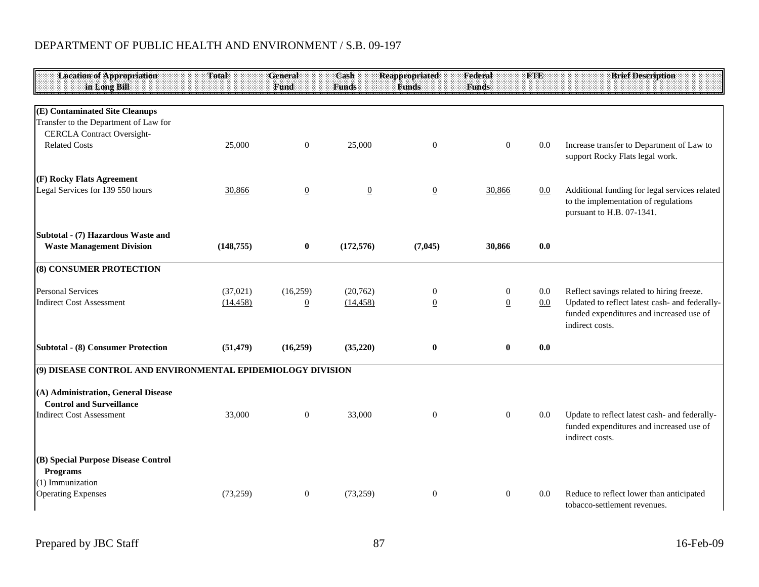| <b>Location of Appropriation</b><br>in Long Bill                                                             | Total      | <b>General</b><br>Fund | Cash<br><b>Funds</b> | <b>Reappropriated</b><br><b>Funds</b> | Federal<br><b>Funds</b> | <b>FTE</b> | <b>Brief Description</b>                                                                                           |
|--------------------------------------------------------------------------------------------------------------|------------|------------------------|----------------------|---------------------------------------|-------------------------|------------|--------------------------------------------------------------------------------------------------------------------|
| (E) Contaminated Site Cleanups<br>Transfer to the Department of Law for<br><b>CERCLA Contract Oversight-</b> |            |                        |                      |                                       |                         |            |                                                                                                                    |
| <b>Related Costs</b>                                                                                         | 25,000     | $\mathbf{0}$           | 25,000               | $\boldsymbol{0}$                      | $\boldsymbol{0}$        | $0.0\,$    | Increase transfer to Department of Law to<br>support Rocky Flats legal work.                                       |
| (F) Rocky Flats Agreement                                                                                    |            |                        |                      |                                       |                         |            |                                                                                                                    |
| Legal Services for 139 550 hours                                                                             | 30,866     | $\overline{0}$         | $\overline{0}$       | $\overline{0}$                        | 30,866                  | 0.0        | Additional funding for legal services related<br>to the implementation of regulations<br>pursuant to H.B. 07-1341. |
| Subtotal - (7) Hazardous Waste and<br><b>Waste Management Division</b>                                       | (148, 755) | $\bf{0}$               | (172, 576)           | (7,045)                               | 30,866                  | 0.0        |                                                                                                                    |
| (8) CONSUMER PROTECTION                                                                                      |            |                        |                      |                                       |                         |            |                                                                                                                    |
| <b>Personal Services</b>                                                                                     | (37,021)   | (16,259)               | (20, 762)            | $\boldsymbol{0}$                      | $\overline{0}$          | 0.0        | Reflect savings related to hiring freeze.                                                                          |
| <b>Indirect Cost Assessment</b>                                                                              | (14, 458)  | $\overline{0}$         | (14, 458)            | $\overline{0}$                        | $\overline{0}$          | 0.0        | Updated to reflect latest cash- and federally-<br>funded expenditures and increased use of<br>indirect costs.      |
| Subtotal - (8) Consumer Protection                                                                           | (51, 479)  | (16,259)               | (35,220)             | $\bf{0}$                              | $\bf{0}$                | 0.0        |                                                                                                                    |
| (9) DISEASE CONTROL AND ENVIRONMENTAL EPIDEMIOLOGY DIVISION                                                  |            |                        |                      |                                       |                         |            |                                                                                                                    |
| (A) Administration, General Disease<br><b>Control and Surveillance</b>                                       |            |                        |                      |                                       |                         |            |                                                                                                                    |
| <b>Indirect Cost Assessment</b>                                                                              | 33,000     | $\overline{0}$         | 33,000               | $\theta$                              | $\overline{0}$          | 0.0        | Update to reflect latest cash- and federally-<br>funded expenditures and increased use of<br>indirect costs.       |
| (B) Special Purpose Disease Control<br><b>Programs</b>                                                       |            |                        |                      |                                       |                         |            |                                                                                                                    |
| (1) Immunization<br><b>Operating Expenses</b>                                                                | (73,259)   | $\overline{0}$         | (73,259)             | $\boldsymbol{0}$                      | $\mathbf{0}$            | 0.0        | Reduce to reflect lower than anticipated                                                                           |
|                                                                                                              |            |                        |                      |                                       |                         |            | tobacco-settlement revenues.                                                                                       |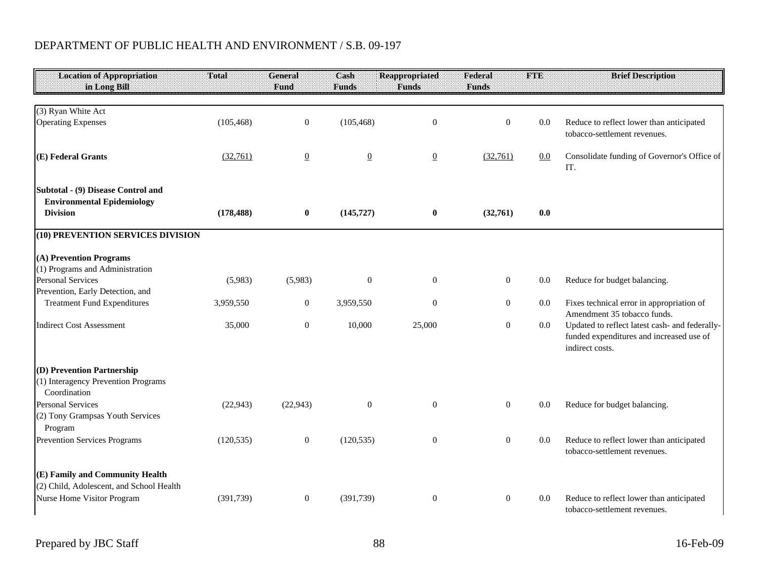| <b>Location of Appropriation</b><br>in Long Bill                                                          | Total      | General<br>Fund | Cash<br><b>Funds</b> | <b>Reappropriated</b><br><b>Funds</b> | Federal<br><b>Funds</b> | <b>FTE</b> | <b>Brief Description</b>                                                                                      |
|-----------------------------------------------------------------------------------------------------------|------------|-----------------|----------------------|---------------------------------------|-------------------------|------------|---------------------------------------------------------------------------------------------------------------|
| (3) Ryan White Act                                                                                        |            |                 |                      |                                       |                         |            |                                                                                                               |
| <b>Operating Expenses</b>                                                                                 | (105, 468) | $\overline{0}$  | (105, 468)           | $\boldsymbol{0}$                      | $\boldsymbol{0}$        | 0.0        | Reduce to reflect lower than anticipated<br>tobacco-settlement revenues.                                      |
| (E) Federal Grants                                                                                        | (32,761)   | $\overline{0}$  | $\underline{0}$      | $\underline{0}$                       | (32,761)                | 0.0        | Consolidate funding of Governor's Office of<br>IT.                                                            |
| Subtotal - (9) Disease Control and<br><b>Environmental Epidemiology</b><br><b>Division</b>                | (178, 488) | $\bf{0}$        | (145, 727)           | $\bf{0}$                              | (32,761)                | 0.0        |                                                                                                               |
| (10) PREVENTION SERVICES DIVISION                                                                         |            |                 |                      |                                       |                         |            |                                                                                                               |
| (A) Prevention Programs<br>(1) Programs and Administration                                                |            |                 |                      |                                       |                         |            |                                                                                                               |
| <b>Personal Services</b><br>Prevention, Early Detection, and                                              | (5,983)    | (5,983)         | $\mathbf{0}$         | $\mathbf{0}$                          | $\mathbf{0}$            | 0.0        | Reduce for budget balancing.                                                                                  |
| <b>Treatment Fund Expenditures</b>                                                                        | 3,959,550  | $\mathbf{0}$    | 3,959,550            | $\mathbf{0}$                          | $\boldsymbol{0}$        | $0.0\,$    | Fixes technical error in appropriation of<br>Amendment 35 tobacco funds.                                      |
| <b>Indirect Cost Assessment</b>                                                                           | 35,000     | $\overline{0}$  | 10,000               | 25,000                                | $\boldsymbol{0}$        | $0.0\,$    | Updated to reflect latest cash- and federally-<br>funded expenditures and increased use of<br>indirect costs. |
| (D) Prevention Partnership<br>(1) Interagency Prevention Programs<br>Coordination                         |            |                 |                      |                                       |                         |            |                                                                                                               |
| <b>Personal Services</b><br>(2) Tony Grampsas Youth Services<br>Program                                   | (22, 943)  | (22, 943)       | $\theta$             | $\overline{0}$                        | $\boldsymbol{0}$        | 0.0        | Reduce for budget balancing.                                                                                  |
| <b>Prevention Services Programs</b>                                                                       | (120, 535) | $\overline{0}$  | (120, 535)           | $\boldsymbol{0}$                      | $\boldsymbol{0}$        | 0.0        | Reduce to reflect lower than anticipated<br>tobacco-settlement revenues.                                      |
| (E) Family and Community Health<br>(2) Child, Adolescent, and School Health<br>Nurse Home Visitor Program | (391, 739) | $\overline{0}$  | (391, 739)           | $\mathbf{0}$                          | $\boldsymbol{0}$        | 0.0        | Reduce to reflect lower than anticipated                                                                      |
|                                                                                                           |            |                 |                      |                                       |                         |            | tobacco-settlement revenues.                                                                                  |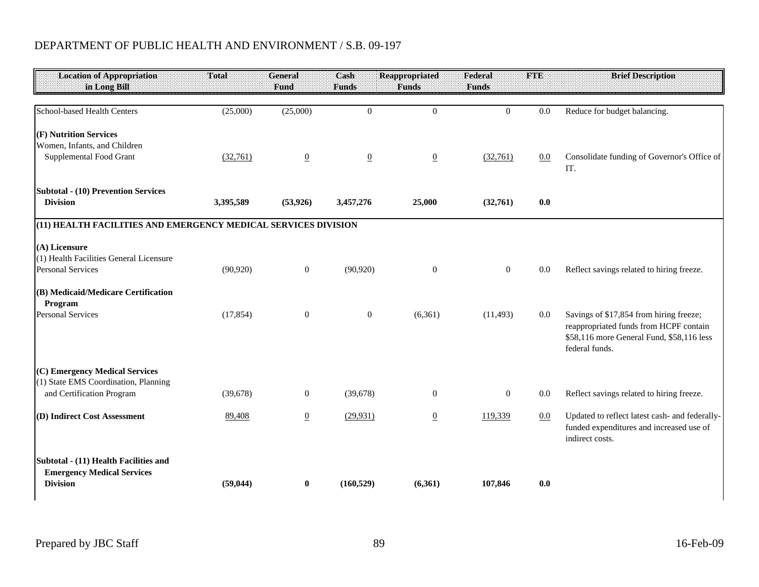| <b>Location of Appropriation</b>                               | <b>Total</b> | <b>General</b>   | Cash            | <b>Reappropriated</b> | Federal        | <b>FTE</b> | <b>Brief Description</b>                                                            |
|----------------------------------------------------------------|--------------|------------------|-----------------|-----------------------|----------------|------------|-------------------------------------------------------------------------------------|
| in Long Bill                                                   |              | Fund             | <b>Funds</b>    | <b>Funds</b>          | <b>Funds</b>   |            |                                                                                     |
| School-based Health Centers                                    | (25,000)     | (25,000)         | $\overline{0}$  | $\overline{0}$        | $\Omega$       | 0.0        | Reduce for budget balancing.                                                        |
|                                                                |              |                  |                 |                       |                |            |                                                                                     |
| (F) Nutrition Services<br>Women, Infants, and Children         |              |                  |                 |                       |                |            |                                                                                     |
| Supplemental Food Grant                                        | (32,761)     | $\underline{0}$  | $\underline{0}$ | $\boldsymbol{0}$      | (32,761)       | 0.0        | Consolidate funding of Governor's Office of                                         |
|                                                                |              |                  |                 |                       |                |            | IT.                                                                                 |
| <b>Subtotal - (10) Prevention Services</b>                     |              |                  |                 |                       |                |            |                                                                                     |
| <b>Division</b>                                                | 3,395,589    | (53, 926)        | 3,457,276       | 25,000                | (32,761)       | 0.0        |                                                                                     |
| (11) HEALTH FACILITIES AND EMERGENCY MEDICAL SERVICES DIVISION |              |                  |                 |                       |                |            |                                                                                     |
| (A) Licensure                                                  |              |                  |                 |                       |                |            |                                                                                     |
| (1) Health Facilities General Licensure                        |              |                  |                 |                       |                |            |                                                                                     |
| <b>Personal Services</b>                                       | (90, 920)    | $\boldsymbol{0}$ | (90, 920)       | $\mathbf{0}$          | $\overline{0}$ | 0.0        | Reflect savings related to hiring freeze.                                           |
| (B) Medicaid/Medicare Certification                            |              |                  |                 |                       |                |            |                                                                                     |
| Program                                                        |              |                  |                 |                       |                |            |                                                                                     |
| <b>Personal Services</b>                                       | (17, 854)    | $\boldsymbol{0}$ | $\mathbf{0}$    | (6,361)               | (11, 493)      | 0.0        | Savings of \$17,854 from hiring freeze;                                             |
|                                                                |              |                  |                 |                       |                |            | reappropriated funds from HCPF contain<br>\$58,116 more General Fund, \$58,116 less |
|                                                                |              |                  |                 |                       |                |            | federal funds.                                                                      |
| (C) Emergency Medical Services                                 |              |                  |                 |                       |                |            |                                                                                     |
| (1) State EMS Coordination, Planning                           |              |                  |                 |                       |                |            |                                                                                     |
| and Certification Program                                      | (39, 678)    | $\mathbf{0}$     | (39,678)        | $\overline{0}$        | $\overline{0}$ | 0.0        | Reflect savings related to hiring freeze.                                           |
| (D) Indirect Cost Assessment                                   | 89,408       | $\overline{0}$   | (29, 931)       | $\underline{0}$       | 119,339        | 0.0        | Updated to reflect latest cash- and federally-                                      |
|                                                                |              |                  |                 |                       |                |            | funded expenditures and increased use of<br>indirect costs.                         |
| Subtotal - (11) Health Facilities and                          |              |                  |                 |                       |                |            |                                                                                     |
| <b>Emergency Medical Services</b>                              |              |                  |                 |                       |                |            |                                                                                     |
| <b>Division</b>                                                | (59, 044)    | $\mathbf{0}$     | (160, 529)      | (6,361)               | 107,846        | 0.0        |                                                                                     |
|                                                                |              |                  |                 |                       |                |            |                                                                                     |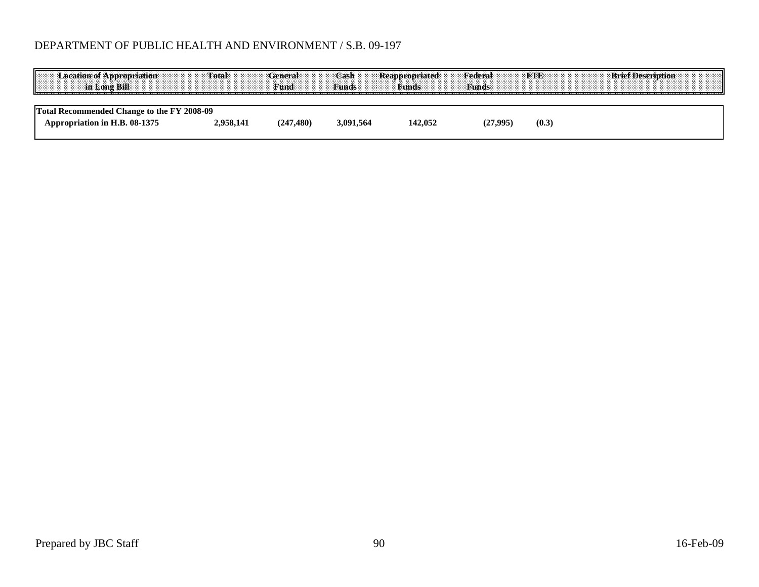| <b>Location of Appropriation</b><br>in Long Bills                           | $T0$ tal  | General<br><b>Fund</b> | -Cash<br>Funds | <b>Reappropriated</b><br>aannas maanda | Federal<br><b>Funds</b> |       | <b>ETE</b> Brief Description<br>. |
|-----------------------------------------------------------------------------|-----------|------------------------|----------------|----------------------------------------|-------------------------|-------|-----------------------------------|
| Total Recommended Change to the FY 2008-09<br>Appropriation in H.B. 08-1375 | 2.958.141 | (247, 480)             | 3.091.564      | 142.052                                | 27.995                  | (0.3) |                                   |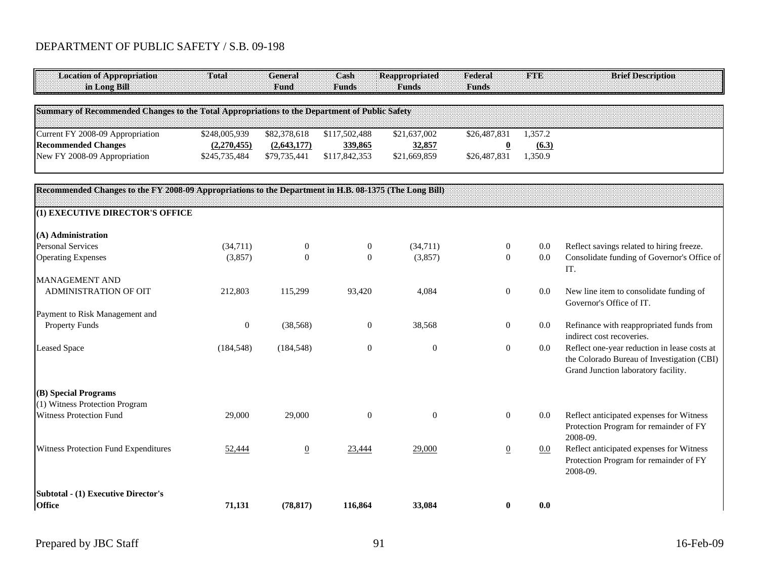| <b>Location of Appropriation</b><br>in Long Bill                                                       | Total            | <b>General</b><br>Fund | Cash<br><b>Funds</b> | <b>Reappropriated</b><br><b>Funds</b> | Federal<br><b>Funds</b>  | <b>FTE</b> | <b>Brief Description</b>                                                                                                          |
|--------------------------------------------------------------------------------------------------------|------------------|------------------------|----------------------|---------------------------------------|--------------------------|------------|-----------------------------------------------------------------------------------------------------------------------------------|
| Summary of Recommended Changes to the Total Appropriations to the Department of Public Safety          |                  |                        |                      |                                       |                          |            |                                                                                                                                   |
| Current FY 2008-09 Appropriation                                                                       | \$248,005,939    | \$82,378,618           | \$117,502,488        | \$21,637,002                          | \$26,487,831             | 1,357.2    |                                                                                                                                   |
| <b>Recommended Changes</b>                                                                             | (2,270,455)      | (2,643,177)            | 339,865              | 32,857                                | $\underline{\mathbf{0}}$ | (6.3)      |                                                                                                                                   |
| New FY 2008-09 Appropriation                                                                           | \$245,735,484    | \$79,735,441           | \$117,842,353        | \$21,669,859                          | \$26,487,831             | 1,350.9    |                                                                                                                                   |
| Recommended Changes to the FY 2008-09 Appropriations to the Department in H.B. 08-1375 (The Long Bill) |                  |                        |                      |                                       |                          |            |                                                                                                                                   |
| (1) EXECUTIVE DIRECTOR'S OFFICE                                                                        |                  |                        |                      |                                       |                          |            |                                                                                                                                   |
| (A) Administration                                                                                     |                  |                        |                      |                                       |                          |            |                                                                                                                                   |
| <b>Personal Services</b>                                                                               | (34,711)         | $\boldsymbol{0}$       | $\boldsymbol{0}$     | (34,711)                              | $\boldsymbol{0}$         | 0.0        | Reflect savings related to hiring freeze.                                                                                         |
| <b>Operating Expenses</b>                                                                              | (3,857)          | $\boldsymbol{0}$       | $\mathbf{0}$         | (3,857)                               | $\boldsymbol{0}$         | 0.0        | Consolidate funding of Governor's Office of<br>IT.                                                                                |
| <b>MANAGEMENT AND</b>                                                                                  |                  |                        |                      |                                       |                          |            |                                                                                                                                   |
| ADMINISTRATION OF OIT                                                                                  | 212,803          | 115,299                | 93,420               | 4,084                                 | $\mathbf{0}$             | 0.0        | New line item to consolidate funding of<br>Governor's Office of IT.                                                               |
| Payment to Risk Management and                                                                         |                  |                        |                      |                                       |                          |            |                                                                                                                                   |
| <b>Property Funds</b>                                                                                  | $\boldsymbol{0}$ | (38, 568)              | $\mathbf{0}$         | 38,568                                | $\boldsymbol{0}$         | 0.0        | Refinance with reappropriated funds from<br>indirect cost recoveries.                                                             |
| <b>Leased Space</b>                                                                                    | (184, 548)       | (184, 548)             | $\mathbf{0}$         | $\theta$                              | $\boldsymbol{0}$         | 0.0        | Reflect one-year reduction in lease costs at<br>the Colorado Bureau of Investigation (CBI)<br>Grand Junction laboratory facility. |
| (B) Special Programs                                                                                   |                  |                        |                      |                                       |                          |            |                                                                                                                                   |
| (1) Witness Protection Program                                                                         |                  |                        |                      |                                       |                          |            |                                                                                                                                   |
| <b>Witness Protection Fund</b>                                                                         | 29,000           | 29,000                 | $\mathbf{0}$         | $\theta$                              | $\mathbf{0}$             | 0.0        | Reflect anticipated expenses for Witness<br>Protection Program for remainder of FY<br>2008-09.                                    |
| Witness Protection Fund Expenditures                                                                   | 52,444           | $\underline{0}$        | 23,444               | 29,000                                | $\underline{0}$          | 0.0        | Reflect anticipated expenses for Witness<br>Protection Program for remainder of FY<br>2008-09.                                    |
| Subtotal - (1) Executive Director's<br><b>Office</b>                                                   | 71,131           | (78, 817)              | 116,864              | 33,084                                | $\bf{0}$                 | 0.0        |                                                                                                                                   |
|                                                                                                        |                  |                        |                      |                                       |                          |            |                                                                                                                                   |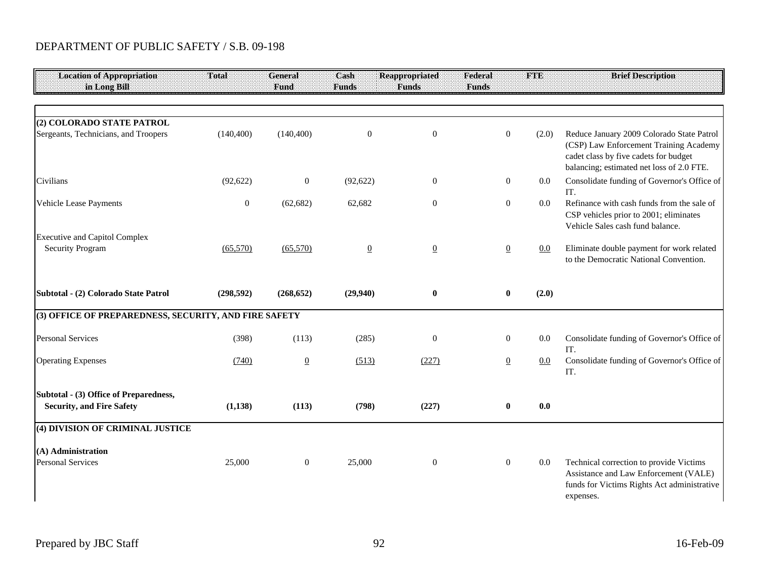| <b>Location of Appropriation</b><br>in Long Bill                           | Total            | General<br><b>Fund</b> | Cash<br><b>Funds</b> | <b>Reappropriated</b><br><b>Funds</b> | Federal<br><b>Funds</b> | <b>FTE</b> | <b>Brief Description</b>                                                                                                                                                  |
|----------------------------------------------------------------------------|------------------|------------------------|----------------------|---------------------------------------|-------------------------|------------|---------------------------------------------------------------------------------------------------------------------------------------------------------------------------|
|                                                                            |                  |                        |                      |                                       |                         |            |                                                                                                                                                                           |
| (2) COLORADO STATE PATROL<br>Sergeants, Technicians, and Troopers          | (140, 400)       | (140, 400)             | $\theta$             | $\theta$                              | $\theta$                | (2.0)      | Reduce January 2009 Colorado State Patrol<br>(CSP) Law Enforcement Training Academy<br>cadet class by five cadets for budget<br>balancing; estimated net loss of 2.0 FTE. |
| Civilians                                                                  | (92, 622)        | $\overline{0}$         | (92, 622)            | $\boldsymbol{0}$                      | $\boldsymbol{0}$        | 0.0        | Consolidate funding of Governor's Office of<br>IT.                                                                                                                        |
| Vehicle Lease Payments                                                     | $\boldsymbol{0}$ | (62, 682)              | 62,682               | $\overline{0}$                        | $\boldsymbol{0}$        | 0.0        | Refinance with cash funds from the sale of<br>CSP vehicles prior to 2001; eliminates<br>Vehicle Sales cash fund balance.                                                  |
| <b>Executive and Capitol Complex</b><br><b>Security Program</b>            | (65,570)         | (65,570)               | $\underline{0}$      | $\underline{0}$                       | $\overline{0}$          | 0.0        | Eliminate double payment for work related<br>to the Democratic National Convention.                                                                                       |
| Subtotal - (2) Colorado State Patrol                                       | (298, 592)       | (268, 652)             | (29, 940)            | $\bf{0}$                              | $\bf{0}$                | (2.0)      |                                                                                                                                                                           |
| (3) OFFICE OF PREPAREDNESS, SECURITY, AND FIRE SAFETY                      |                  |                        |                      |                                       |                         |            |                                                                                                                                                                           |
| <b>Personal Services</b>                                                   | (398)            | (113)                  | (285)                | $\boldsymbol{0}$                      | $\boldsymbol{0}$        | $0.0\,$    | Consolidate funding of Governor's Office of<br>IT.                                                                                                                        |
| <b>Operating Expenses</b>                                                  | (740)            | $\underline{0}$        | (513)                | (227)                                 | $\underline{0}$         | 0.0        | Consolidate funding of Governor's Office of<br>IT.                                                                                                                        |
| Subtotal - (3) Office of Preparedness,<br><b>Security, and Fire Safety</b> | (1, 138)         | (113)                  | (798)                | (227)                                 | $\bf{0}$                | 0.0        |                                                                                                                                                                           |
| (4) DIVISION OF CRIMINAL JUSTICE                                           |                  |                        |                      |                                       |                         |            |                                                                                                                                                                           |
| (A) Administration<br><b>Personal Services</b>                             | 25,000           | $\overline{0}$         | 25,000               | $\boldsymbol{0}$                      | $\boldsymbol{0}$        | 0.0        | Technical correction to provide Victims<br>Assistance and Law Enforcement (VALE)<br>funds for Victims Rights Act administrative<br>expenses.                              |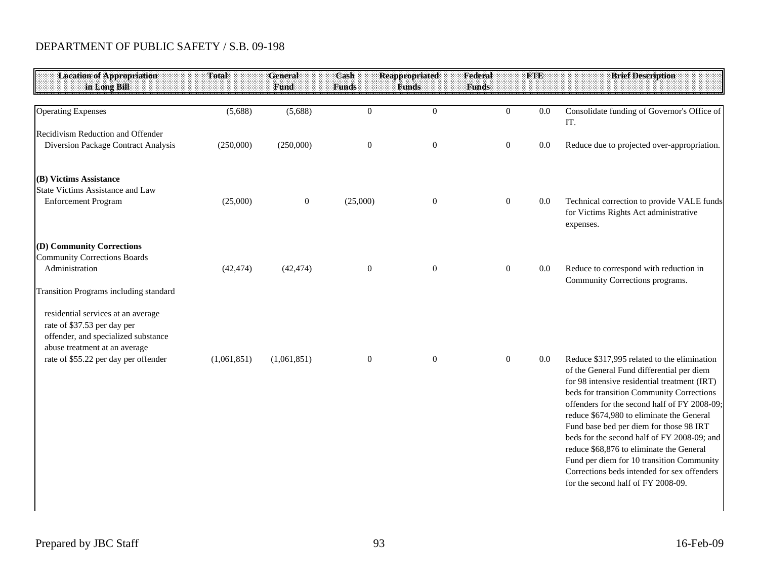| Total       | <b>General</b> | Cash             | <b>Reappropriated</b> | Federal          | <b>FTE</b>   | <b>Brief Description</b>                                                                                                                                                                                                                                                                                                                                                                                                                                                                                    |
|-------------|----------------|------------------|-----------------------|------------------|--------------|-------------------------------------------------------------------------------------------------------------------------------------------------------------------------------------------------------------------------------------------------------------------------------------------------------------------------------------------------------------------------------------------------------------------------------------------------------------------------------------------------------------|
|             |                |                  |                       |                  |              |                                                                                                                                                                                                                                                                                                                                                                                                                                                                                                             |
| (5,688)     | (5,688)        | $\overline{0}$   | $\overline{0}$        | $\overline{0}$   | 0.0          | Consolidate funding of Governor's Office of<br>IT.                                                                                                                                                                                                                                                                                                                                                                                                                                                          |
| (250,000)   | (250,000)      | $\boldsymbol{0}$ | $\boldsymbol{0}$      | $\boldsymbol{0}$ | $0.0\,$      | Reduce due to projected over-appropriation.                                                                                                                                                                                                                                                                                                                                                                                                                                                                 |
| (25,000)    | $\mathbf{0}$   | (25,000)         | $\mathbf{0}$          | $\mathbf{0}$     | $0.0\,$      | Technical correction to provide VALE funds<br>for Victims Rights Act administrative<br>expenses.                                                                                                                                                                                                                                                                                                                                                                                                            |
| (42, 474)   | (42, 474)      | $\boldsymbol{0}$ | $\mathbf{0}$          | $\boldsymbol{0}$ | $0.0\,$      | Reduce to correspond with reduction in<br>Community Corrections programs.                                                                                                                                                                                                                                                                                                                                                                                                                                   |
| (1,061,851) | (1,061,851)    | $\boldsymbol{0}$ | $\boldsymbol{0}$      | $\boldsymbol{0}$ | 0.0          | Reduce \$317,995 related to the elimination                                                                                                                                                                                                                                                                                                                                                                                                                                                                 |
|             |                |                  |                       |                  |              | of the General Fund differential per diem<br>for 98 intensive residential treatment (IRT)<br>beds for transition Community Corrections<br>offenders for the second half of FY 2008-09;<br>reduce \$674,980 to eliminate the General<br>Fund base bed per diem for those 98 IRT<br>beds for the second half of FY 2008-09; and<br>reduce \$68,876 to eliminate the General<br>Fund per diem for 10 transition Community<br>Corrections beds intended for sex offenders<br>for the second half of FY 2008-09. |
|             |                | Fund             | <b>Funds</b>          | <b>Funds</b>     | <b>Funds</b> |                                                                                                                                                                                                                                                                                                                                                                                                                                                                                                             |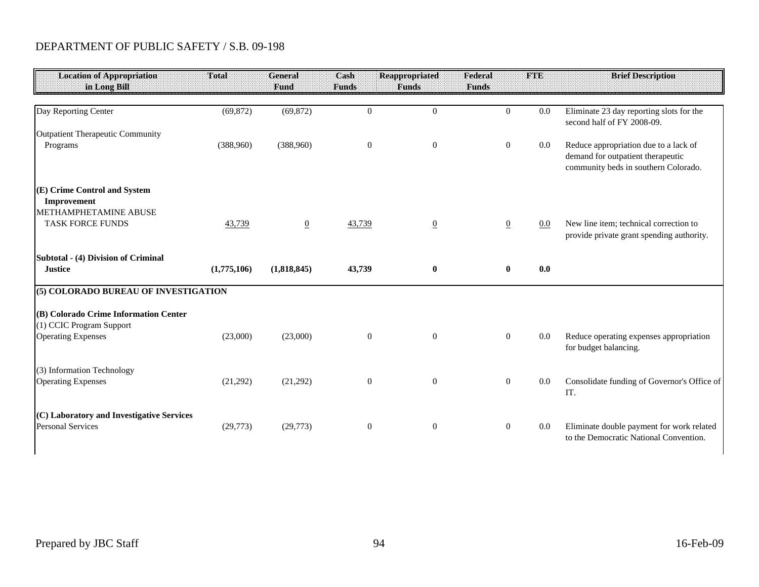| <b>Location of Appropriation</b><br>in Long Bill                      | Total       | General<br><b>Fund</b> | Cash<br><b>Funds</b> | <b>Reappropriated</b><br><b>Funds</b> | Federal<br><b>Funds</b> | <b>FTE</b> | <b>Brief Description</b>                                                                                           |
|-----------------------------------------------------------------------|-------------|------------------------|----------------------|---------------------------------------|-------------------------|------------|--------------------------------------------------------------------------------------------------------------------|
| Day Reporting Center                                                  | (69, 872)   | (69, 872)              | $\mathbf{0}$         | $\overline{0}$                        | $\overline{0}$          | 0.0        | Eliminate 23 day reporting slots for the<br>second half of FY 2008-09.                                             |
| Outpatient Therapeutic Community                                      |             |                        |                      |                                       |                         |            |                                                                                                                    |
| Programs                                                              | (388,960)   | (388,960)              | $\mathbf{0}$         | $\overline{0}$                        | $\mathbf{0}$            | $0.0\,$    | Reduce appropriation due to a lack of<br>demand for outpatient therapeutic<br>community beds in southern Colorado. |
| (E) Crime Control and System                                          |             |                        |                      |                                       |                         |            |                                                                                                                    |
| Improvement                                                           |             |                        |                      |                                       |                         |            |                                                                                                                    |
| METHAMPHETAMINE ABUSE<br><b>TASK FORCE FUNDS</b>                      | 43,739      | $\overline{0}$         | 43,739               |                                       |                         | $0.0\,$    | New line item; technical correction to                                                                             |
|                                                                       |             |                        |                      | $\overline{0}$                        | $\overline{0}$          |            | provide private grant spending authority.                                                                          |
| Subtotal - (4) Division of Criminal                                   |             |                        |                      |                                       |                         |            |                                                                                                                    |
| <b>Justice</b>                                                        | (1,775,106) | (1,818,845)            | 43,739               | $\bf{0}$                              | $\bf{0}$                | 0.0        |                                                                                                                    |
| (5) COLORADO BUREAU OF INVESTIGATION                                  |             |                        |                      |                                       |                         |            |                                                                                                                    |
| (B) Colorado Crime Information Center                                 |             |                        |                      |                                       |                         |            |                                                                                                                    |
| (1) CCIC Program Support<br><b>Operating Expenses</b>                 | (23,000)    | (23,000)               | $\boldsymbol{0}$     | $\mathbf{0}$                          | $\overline{0}$          | 0.0        | Reduce operating expenses appropriation<br>for budget balancing.                                                   |
| (3) Information Technology                                            |             |                        |                      |                                       |                         |            |                                                                                                                    |
| <b>Operating Expenses</b>                                             | (21,292)    | (21,292)               | $\boldsymbol{0}$     | $\overline{0}$                        | $\mathbf{0}$            | $0.0\,$    | Consolidate funding of Governor's Office of<br>IT.                                                                 |
| (C) Laboratory and Investigative Services<br><b>Personal Services</b> | (29,773)    | (29,773)               | $\boldsymbol{0}$     | $\boldsymbol{0}$                      | $\overline{0}$          | 0.0        | Eliminate double payment for work related<br>to the Democratic National Convention.                                |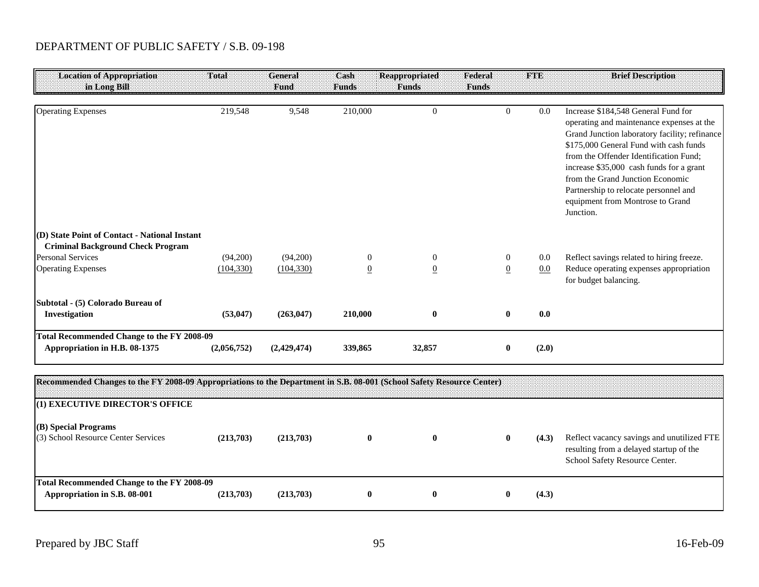| <b>Location of Appropriation</b><br>in Long Bill                                          | Total       | General<br>Fund | Cash<br><b>Funds</b> | <b>Reappropriated</b><br><b>Funds</b> | Federal<br><b>Funds</b> | <b>FTE</b> | <b>Brief Description</b>                                                                                                                                                                                                                                                                                                                                                                        |
|-------------------------------------------------------------------------------------------|-------------|-----------------|----------------------|---------------------------------------|-------------------------|------------|-------------------------------------------------------------------------------------------------------------------------------------------------------------------------------------------------------------------------------------------------------------------------------------------------------------------------------------------------------------------------------------------------|
| <b>Operating Expenses</b>                                                                 | 219,548     | 9,548           | 210,000              | $\theta$                              | $\Omega$                | 0.0        | Increase \$184,548 General Fund for<br>operating and maintenance expenses at the<br>Grand Junction laboratory facility; refinance<br>\$175,000 General Fund with cash funds<br>from the Offender Identification Fund;<br>increase \$35,000 cash funds for a grant<br>from the Grand Junction Economic<br>Partnership to relocate personnel and<br>equipment from Montrose to Grand<br>Junction. |
| (D) State Point of Contact - National Instant<br><b>Criminal Background Check Program</b> |             |                 |                      |                                       |                         |            |                                                                                                                                                                                                                                                                                                                                                                                                 |
| <b>Personal Services</b>                                                                  | (94,200)    | (94,200)        | $\theta$             | $\overline{0}$                        | $\overline{0}$          | 0.0        | Reflect savings related to hiring freeze.                                                                                                                                                                                                                                                                                                                                                       |
| <b>Operating Expenses</b>                                                                 | (104, 330)  | (104, 330)      | $\overline{0}$       | $\overline{0}$                        | $\overline{0}$          | 0.0        | Reduce operating expenses appropriation<br>for budget balancing.                                                                                                                                                                                                                                                                                                                                |
| Subtotal - (5) Colorado Bureau of                                                         |             |                 |                      |                                       |                         |            |                                                                                                                                                                                                                                                                                                                                                                                                 |
| Investigation                                                                             | (53, 047)   | (263, 047)      | 210,000              | $\mathbf{0}$                          |                         | 0.0        |                                                                                                                                                                                                                                                                                                                                                                                                 |
| <b>Total Recommended Change to the FY 2008-09</b><br>Appropriation in H.B. 08-1375        | (2,056,752) | (2,429,474)     | 339,865              | 32,857                                |                         | (2.0)      |                                                                                                                                                                                                                                                                                                                                                                                                 |

| Recommended Changes to the FY 2008-09 Appropriations to the Department in S.B. 08-001 (School Safety Resource Center) |           |           |  |   |       |                                                                                                                         |
|-----------------------------------------------------------------------------------------------------------------------|-----------|-----------|--|---|-------|-------------------------------------------------------------------------------------------------------------------------|
| (1) EXECUTIVE DIRECTOR'S OFFICE                                                                                       |           |           |  |   |       |                                                                                                                         |
| (B) Special Programs<br>(3) School Resource Center Services                                                           | (213.703) | (213,703) |  | U | (4.3) | Reflect vacancy savings and unutilized FTE<br>resulting from a delayed startup of the<br>School Safety Resource Center. |
| Total Recommended Change to the FY 2008-09<br>Appropriation in S.B. 08-001                                            | (213.703) | (213,703) |  |   | (4.3) |                                                                                                                         |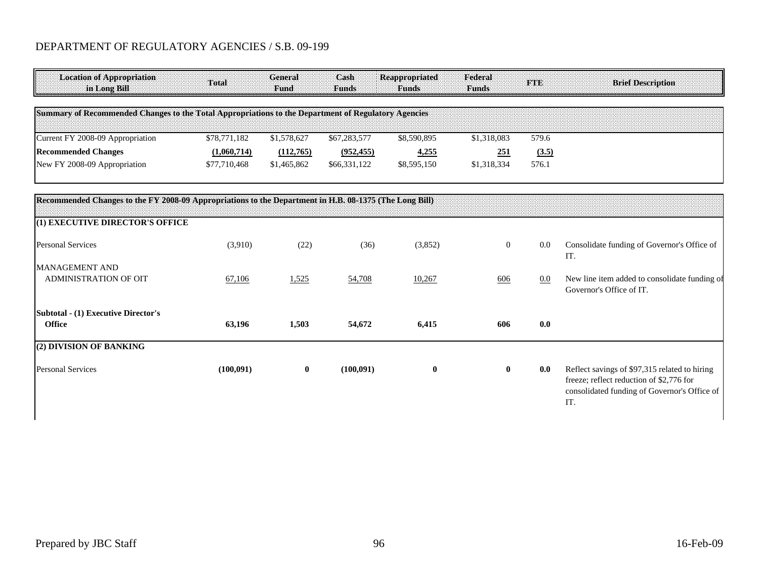| <b>Location of Appropriation</b><br>in Long Bill                                                       | Total        | <b>General</b><br>Fund | Cash<br><b>Funds</b> | <b>Reappropriated</b><br><b>Funds</b> | Federal<br><b>Funds</b> | <b>FTE</b> | <b>Brief Description</b>                                                                                                                         |
|--------------------------------------------------------------------------------------------------------|--------------|------------------------|----------------------|---------------------------------------|-------------------------|------------|--------------------------------------------------------------------------------------------------------------------------------------------------|
| Summary of Recommended Changes to the Total Appropriations to the Department of Regulatory Agencies    |              |                        |                      |                                       |                         |            |                                                                                                                                                  |
| Current FY 2008-09 Appropriation                                                                       | \$78,771,182 | \$1,578,627            | \$67,283,577         | \$8,590,895                           | \$1,318,083             | 579.6      |                                                                                                                                                  |
| <b>Recommended Changes</b>                                                                             | (1,060,714)  | (112,765)              | (952, 455)           | 4,255                                 | 251                     | (3.5)      |                                                                                                                                                  |
| New FY 2008-09 Appropriation                                                                           | \$77,710,468 | \$1,465,862            | \$66,331,122         | \$8,595,150                           | \$1,318,334             | 576.1      |                                                                                                                                                  |
| Recommended Changes to the FY 2008-09 Appropriations to the Department in H.B. 08-1375 (The Long Bill) |              |                        |                      |                                       |                         |            |                                                                                                                                                  |
| (1) EXECUTIVE DIRECTOR'S OFFICE                                                                        |              |                        |                      |                                       |                         |            |                                                                                                                                                  |
| <b>Personal Services</b>                                                                               | (3,910)      | (22)                   | (36)                 | (3,852)                               | $\boldsymbol{0}$        | 0.0        | Consolidate funding of Governor's Office of<br>IT.                                                                                               |
| <b>MANAGEMENT AND</b><br>ADMINISTRATION OF OIT                                                         | 67,106       | 1,525                  | 54,708               | 10,267                                | 606                     | $0.0\,$    | New line item added to consolidate funding of<br>Governor's Office of IT.                                                                        |
| <b>Subtotal - (1) Executive Director's</b><br><b>Office</b>                                            | 63,196       | 1,503                  | 54,672               | 6,415                                 | 606                     | 0.0        |                                                                                                                                                  |
| (2) DIVISION OF BANKING                                                                                |              |                        |                      |                                       |                         |            |                                                                                                                                                  |
| <b>Personal Services</b>                                                                               | (100, 091)   | $\mathbf 0$            | (100,091)            | $\bf{0}$                              | $\bf{0}$                | 0.0        | Reflect savings of \$97,315 related to hiring<br>freeze; reflect reduction of \$2,776 for<br>consolidated funding of Governor's Office of<br>IT. |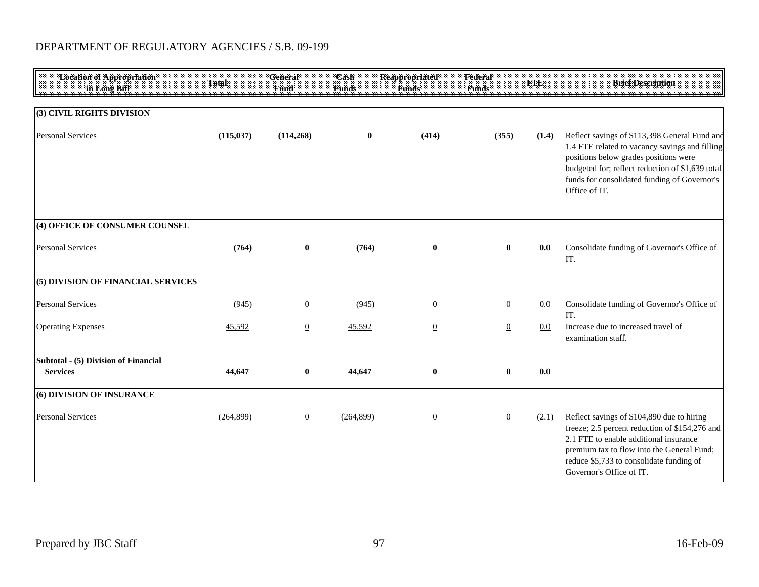| <b>Location of Appropriation</b><br>in Long Bill | Total      | General<br>Fund | Cash<br>Funds | <b>Reappropriated</b><br><b>Funds</b> | Federal<br><b>Funds</b> | <b>FTE</b> | <b>Brief Description</b>                                                                                                                                                                                                                                      |
|--------------------------------------------------|------------|-----------------|---------------|---------------------------------------|-------------------------|------------|---------------------------------------------------------------------------------------------------------------------------------------------------------------------------------------------------------------------------------------------------------------|
| (3) CIVIL RIGHTS DIVISION                        |            |                 |               |                                       |                         |            |                                                                                                                                                                                                                                                               |
| <b>Personal Services</b>                         | (115, 037) | (114, 268)      | $\bf{0}$      | (414)                                 | (355)                   | (1.4)      | Reflect savings of \$113,398 General Fund and<br>1.4 FTE related to vacancy savings and filling<br>positions below grades positions were<br>budgeted for; reflect reduction of \$1,639 total<br>funds for consolidated funding of Governor's<br>Office of IT. |
| (4) OFFICE OF CONSUMER COUNSEL                   |            |                 |               |                                       |                         |            |                                                                                                                                                                                                                                                               |
| <b>Personal Services</b>                         | (764)      | $\mathbf{0}$    | (764)         | $\bf{0}$                              | $\mathbf{0}$            | 0.0        | Consolidate funding of Governor's Office of<br>IT.                                                                                                                                                                                                            |
| (5) DIVISION OF FINANCIAL SERVICES               |            |                 |               |                                       |                         |            |                                                                                                                                                                                                                                                               |
| <b>Personal Services</b>                         | (945)      | $\mathbf{0}$    | (945)         | $\mathbf{0}$                          | $\boldsymbol{0}$        | 0.0        | Consolidate funding of Governor's Office of<br>IT.                                                                                                                                                                                                            |
| <b>Operating Expenses</b>                        | 45,592     | $\overline{0}$  | 45,592        | $\overline{0}$                        | $\overline{0}$          | 0.0        | Increase due to increased travel of<br>examination staff.                                                                                                                                                                                                     |
| Subtotal - (5) Division of Financial             |            |                 |               |                                       |                         |            |                                                                                                                                                                                                                                                               |
| <b>Services</b>                                  | 44,647     | $\bf{0}$        | 44,647        | $\bf{0}$                              | $\bf{0}$                | 0.0        |                                                                                                                                                                                                                                                               |
| (6) DIVISION OF INSURANCE                        |            |                 |               |                                       |                         |            |                                                                                                                                                                                                                                                               |
| <b>Personal Services</b>                         | (264, 899) | $\overline{0}$  | (264, 899)    | $\mathbf{0}$                          | $\boldsymbol{0}$        | (2.1)      | Reflect savings of \$104,890 due to hiring<br>freeze; 2.5 percent reduction of \$154,276 and<br>2.1 FTE to enable additional insurance<br>premium tax to flow into the General Fund;<br>reduce \$5,733 to consolidate funding of<br>Governor's Office of IT.  |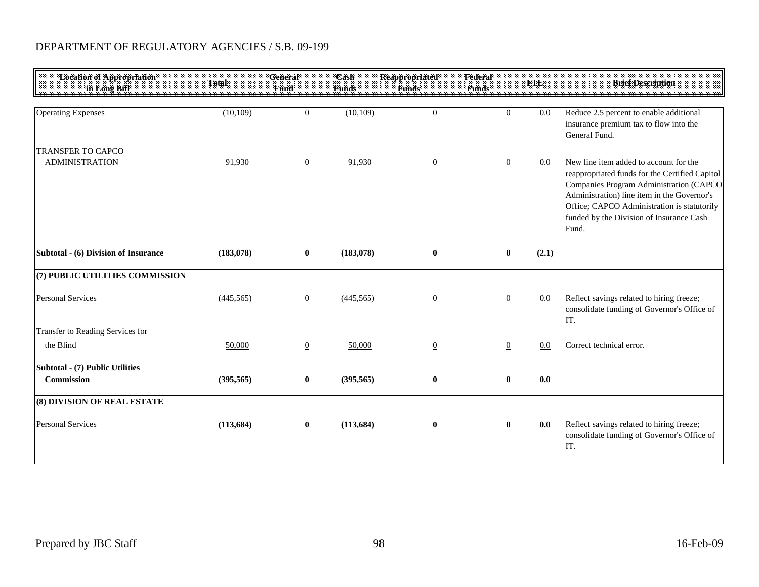| <b>Location of Appropriation</b><br>in Long Bill  | Total      | General<br>Fund | Cash<br>Funds | <b>Reappropriated</b><br><b>Funds</b> | Federal<br>Funds | <b>FTE</b> | <b>Brief Description</b>                                                                                                                                                                                                                                                               |
|---------------------------------------------------|------------|-----------------|---------------|---------------------------------------|------------------|------------|----------------------------------------------------------------------------------------------------------------------------------------------------------------------------------------------------------------------------------------------------------------------------------------|
| <b>Operating Expenses</b>                         | (10, 109)  | $\overline{0}$  | (10, 109)     | $\overline{0}$                        | $\overline{0}$   | $0.0\,$    | Reduce 2.5 percent to enable additional<br>insurance premium tax to flow into the<br>General Fund.                                                                                                                                                                                     |
| <b>TRANSFER TO CAPCO</b><br><b>ADMINISTRATION</b> | 91,930     | $\overline{0}$  | 91,930        | $\overline{0}$                        | $\overline{0}$   | $0.0\,$    | New line item added to account for the<br>reappropriated funds for the Certified Capitol<br>Companies Program Administration (CAPCO<br>Administration) line item in the Governor's<br>Office; CAPCO Administration is statutorily<br>funded by the Division of Insurance Cash<br>Fund. |
| Subtotal - (6) Division of Insurance              | (183,078)  | $\bf{0}$        | (183, 078)    | $\bf{0}$                              | $\bf{0}$         | (2.1)      |                                                                                                                                                                                                                                                                                        |
| (7) PUBLIC UTILITIES COMMISSION                   |            |                 |               |                                       |                  |            |                                                                                                                                                                                                                                                                                        |
| <b>Personal Services</b>                          | (445, 565) | $\overline{0}$  | (445, 565)    | $\overline{0}$                        | $\mathbf{0}$     | 0.0        | Reflect savings related to hiring freeze;<br>consolidate funding of Governor's Office of<br>IT.                                                                                                                                                                                        |
| Transfer to Reading Services for                  |            |                 |               |                                       |                  |            |                                                                                                                                                                                                                                                                                        |
| the Blind                                         | 50,000     | $\overline{0}$  | 50,000        | $\overline{0}$                        | $\overline{0}$   | 0.0        | Correct technical error.                                                                                                                                                                                                                                                               |
| Subtotal - (7) Public Utilities<br>Commission     | (395, 565) | $\bf{0}$        | (395, 565)    | $\bf{0}$                              | $\bf{0}$         | 0.0        |                                                                                                                                                                                                                                                                                        |
| (8) DIVISION OF REAL ESTATE                       |            |                 |               |                                       |                  |            |                                                                                                                                                                                                                                                                                        |
| <b>Personal Services</b>                          | (113, 684) | $\bf{0}$        | (113, 684)    | $\bf{0}$                              | $\mathbf{0}$     | 0.0        | Reflect savings related to hiring freeze;<br>consolidate funding of Governor's Office of<br>IT.                                                                                                                                                                                        |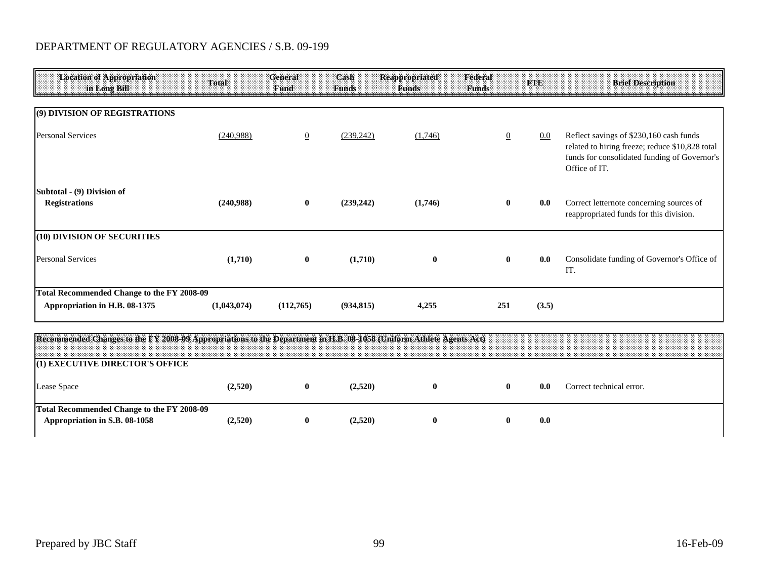| <b>Location of Appropriation</b><br>in Long Bill                                                                    | Total       | General<br>Fund | Cash<br>Funds | <b>Reappropriated</b><br><b>Funds</b> | Federal<br>Funds | TSHE  | <b>Brief Description</b>                                                                                                                                    |
|---------------------------------------------------------------------------------------------------------------------|-------------|-----------------|---------------|---------------------------------------|------------------|-------|-------------------------------------------------------------------------------------------------------------------------------------------------------------|
| (9) DIVISION OF REGISTRATIONS                                                                                       |             |                 |               |                                       |                  |       |                                                                                                                                                             |
| <b>Personal Services</b>                                                                                            | (240,988)   | $\overline{0}$  | (239, 242)    | (1,746)                               | $\overline{0}$   | 0.0   | Reflect savings of \$230,160 cash funds<br>related to hiring freeze; reduce \$10,828 total<br>funds for consolidated funding of Governor's<br>Office of IT. |
| Subtotal - (9) Division of<br><b>Registrations</b>                                                                  | (240,988)   | $\bf{0}$        | (239, 242)    | (1,746)                               | $\bf{0}$         | 0.0   | Correct letternote concerning sources of<br>reappropriated funds for this division.                                                                         |
| (10) DIVISION OF SECURITIES                                                                                         |             |                 |               |                                       |                  |       |                                                                                                                                                             |
| <b>Personal Services</b>                                                                                            | (1,710)     | $\bf{0}$        | (1,710)       | $\bf{0}$                              | $\bf{0}$         | 0.0   | Consolidate funding of Governor's Office of<br>IT.                                                                                                          |
| <b>Total Recommended Change to the FY 2008-09</b>                                                                   |             |                 |               |                                       |                  |       |                                                                                                                                                             |
| Appropriation in H.B. 08-1375                                                                                       | (1,043,074) | (112,765)       | (934, 815)    | 4,255                                 | 251              | (3.5) |                                                                                                                                                             |
| Recommended Changes to the EV 2008-00 Appropriations to the Department in H R 08, 1058 (Uniform Athlete Agents Act) |             |                 |               |                                       |                  |       |                                                                                                                                                             |

| Recommended Changes to the FY 2008-09 Appropriations to the Department in H.B. 08-1058 (Uniform Athlete Agents Act) |         |         |  |     |                          |
|---------------------------------------------------------------------------------------------------------------------|---------|---------|--|-----|--------------------------|
| (1) EXECUTIVE DIRECTOR'S OFFICE                                                                                     |         |         |  |     |                          |
| Lease Space                                                                                                         | 2.520)  | (2,520) |  | 0.0 | Correct technical error. |
| Total Recommended Change to the FY 2008-09<br>Appropriation in S.B. 08-1058                                         | (2.520) | (2,520) |  | 0.0 |                          |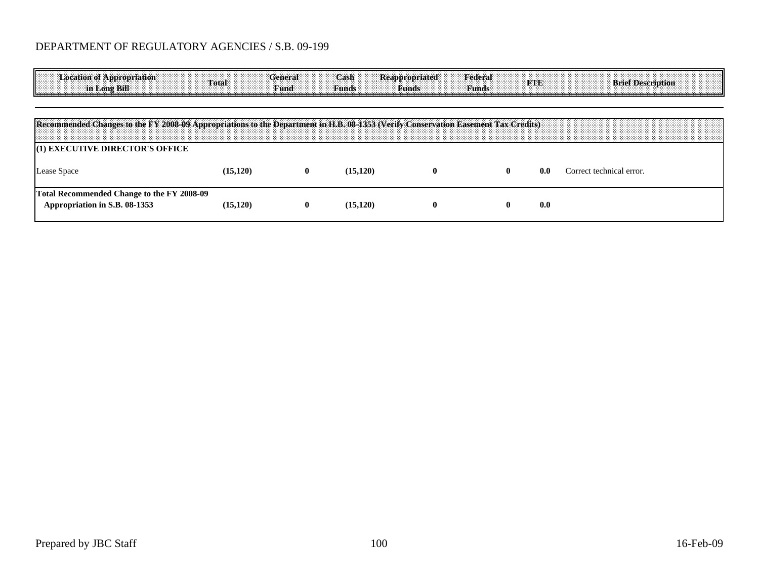| <b>Location of Appropriation</b><br>in Long Bill                                                                                  | Total     | General<br>:Fund: | Cash<br><b>Funds</b> | <b>Reappropriated</b><br><b>Funds</b> | Federal<br><b>Funds</b> | nano | <b>Brief Description</b> |
|-----------------------------------------------------------------------------------------------------------------------------------|-----------|-------------------|----------------------|---------------------------------------|-------------------------|------|--------------------------|
|                                                                                                                                   |           |                   |                      |                                       |                         |      |                          |
| Recommended Changes to the FY 2008-09 Appropriations to the Department in H.B. 08-1353 (Verify Conservation Easement Tax Credits) |           |                   |                      |                                       |                         |      |                          |
| (1) EXECUTIVE DIRECTOR'S OFFICE                                                                                                   |           |                   |                      |                                       |                         |      |                          |
| Lease Space                                                                                                                       | (15.120)  | $\bf{0}$          | (15, 120)            | $\mathbf{0}$                          | $\mathbf{0}$            | 0.0  | Correct technical error. |
| Total Recommended Change to the FY 2008-09<br>Appropriation in S.B. 08-1353                                                       | (15, 120) | $\bf{0}$          | (15, 120)            | $\bf{0}$                              |                         | 0.0  |                          |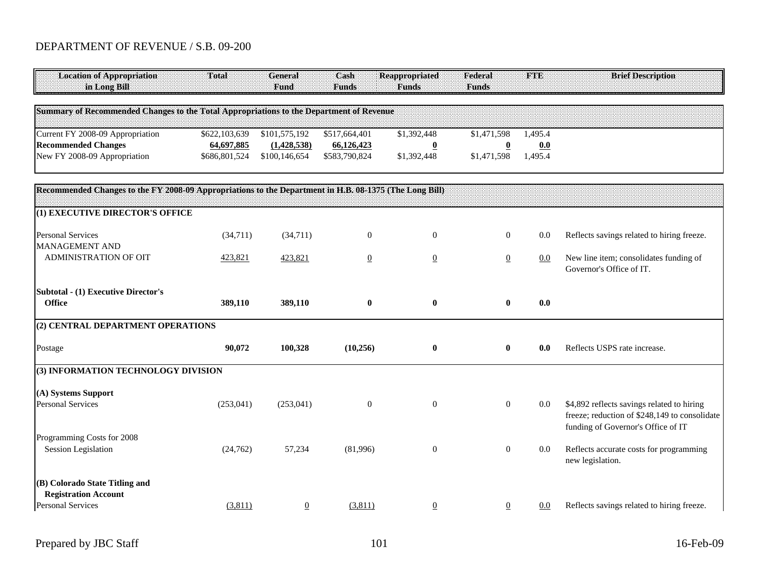| <b>Location of Appropriation</b><br>in Long Bill                                                       | Total         | <b>General</b><br>Fund | Cash<br><b>Funds</b> | <b>Reappropriated</b><br><b>Funds</b> | Federal<br><b>Funds</b>  | <b>FTE</b> | <b>Brief Description</b>                                                                                                          |
|--------------------------------------------------------------------------------------------------------|---------------|------------------------|----------------------|---------------------------------------|--------------------------|------------|-----------------------------------------------------------------------------------------------------------------------------------|
| Summary of Recommended Changes to the Total Appropriations to the Department of Revenue                |               |                        |                      |                                       |                          |            |                                                                                                                                   |
| Current FY 2008-09 Appropriation                                                                       | \$622,103,639 | \$101,575,192          | \$517,664,401        | \$1,392,448                           | \$1,471,598              | 1,495.4    |                                                                                                                                   |
| <b>Recommended Changes</b>                                                                             | 64,697,885    | (1, 428, 538)          | 66,126,423           | $\overline{\mathbf{0}}$               | $\underline{\mathbf{0}}$ | 0.0        |                                                                                                                                   |
| New FY 2008-09 Appropriation                                                                           | \$686,801,524 | \$100,146,654          | \$583,790,824        | \$1,392,448                           | \$1,471,598              | 1,495.4    |                                                                                                                                   |
| Recommended Changes to the FY 2008-09 Appropriations to the Department in H.B. 08-1375 (The Long Bill) |               |                        |                      |                                       |                          |            |                                                                                                                                   |
| (1) EXECUTIVE DIRECTOR'S OFFICE                                                                        |               |                        |                      |                                       |                          |            |                                                                                                                                   |
| <b>Personal Services</b><br><b>MANAGEMENT AND</b>                                                      | (34,711)      | (34,711)               | $\mathbf{0}$         | $\boldsymbol{0}$                      | $\boldsymbol{0}$         | 0.0        | Reflects savings related to hiring freeze.                                                                                        |
| ADMINISTRATION OF OIT                                                                                  | 423,821       | 423,821                | $\overline{0}$       | $\underline{0}$                       | $\overline{0}$           | 0.0        | New line item; consolidates funding of<br>Governor's Office of IT.                                                                |
| <b>Subtotal - (1) Executive Director's</b>                                                             |               |                        |                      |                                       |                          |            |                                                                                                                                   |
| <b>Office</b>                                                                                          | 389,110       | 389,110                | $\bf{0}$             | $\bf{0}$                              | $\bf{0}$                 | 0.0        |                                                                                                                                   |
| (2) CENTRAL DEPARTMENT OPERATIONS                                                                      |               |                        |                      |                                       |                          |            |                                                                                                                                   |
| Postage                                                                                                | 90,072        | 100,328                | (10,256)             | $\bf{0}$                              | $\bf{0}$                 | 0.0        | Reflects USPS rate increase.                                                                                                      |
| (3) INFORMATION TECHNOLOGY DIVISION                                                                    |               |                        |                      |                                       |                          |            |                                                                                                                                   |
| (A) Systems Support                                                                                    |               |                        |                      |                                       |                          |            |                                                                                                                                   |
| <b>Personal Services</b>                                                                               | (253, 041)    | (253,041)              | $\mathbf{0}$         | $\boldsymbol{0}$                      | $\mathbf{0}$             | $0.0\,$    | \$4,892 reflects savings related to hiring<br>freeze; reduction of \$248,149 to consolidate<br>funding of Governor's Office of IT |
| Programming Costs for 2008                                                                             |               |                        |                      |                                       |                          |            |                                                                                                                                   |
| <b>Session Legislation</b>                                                                             | (24, 762)     | 57,234                 | (81,996)             | $\mathbf{0}$                          | $\boldsymbol{0}$         | 0.0        | Reflects accurate costs for programming<br>new legislation.                                                                       |
| (B) Colorado State Titling and<br><b>Registration Account</b>                                          |               |                        |                      |                                       |                          |            |                                                                                                                                   |
| <b>Personal Services</b>                                                                               | (3,811)       | $\overline{0}$         | (3,811)              | $\overline{0}$                        | $\overline{0}$           | $0.0\,$    | Reflects savings related to hiring freeze.                                                                                        |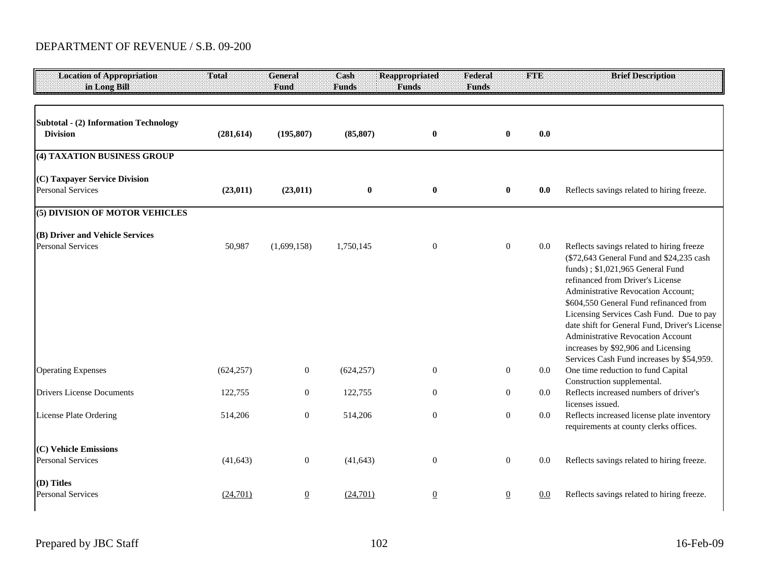| <b>Location of Appropriation</b><br>in Long Bill                                         | Total                | <b>General</b><br>Fund      | Cash<br><b>Funds</b>    | <b>Reappropriated</b><br><b>Funds</b> | Federal<br><b>Funds</b> | <b>FTE</b>                     | <b>Brief Description</b>                                                                                                                                                                                                                                                                                                                                                                                                                                                                                                                                             |
|------------------------------------------------------------------------------------------|----------------------|-----------------------------|-------------------------|---------------------------------------|-------------------------|--------------------------------|----------------------------------------------------------------------------------------------------------------------------------------------------------------------------------------------------------------------------------------------------------------------------------------------------------------------------------------------------------------------------------------------------------------------------------------------------------------------------------------------------------------------------------------------------------------------|
| <b>Subtotal - (2) Information Technology</b><br><b>Division</b>                          | (281, 614)           | (195, 807)                  | (85, 807)               | $\bf{0}$                              |                         | $\bf{0}$                       | 0.0                                                                                                                                                                                                                                                                                                                                                                                                                                                                                                                                                                  |
| (4) TAXATION BUSINESS GROUP                                                              |                      |                             |                         |                                       |                         |                                |                                                                                                                                                                                                                                                                                                                                                                                                                                                                                                                                                                      |
| (C) Taxpayer Service Division<br><b>Personal Services</b>                                | (23, 011)            | (23, 011)                   | $\bf{0}$                | $\bf{0}$                              |                         | $\bf{0}$                       | Reflects savings related to hiring freeze.<br>0.0                                                                                                                                                                                                                                                                                                                                                                                                                                                                                                                    |
| (5) DIVISION OF MOTOR VEHICLES                                                           |                      |                             |                         |                                       |                         |                                |                                                                                                                                                                                                                                                                                                                                                                                                                                                                                                                                                                      |
| (B) Driver and Vehicle Services<br><b>Personal Services</b><br><b>Operating Expenses</b> | 50,987<br>(624, 257) | (1,699,158)<br>$\mathbf{0}$ | 1,750,145<br>(624, 257) | $\boldsymbol{0}$<br>$\mathbf{0}$      |                         | $\overline{0}$<br>$\mathbf{0}$ | Reflects savings related to hiring freeze<br>$0.0\,$<br>(\$72,643 General Fund and \$24,235 cash<br>funds); \$1,021,965 General Fund<br>refinanced from Driver's License<br>Administrative Revocation Account;<br>\$604,550 General Fund refinanced from<br>Licensing Services Cash Fund. Due to pay<br>date shift for General Fund, Driver's License<br><b>Administrative Revocation Account</b><br>increases by \$92,906 and Licensing<br>Services Cash Fund increases by \$54,959.<br>One time reduction to fund Capital<br>$0.0\,$<br>Construction supplemental. |
| <b>Drivers License Documents</b>                                                         | 122,755              | $\boldsymbol{0}$            | 122,755                 | $\boldsymbol{0}$                      |                         | $\overline{0}$                 | Reflects increased numbers of driver's<br>0.0                                                                                                                                                                                                                                                                                                                                                                                                                                                                                                                        |
| License Plate Ordering                                                                   | 514,206              | $\boldsymbol{0}$            | 514,206                 | $\boldsymbol{0}$                      |                         | $\overline{0}$                 | licenses issued.<br>Reflects increased license plate inventory<br>$0.0\,$<br>requirements at county clerks offices.                                                                                                                                                                                                                                                                                                                                                                                                                                                  |
| (C) Vehicle Emissions<br><b>Personal Services</b><br>(D) Titles                          | (41, 643)            | $\boldsymbol{0}$            | (41, 643)               | $\boldsymbol{0}$                      |                         | $\overline{0}$                 | Reflects savings related to hiring freeze.<br>0.0                                                                                                                                                                                                                                                                                                                                                                                                                                                                                                                    |
| <b>Personal Services</b>                                                                 | (24,701)             | $\overline{0}$              | (24,701)                | $\underline{0}$                       |                         | $\overline{0}$                 | Reflects savings related to hiring freeze.<br>0.0                                                                                                                                                                                                                                                                                                                                                                                                                                                                                                                    |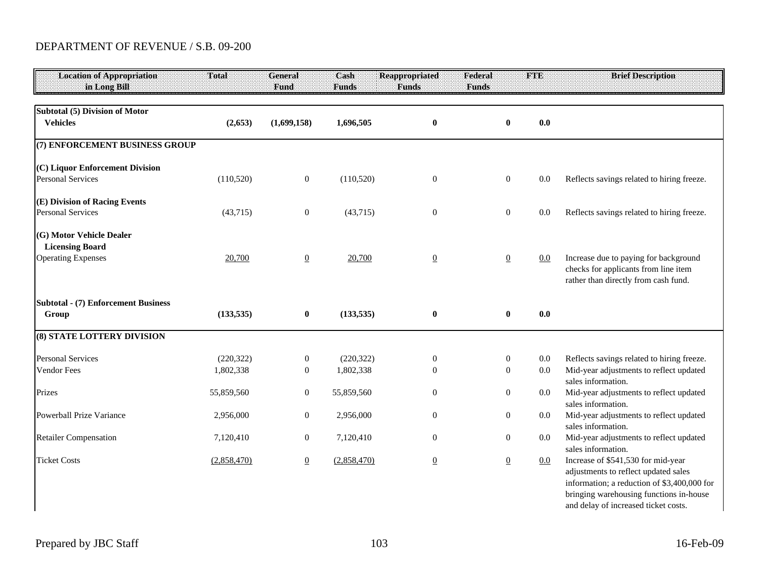| <b>Location of Appropriation</b><br>in Long Bill                                | Total                   | <b>General</b><br>Fund       | Cash<br><b>Funds</b>    | <b>Reappropriated</b><br><b>Funds</b> | Federal<br><b>Funds</b>              | <b>FTE</b>     | <b>Brief Description</b>                                                                                                                                                                                     |
|---------------------------------------------------------------------------------|-------------------------|------------------------------|-------------------------|---------------------------------------|--------------------------------------|----------------|--------------------------------------------------------------------------------------------------------------------------------------------------------------------------------------------------------------|
| Subtotal (5) Division of Motor<br><b>Vehicles</b>                               | (2,653)                 | (1,699,158)                  | 1,696,505               | $\boldsymbol{0}$                      | $\pmb{0}$                            | 0.0            |                                                                                                                                                                                                              |
| (7) ENFORCEMENT BUSINESS GROUP                                                  |                         |                              |                         |                                       |                                      |                |                                                                                                                                                                                                              |
| (C) Liquor Enforcement Division<br><b>Personal Services</b>                     | (110, 520)              | $\boldsymbol{0}$             | (110,520)               | $\boldsymbol{0}$                      | $\boldsymbol{0}$                     | $0.0\,$        | Reflects savings related to hiring freeze.                                                                                                                                                                   |
| (E) Division of Racing Events<br><b>Personal Services</b>                       | (43,715)                | $\mathbf{0}$                 | (43,715)                | $\boldsymbol{0}$                      | $\boldsymbol{0}$                     | 0.0            | Reflects savings related to hiring freeze.                                                                                                                                                                   |
| (G) Motor Vehicle Dealer<br><b>Licensing Board</b><br><b>Operating Expenses</b> | 20,700                  | $\overline{0}$               | 20,700                  | $\underline{0}$                       | $\overline{0}$                       | 0.0            | Increase due to paying for background<br>checks for applicants from line item<br>rather than directly from cash fund.                                                                                        |
| <b>Subtotal - (7) Enforcement Business</b><br>Group                             | (133, 535)              | $\bf{0}$                     | (133, 535)              | $\pmb{0}$                             | $\pmb{0}$                            | 0.0            |                                                                                                                                                                                                              |
| <b>(8) STATE LOTTERY DIVISION</b>                                               |                         |                              |                         |                                       |                                      |                |                                                                                                                                                                                                              |
| <b>Personal Services</b><br>Vendor Fees                                         | (220, 322)<br>1,802,338 | $\mathbf{0}$<br>$\mathbf{0}$ | (220, 322)<br>1,802,338 | $\boldsymbol{0}$<br>$\mathbf{0}$      | $\boldsymbol{0}$<br>$\boldsymbol{0}$ | 0.0<br>$0.0\,$ | Reflects savings related to hiring freeze.<br>Mid-year adjustments to reflect updated<br>sales information.                                                                                                  |
| Prizes                                                                          | 55,859,560              | $\mathbf{0}$                 | 55,859,560              | $\boldsymbol{0}$                      | $\boldsymbol{0}$                     | 0.0            | Mid-year adjustments to reflect updated                                                                                                                                                                      |
| Powerball Prize Variance                                                        | 2,956,000               | $\overline{0}$               | 2,956,000               | $\mathbf{0}$                          | $\boldsymbol{0}$                     | $0.0\,$        | sales information.<br>Mid-year adjustments to reflect updated<br>sales information.                                                                                                                          |
| <b>Retailer Compensation</b>                                                    | 7,120,410               | $\boldsymbol{0}$             | 7,120,410               | $\boldsymbol{0}$                      | $\boldsymbol{0}$                     | $0.0\,$        | Mid-year adjustments to reflect updated<br>sales information.                                                                                                                                                |
| <b>Ticket Costs</b>                                                             | (2,858,470)             | $\underline{0}$              | (2,858,470)             | $\underline{0}$                       | $\underline{0}$                      | 0.0            | Increase of \$541,530 for mid-year<br>adjustments to reflect updated sales<br>information; a reduction of \$3,400,000 for<br>bringing warehousing functions in-house<br>and delay of increased ticket costs. |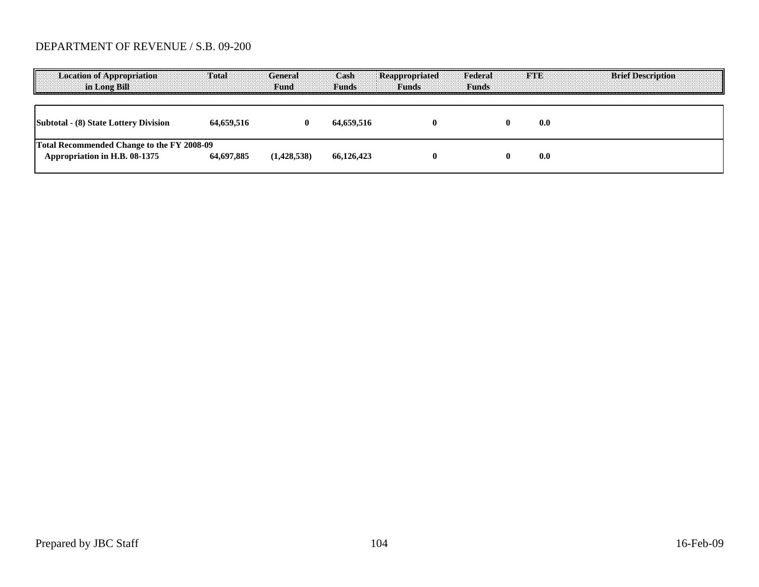| <b>Location of Appropriation</b><br>in Long Bill                            | Total      | General<br><b>Fund</b> | Cash<br><b>Funds</b> | <b>Reappropriated</b><br><b>Funds</b> | Federal<br><b>Funds</b> | <b>SE 20 N 34</b><br><b>Brief Description</b> |
|-----------------------------------------------------------------------------|------------|------------------------|----------------------|---------------------------------------|-------------------------|-----------------------------------------------|
| Subtotal - (8) State Lottery Division                                       | 64.659.516 |                        | 64.659.516           |                                       |                         | 0.0                                           |
| Total Recommended Change to the FY 2008-09<br>Appropriation in H.B. 08-1375 | 64,697,885 | (1,428,538)            | 66.126.423           |                                       |                         | 0.0                                           |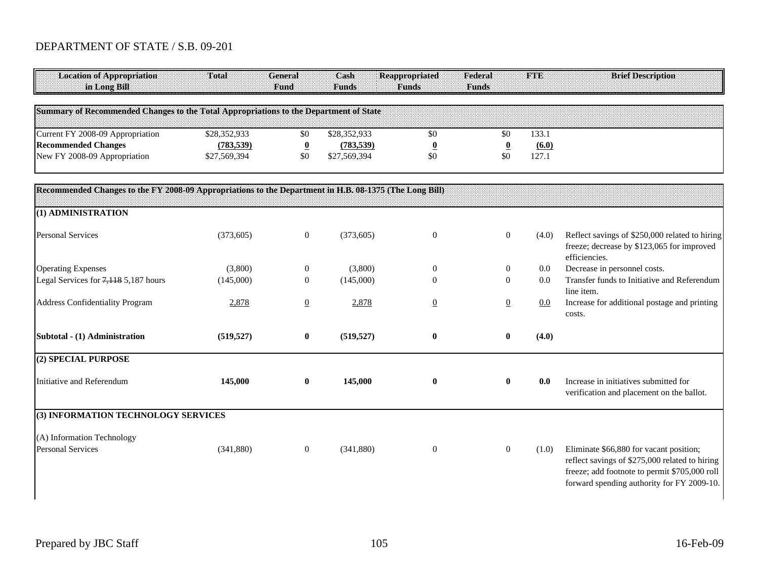# DEPARTMENT OF STATE / S.B. 09-201

| <b>Location of Appropriation</b><br>in Long Bill                                                       | Total        | General<br>Fund          | Cash<br><b>Funds</b> | <b>Reappropriated</b><br><b>Funds</b> | Federal<br><b>Funds</b> | FTE   | <b>Brief Description</b>                                                                                                                                                                 |
|--------------------------------------------------------------------------------------------------------|--------------|--------------------------|----------------------|---------------------------------------|-------------------------|-------|------------------------------------------------------------------------------------------------------------------------------------------------------------------------------------------|
| Summary of Recommended Changes to the Total Appropriations to the Department of State                  |              |                          |                      |                                       |                         |       |                                                                                                                                                                                          |
| Current FY 2008-09 Appropriation                                                                       | \$28,352,933 | \$0                      | \$28,352,933         | \$0                                   | \$0                     | 133.1 |                                                                                                                                                                                          |
| <b>Recommended Changes</b>                                                                             | (783, 539)   | $\underline{\mathbf{0}}$ | (783, 539)           | $\overline{\mathbf{0}}$               | $\overline{\mathbf{0}}$ | (6.0) |                                                                                                                                                                                          |
| New FY 2008-09 Appropriation                                                                           | \$27,569,394 | \$0                      | \$27,569,394         | \$0                                   | \$0                     | 127.1 |                                                                                                                                                                                          |
| Recommended Changes to the FY 2008-09 Appropriations to the Department in H.B. 08-1375 (The Long Bill) |              |                          |                      |                                       |                         |       |                                                                                                                                                                                          |
| (1) ADMINISTRATION                                                                                     |              |                          |                      |                                       |                         |       |                                                                                                                                                                                          |
| <b>Personal Services</b>                                                                               | (373, 605)   | $\boldsymbol{0}$         | (373, 605)           | $\boldsymbol{0}$                      | $\boldsymbol{0}$        | (4.0) | Reflect savings of \$250,000 related to hiring<br>freeze; decrease by \$123,065 for improved<br>efficiencies.                                                                            |
| <b>Operating Expenses</b>                                                                              | (3,800)      | $\boldsymbol{0}$         | (3,800)              | $\mathbf{0}$                          | $\boldsymbol{0}$        | 0.0   | Decrease in personnel costs.                                                                                                                                                             |
| Legal Services for 7,118 5,187 hours                                                                   | (145,000)    | $\theta$                 | (145,000)            | $\theta$                              | $\overline{0}$          | 0.0   | Transfer funds to Initiative and Referendum<br>line item.                                                                                                                                |
| <b>Address Confidentiality Program</b>                                                                 | 2,878        | $\overline{0}$           | 2,878                | $\underline{0}$                       | $\overline{0}$          | 0.0   | Increase for additional postage and printing<br>costs.                                                                                                                                   |
| Subtotal - (1) Administration                                                                          | (519, 527)   | $\boldsymbol{0}$         | (519, 527)           | $\bf{0}$                              | $\bf{0}$                | (4.0) |                                                                                                                                                                                          |
| (2) SPECIAL PURPOSE                                                                                    |              |                          |                      |                                       |                         |       |                                                                                                                                                                                          |
| Initiative and Referendum                                                                              | 145,000      | $\bf{0}$                 | 145,000              | $\bf{0}$                              | $\bf{0}$                | 0.0   | Increase in initiatives submitted for<br>verification and placement on the ballot.                                                                                                       |
| (3) INFORMATION TECHNOLOGY SERVICES                                                                    |              |                          |                      |                                       |                         |       |                                                                                                                                                                                          |
| (A) Information Technology                                                                             |              |                          |                      |                                       |                         |       |                                                                                                                                                                                          |
| <b>Personal Services</b>                                                                               | (341, 880)   | $\mathbf{0}$             | (341, 880)           | $\boldsymbol{0}$                      | $\overline{0}$          | (1.0) | Eliminate \$66,880 for vacant position;<br>reflect savings of \$275,000 related to hiring<br>freeze; add footnote to permit \$705,000 roll<br>forward spending authority for FY 2009-10. |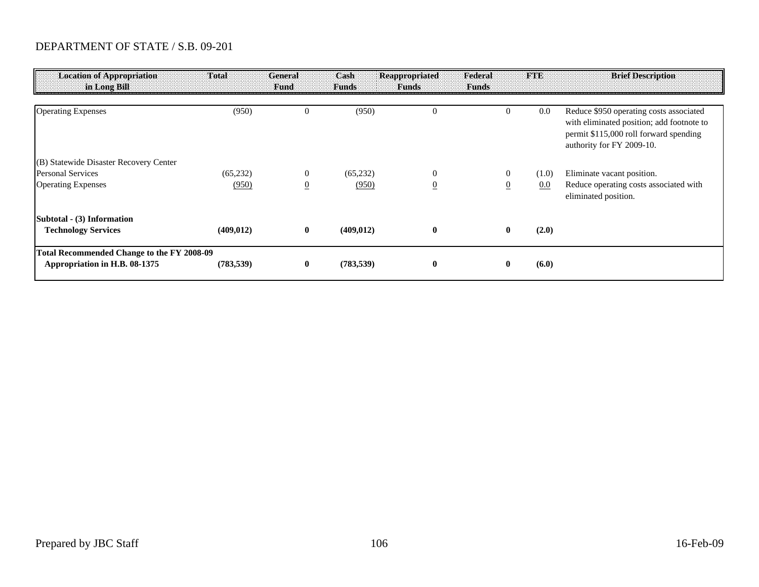### DEPARTMENT OF STATE / S.B. 09-201

| <b>Location of Appropriation</b><br>in Long Bill | Total      | <b>General</b><br><b>Fund</b> | Cash<br><b>Funds</b> | Reappropriated<br><b>Funds</b> | Federal<br><b>Funds</b> | <b>FTE</b> | <b>Brief Description</b>                                                                                                                                    |
|--------------------------------------------------|------------|-------------------------------|----------------------|--------------------------------|-------------------------|------------|-------------------------------------------------------------------------------------------------------------------------------------------------------------|
|                                                  |            |                               |                      |                                |                         |            |                                                                                                                                                             |
| <b>Operating Expenses</b>                        | (950)      | $\overline{0}$                | (950)                | $\overline{0}$                 |                         | 0.0        | Reduce \$950 operating costs associated<br>with eliminated position; add footnote to<br>permit \$115,000 roll forward spending<br>authority for FY 2009-10. |
| (B) Statewide Disaster Recovery Center           |            |                               |                      |                                |                         |            |                                                                                                                                                             |
| <b>Personal Services</b>                         | (65, 232)  | $\theta$                      | (65, 232)            | $\overline{0}$                 | $\theta$                | (1.0)      | Eliminate vacant position.                                                                                                                                  |
| <b>Operating Expenses</b>                        | (950)      | $\overline{0}$                | (950)                | $\overline{0}$                 | $\overline{0}$          | 0.0        | Reduce operating costs associated with<br>eliminated position.                                                                                              |
| Subtotal - (3) Information                       |            |                               |                      |                                |                         |            |                                                                                                                                                             |
| <b>Technology Services</b>                       | (409, 012) | $\mathbf{0}$                  | (409, 012)           | $\bf{0}$                       | $\bf{0}$                | (2.0)      |                                                                                                                                                             |
| Total Recommended Change to the FY 2008-09       |            |                               |                      |                                |                         |            |                                                                                                                                                             |
| Appropriation in H.B. 08-1375                    | (783, 539) | $\bf{0}$                      | (783, 539)           | $\bf{0}$                       |                         | (6.0)      |                                                                                                                                                             |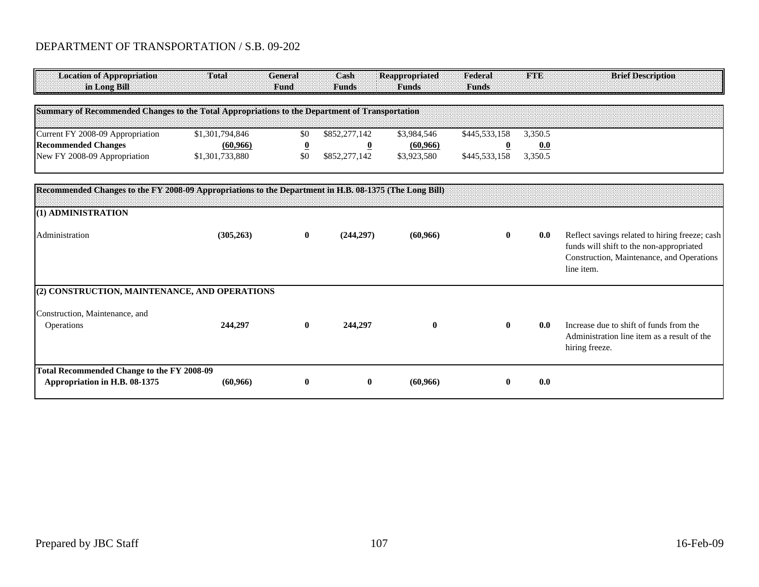#### DEPARTMENT OF TRANSPORTATION / S.B. 09-202

| <b>Location of Appropriation</b><br>in Long Bill                                   | Total                                                                                                  | General<br>Fund         | Cash<br><b>Funds</b> | <b>Reappropriated</b><br><b>Funds</b> | Federal<br><b>Funds</b> | <b>TOBB</b> | <b>Brief Description</b>                                                                                                                              |  |  |  |
|------------------------------------------------------------------------------------|--------------------------------------------------------------------------------------------------------|-------------------------|----------------------|---------------------------------------|-------------------------|-------------|-------------------------------------------------------------------------------------------------------------------------------------------------------|--|--|--|
|                                                                                    | Summary of Recommended Changes to the Total Appropriations to the Department of Transportation         |                         |                      |                                       |                         |             |                                                                                                                                                       |  |  |  |
| Current FY 2008-09 Appropriation                                                   | \$1,301,794,846                                                                                        | \$0                     | \$852,277,142        | \$3,984,546                           | \$445,533,158           | 3,350.5     |                                                                                                                                                       |  |  |  |
| <b>Recommended Changes</b>                                                         | (60, 966)                                                                                              | $\overline{\mathbf{0}}$ | $\overline{0}$       | (60, 966)                             | $\overline{\mathbf{0}}$ | 0.0         |                                                                                                                                                       |  |  |  |
| New FY 2008-09 Appropriation                                                       | \$1,301,733,880                                                                                        | \$0                     | \$852,277,142        | \$3,923,580                           | \$445,533,158           | 3,350.5     |                                                                                                                                                       |  |  |  |
|                                                                                    | Recommended Changes to the FY 2008-09 Appropriations to the Department in H.B. 08-1375 (The Long Bill) |                         |                      |                                       |                         |             |                                                                                                                                                       |  |  |  |
| (1) ADMINISTRATION                                                                 |                                                                                                        |                         |                      |                                       |                         |             |                                                                                                                                                       |  |  |  |
| Administration                                                                     | (305, 263)                                                                                             | $\bf{0}$                | (244, 297)           | (60, 966)                             | $\bf{0}$                | 0.0         | Reflect savings related to hiring freeze; cash<br>funds will shift to the non-appropriated<br>Construction, Maintenance, and Operations<br>line item. |  |  |  |
| (2) CONSTRUCTION, MAINTENANCE, AND OPERATIONS                                      |                                                                                                        |                         |                      |                                       |                         |             |                                                                                                                                                       |  |  |  |
| Construction, Maintenance, and                                                     |                                                                                                        |                         |                      |                                       |                         |             |                                                                                                                                                       |  |  |  |
| Operations                                                                         | 244,297                                                                                                | $\bf{0}$                | 244,297              | $\bf{0}$                              | $\bf{0}$                | 0.0         | Increase due to shift of funds from the<br>Administration line item as a result of the<br>hiring freeze.                                              |  |  |  |
| <b>Total Recommended Change to the FY 2008-09</b><br>Appropriation in H.B. 08-1375 | (60, 966)                                                                                              | $\bf{0}$                | $\bf{0}$             | (60, 966)                             | $\mathbf 0$             | 0.0         |                                                                                                                                                       |  |  |  |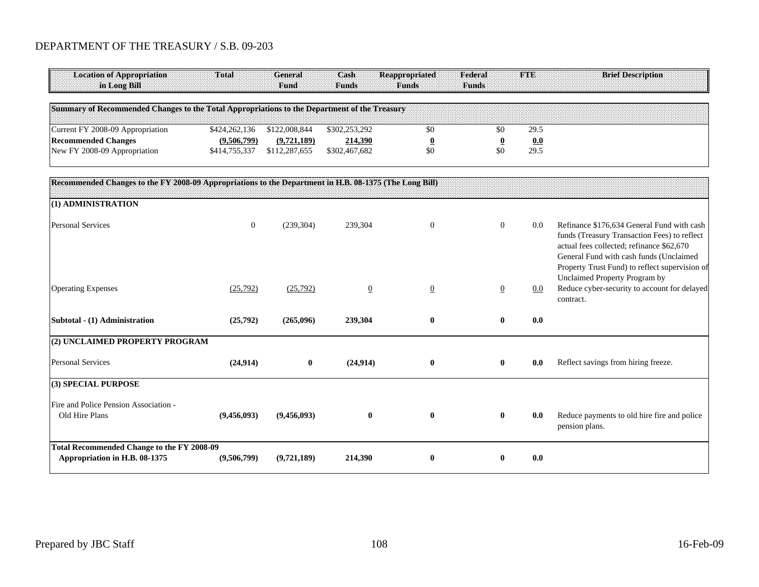#### DEPARTMENT OF THE TREASURY / S.B. 09-203

| Location of Appropriation                                                                    | Total         | General       | Cash          | <b>Reappropriated</b> | Federal      |      | <b>Brief Description</b> |
|----------------------------------------------------------------------------------------------|---------------|---------------|---------------|-----------------------|--------------|------|--------------------------|
| in Long Bill                                                                                 |               | <b>Fund</b>   | <b>Funds</b>  | <b>Funds</b>          | <b>Funds</b> |      |                          |
|                                                                                              |               |               |               |                       |              |      |                          |
| Summary of Recommended Changes to the Total Appropriations to the Department of the Treasury |               |               |               |                       |              |      |                          |
|                                                                                              |               |               |               |                       |              |      |                          |
| Current FY 2008-09 Appropriation                                                             | \$424,262,136 | \$122,008,844 | \$302,253,292 |                       |              | 29.5 |                          |
| <b>Recommended Changes</b>                                                                   | (9,506,799)   | (9,721,189)   | 214,390       |                       |              | 0.0  |                          |
| New FY 2008-09 Appropriation                                                                 | \$414,755,337 | \$112,287,655 | \$302,467,682 |                       |              | 29.5 |                          |
|                                                                                              |               |               |               |                       |              |      |                          |

| Recommended Changes to the FY 2008-09 Appropriations to the Department in H.B. 08-1375 (The Long Bill) |                |              |                |                |                |         |                                                                                                                                                                                                                                                                       |
|--------------------------------------------------------------------------------------------------------|----------------|--------------|----------------|----------------|----------------|---------|-----------------------------------------------------------------------------------------------------------------------------------------------------------------------------------------------------------------------------------------------------------------------|
| (1) ADMINISTRATION                                                                                     |                |              |                |                |                |         |                                                                                                                                                                                                                                                                       |
| <b>Personal Services</b>                                                                               | $\overline{0}$ | (239, 304)   | 239,304        | $\theta$       | $\overline{0}$ | $0.0\,$ | Refinance \$176,634 General Fund with cash<br>funds (Treasury Transaction Fees) to reflect<br>actual fees collected; refinance \$62,670<br>General Fund with cash funds (Unclaimed<br>Property Trust Fund) to reflect supervision of<br>Unclaimed Property Program by |
| <b>Operating Expenses</b>                                                                              | (25,792)       | (25,792)     | $\overline{0}$ | $\overline{0}$ | $\overline{0}$ | $0.0\,$ | Reduce cyber-security to account for delayed<br>contract.                                                                                                                                                                                                             |
| Subtotal - (1) Administration                                                                          | (25,792)       | (265,096)    | 239,304        | $\bf{0}$       | 0              | 0.0     |                                                                                                                                                                                                                                                                       |
| (2) UNCLAIMED PROPERTY PROGRAM                                                                         |                |              |                |                |                |         |                                                                                                                                                                                                                                                                       |
| <b>Personal Services</b>                                                                               | (24, 914)      | $\mathbf{0}$ | (24, 914)      | $\mathbf{0}$   | $\mathbf{0}$   | 0.0     | Reflect savings from hiring freeze.                                                                                                                                                                                                                                   |
| (3) SPECIAL PURPOSE                                                                                    |                |              |                |                |                |         |                                                                                                                                                                                                                                                                       |
| Fire and Police Pension Association -<br>Old Hire Plans                                                | (9,456,093)    | (9,456,093)  | $\bf{0}$       | $\bf{0}$       | 0              | 0.0     | Reduce payments to old hire fire and police<br>pension plans.                                                                                                                                                                                                         |
| Total Recommended Change to the FY 2008-09<br>Appropriation in H.B. 08-1375                            | (9,506,799)    | (9,721,189)  | 214,390        | $\mathbf{0}$   | 0              | 0.0     |                                                                                                                                                                                                                                                                       |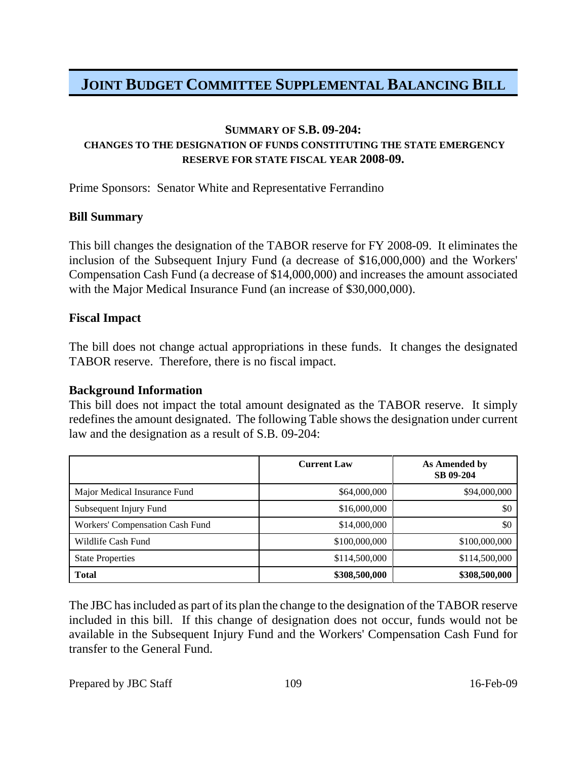### **SUMMARY OF S.B. 09-204:**

## **CHANGES TO THE DESIGNATION OF FUNDS CONSTITUTING THE STATE EMERGENCY RESERVE FOR STATE FISCAL YEAR 2008-09.**

Prime Sponsors: Senator White and Representative Ferrandino

### **Bill Summary**

This bill changes the designation of the TABOR reserve for FY 2008-09. It eliminates the inclusion of the Subsequent Injury Fund (a decrease of \$16,000,000) and the Workers' Compensation Cash Fund (a decrease of \$14,000,000) and increases the amount associated with the Major Medical Insurance Fund (an increase of \$30,000,000).

### **Fiscal Impact**

The bill does not change actual appropriations in these funds. It changes the designated TABOR reserve. Therefore, there is no fiscal impact.

## **Background Information**

This bill does not impact the total amount designated as the TABOR reserve. It simply redefines the amount designated. The following Table shows the designation under current law and the designation as a result of S.B. 09-204:

|                                 | <b>Current Law</b> | As Amended by<br>SB 09-204 |
|---------------------------------|--------------------|----------------------------|
| Major Medical Insurance Fund    | \$64,000,000       | \$94,000,000               |
| Subsequent Injury Fund          | \$16,000,000       | \$0                        |
| Workers' Compensation Cash Fund | \$14,000,000       | \$0                        |
| Wildlife Cash Fund              | \$100,000,000      | \$100,000,000              |
| <b>State Properties</b>         | \$114,500,000      | \$114,500,000              |
| <b>Total</b>                    | \$308,500,000      | \$308,500,000              |

The JBC has included as part of its plan the change to the designation of the TABOR reserve included in this bill. If this change of designation does not occur, funds would not be available in the Subsequent Injury Fund and the Workers' Compensation Cash Fund for transfer to the General Fund.

Prepared by JBC Staff 109 16-Feb-09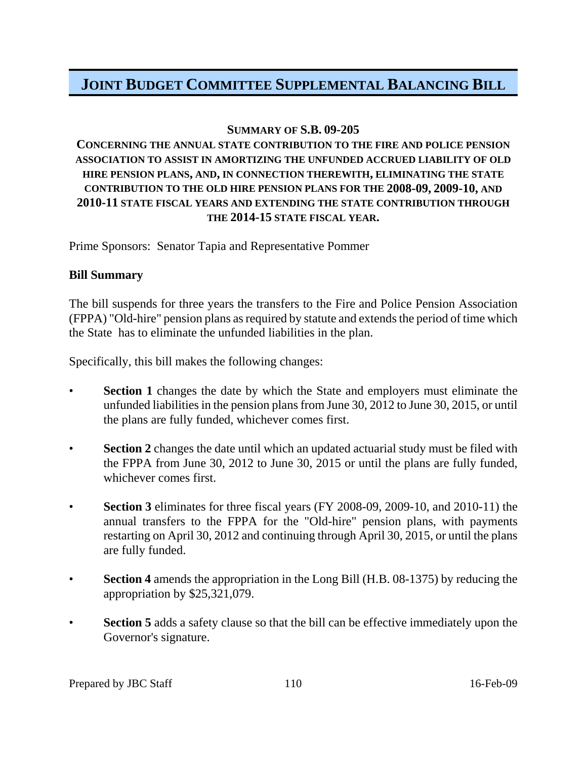## **SUMMARY OF S.B. 09-205**

## **CONCERNING THE ANNUAL STATE CONTRIBUTION TO THE FIRE AND POLICE PENSION ASSOCIATION TO ASSIST IN AMORTIZING THE UNFUNDED ACCRUED LIABILITY OF OLD HIRE PENSION PLANS, AND, IN CONNECTION THEREWITH, ELIMINATING THE STATE CONTRIBUTION TO THE OLD HIRE PENSION PLANS FOR THE 2008-09, 2009-10, AND 2010-11 STATE FISCAL YEARS AND EXTENDING THE STATE CONTRIBUTION THROUGH THE 2014-15 STATE FISCAL YEAR.**

Prime Sponsors: Senator Tapia and Representative Pommer

#### **Bill Summary**

The bill suspends for three years the transfers to the Fire and Police Pension Association (FPPA) "Old-hire" pension plans as required by statute and extends the period of time which the State has to eliminate the unfunded liabilities in the plan.

Specifically, this bill makes the following changes:

- **Section 1** changes the date by which the State and employers must eliminate the unfunded liabilities in the pension plans from June 30, 2012 to June 30, 2015, or until the plans are fully funded, whichever comes first.
- **Section 2** changes the date until which an updated actuarial study must be filed with the FPPA from June 30, 2012 to June 30, 2015 or until the plans are fully funded, whichever comes first.
- **Section 3** eliminates for three fiscal years (FY 2008-09, 2009-10, and 2010-11) the annual transfers to the FPPA for the "Old-hire" pension plans, with payments restarting on April 30, 2012 and continuing through April 30, 2015, or until the plans are fully funded.
- **Section 4** amends the appropriation in the Long Bill (H.B. 08-1375) by reducing the appropriation by \$25,321,079.
- **Section 5** adds a safety clause so that the bill can be effective immediately upon the Governor's signature.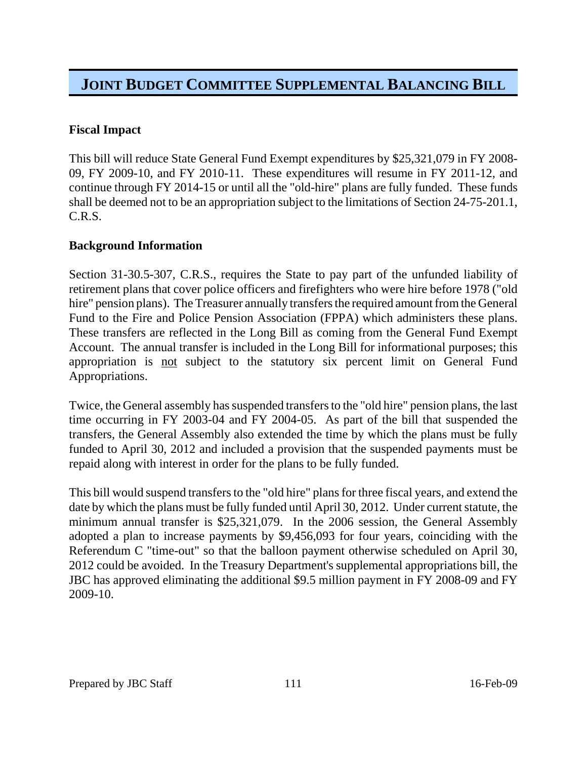## **Fiscal Impact**

This bill will reduce State General Fund Exempt expenditures by \$25,321,079 in FY 2008- 09, FY 2009-10, and FY 2010-11. These expenditures will resume in FY 2011-12, and continue through FY 2014-15 or until all the "old-hire" plans are fully funded. These funds shall be deemed not to be an appropriation subject to the limitations of Section 24-75-201.1, C.R.S.

## **Background Information**

Section 31-30.5-307, C.R.S., requires the State to pay part of the unfunded liability of retirement plans that cover police officers and firefighters who were hire before 1978 ("old hire" pension plans). The Treasurer annually transfers the required amount from the General Fund to the Fire and Police Pension Association (FPPA) which administers these plans. These transfers are reflected in the Long Bill as coming from the General Fund Exempt Account. The annual transfer is included in the Long Bill for informational purposes; this appropriation is not subject to the statutory six percent limit on General Fund Appropriations.

Twice, the General assembly has suspended transfers to the "old hire" pension plans, the last time occurring in FY 2003-04 and FY 2004-05. As part of the bill that suspended the transfers, the General Assembly also extended the time by which the plans must be fully funded to April 30, 2012 and included a provision that the suspended payments must be repaid along with interest in order for the plans to be fully funded.

This bill would suspend transfers to the "old hire" plans for three fiscal years, and extend the date by which the plans must be fully funded until April 30, 2012. Under current statute, the minimum annual transfer is \$25,321,079. In the 2006 session, the General Assembly adopted a plan to increase payments by \$9,456,093 for four years, coinciding with the Referendum C "time-out" so that the balloon payment otherwise scheduled on April 30, 2012 could be avoided. In the Treasury Department's supplemental appropriations bill, the JBC has approved eliminating the additional \$9.5 million payment in FY 2008-09 and FY 2009-10.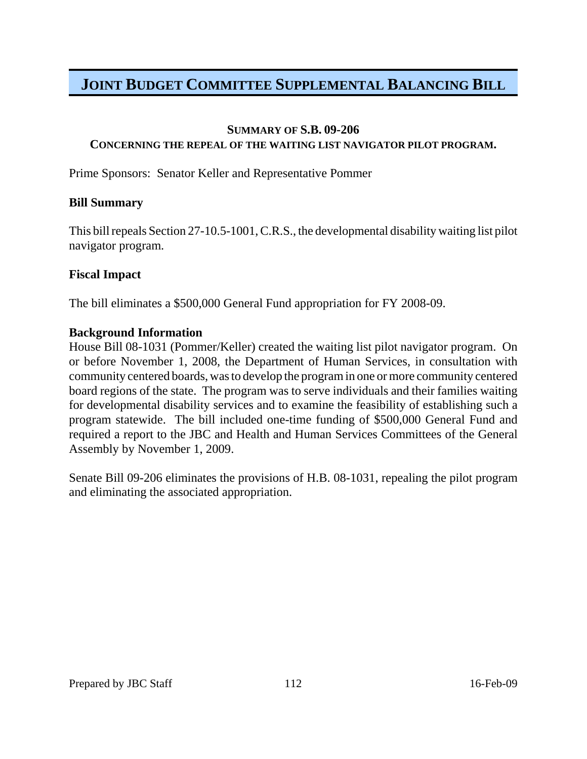#### **SUMMARY OF S.B. 09-206**

### **CONCERNING THE REPEAL OF THE WAITING LIST NAVIGATOR PILOT PROGRAM.**

Prime Sponsors: Senator Keller and Representative Pommer

### **Bill Summary**

This bill repeals Section 27-10.5-1001, C.R.S., the developmental disability waiting list pilot navigator program.

### **Fiscal Impact**

The bill eliminates a \$500,000 General Fund appropriation for FY 2008-09.

### **Background Information**

House Bill 08-1031 (Pommer/Keller) created the waiting list pilot navigator program. On or before November 1, 2008, the Department of Human Services, in consultation with community centered boards, was to develop the program in one or more community centered board regions of the state. The program was to serve individuals and their families waiting for developmental disability services and to examine the feasibility of establishing such a program statewide. The bill included one-time funding of \$500,000 General Fund and required a report to the JBC and Health and Human Services Committees of the General Assembly by November 1, 2009.

Senate Bill 09-206 eliminates the provisions of H.B. 08-1031, repealing the pilot program and eliminating the associated appropriation.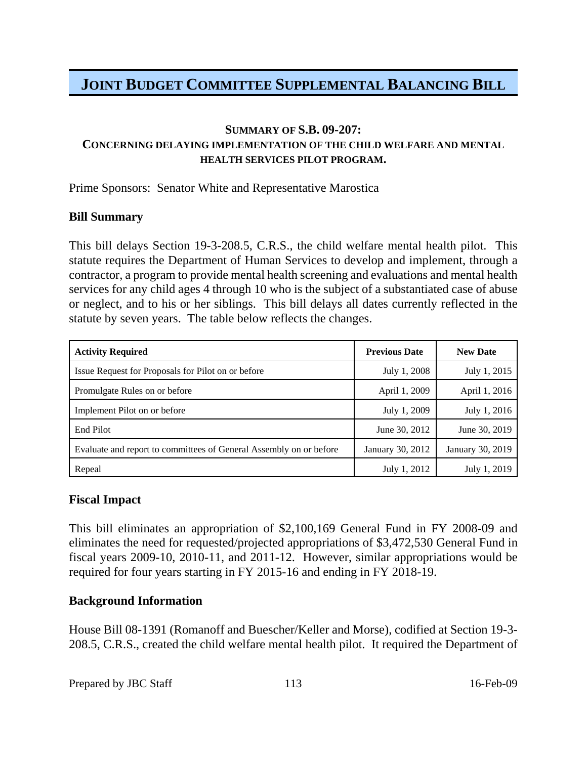### **SUMMARY OF S.B. 09-207: CONCERNING DELAYING IMPLEMENTATION OF THE CHILD WELFARE AND MENTAL HEALTH SERVICES PILOT PROGRAM.**

Prime Sponsors: Senator White and Representative Marostica

### **Bill Summary**

This bill delays Section 19-3-208.5, C.R.S., the child welfare mental health pilot. This statute requires the Department of Human Services to develop and implement, through a contractor, a program to provide mental health screening and evaluations and mental health services for any child ages 4 through 10 who is the subject of a substantiated case of abuse or neglect, and to his or her siblings. This bill delays all dates currently reflected in the statute by seven years. The table below reflects the changes.

| <b>Activity Required</b>                                           | <b>Previous Date</b> | <b>New Date</b>  |
|--------------------------------------------------------------------|----------------------|------------------|
| Issue Request for Proposals for Pilot on or before                 | July 1, 2008         | July 1, 2015     |
| Promulgate Rules on or before                                      | April 1, 2009        | April 1, 2016    |
| Implement Pilot on or before                                       | July 1, 2009         | July 1, 2016     |
| End Pilot                                                          | June 30, 2012        | June 30, 2019    |
| Evaluate and report to committees of General Assembly on or before | January 30, 2012     | January 30, 2019 |
| Repeal                                                             | July 1, 2012         | July 1, 2019     |

## **Fiscal Impact**

This bill eliminates an appropriation of \$2,100,169 General Fund in FY 2008-09 and eliminates the need for requested/projected appropriations of \$3,472,530 General Fund in fiscal years 2009-10, 2010-11, and 2011-12. However, similar appropriations would be required for four years starting in FY 2015-16 and ending in FY 2018-19.

## **Background Information**

House Bill 08-1391 (Romanoff and Buescher/Keller and Morse), codified at Section 19-3- 208.5, C.R.S., created the child welfare mental health pilot. It required the Department of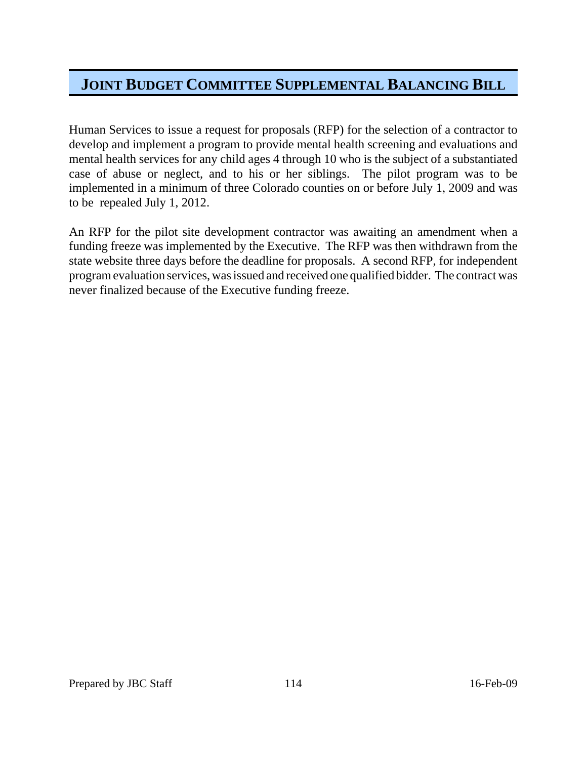Human Services to issue a request for proposals (RFP) for the selection of a contractor to develop and implement a program to provide mental health screening and evaluations and mental health services for any child ages 4 through 10 who is the subject of a substantiated case of abuse or neglect, and to his or her siblings. The pilot program was to be implemented in a minimum of three Colorado counties on or before July 1, 2009 and was to be repealed July 1, 2012.

An RFP for the pilot site development contractor was awaiting an amendment when a funding freeze was implemented by the Executive. The RFP was then withdrawn from the state website three days before the deadline for proposals. A second RFP, for independent program evaluation services, was issued and received one qualified bidder. The contract was never finalized because of the Executive funding freeze.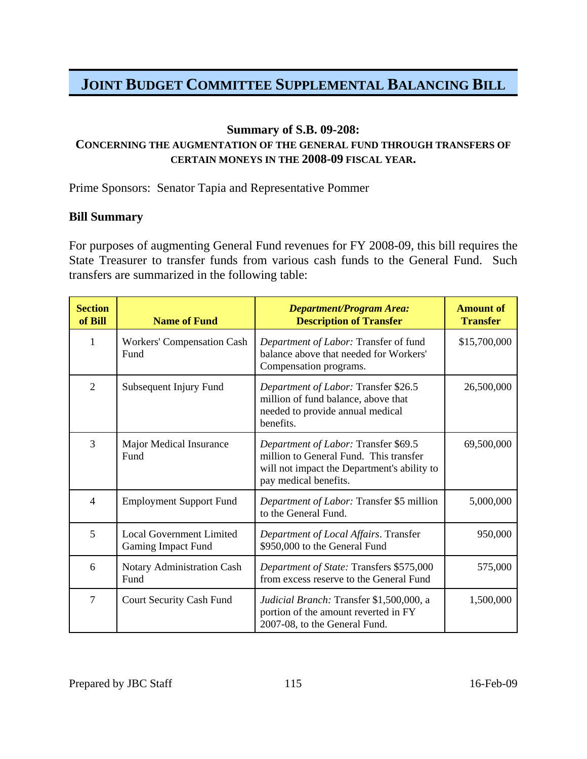#### **Summary of S.B. 09-208:**

## **CONCERNING THE AUGMENTATION OF THE GENERAL FUND THROUGH TRANSFERS OF CERTAIN MONEYS IN THE 2008-09 FISCAL YEAR.**

Prime Sponsors: Senator Tapia and Representative Pommer

### **Bill Summary**

For purposes of augmenting General Fund revenues for FY 2008-09, this bill requires the State Treasurer to transfer funds from various cash funds to the General Fund. Such transfers are summarized in the following table:

| <b>Section</b><br>of Bill | <b>Name of Fund</b>                                          | <b>Department/Program Area:</b><br><b>Description of Transfer</b>                                                                                      | <b>Amount of</b><br><b>Transfer</b> |
|---------------------------|--------------------------------------------------------------|--------------------------------------------------------------------------------------------------------------------------------------------------------|-------------------------------------|
| 1                         | <b>Workers' Compensation Cash</b><br>Fund                    | Department of Labor: Transfer of fund<br>balance above that needed for Workers'<br>Compensation programs.                                              | \$15,700,000                        |
| $\overline{2}$            | Subsequent Injury Fund                                       | Department of Labor: Transfer \$26.5<br>million of fund balance, above that<br>needed to provide annual medical<br>benefits.                           | 26,500,000                          |
| 3                         | <b>Major Medical Insurance</b><br>Fund                       | Department of Labor: Transfer \$69.5<br>million to General Fund. This transfer<br>will not impact the Department's ability to<br>pay medical benefits. | 69,500,000                          |
| 4                         | <b>Employment Support Fund</b>                               | Department of Labor: Transfer \$5 million<br>to the General Fund.                                                                                      | 5,000,000                           |
| 5                         | <b>Local Government Limited</b><br><b>Gaming Impact Fund</b> | Department of Local Affairs. Transfer<br>\$950,000 to the General Fund                                                                                 | 950,000                             |
| 6                         | Notary Administration Cash<br>Fund                           | Department of State: Transfers \$575,000<br>from excess reserve to the General Fund                                                                    | 575,000                             |
| $\tau$                    | Court Security Cash Fund                                     | Judicial Branch: Transfer \$1,500,000, a<br>portion of the amount reverted in FY<br>2007-08, to the General Fund.                                      | 1,500,000                           |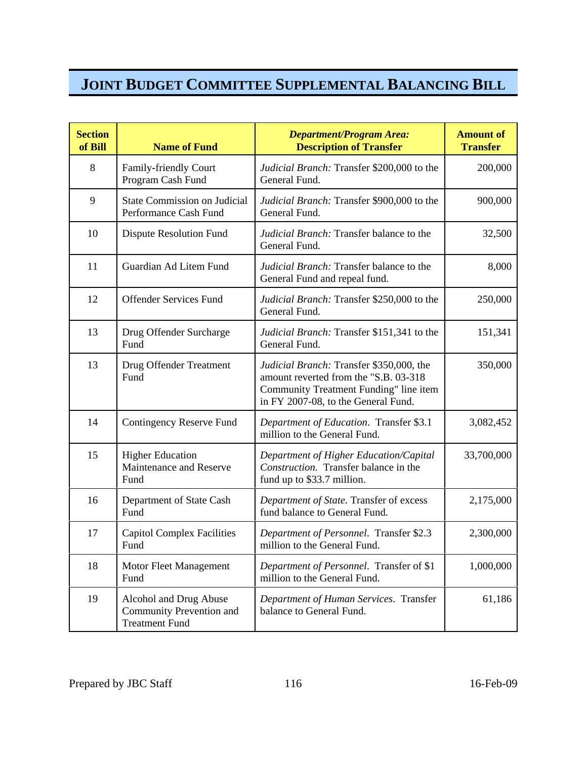| <b>Section</b><br>of Bill | <b>Name of Fund</b>                                                         | <b>Department/Program Area:</b><br><b>Description of Transfer</b>                                                                                                  | <b>Amount of</b><br><b>Transfer</b> |
|---------------------------|-----------------------------------------------------------------------------|--------------------------------------------------------------------------------------------------------------------------------------------------------------------|-------------------------------------|
| 8                         | Family-friendly Court<br>Program Cash Fund                                  | Judicial Branch: Transfer \$200,000 to the<br>General Fund.                                                                                                        | 200,000                             |
| 9                         | <b>State Commission on Judicial</b><br>Performance Cash Fund                | Judicial Branch: Transfer \$900,000 to the<br>General Fund.                                                                                                        | 900,000                             |
| 10                        | Dispute Resolution Fund                                                     | Judicial Branch: Transfer balance to the<br>General Fund.                                                                                                          | 32,500                              |
| 11                        | Guardian Ad Litem Fund                                                      | Judicial Branch: Transfer balance to the<br>General Fund and repeal fund.                                                                                          | 8,000                               |
| 12                        | <b>Offender Services Fund</b>                                               | Judicial Branch: Transfer \$250,000 to the<br>General Fund.                                                                                                        | 250,000                             |
| 13                        | Drug Offender Surcharge<br>Fund                                             | Judicial Branch: Transfer \$151,341 to the<br>General Fund.                                                                                                        | 151,341                             |
| 13                        | Drug Offender Treatment<br>Fund                                             | Judicial Branch: Transfer \$350,000, the<br>amount reverted from the "S.B. 03-318<br>Community Treatment Funding" line item<br>in FY 2007-08, to the General Fund. | 350,000                             |
| 14                        | <b>Contingency Reserve Fund</b>                                             | Department of Education. Transfer \$3.1<br>million to the General Fund.                                                                                            | 3,082,452                           |
| 15                        | <b>Higher Education</b><br>Maintenance and Reserve<br>Fund                  | Department of Higher Education/Capital<br>Construction. Transfer balance in the<br>fund up to \$33.7 million.                                                      | 33,700,000                          |
| 16                        | Department of State Cash<br>Fund                                            | Department of State. Transfer of excess<br>fund balance to General Fund.                                                                                           | 2,175,000                           |
| 17                        | <b>Capitol Complex Facilities</b><br>Fund                                   | Department of Personnel. Transfer \$2.3<br>million to the General Fund.                                                                                            | 2,300,000                           |
| 18                        | Motor Fleet Management<br>Fund                                              | Department of Personnel. Transfer of \$1<br>million to the General Fund.                                                                                           | 1,000,000                           |
| 19                        | Alcohol and Drug Abuse<br>Community Prevention and<br><b>Treatment Fund</b> | Department of Human Services. Transfer<br>balance to General Fund.                                                                                                 | 61,186                              |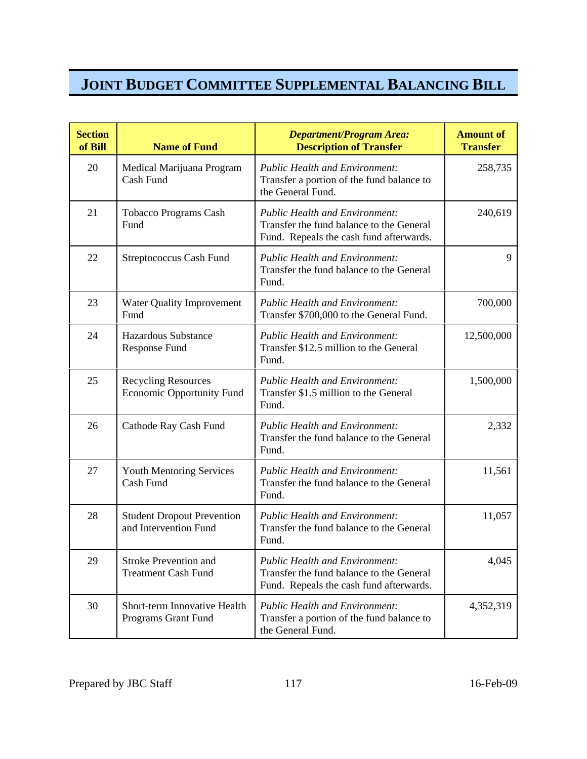| <b>Section</b><br>of Bill | <b>Name of Fund</b>                                            | <b>Department/Program Area:</b><br><b>Description of Transfer</b>                                                            | <b>Amount of</b><br><b>Transfer</b> |
|---------------------------|----------------------------------------------------------------|------------------------------------------------------------------------------------------------------------------------------|-------------------------------------|
| 20                        | Medical Marijuana Program<br>Cash Fund                         | <b>Public Health and Environment:</b><br>Transfer a portion of the fund balance to<br>the General Fund.                      | 258,735                             |
| 21                        | Tobacco Programs Cash<br>Fund                                  | <b>Public Health and Environment:</b><br>Transfer the fund balance to the General<br>Fund. Repeals the cash fund afterwards. | 240,619                             |
| 22                        | <b>Streptococcus Cash Fund</b>                                 | <b>Public Health and Environment:</b><br>Transfer the fund balance to the General<br>Fund.                                   | 9                                   |
| 23                        | <b>Water Quality Improvement</b><br>Fund                       | <b>Public Health and Environment:</b><br>Transfer \$700,000 to the General Fund.                                             | 700,000                             |
| 24                        | <b>Hazardous Substance</b><br><b>Response Fund</b>             | <b>Public Health and Environment:</b><br>Transfer \$12.5 million to the General<br>Fund.                                     | 12,500,000                          |
| 25                        | <b>Recycling Resources</b><br><b>Economic Opportunity Fund</b> | <b>Public Health and Environment:</b><br>Transfer \$1.5 million to the General<br>Fund.                                      | 1,500,000                           |
| 26                        | Cathode Ray Cash Fund                                          | <b>Public Health and Environment:</b><br>Transfer the fund balance to the General<br>Fund.                                   | 2,332                               |
| 27                        | <b>Youth Mentoring Services</b><br>Cash Fund                   | <b>Public Health and Environment:</b><br>Transfer the fund balance to the General<br>Fund.                                   | 11,561                              |
| 28                        | <b>Student Dropout Prevention</b><br>and Intervention Fund     | <b>Public Health and Environment:</b><br>Transfer the fund balance to the General<br>Fund.                                   | 11,057                              |
| 29                        | <b>Stroke Prevention and</b><br><b>Treatment Cash Fund</b>     | <b>Public Health and Environment:</b><br>Transfer the fund balance to the General<br>Fund. Repeals the cash fund afterwards. | 4,045                               |
| 30                        | Short-term Innovative Health<br>Programs Grant Fund            | <b>Public Health and Environment:</b><br>Transfer a portion of the fund balance to<br>the General Fund.                      | 4,352,319                           |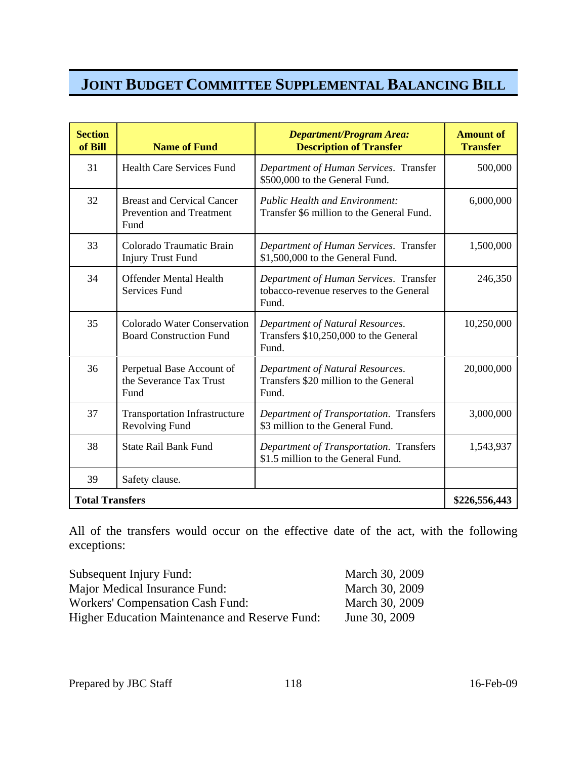| <b>Section</b><br>of Bill | <b>Name of Fund</b>                                                   | <b>Department/Program Area:</b><br><b>Description of Transfer</b>                          | <b>Amount of</b><br><b>Transfer</b> |
|---------------------------|-----------------------------------------------------------------------|--------------------------------------------------------------------------------------------|-------------------------------------|
| 31                        | <b>Health Care Services Fund</b>                                      | Department of Human Services. Transfer<br>\$500,000 to the General Fund.                   | 500,000                             |
| 32                        | <b>Breast and Cervical Cancer</b><br>Prevention and Treatment<br>Fund | <b>Public Health and Environment:</b><br>Transfer \$6 million to the General Fund.         | 6,000,000                           |
| 33                        | Colorado Traumatic Brain<br><b>Injury Trust Fund</b>                  | Department of Human Services. Transfer<br>\$1,500,000 to the General Fund.                 | 1,500,000                           |
| 34                        | <b>Offender Mental Health</b><br><b>Services Fund</b>                 | Department of Human Services. Transfer<br>tobacco-revenue reserves to the General<br>Fund. | 246,350                             |
| 35                        | <b>Colorado Water Conservation</b><br><b>Board Construction Fund</b>  | Department of Natural Resources.<br>Transfers \$10,250,000 to the General<br>Fund.         | 10,250,000                          |
| 36                        | Perpetual Base Account of<br>the Severance Tax Trust<br>Fund          | Department of Natural Resources.<br>Transfers \$20 million to the General<br>Fund.         | 20,000,000                          |
| 37                        | <b>Transportation Infrastructure</b><br>Revolving Fund                | Department of Transportation. Transfers<br>\$3 million to the General Fund.                | 3,000,000                           |
| 38                        | <b>State Rail Bank Fund</b>                                           | Department of Transportation. Transfers<br>\$1.5 million to the General Fund.              | 1,543,937                           |
| 39                        | Safety clause.                                                        |                                                                                            |                                     |
| <b>Total Transfers</b>    |                                                                       |                                                                                            | \$226,556,443                       |

All of the transfers would occur on the effective date of the act, with the following exceptions:

| Subsequent Injury Fund:                               | March 30, 2009 |
|-------------------------------------------------------|----------------|
| Major Medical Insurance Fund:                         | March 30, 2009 |
| Workers' Compensation Cash Fund:                      | March 30, 2009 |
| <b>Higher Education Maintenance and Reserve Fund:</b> | June 30, 2009  |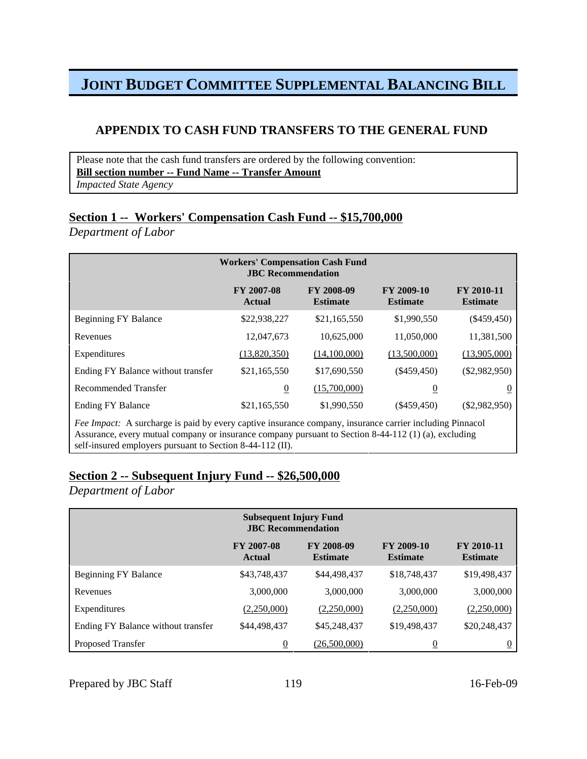## **APPENDIX TO CASH FUND TRANSFERS TO THE GENERAL FUND**

 Please note that the cash fund transfers are ordered by the following convention: **Bill section number -- Fund Name -- Transfer Amount** *Impacted State Agency*

## **Section 1 -- Workers' Compensation Cash Fund -- \$15,700,000**

*Department of Labor*

| <b>Workers' Compensation Cash Fund</b>                                                                          |                             |                                      |                               |                                      |
|-----------------------------------------------------------------------------------------------------------------|-----------------------------|--------------------------------------|-------------------------------|--------------------------------------|
|                                                                                                                 | <b>FY 2007-08</b><br>Actual | <b>FY 2008-09</b><br><b>Estimate</b> | FY 2009-10<br><b>Estimate</b> | <b>FY 2010-11</b><br><b>Estimate</b> |
| <b>Beginning FY Balance</b>                                                                                     | \$22,938,227                | \$21,165,550                         | \$1,990,550                   | $(\$459,450)$                        |
| Revenues                                                                                                        | 12,047,673                  | 10.625,000                           | 11,050,000                    | 11,381,500                           |
| Expenditures                                                                                                    | (13,820,350)                | (14,100,000)                         | (13,500,000)                  | (13,905,000)                         |
| Ending FY Balance without transfer                                                                              | \$21,165,550                | \$17,690,550                         | $(\$459,450)$                 | $(\$2,982,950)$                      |
| Recommended Transfer                                                                                            | $\underline{0}$             | (15,700,000)                         | $\overline{0}$                | $\overline{0}$                       |
| <b>Ending FY Balance</b>                                                                                        | \$21,165,550                | \$1,990,550                          | $(\$459,450)$                 | $(\$2,982,950)$                      |
| <i>Fee Impact:</i> A surcharge is paid by every captive insurance company, insurance carrier including Pinnacol |                             |                                      |                               |                                      |

Assurance, every mutual company or insurance company pursuant to Section 8-44-112 (1) (a), excluding self-insured employers pursuant to Section 8-44-112 (II).

## **Section 2 -- Subsequent Injury Fund -- \$26,500,000**

*Department of Labor*

| <b>Subsequent Injury Fund</b><br><b>JBC</b> Recommendation |                             |                               |                               |                               |
|------------------------------------------------------------|-----------------------------|-------------------------------|-------------------------------|-------------------------------|
|                                                            | <b>FY 2007-08</b><br>Actual | FY 2008-09<br><b>Estimate</b> | FY 2009-10<br><b>Estimate</b> | FY 2010-11<br><b>Estimate</b> |
| <b>Beginning FY Balance</b>                                | \$43,748,437                | \$44,498,437                  | \$18,748,437                  | \$19,498,437                  |
| Revenues                                                   | 3,000,000                   | 3,000,000                     | 3,000,000                     | 3,000,000                     |
| Expenditures                                               | (2,250,000)                 | (2,250,000)                   | (2,250,000)                   | (2,250,000)                   |
| Ending FY Balance without transfer                         | \$44,498,437                | \$45,248,437                  | \$19,498,437                  | \$20,248,437                  |
| Proposed Transfer                                          | $\overline{0}$              | (26,500,000)                  | 0                             |                               |

Prepared by JBC Staff 119 16-Feb-09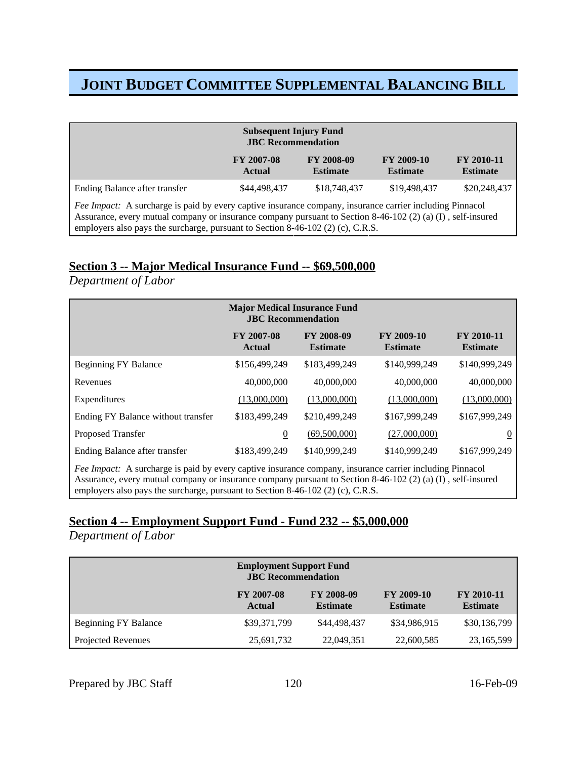| <b>Subsequent Injury Fund</b><br><b>JBC</b> Recommendation                                                                                                                                                                                                                                                 |                                                                                                                                                     |              |              |              |  |  |
|------------------------------------------------------------------------------------------------------------------------------------------------------------------------------------------------------------------------------------------------------------------------------------------------------------|-----------------------------------------------------------------------------------------------------------------------------------------------------|--------------|--------------|--------------|--|--|
|                                                                                                                                                                                                                                                                                                            | <b>FY 2008-09</b><br><b>FY 2009-10</b><br><b>FY 2007-08</b><br><b>FY 2010-11</b><br><b>Estimate</b><br><b>Estimate</b><br><b>Estimate</b><br>Actual |              |              |              |  |  |
| Ending Balance after transfer                                                                                                                                                                                                                                                                              | \$44,498,437                                                                                                                                        | \$18,748,437 | \$19,498,437 | \$20,248,437 |  |  |
| Fee Impact: A surcharge is paid by every captive insurance company, insurance carrier including Pinnacol<br>Assurance, every mutual company or insurance company pursuant to Section 8-46-102 (2) (a) (I), self-insured<br>employers also pays the surcharge, pursuant to Section 8-46-102 (2) (c), C.R.S. |                                                                                                                                                     |              |              |              |  |  |

## **Section 3 -- Major Medical Insurance Fund -- \$69,500,000**

*Department of Labor*

| <b>Major Medical Insurance Fund</b><br><b>JBC</b> Recommendation                                                                                                                                                                                                                                           |                             |                               |                               |                               |  |
|------------------------------------------------------------------------------------------------------------------------------------------------------------------------------------------------------------------------------------------------------------------------------------------------------------|-----------------------------|-------------------------------|-------------------------------|-------------------------------|--|
|                                                                                                                                                                                                                                                                                                            | <b>FY 2007-08</b><br>Actual | FY 2008-09<br><b>Estimate</b> | FY 2009-10<br><b>Estimate</b> | FY 2010-11<br><b>Estimate</b> |  |
| <b>Beginning FY Balance</b>                                                                                                                                                                                                                                                                                | \$156,499,249               | \$183,499,249                 | \$140,999,249                 | \$140,999,249                 |  |
| Revenues                                                                                                                                                                                                                                                                                                   | 40,000,000                  | 40,000,000                    | 40,000,000                    | 40,000,000                    |  |
| Expenditures                                                                                                                                                                                                                                                                                               | (13,000,000)                | (13,000,000)                  | (13,000,000)                  | (13,000,000)                  |  |
| Ending FY Balance without transfer                                                                                                                                                                                                                                                                         | \$183,499,249               | \$210,499,249                 | \$167,999,249                 | \$167,999,249                 |  |
| Proposed Transfer                                                                                                                                                                                                                                                                                          | $\overline{0}$              | (69,500,000)                  | (27,000,000)                  | U                             |  |
| Ending Balance after transfer<br>\$183,499,249<br>\$140,999,249<br>\$140,999,249<br>\$167,999,249                                                                                                                                                                                                          |                             |                               |                               |                               |  |
| Fee Impact: A surcharge is paid by every captive insurance company, insurance carrier including Pinnacol<br>Assurance, every mutual company or insurance company pursuant to Section 8-46-102 (2) (a) (I), self-insured<br>employers also pays the surcharge, pursuant to Section 8-46-102 (2) (c), C.R.S. |                             |                               |                               |                               |  |

## **Section 4 -- Employment Support Fund - Fund 232 -- \$5,000,000**

*Department of Labor*

|                             | <b>FY 2007-08</b><br>Actual | FY 2008-09<br><b>Estimate</b> | FY 2009-10<br><b>Estimate</b> | <b>FY 2010-11</b><br><b>Estimate</b> |
|-----------------------------|-----------------------------|-------------------------------|-------------------------------|--------------------------------------|
| <b>Beginning FY Balance</b> | \$39,371,799                | \$44,498,437                  | \$34,986,915                  | \$30,136,799                         |
| Projected Revenues          | 25,691,732                  | 22,049,351                    | 22,600,585                    | 23,165,599                           |

Prepared by JBC Staff 120 16-Feb-09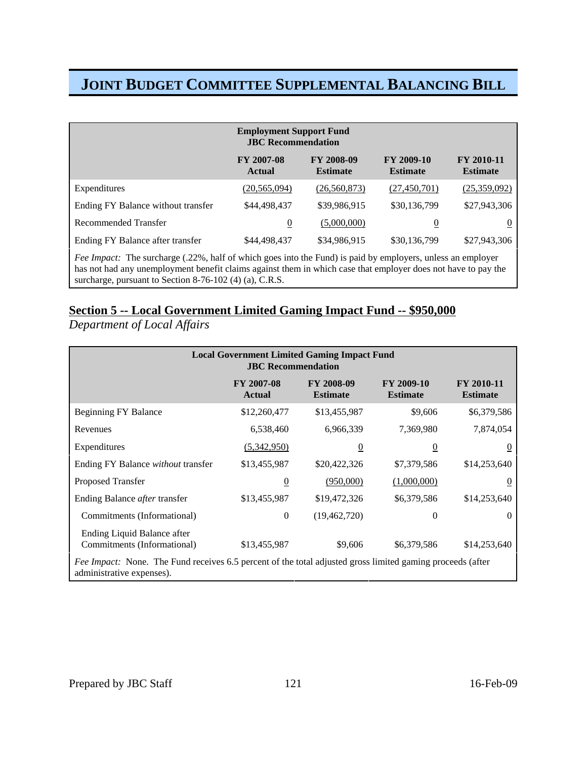|                                                                                                                                                                                                                                     | <b>Employment Support Fund</b><br><b>JBC</b> Recommendation |                                      |                               |                                      |  |
|-------------------------------------------------------------------------------------------------------------------------------------------------------------------------------------------------------------------------------------|-------------------------------------------------------------|--------------------------------------|-------------------------------|--------------------------------------|--|
|                                                                                                                                                                                                                                     | <b>FY 2007-08</b><br><b>Actual</b>                          | <b>FY 2008-09</b><br><b>Estimate</b> | FY 2009-10<br><b>Estimate</b> | <b>FY 2010-11</b><br><b>Estimate</b> |  |
| Expenditures                                                                                                                                                                                                                        | (20, 565, 094)                                              | (26, 560, 873)                       | (27, 450, 701)                | (25,359,092)                         |  |
| Ending FY Balance without transfer                                                                                                                                                                                                  | \$44,498,437                                                | \$39,986,915                         | \$30,136,799                  | \$27,943,306                         |  |
| Recommended Transfer                                                                                                                                                                                                                | $\overline{0}$                                              | (5,000,000)                          | $\boldsymbol{0}$              | $\overline{0}$                       |  |
| Ending FY Balance after transfer                                                                                                                                                                                                    | \$44,498,437                                                | \$34,986,915                         | \$30,136,799                  | \$27,943,306                         |  |
| <i>Fee Impact:</i> The surcharge (.22%, half of which goes into the Fund) is paid by employers, unless an employer<br>has not had any unemployment benefit claims against them in which case that employer does not have to pay the |                                                             |                                      |                               |                                      |  |

surcharge, pursuant to Section 8-76-102 (4) (a), C.R.S.

## **Section 5 -- Local Government Limited Gaming Impact Fund -- \$950,000**

*Department of Local Affairs*

| <b>Local Government Limited Gaming Impact Fund</b><br><b>JBC</b> Recommendation                                                                |                                    |                                      |                               |                               |  |
|------------------------------------------------------------------------------------------------------------------------------------------------|------------------------------------|--------------------------------------|-------------------------------|-------------------------------|--|
|                                                                                                                                                | <b>FY 2007-08</b><br><b>Actual</b> | <b>FY 2008-09</b><br><b>Estimate</b> | FY 2009-10<br><b>Estimate</b> | FY 2010-11<br><b>Estimate</b> |  |
| Beginning FY Balance                                                                                                                           | \$12,260,477                       | \$13,455,987                         | \$9,606                       | \$6,379,586                   |  |
| Revenues                                                                                                                                       | 6,538,460                          | 6,966,339                            | 7,369,980                     | 7,874,054                     |  |
| Expenditures                                                                                                                                   | (5,342,950)                        | $\overline{0}$                       | $\overline{0}$                | $\theta$                      |  |
| Ending FY Balance without transfer                                                                                                             | \$13,455,987                       | \$20,422,326                         | \$7,379,586                   | \$14,253,640                  |  |
| Proposed Transfer                                                                                                                              | $\overline{0}$                     | (950,000)                            | (1,000,000)                   | $\theta$                      |  |
| Ending Balance after transfer                                                                                                                  | \$13,455,987                       | \$19,472,326                         | \$6,379,586                   | \$14,253,640                  |  |
| Commitments (Informational)                                                                                                                    | $\mathbf{0}$                       | (19, 462, 720)                       | $\Omega$                      | $\theta$                      |  |
| Ending Liquid Balance after<br>Commitments (Informational)                                                                                     | \$13,455,987                       | \$9,606                              | \$6,379,586                   | \$14,253,640                  |  |
| <i>Fee Impact:</i> None. The Fund receives 6.5 percent of the total adjusted gross limited gaming proceeds (after<br>administrative expenses). |                                    |                                      |                               |                               |  |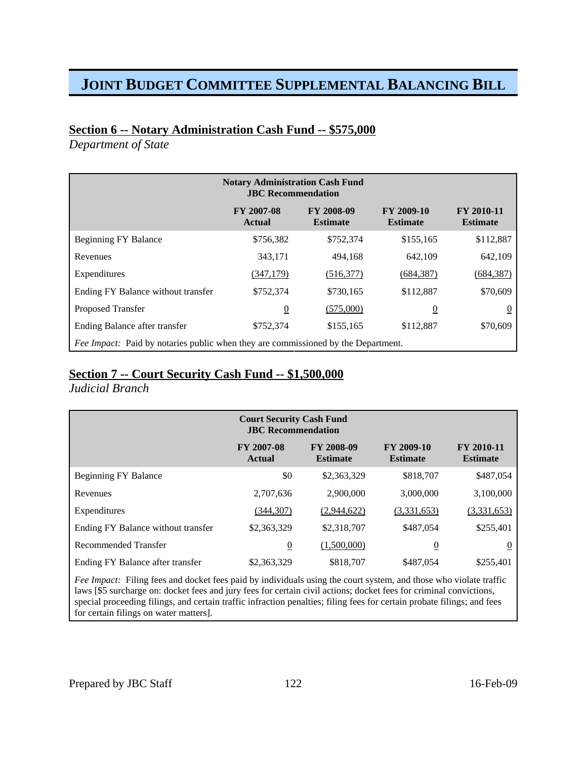## **Section 6 -- Notary Administration Cash Fund -- \$575,000**

*Department of State*

|                                                                                          | <b>FY 2007-08</b><br><b>Actual</b> | <b>FY 2008-09</b><br><b>Estimate</b> | FY 2009-10<br><b>Estimate</b> | <b>FY 2010-11</b><br><b>Estimate</b> |
|------------------------------------------------------------------------------------------|------------------------------------|--------------------------------------|-------------------------------|--------------------------------------|
| <b>Beginning FY Balance</b>                                                              | \$756,382                          | \$752,374                            | \$155,165                     | \$112,887                            |
| Revenues                                                                                 | 343,171                            | 494,168                              | 642,109                       | 642,109                              |
| Expenditures                                                                             | (347,179)                          | (516, 377)                           | (684, 387)                    | (684,387)                            |
| Ending FY Balance without transfer                                                       | \$752,374                          | \$730,165                            | \$112,887                     | \$70,609                             |
| <b>Proposed Transfer</b>                                                                 | $\overline{0}$                     | (575,000)                            | $\overline{0}$                | $\theta$                             |
| Ending Balance after transfer                                                            | \$752,374                          | \$155,165                            | \$112,887                     | \$70,609                             |
| <i>Fee Impact:</i> Paid by notaries public when they are commissioned by the Department. |                                    |                                      |                               |                                      |

### **Section 7 -- Court Security Cash Fund -- \$1,500,000**

*Judicial Branch*

|                                    | <b>FY 2007-08</b><br>Actual | FY 2008-09<br><b>Estimate</b> | FY 2009-10<br><b>Estimate</b> | FY 2010-11<br><b>Estimate</b> |
|------------------------------------|-----------------------------|-------------------------------|-------------------------------|-------------------------------|
| <b>Beginning FY Balance</b>        | \$0                         | \$2,363,329                   | \$818,707                     | \$487,054                     |
| Revenues                           | 2,707,636                   | 2,900,000                     | 3,000,000                     | 3,100,000                     |
| Expenditures                       | (344, 307)                  | (2,944,622)                   | (3,331,653)                   | (3,331,653)                   |
| Ending FY Balance without transfer | \$2,363,329                 | \$2,318,707                   | \$487,054                     | \$255,401                     |
| Recommended Transfer               | $\overline{0}$              | (1,500,000)                   | $\overline{0}$                | $\overline{0}$                |
| Ending FY Balance after transfer   | \$2,363,329                 | \$818,707                     | \$487,054                     | \$255,401                     |

*Fee Impact:* Filing fees and docket fees paid by individuals using the court system, and those who violate traffic laws [\$5 surcharge on: docket fees and jury fees for certain civil actions; docket fees for criminal convictions, special proceeding filings, and certain traffic infraction penalties; filing fees for certain probate filings; and fees for certain filings on water matters].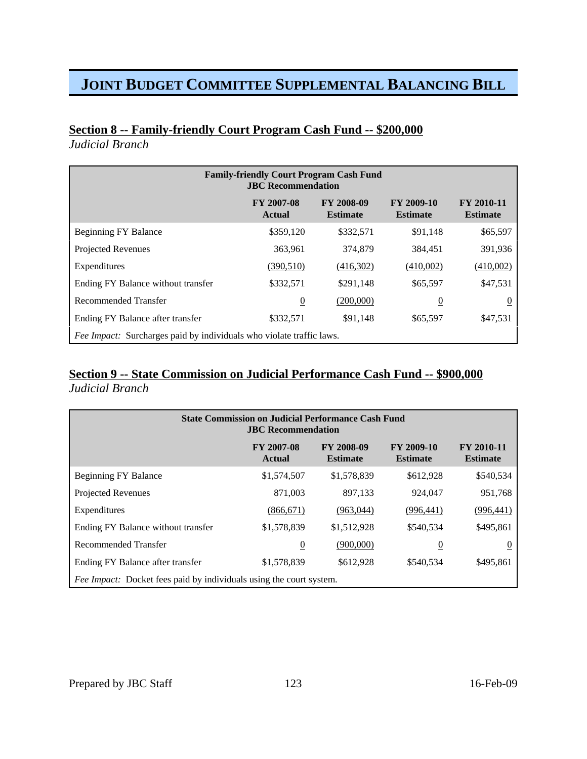# **Section 8 -- Family-friendly Court Program Cash Fund -- \$200,000**

*Judicial Branch*

| <b>Family-friendly Court Program Cash Fund</b><br><b>JBC</b> Recommendation |                                    |                                      |                               |                                      |
|-----------------------------------------------------------------------------|------------------------------------|--------------------------------------|-------------------------------|--------------------------------------|
|                                                                             | <b>FY 2007-08</b><br><b>Actual</b> | <b>FY 2008-09</b><br><b>Estimate</b> | FY 2009-10<br><b>Estimate</b> | <b>FY 2010-11</b><br><b>Estimate</b> |
| <b>Beginning FY Balance</b>                                                 | \$359,120                          | \$332,571                            | \$91,148                      | \$65,597                             |
| <b>Projected Revenues</b>                                                   | 363,961                            | 374,879                              | 384,451                       | 391,936                              |
| Expenditures                                                                | (390, 510)                         | (416,302)                            | (410,002)                     | (410,002)                            |
| Ending FY Balance without transfer                                          | \$332,571                          | \$291,148                            | \$65,597                      | \$47,531                             |
| Recommended Transfer                                                        | $\overline{0}$                     | (200,000)                            | $\overline{0}$                |                                      |
| Ending FY Balance after transfer                                            | \$332,571                          | \$91,148                             | \$65,597                      | \$47,531                             |
| Fee Impact: Surcharges paid by individuals who violate traffic laws.        |                                    |                                      |                               |                                      |

### **Section 9 -- State Commission on Judicial Performance Cash Fund -- \$900,000** *Judicial Branch*

| <b>State Commission on Judicial Performance Cash Fund</b><br><b>JBC</b> Recommendation |                      |                               |                               |                               |
|----------------------------------------------------------------------------------------|----------------------|-------------------------------|-------------------------------|-------------------------------|
|                                                                                        | FY 2007-08<br>Actual | FY 2008-09<br><b>Estimate</b> | FY 2009-10<br><b>Estimate</b> | FY 2010-11<br><b>Estimate</b> |
| <b>Beginning FY Balance</b>                                                            | \$1,574,507          | \$1,578,839                   | \$612,928                     | \$540,534                     |
| <b>Projected Revenues</b>                                                              | 871,003              | 897,133                       | 924,047                       | 951,768                       |
| Expenditures                                                                           | (866, 671)           | (963,044)                     | (996, 441)                    | (996,441)                     |
| Ending FY Balance without transfer                                                     | \$1,578,839          | \$1,512,928                   | \$540,534                     | \$495,861                     |
| Recommended Transfer                                                                   | $\overline{0}$       | (900,000)                     | $\overline{0}$                | $\theta$                      |
| Ending FY Balance after transfer                                                       | \$1,578,839          | \$612,928                     | \$540,534                     | \$495,861                     |
| Fee Impact: Docket fees paid by individuals using the court system.                    |                      |                               |                               |                               |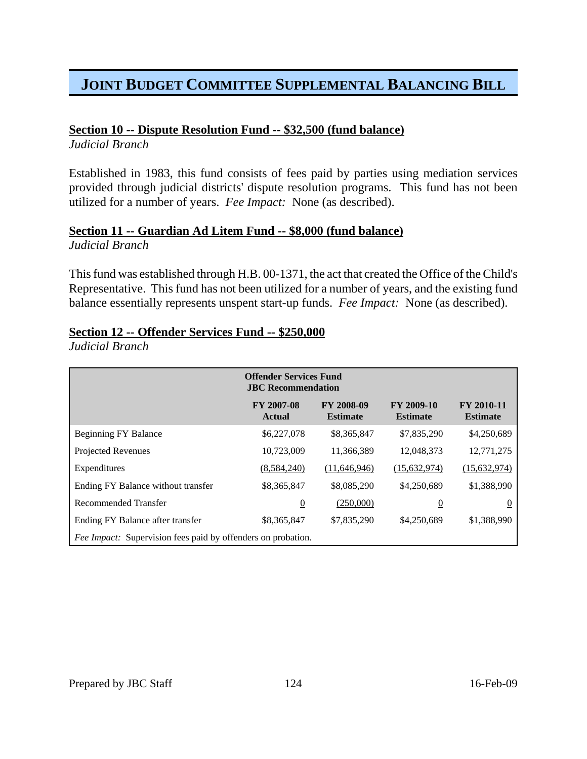## **Section 10 -- Dispute Resolution Fund -- \$32,500 (fund balance)**

*Judicial Branch*

Established in 1983, this fund consists of fees paid by parties using mediation services provided through judicial districts' dispute resolution programs. This fund has not been utilized for a number of years. *Fee Impact:* None (as described).

#### **Section 11 -- Guardian Ad Litem Fund -- \$8,000 (fund balance)** *Judicial Branch*

This fund was established through H.B. 00-1371, the act that created the Office of the Child's Representative. This fund has not been utilized for a number of years, and the existing fund balance essentially represents unspent start-up funds. *Fee Impact:* None (as described).

## **Section 12 -- Offender Services Fund -- \$250,000**

*Judicial Branch*

|                                                                     | <b>Offender Services Fund</b><br><b>JBC</b> Recommendation |                               |                               |                               |
|---------------------------------------------------------------------|------------------------------------------------------------|-------------------------------|-------------------------------|-------------------------------|
|                                                                     | FY 2007-08<br><b>Actual</b>                                | FY 2008-09<br><b>Estimate</b> | FY 2009-10<br><b>Estimate</b> | FY 2010-11<br><b>Estimate</b> |
| <b>Beginning FY Balance</b>                                         | \$6,227,078                                                | \$8,365,847                   | \$7,835,290                   | \$4,250,689                   |
| <b>Projected Revenues</b>                                           | 10,723,009                                                 | 11,366,389                    | 12,048,373                    | 12,771,275                    |
| Expenditures                                                        | (8,584,240)                                                | (11, 646, 946)                | (15,632,974)                  | (15, 632, 974)                |
| Ending FY Balance without transfer                                  | \$8,365,847                                                | \$8,085,290                   | \$4,250,689                   | \$1,388,990                   |
| Recommended Transfer                                                | $\overline{0}$                                             | (250,000)                     | $\overline{0}$                | $\overline{0}$                |
| Ending FY Balance after transfer                                    | \$8,365,847                                                | \$7,835,290                   | \$4,250,689                   | \$1,388,990                   |
| <i>Fee Impact:</i> Supervision fees paid by offenders on probation. |                                                            |                               |                               |                               |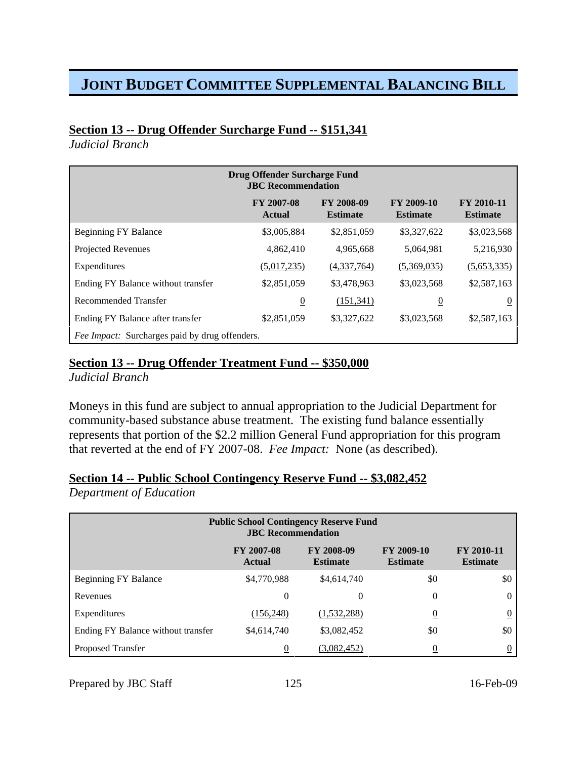### **Section 13 -- Drug Offender Surcharge Fund -- \$151,341**

*Judicial Branch*

| <b>Drug Offender Surcharge Fund</b><br><b>JBC</b> Recommendation |                             |                               |                               |                               |
|------------------------------------------------------------------|-----------------------------|-------------------------------|-------------------------------|-------------------------------|
|                                                                  | FY 2007-08<br><b>Actual</b> | FY 2008-09<br><b>Estimate</b> | FY 2009-10<br><b>Estimate</b> | FY 2010-11<br><b>Estimate</b> |
| <b>Beginning FY Balance</b>                                      | \$3,005,884                 | \$2,851,059                   | \$3,327,622                   | \$3,023,568                   |
| Projected Revenues                                               | 4,862,410                   | 4,965,668                     | 5,064,981                     | 5,216,930                     |
| Expenditures                                                     | (5,017,235)                 | (4,337,764)                   | (5,369,035)                   | (5,653,335)                   |
| Ending FY Balance without transfer                               | \$2,851,059                 | \$3,478,963                   | \$3,023,568                   | \$2,587,163                   |
| Recommended Transfer                                             | $\overline{0}$              | (151, 341)                    | $\overline{0}$                | <u>0</u>                      |
| Ending FY Balance after transfer                                 | \$2,851,059                 | \$3,327,622                   | \$3,023,568                   | \$2,587,163                   |
| <i>Fee Impact:</i> Surcharges paid by drug offenders.            |                             |                               |                               |                               |

## **Section 13 -- Drug Offender Treatment Fund -- \$350,000**

*Judicial Branch*

Moneys in this fund are subject to annual appropriation to the Judicial Department for community-based substance abuse treatment. The existing fund balance essentially represents that portion of the \$2.2 million General Fund appropriation for this program that reverted at the end of FY 2007-08. *Fee Impact:* None (as described).

## **Section 14 -- Public School Contingency Reserve Fund -- \$3,082,452**

*Department of Education*

| <b>Public School Contingency Reserve Fund</b><br><b>JBC</b> Recommendation |                                    |                               |                               |                                      |
|----------------------------------------------------------------------------|------------------------------------|-------------------------------|-------------------------------|--------------------------------------|
|                                                                            | <b>FY 2007-08</b><br><b>Actual</b> | FY 2008-09<br><b>Estimate</b> | FY 2009-10<br><b>Estimate</b> | <b>FY 2010-11</b><br><b>Estimate</b> |
| <b>Beginning FY Balance</b>                                                | \$4,770,988                        | \$4,614,740                   | \$0                           | \$0                                  |
| Revenues                                                                   | 0                                  | 0                             | 0                             | $\Omega$                             |
| Expenditures                                                               | (156, 248)                         | (1,532,288)                   | $\overline{0}$                | $\overline{0}$                       |
| Ending FY Balance without transfer                                         | \$4,614,740                        | \$3,082,452                   | \$0                           | \$0                                  |
| Proposed Transfer                                                          | 0                                  | (3,082,452)                   |                               |                                      |

Prepared by JBC Staff 125 16-Feb-09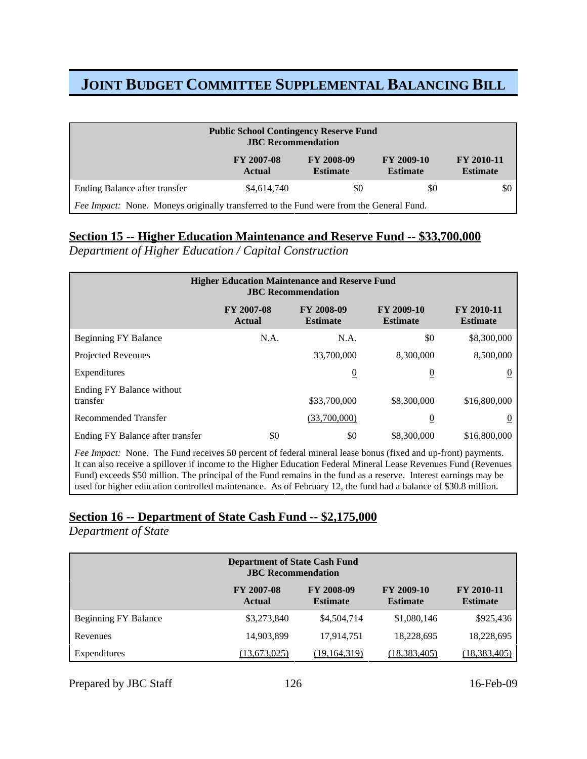| <b>Public School Contingency Reserve Fund</b><br><b>JBC</b> Recommendation              |                                    |                                      |                               |                                      |
|-----------------------------------------------------------------------------------------|------------------------------------|--------------------------------------|-------------------------------|--------------------------------------|
|                                                                                         | <b>FY 2007-08</b><br><b>Actual</b> | <b>FY 2008-09</b><br><b>Estimate</b> | FY 2009-10<br><b>Estimate</b> | <b>FY 2010-11</b><br><b>Estimate</b> |
| Ending Balance after transfer                                                           | \$4,614,740                        | \$0                                  | \$0                           | \$0                                  |
| Fee Impact: None. Moneys originally transferred to the Fund were from the General Fund. |                                    |                                      |                               |                                      |

## **Section 15 -- Higher Education Maintenance and Reserve Fund -- \$33,700,000**

*Department of Higher Education / Capital Construction*

| <b>Higher Education Maintenance and Reserve Fund</b><br><b>JBC</b> Recommendation |                                    |                               |                               |                               |
|-----------------------------------------------------------------------------------|------------------------------------|-------------------------------|-------------------------------|-------------------------------|
|                                                                                   | <b>FY 2007-08</b><br><b>Actual</b> | FY 2008-09<br><b>Estimate</b> | FY 2009-10<br><b>Estimate</b> | FY 2010-11<br><b>Estimate</b> |
| <b>Beginning FY Balance</b>                                                       | N.A.                               | N.A.                          | \$0                           | \$8,300,000                   |
| <b>Projected Revenues</b>                                                         |                                    | 33,700,000                    | 8,300,000                     | 8,500,000                     |
| Expenditures                                                                      |                                    | $\overline{0}$                | <u>0</u>                      |                               |
| Ending FY Balance without<br>transfer                                             |                                    | \$33,700,000                  | \$8,300,000                   | \$16,800,000                  |
| <b>Recommended Transfer</b>                                                       |                                    | (33,700,000)                  | $\overline{0}$                |                               |
| Ending FY Balance after transfer                                                  | \$0                                | \$0                           | \$8,300,000                   | \$16,800,000                  |

*Fee Impact:* None. The Fund receives 50 percent of federal mineral lease bonus (fixed and up-front) payments. It can also receive a spillover if income to the Higher Education Federal Mineral Lease Revenues Fund (Revenues Fund) exceeds \$50 million. The principal of the Fund remains in the fund as a reserve. Interest earnings may be used for higher education controlled maintenance. As of February 12, the fund had a balance of \$30.8 million.

## **Section 16 -- Department of State Cash Fund -- \$2,175,000**

*Department of State*

| <b>Department of State Cash Fund</b><br><b>JBC</b> Recommendation |                                    |                                      |                               |                                      |
|-------------------------------------------------------------------|------------------------------------|--------------------------------------|-------------------------------|--------------------------------------|
|                                                                   | <b>FY 2007-08</b><br><b>Actual</b> | <b>FY 2008-09</b><br><b>Estimate</b> | FY 2009-10<br><b>Estimate</b> | <b>FY 2010-11</b><br><b>Estimate</b> |
| <b>Beginning FY Balance</b>                                       | \$3,273,840                        | \$4,504,714                          | \$1,080,146                   | \$925,436                            |
| Revenues                                                          | 14,903,899                         | 17,914,751                           | 18,228,695                    | 18,228,695                           |
| Expenditures                                                      | (13,673,025)                       | (19,164,319)                         | (18, 383, 405)                | (18,383,405)                         |

Prepared by JBC Staff 126 16-Feb-09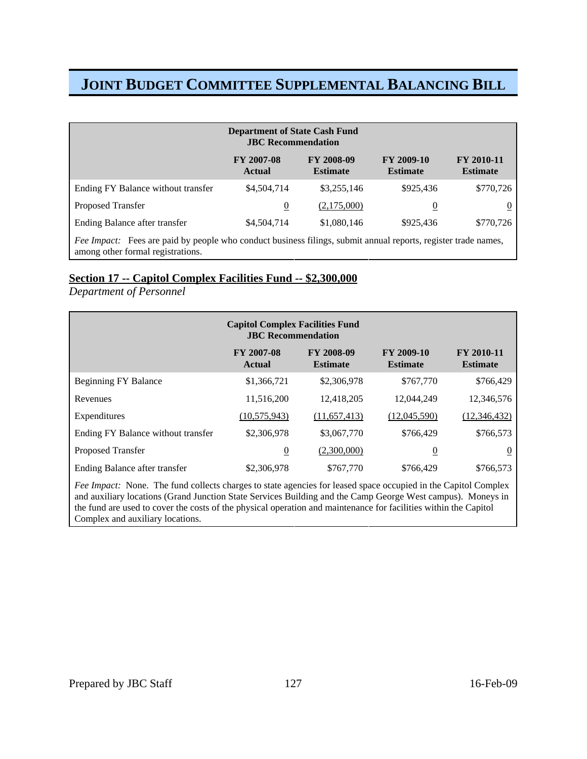| <b>Department of State Cash Fund</b><br><b>JBC</b> Recommendation                                                                                          |                             |                                      |                               |                                      |
|------------------------------------------------------------------------------------------------------------------------------------------------------------|-----------------------------|--------------------------------------|-------------------------------|--------------------------------------|
|                                                                                                                                                            | <b>FY 2007-08</b><br>Actual | <b>FY 2008-09</b><br><b>Estimate</b> | FY 2009-10<br><b>Estimate</b> | <b>FY 2010-11</b><br><b>Estimate</b> |
| Ending FY Balance without transfer                                                                                                                         | \$4,504,714                 | \$3,255,146                          | \$925,436                     | \$770,726                            |
| <b>Proposed Transfer</b>                                                                                                                                   | $\overline{0}$              | (2,175,000)                          | 0                             |                                      |
| Ending Balance after transfer                                                                                                                              | \$4,504,714                 | \$1,080,146                          | \$925,436                     | \$770,726                            |
| <i>Fee Impact:</i> Fees are paid by people who conduct business filings, submit annual reports, register trade names,<br>among other formal registrations. |                             |                                      |                               |                                      |

### **Section 17 -- Capitol Complex Facilities Fund -- \$2,300,000**

#### *Department of Personnel*

| <b>Capitol Complex Facilities Fund</b><br><b>JBC</b> Recommendation                                            |                                    |                               |                               |                               |
|----------------------------------------------------------------------------------------------------------------|------------------------------------|-------------------------------|-------------------------------|-------------------------------|
|                                                                                                                | <b>FY 2007-08</b><br><b>Actual</b> | FY 2008-09<br><b>Estimate</b> | FY 2009-10<br><b>Estimate</b> | FY 2010-11<br><b>Estimate</b> |
| <b>Beginning FY Balance</b>                                                                                    | \$1,366,721                        | \$2,306,978                   | \$767,770                     | \$766,429                     |
| Revenues                                                                                                       | 11,516,200                         | 12,418,205                    | 12,044,249                    | 12,346,576                    |
| Expenditures                                                                                                   | (10, 575, 943)                     | (11, 657, 413)                | (12,045,590)                  | (12, 346, 432)                |
| Ending FY Balance without transfer                                                                             | \$2,306,978                        | \$3,067,770                   | \$766,429                     | \$766,573                     |
| Proposed Transfer                                                                                              | $\overline{0}$                     | (2,300,000)                   | $\overline{0}$                | $\overline{0}$                |
| Ending Balance after transfer                                                                                  | \$2,306,978                        | \$767,770                     | \$766,429                     | \$766,573                     |
| Fee Impact: None. The fund collects charges to state agencies for leased space occupied in the Capitol Complex |                                    |                               |                               |                               |

and auxiliary locations (Grand Junction State Services Building and the Camp George West campus). Moneys in the fund are used to cover the costs of the physical operation and maintenance for facilities within the Capitol Complex and auxiliary locations.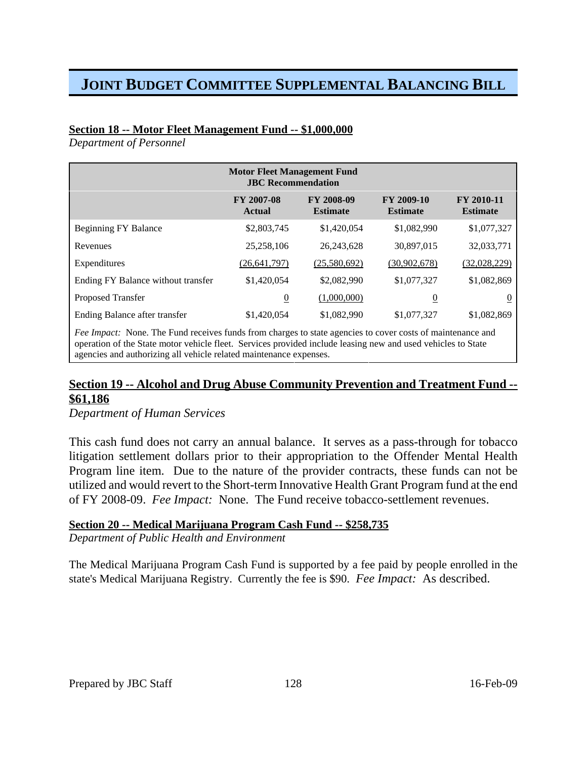#### **Section 18 -- Motor Fleet Management Fund -- \$1,000,000**

*Department of Personnel*

| <b>Motor Fleet Management Fund</b><br><b>JBC</b> Recommendation |                                      |                               |                               |  |
|-----------------------------------------------------------------|--------------------------------------|-------------------------------|-------------------------------|--|
| <b>FY 2007-08</b><br><b>Actual</b>                              | <b>FY 2008-09</b><br><b>Estimate</b> | FY 2009-10<br><b>Estimate</b> | FY 2010-11<br><b>Estimate</b> |  |
| \$2,803,745                                                     | \$1,420,054                          | \$1,082,990                   | \$1,077,327                   |  |
| 25,258,106                                                      | 26, 243, 628                         | 30,897,015                    | 32,033,771                    |  |
| (26, 641, 797)                                                  | (25,580,692)                         | (30,902,678)                  | (32,028,229)                  |  |
| \$1,420,054                                                     | \$2,082,990                          | \$1,077,327                   | \$1,082,869                   |  |
| $\overline{0}$                                                  | (1,000,000)                          | $\overline{0}$                | $\bf{0}$                      |  |
| \$1,420,054                                                     | \$1,082,990                          | \$1,077,327                   | \$1,082,869                   |  |
|                                                                 |                                      |                               |                               |  |

*Fee Impact:* None. The Fund receives funds from charges to state agencies to cover costs of maintenance and operation of the State motor vehicle fleet. Services provided include leasing new and used vehicles to State agencies and authorizing all vehicle related maintenance expenses.

## **Section 19 -- Alcohol and Drug Abuse Community Prevention and Treatment Fund -- \$61,186**

*Department of Human Services*

This cash fund does not carry an annual balance. It serves as a pass-through for tobacco litigation settlement dollars prior to their appropriation to the Offender Mental Health Program line item. Due to the nature of the provider contracts, these funds can not be utilized and would revert to the Short-term Innovative Health Grant Program fund at the end of FY 2008-09. *Fee Impact:* None. The Fund receive tobacco-settlement revenues.

#### **Section 20 -- Medical Marijuana Program Cash Fund -- \$258,735**

*Department of Public Health and Environment*

The Medical Marijuana Program Cash Fund is supported by a fee paid by people enrolled in the state's Medical Marijuana Registry. Currently the fee is \$90. *Fee Impact:* As described.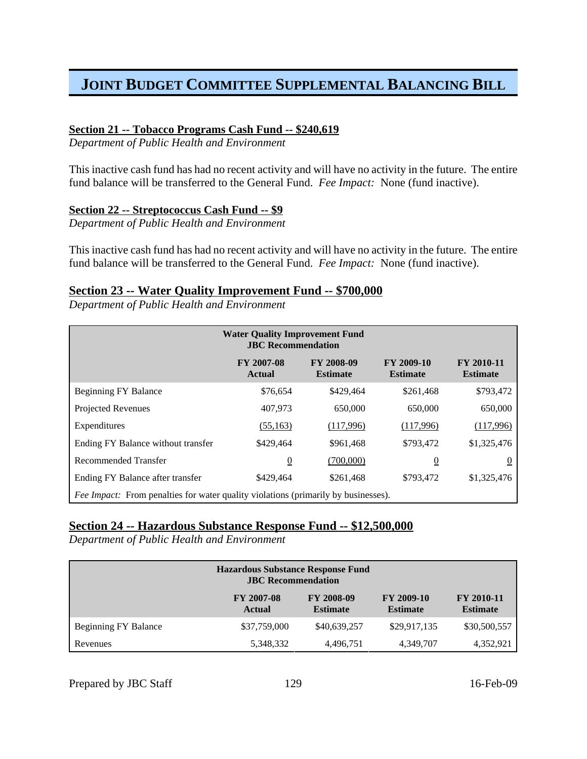#### **Section 21 -- Tobacco Programs Cash Fund -- \$240,619**

*Department of Public Health and Environment*

This inactive cash fund has had no recent activity and will have no activity in the future. The entire fund balance will be transferred to the General Fund. *Fee Impact:* None (fund inactive).

#### **Section 22 -- Streptococcus Cash Fund -- \$9**

*Department of Public Health and Environment*

This inactive cash fund has had no recent activity and will have no activity in the future. The entire fund balance will be transferred to the General Fund. *Fee Impact:* None (fund inactive).

#### **Section 23 -- Water Quality Improvement Fund -- \$700,000**

*Department of Public Health and Environment*

| <b>Water Quality Improvement Fund</b><br><b>JBC</b> Recommendation                        |                             |                               |                                      |                               |
|-------------------------------------------------------------------------------------------|-----------------------------|-------------------------------|--------------------------------------|-------------------------------|
|                                                                                           | <b>FY 2007-08</b><br>Actual | FY 2008-09<br><b>Estimate</b> | <b>FY 2009-10</b><br><b>Estimate</b> | FY 2010-11<br><b>Estimate</b> |
| <b>Beginning FY Balance</b>                                                               | \$76,654                    | \$429,464                     | \$261,468                            | \$793,472                     |
| <b>Projected Revenues</b>                                                                 | 407,973                     | 650,000                       | 650,000                              | 650,000                       |
| Expenditures                                                                              | (55, 163)                   | (117,996)                     | (117,996)                            | (117,996)                     |
| Ending FY Balance without transfer                                                        | \$429,464                   | \$961,468                     | \$793,472                            | \$1,325,476                   |
| Recommended Transfer                                                                      | $\overline{0}$              | (700,000)                     | $\overline{0}$                       | $\boldsymbol{0}$              |
| Ending FY Balance after transfer                                                          | \$429,464                   | \$261,468                     | \$793,472                            | \$1,325,476                   |
| <i>Fee Impact:</i> From penalties for water quality violations (primarily by businesses). |                             |                               |                                      |                               |

#### **Section 24 -- Hazardous Substance Response Fund -- \$12,500,000**

*Department of Public Health and Environment*

| <b>Hazardous Substance Response Fund</b><br><b>JBC</b> Recommendation |                                    |                                      |                               |                                      |
|-----------------------------------------------------------------------|------------------------------------|--------------------------------------|-------------------------------|--------------------------------------|
|                                                                       | <b>FY 2007-08</b><br><b>Actual</b> | <b>FY 2008-09</b><br><b>Estimate</b> | FY 2009-10<br><b>Estimate</b> | <b>FY 2010-11</b><br><b>Estimate</b> |
| Beginning FY Balance                                                  | \$37,759,000                       | \$40,639,257                         | \$29,917,135                  | \$30,500,557                         |
| Revenues                                                              | 5,348,332                          | 4,496,751                            | 4,349,707                     | 4,352,921                            |

Prepared by JBC Staff 129 16-Feb-09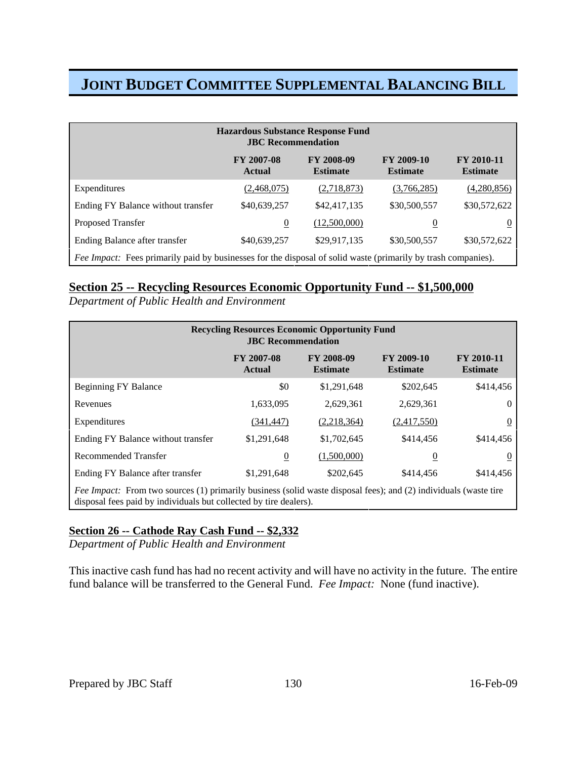| <b>Hazardous Substance Response Fund</b><br><b>JBC</b> Recommendation |                                                                                                                      |                                      |                               |                                      |  |
|-----------------------------------------------------------------------|----------------------------------------------------------------------------------------------------------------------|--------------------------------------|-------------------------------|--------------------------------------|--|
|                                                                       | <b>FY 2007-08</b><br><b>Actual</b>                                                                                   | <b>FY 2008-09</b><br><b>Estimate</b> | FY 2009-10<br><b>Estimate</b> | <b>FY 2010-11</b><br><b>Estimate</b> |  |
| Expenditures                                                          | (2,468,075)                                                                                                          | (2,718,873)                          | (3,766,285)                   | (4,280,856)                          |  |
| Ending FY Balance without transfer                                    | \$40,639,257                                                                                                         | \$42,417,135                         | \$30,500,557                  | \$30,572,622                         |  |
| <b>Proposed Transfer</b>                                              | $\overline{0}$                                                                                                       | (12,500,000)                         | $\overline{0}$                | $\overline{0}$                       |  |
| Ending Balance after transfer                                         | \$40,639,257                                                                                                         | \$29,917,135                         | \$30,500,557                  | \$30,572,622                         |  |
|                                                                       | <i>Fee Impact:</i> Fees primarily paid by businesses for the disposal of solid waste (primarily by trash companies). |                                      |                               |                                      |  |

### **Section 25 -- Recycling Resources Economic Opportunity Fund -- \$1,500,000**

*Department of Public Health and Environment*

| <b>Recycling Resources Economic Opportunity Fund</b><br><b>JBC</b> Recommendation                                                                                                            |                                    |                               |                               |                                      |
|----------------------------------------------------------------------------------------------------------------------------------------------------------------------------------------------|------------------------------------|-------------------------------|-------------------------------|--------------------------------------|
|                                                                                                                                                                                              | <b>FY 2007-08</b><br><b>Actual</b> | FY 2008-09<br><b>Estimate</b> | FY 2009-10<br><b>Estimate</b> | <b>FY 2010-11</b><br><b>Estimate</b> |
| <b>Beginning FY Balance</b>                                                                                                                                                                  | \$0                                | \$1,291,648                   | \$202,645                     | \$414,456                            |
| Revenues                                                                                                                                                                                     | 1,633,095                          | 2,629,361                     | 2,629,361                     | $\theta$                             |
| Expenditures                                                                                                                                                                                 | (341,447)                          | (2,218,364)                   | (2,417,550)                   | 0                                    |
| Ending FY Balance without transfer                                                                                                                                                           | \$1,291,648                        | \$1,702,645                   | \$414,456                     | \$414,456                            |
| Recommended Transfer                                                                                                                                                                         | $\overline{0}$                     | (1,500,000)                   | $\overline{0}$                | O                                    |
| Ending FY Balance after transfer                                                                                                                                                             | \$1,291,648                        | \$202,645                     | \$414,456                     | \$414,456                            |
| <i>Fee Impact:</i> From two sources (1) primarily business (solid waste disposal fees); and (2) individuals (waste tire<br>disposal fees paid by individuals but collected by tire dealers). |                                    |                               |                               |                                      |

### **Section 26 -- Cathode Ray Cash Fund -- \$2,332**

*Department of Public Health and Environment*

This inactive cash fund has had no recent activity and will have no activity in the future. The entire fund balance will be transferred to the General Fund. *Fee Impact:* None (fund inactive).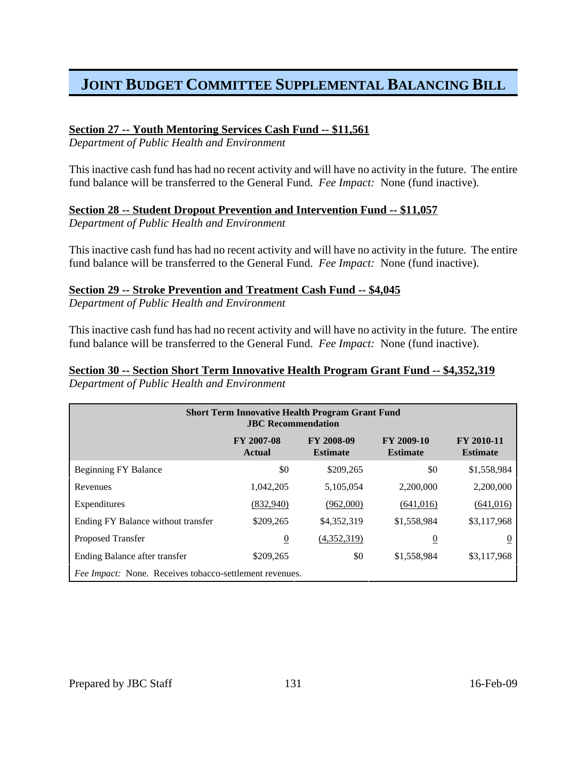#### **Section 27 -- Youth Mentoring Services Cash Fund -- \$11,561**

*Department of Public Health and Environment*

This inactive cash fund has had no recent activity and will have no activity in the future. The entire fund balance will be transferred to the General Fund. *Fee Impact:* None (fund inactive).

#### **Section 28 -- Student Dropout Prevention and Intervention Fund -- \$11,057**

*Department of Public Health and Environment*

This inactive cash fund has had no recent activity and will have no activity in the future. The entire fund balance will be transferred to the General Fund. *Fee Impact:* None (fund inactive).

#### **Section 29 -- Stroke Prevention and Treatment Cash Fund -- \$4,045**

*Department of Public Health and Environment*

This inactive cash fund has had no recent activity and will have no activity in the future. The entire fund balance will be transferred to the General Fund. *Fee Impact:* None (fund inactive).

#### **Section 30 -- Section Short Term Innovative Health Program Grant Fund -- \$4,352,319** *Department of Public Health and Environment*

| <b>Short Term Innovative Health Program Grant Fund</b><br><b>JBC</b> Recommendation |                                                                |                               |                               |                               |  |  |
|-------------------------------------------------------------------------------------|----------------------------------------------------------------|-------------------------------|-------------------------------|-------------------------------|--|--|
|                                                                                     | <b>FY 2007-08</b><br><b>Actual</b>                             | FY 2008-09<br><b>Estimate</b> | FY 2009-10<br><b>Estimate</b> | FY 2010-11<br><b>Estimate</b> |  |  |
| <b>Beginning FY Balance</b>                                                         | \$0                                                            | \$209,265                     | \$0                           | \$1,558,984                   |  |  |
| Revenues                                                                            | 1,042,205                                                      | 5,105,054                     | 2,200,000                     | 2,200,000                     |  |  |
| Expenditures                                                                        | <u>(832,940)</u>                                               | (962,000)                     | (641,016)                     | (641, 016)                    |  |  |
| Ending FY Balance without transfer                                                  | \$209,265                                                      | \$4,352,319                   | \$1,558,984                   | \$3,117,968                   |  |  |
| <b>Proposed Transfer</b>                                                            | $\overline{0}$                                                 | (4,352,319)                   | $\overline{0}$                |                               |  |  |
| Ending Balance after transfer                                                       | \$209,265                                                      | \$0                           | \$1,558,984                   | \$3,117,968                   |  |  |
|                                                                                     | <i>Fee Impact:</i> None. Receives tobacco-settlement revenues. |                               |                               |                               |  |  |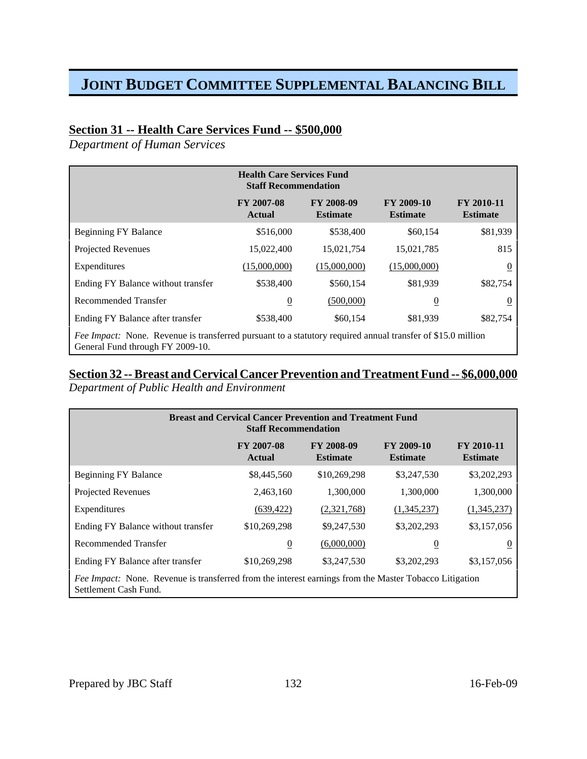## **Section 31 -- Health Care Services Fund -- \$500,000**

*Department of Human Services*

|                                                                                                                                                        | <b>Health Care Services Fund</b><br><b>Staff Recommendation</b> |                                      |                               |                               |  |  |  |
|--------------------------------------------------------------------------------------------------------------------------------------------------------|-----------------------------------------------------------------|--------------------------------------|-------------------------------|-------------------------------|--|--|--|
|                                                                                                                                                        | <b>FY 2007-08</b><br>Actual                                     | <b>FY 2008-09</b><br><b>Estimate</b> | FY 2009-10<br><b>Estimate</b> | FY 2010-11<br><b>Estimate</b> |  |  |  |
| <b>Beginning FY Balance</b>                                                                                                                            | \$516,000                                                       | \$538,400                            | \$60,154                      | \$81,939                      |  |  |  |
| Projected Revenues                                                                                                                                     | 15,022,400                                                      | 15,021,754                           | 15,021,785                    | 815                           |  |  |  |
| Expenditures                                                                                                                                           | (15,000,000)                                                    | (15,000,000)                         | (15,000,000)                  | $\boldsymbol{0}$              |  |  |  |
| Ending FY Balance without transfer                                                                                                                     | \$538,400                                                       | \$560,154                            | \$81,939                      | \$82,754                      |  |  |  |
| Recommended Transfer                                                                                                                                   | $\overline{0}$                                                  | (500,000)                            | $\overline{0}$                | 0                             |  |  |  |
| Ending FY Balance after transfer                                                                                                                       | \$538,400                                                       | \$60,154                             | \$81,939                      | \$82,754                      |  |  |  |
| <i>Fee Impact:</i> None. Revenue is transferred pursuant to a statutory required annual transfer of \$15.0 million<br>General Fund through FY 2009-10. |                                                                 |                                      |                               |                               |  |  |  |

#### **Section 32 -- Breast and Cervical Cancer Prevention and Treatment Fund -- \$6,000,000**

*Department of Public Health and Environment*

| <b>Breast and Cervical Cancer Prevention and Treatment Fund</b><br><b>Staff Recommendation</b>                                  |                             |                               |                               |                                      |  |  |  |
|---------------------------------------------------------------------------------------------------------------------------------|-----------------------------|-------------------------------|-------------------------------|--------------------------------------|--|--|--|
|                                                                                                                                 | FY 2007-08<br><b>Actual</b> | FY 2008-09<br><b>Estimate</b> | FY 2009-10<br><b>Estimate</b> | <b>FY 2010-11</b><br><b>Estimate</b> |  |  |  |
| <b>Beginning FY Balance</b>                                                                                                     | \$8,445,560                 | \$10,269,298                  | \$3,247,530                   | \$3,202,293                          |  |  |  |
| <b>Projected Revenues</b>                                                                                                       | 2,463,160                   | 1,300,000                     | 1,300,000                     | 1,300,000                            |  |  |  |
| Expenditures                                                                                                                    | (639, 422)                  | (2,321,768)                   | (1,345,237)                   | (1,345,237)                          |  |  |  |
| Ending FY Balance without transfer                                                                                              | \$10,269,298                | \$9,247,530                   | \$3,202,293                   | \$3,157,056                          |  |  |  |
| Recommended Transfer                                                                                                            | $\overline{0}$              | (6,000,000)                   | $\overline{0}$                | v                                    |  |  |  |
| Ending FY Balance after transfer                                                                                                | \$10,269,298                | \$3,247,530                   | \$3,202,293                   | \$3,157,056                          |  |  |  |
| Fee Impact: None. Revenue is transferred from the interest earnings from the Master Tobacco Litigation<br>Settlement Cash Fund. |                             |                               |                               |                                      |  |  |  |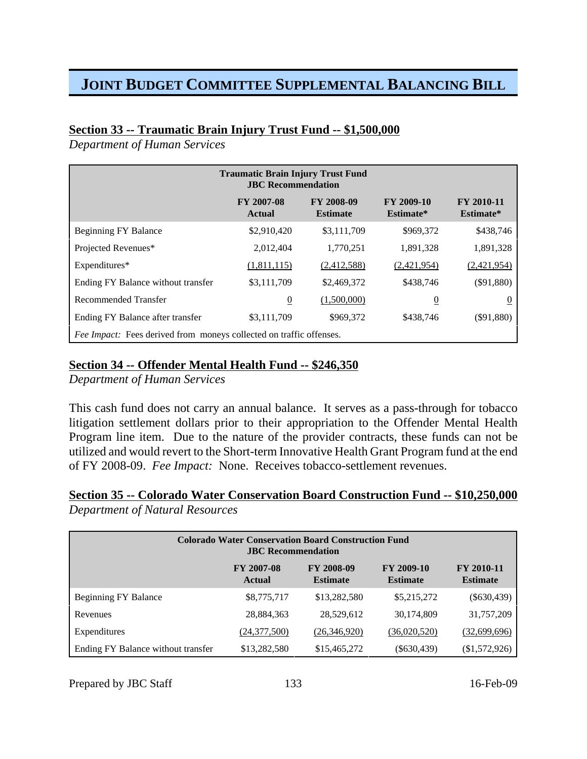## **Section 33 -- Traumatic Brain Injury Trust Fund -- \$1,500,000**

*Department of Human Services*

| <b>Traumatic Brain Injury Trust Fund</b><br><b>JBC</b> Recommendation |                                    |                               |                                |                         |  |  |  |  |
|-----------------------------------------------------------------------|------------------------------------|-------------------------------|--------------------------------|-------------------------|--|--|--|--|
|                                                                       | <b>FY 2007-08</b><br><b>Actual</b> | FY 2008-09<br><b>Estimate</b> | <b>FY 2009-10</b><br>Estimate* | FY 2010-11<br>Estimate* |  |  |  |  |
| <b>Beginning FY Balance</b>                                           | \$2,910,420                        | \$3,111,709                   | \$969,372                      | \$438,746               |  |  |  |  |
| Projected Revenues*                                                   | 2,012,404                          | 1,770,251                     | 1,891,328                      | 1,891,328               |  |  |  |  |
| Expenditures*                                                         | (1,811,115)                        | (2,412,588)                   | (2,421,954)                    | (2,421,954)             |  |  |  |  |
| Ending FY Balance without transfer                                    | \$3,111,709                        | \$2,469,372                   | \$438,746                      | $(\$91,880)$            |  |  |  |  |
| Recommended Transfer                                                  | $\overline{0}$                     | (1,500,000)                   | $\overline{0}$                 | $\theta$                |  |  |  |  |
| Ending FY Balance after transfer                                      | \$3,111,709                        | \$969,372                     | \$438,746                      | $(\$91,880)$            |  |  |  |  |
| Fee Impact: Fees derived from moneys collected on traffic offenses.   |                                    |                               |                                |                         |  |  |  |  |

## **Section 34 -- Offender Mental Health Fund -- \$246,350**

*Department of Human Services*

This cash fund does not carry an annual balance. It serves as a pass-through for tobacco litigation settlement dollars prior to their appropriation to the Offender Mental Health Program line item. Due to the nature of the provider contracts, these funds can not be utilized and would revert to the Short-term Innovative Health Grant Program fund at the end of FY 2008-09. *Fee Impact:* None. Receives tobacco-settlement revenues.

## **Section 35 -- Colorado Water Conservation Board Construction Fund -- \$10,250,000** *Department of Natural Resources*

| <b>Colorado Water Conservation Board Construction Fund</b><br><b>JBC</b> Recommendation                                                                    |                |              |               |               |  |  |  |
|------------------------------------------------------------------------------------------------------------------------------------------------------------|----------------|--------------|---------------|---------------|--|--|--|
| <b>FY 2009-10</b><br><b>FY 2007-08</b><br><b>FY 2008-09</b><br><b>FY 2010-11</b><br><b>Estimate</b><br><b>Estimate</b><br><b>Estimate</b><br><b>Actual</b> |                |              |               |               |  |  |  |
| <b>Beginning FY Balance</b>                                                                                                                                | \$8,775,717    | \$13,282,580 | \$5,215,272   | $(\$630,439)$ |  |  |  |
| Revenues                                                                                                                                                   | 28,884,363     | 28,529,612   | 30,174,809    | 31,757,209    |  |  |  |
| Expenditures                                                                                                                                               | (24, 377, 500) | (26,346,920) | (36,020,520)  | (32,699,696)  |  |  |  |
| Ending FY Balance without transfer                                                                                                                         | \$13,282,580   | \$15,465,272 | $(\$630,439)$ | (\$1,572,926) |  |  |  |

Prepared by JBC Staff 133 16-Feb-09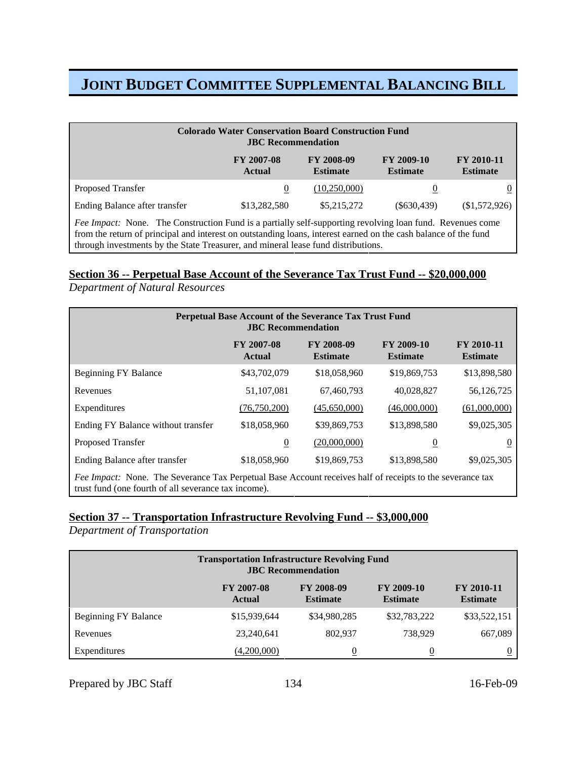| <b>Colorado Water Conservation Board Construction Fund</b><br><b>JBC</b> Recommendation                                                                                                                                                                                                                           |                  |              |                |             |  |  |  |
|-------------------------------------------------------------------------------------------------------------------------------------------------------------------------------------------------------------------------------------------------------------------------------------------------------------------|------------------|--------------|----------------|-------------|--|--|--|
| <b>FY 2008-09</b><br>FY 2009-10<br><b>FY 2007-08</b><br><b>FY 2010-11</b><br><b>Estimate</b><br><b>Estimate</b><br><b>Estimate</b><br><b>Actual</b>                                                                                                                                                               |                  |              |                |             |  |  |  |
| Proposed Transfer                                                                                                                                                                                                                                                                                                 | $\boldsymbol{0}$ | (10,250,000) | $\overline{0}$ |             |  |  |  |
| Ending Balance after transfer                                                                                                                                                                                                                                                                                     | \$13,282,580     | \$5,215,272  | $(\$630,439)$  | \$1,572,926 |  |  |  |
| Fee Impact: None. The Construction Fund is a partially self-supporting revolving loan fund. Revenues come<br>from the return of principal and interest on outstanding loans, interest earned on the cash balance of the fund<br>through investments by the State Treasurer, and mineral lease fund distributions. |                  |              |                |             |  |  |  |

## **Section 36 -- Perpetual Base Account of the Severance Tax Trust Fund -- \$20,000,000**

*Department of Natural Resources*

| Perpetual Base Account of the Severance Tax Trust Fund<br><b>JBC</b> Recommendation                                                                               |                                    |                                      |                               |                                      |  |  |  |
|-------------------------------------------------------------------------------------------------------------------------------------------------------------------|------------------------------------|--------------------------------------|-------------------------------|--------------------------------------|--|--|--|
|                                                                                                                                                                   | <b>FY 2007-08</b><br><b>Actual</b> | <b>FY 2008-09</b><br><b>Estimate</b> | FY 2009-10<br><b>Estimate</b> | <b>FY 2010-11</b><br><b>Estimate</b> |  |  |  |
| <b>Beginning FY Balance</b>                                                                                                                                       | \$43,702,079                       | \$18,058,960                         | \$19,869,753                  | \$13,898,580                         |  |  |  |
| Revenues                                                                                                                                                          | 51,107,081                         | 67,460,793                           | 40,028,827                    | 56,126,725                           |  |  |  |
| Expenditures                                                                                                                                                      | (76, 750, 200)                     | (45,650,000)                         | (46,000,000)                  | (61,000,000)                         |  |  |  |
| Ending FY Balance without transfer                                                                                                                                | \$18,058,960                       | \$39,869,753                         | \$13,898,580                  | \$9,025,305                          |  |  |  |
| <b>Proposed Transfer</b>                                                                                                                                          | $\overline{0}$                     | (20,000,000)                         | $\overline{0}$                | $\mathbf{0}$                         |  |  |  |
| Ending Balance after transfer                                                                                                                                     | \$18,058,960                       | \$19,869,753                         | \$13,898,580                  | \$9,025,305                          |  |  |  |
| Fee Impact: None. The Severance Tax Perpetual Base Account receives half of receipts to the severance tax<br>trust fund (one fourth of all severance tax income). |                                    |                                      |                               |                                      |  |  |  |

### **Section 37 -- Transportation Infrastructure Revolving Fund -- \$3,000,000**

*Department of Transportation*

| <b>Transportation Infrastructure Revolving Fund</b><br><b>JBC</b> Recommendation                                                                    |              |              |                  |              |  |  |  |
|-----------------------------------------------------------------------------------------------------------------------------------------------------|--------------|--------------|------------------|--------------|--|--|--|
| FY 2009-10<br><b>FY 2007-08</b><br><b>FY 2008-09</b><br><b>FY 2010-11</b><br><b>Estimate</b><br><b>Estimate</b><br><b>Actual</b><br><b>Estimate</b> |              |              |                  |              |  |  |  |
| <b>Beginning FY Balance</b>                                                                                                                         | \$15,939,644 | \$34,980,285 | \$32,783,222     | \$33,522,151 |  |  |  |
| Revenues                                                                                                                                            | 23,240,641   | 802.937      | 738,929          | 667,089      |  |  |  |
| Expenditures                                                                                                                                        | (4,200,000)  | 0            | $\boldsymbol{0}$ |              |  |  |  |

Prepared by JBC Staff 134 16-Feb-09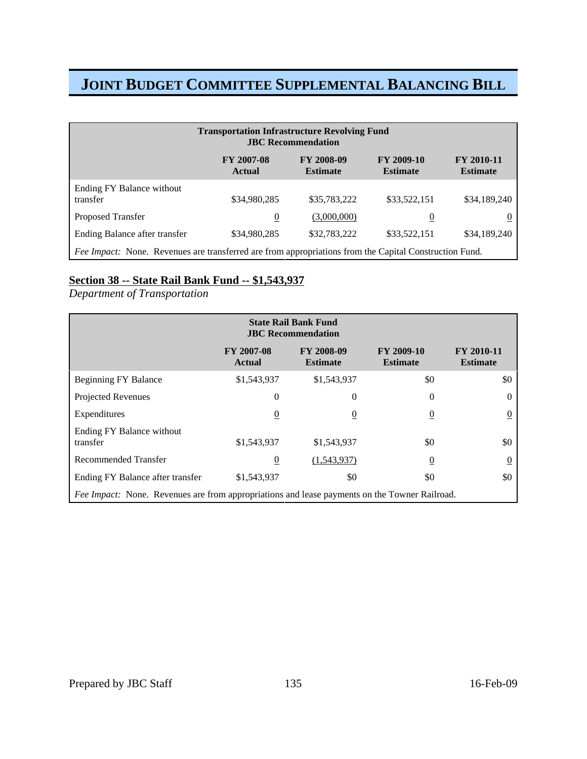| <b>Transportation Infrastructure Revolving Fund</b><br><b>JBC</b> Recommendation                                                                    |                |              |                |              |  |  |  |
|-----------------------------------------------------------------------------------------------------------------------------------------------------|----------------|--------------|----------------|--------------|--|--|--|
| <b>FY 2008-09</b><br><b>FY 2009-10</b><br><b>FY 2010-11</b><br><b>FY 2007-08</b><br><b>Estimate</b><br><b>Estimate</b><br><b>Estimate</b><br>Actual |                |              |                |              |  |  |  |
| Ending FY Balance without<br>transfer                                                                                                               | \$34,980,285   | \$35,783,222 | \$33,522,151   | \$34,189,240 |  |  |  |
| <b>Proposed Transfer</b>                                                                                                                            | $\overline{0}$ | (3,000,000)  | $\overline{0}$ |              |  |  |  |
| Ending Balance after transfer                                                                                                                       | \$34,980,285   | \$32,783,222 | \$33,522,151   | \$34,189,240 |  |  |  |
| Fee Impact: None. Revenues are transferred are from appropriations from the Capital Construction Fund.                                              |                |              |                |              |  |  |  |

### **Section 38 -- State Rail Bank Fund -- \$1,543,937**

*Department of Transportation*

| <b>State Rail Bank Fund</b><br><b>JBC</b> Recommendation                                      |                                    |                                      |                               |                               |  |  |  |
|-----------------------------------------------------------------------------------------------|------------------------------------|--------------------------------------|-------------------------------|-------------------------------|--|--|--|
|                                                                                               | <b>FY 2007-08</b><br><b>Actual</b> | <b>FY 2008-09</b><br><b>Estimate</b> | FY 2009-10<br><b>Estimate</b> | FY 2010-11<br><b>Estimate</b> |  |  |  |
| <b>Beginning FY Balance</b>                                                                   | \$1,543,937                        | \$1,543,937                          | \$0                           | \$0                           |  |  |  |
| <b>Projected Revenues</b>                                                                     | $\mathbf{0}$                       | 0                                    | $\overline{0}$                | 0                             |  |  |  |
| Expenditures                                                                                  | $\overline{0}$                     | $\boldsymbol{0}$                     | $\overline{0}$                | 0                             |  |  |  |
| Ending FY Balance without<br>transfer                                                         | \$1,543,937                        | \$1,543,937                          | \$0                           | \$0                           |  |  |  |
| Recommended Transfer                                                                          | $\overline{0}$                     | (1,543,937)                          | $\overline{0}$                | 0                             |  |  |  |
| Ending FY Balance after transfer                                                              | \$1,543,937                        | \$0                                  | \$0                           | \$0                           |  |  |  |
| Fee Impact: None. Revenues are from appropriations and lease payments on the Towner Railroad. |                                    |                                      |                               |                               |  |  |  |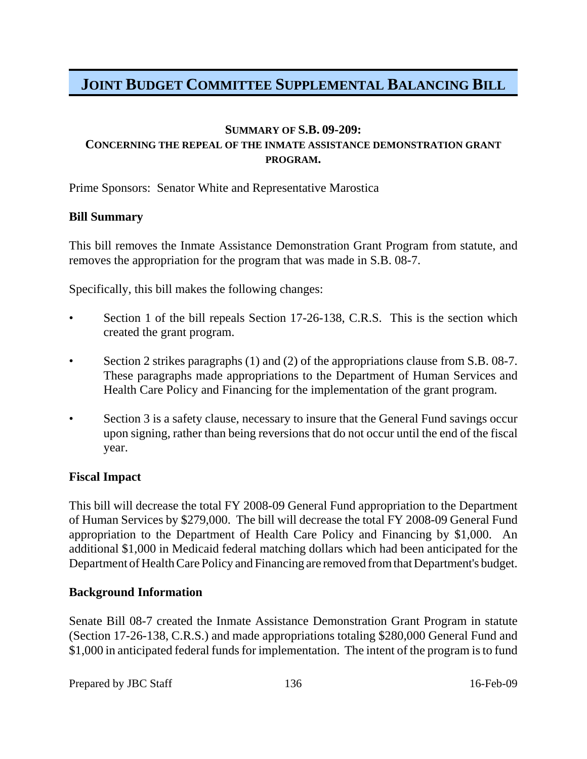#### **SUMMARY OF S.B. 09-209:**

## **CONCERNING THE REPEAL OF THE INMATE ASSISTANCE DEMONSTRATION GRANT PROGRAM.**

Prime Sponsors: Senator White and Representative Marostica

### **Bill Summary**

This bill removes the Inmate Assistance Demonstration Grant Program from statute, and removes the appropriation for the program that was made in S.B. 08-7.

Specifically, this bill makes the following changes:

- Section 1 of the bill repeals Section 17-26-138, C.R.S. This is the section which created the grant program.
- Section 2 strikes paragraphs (1) and (2) of the appropriations clause from S.B. 08-7. These paragraphs made appropriations to the Department of Human Services and Health Care Policy and Financing for the implementation of the grant program.
- Section 3 is a safety clause, necessary to insure that the General Fund savings occur upon signing, rather than being reversions that do not occur until the end of the fiscal year.

## **Fiscal Impact**

This bill will decrease the total FY 2008-09 General Fund appropriation to the Department of Human Services by \$279,000. The bill will decrease the total FY 2008-09 General Fund appropriation to the Department of Health Care Policy and Financing by \$1,000. An additional \$1,000 in Medicaid federal matching dollars which had been anticipated for the Department of Health Care Policy and Financing are removed from that Department's budget.

#### **Background Information**

Senate Bill 08-7 created the Inmate Assistance Demonstration Grant Program in statute (Section 17-26-138, C.R.S.) and made appropriations totaling \$280,000 General Fund and \$1,000 in anticipated federal funds for implementation. The intent of the program is to fund

Prepared by JBC Staff 136 16-Feb-09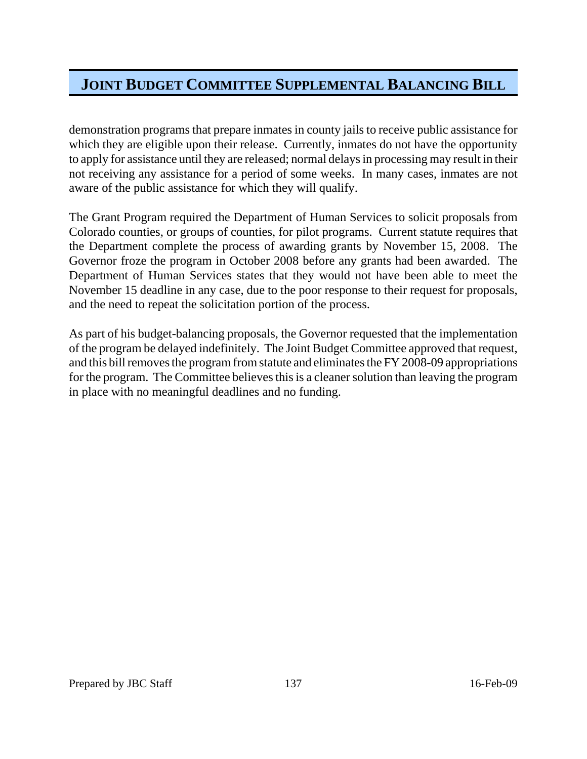demonstration programs that prepare inmates in county jails to receive public assistance for which they are eligible upon their release. Currently, inmates do not have the opportunity to apply for assistance until they are released; normal delays in processing may result in their not receiving any assistance for a period of some weeks. In many cases, inmates are not aware of the public assistance for which they will qualify.

The Grant Program required the Department of Human Services to solicit proposals from Colorado counties, or groups of counties, for pilot programs. Current statute requires that the Department complete the process of awarding grants by November 15, 2008. The Governor froze the program in October 2008 before any grants had been awarded. The Department of Human Services states that they would not have been able to meet the November 15 deadline in any case, due to the poor response to their request for proposals, and the need to repeat the solicitation portion of the process.

As part of his budget-balancing proposals, the Governor requested that the implementation of the program be delayed indefinitely. The Joint Budget Committee approved that request, and this bill removes the program from statute and eliminates the FY 2008-09 appropriations for the program. The Committee believes this is a cleaner solution than leaving the program in place with no meaningful deadlines and no funding.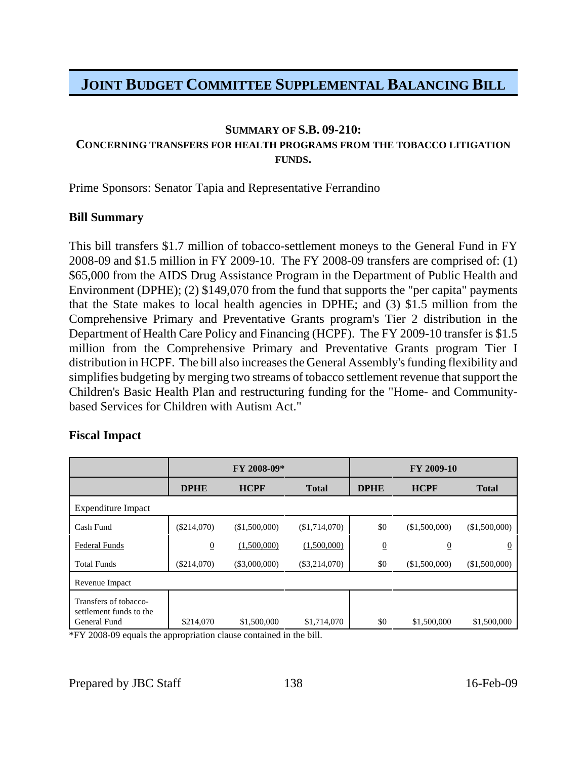#### **SUMMARY OF S.B. 09-210:**

## **CONCERNING TRANSFERS FOR HEALTH PROGRAMS FROM THE TOBACCO LITIGATION FUNDS.**

Prime Sponsors: Senator Tapia and Representative Ferrandino

#### **Bill Summary**

This bill transfers \$1.7 million of tobacco-settlement moneys to the General Fund in FY 2008-09 and \$1.5 million in FY 2009-10. The FY 2008-09 transfers are comprised of: (1) \$65,000 from the AIDS Drug Assistance Program in the Department of Public Health and Environment (DPHE); (2) \$149,070 from the fund that supports the "per capita" payments that the State makes to local health agencies in DPHE; and (3) \$1.5 million from the Comprehensive Primary and Preventative Grants program's Tier 2 distribution in the Department of Health Care Policy and Financing (HCPF). The FY 2009-10 transfer is \$1.5 million from the Comprehensive Primary and Preventative Grants program Tier I distribution in HCPF. The bill also increases the General Assembly's funding flexibility and simplifies budgeting by merging two streams of tobacco settlement revenue that support the Children's Basic Health Plan and restructuring funding for the "Home- and Communitybased Services for Children with Autism Act."

## **Fiscal Impact**

|                                                                  | FY 2008-09*    |                 |                 | FY 2009-10      |                |                  |
|------------------------------------------------------------------|----------------|-----------------|-----------------|-----------------|----------------|------------------|
|                                                                  | <b>DPHE</b>    | <b>HCPF</b>     | <b>Total</b>    | <b>DPHE</b>     | <b>HCPF</b>    | <b>Total</b>     |
| Expenditure Impact                                               |                |                 |                 |                 |                |                  |
| Cash Fund                                                        | (\$214,070)    | (\$1,500,000)   | (\$1,714,070)   | \$0             | (\$1,500,000)  | (\$1,500,000)    |
| <b>Federal Funds</b>                                             | $\overline{0}$ | (1,500,000)     | (1,500,000)     | $\underline{0}$ | $\overline{0}$ | $\boldsymbol{0}$ |
| <b>Total Funds</b>                                               | (\$214,070)    | $(\$3,000,000)$ | $(\$3,214,070)$ | \$0             | (\$1,500,000)  | (\$1,500,000)    |
| Revenue Impact                                                   |                |                 |                 |                 |                |                  |
| Transfers of tobacco-<br>settlement funds to the<br>General Fund | \$214,070      | \$1,500,000     | \$1,714,070     | \$0             | \$1,500,000    | \$1,500,000      |

\*FY 2008-09 equals the appropriation clause contained in the bill.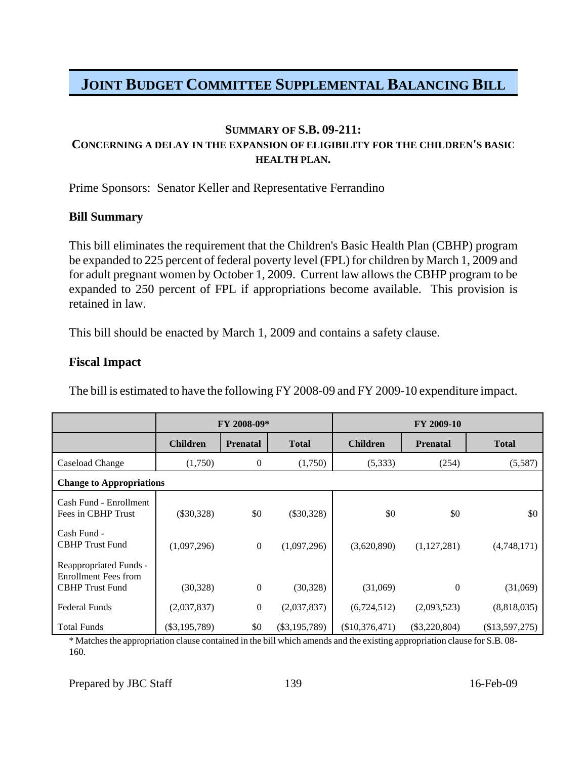#### **SUMMARY OF S.B. 09-211: CONCERNING A DELAY IN THE EXPANSION OF ELIGIBILITY FOR THE CHILDREN'S BASIC HEALTH PLAN.**

Prime Sponsors: Senator Keller and Representative Ferrandino

### **Bill Summary**

This bill eliminates the requirement that the Children's Basic Health Plan (CBHP) program be expanded to 225 percent of federal poverty level (FPL) for children by March 1, 2009 and for adult pregnant women by October 1, 2009. Current law allows the CBHP program to be expanded to 250 percent of FPL if appropriations become available. This provision is retained in law.

This bill should be enacted by March 1, 2009 and contains a safety clause.

### **Fiscal Impact**

The bill is estimated to have the following FY 2008-09 and FY 2009-10 expenditure impact.

|                                                                                 | FY 2008-09*     |                  |                 | FY 2009-10       |                 |                |
|---------------------------------------------------------------------------------|-----------------|------------------|-----------------|------------------|-----------------|----------------|
|                                                                                 | <b>Children</b> | <b>Prenatal</b>  | <b>Total</b>    | <b>Children</b>  | <b>Prenatal</b> | <b>Total</b>   |
| Caseload Change                                                                 | (1,750)         | $\boldsymbol{0}$ | (1,750)         | (5, 333)         | (254)           | (5,587)        |
| <b>Change to Appropriations</b>                                                 |                 |                  |                 |                  |                 |                |
| Cash Fund - Enrollment<br>Fees in CBHP Trust                                    | $(\$30,328)$    | \$0              | $(\$30,328)$    | \$0              | \$0             | \$0            |
| Cash Fund -<br><b>CBHP</b> Trust Fund                                           | (1,097,296)     | $\overline{0}$   | (1,097,296)     | (3,620,890)      | (1,127,281)     | (4,748,171)    |
| Reappropriated Funds -<br><b>Enrollment Fees from</b><br><b>CBHP</b> Trust Fund | (30, 328)       | $\mathbf{0}$     | (30, 328)       | (31,069)         | $\overline{0}$  | (31,069)       |
| Federal Funds                                                                   | (2,037,837)     | $\underline{0}$  | (2,037,837)     | (6, 724, 512)    | (2,093,523)     | (8,818,035)    |
| <b>Total Funds</b>                                                              | $(\$3,195,789)$ | \$0              | $(\$3,195,789)$ | $(\$10,376,471)$ | $(\$3,220,804)$ | (\$13,597,275) |

\* Matches the appropriation clause contained in the bill which amends and the existing appropriation clause for S.B. 08- 160.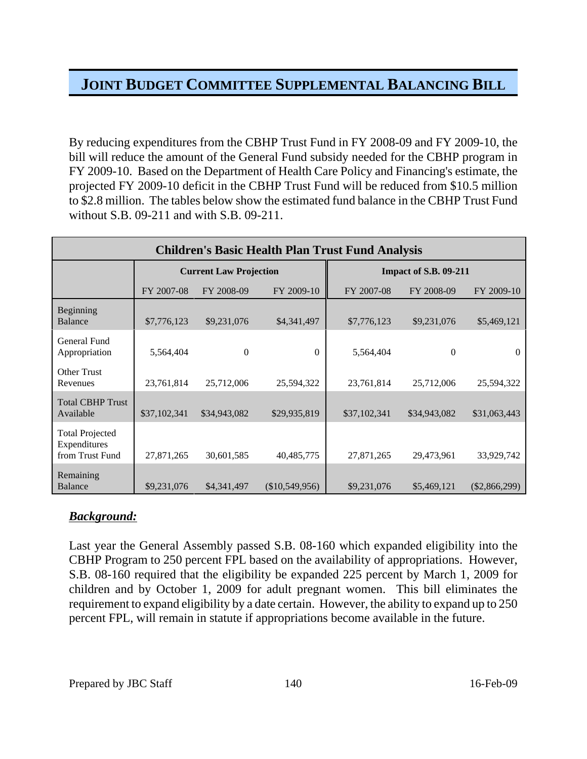By reducing expenditures from the CBHP Trust Fund in FY 2008-09 and FY 2009-10, the bill will reduce the amount of the General Fund subsidy needed for the CBHP program in FY 2009-10. Based on the Department of Health Care Policy and Financing's estimate, the projected FY 2009-10 deficit in the CBHP Trust Fund will be reduced from \$10.5 million to \$2.8 million. The tables below show the estimated fund balance in the CBHP Trust Fund without S.B. 09-211 and with S.B. 09-211.

| <b>Children's Basic Health Plan Trust Fund Analysis</b>   |              |                               |                  |                              |              |                 |  |  |  |
|-----------------------------------------------------------|--------------|-------------------------------|------------------|------------------------------|--------------|-----------------|--|--|--|
|                                                           |              | <b>Current Law Projection</b> |                  | <b>Impact of S.B. 09-211</b> |              |                 |  |  |  |
|                                                           | FY 2007-08   | FY 2008-09                    | FY 2009-10       | FY 2007-08                   | FY 2008-09   | FY 2009-10      |  |  |  |
| Beginning<br><b>Balance</b>                               | \$7,776,123  | \$9,231,076                   | \$4,341,497      | \$7,776,123                  | \$9,231,076  | \$5,469,121     |  |  |  |
| General Fund<br>Appropriation                             | 5,564,404    | $\overline{0}$                | $\Omega$         | 5,564,404                    | $\mathbf{0}$ | $\theta$        |  |  |  |
| <b>Other Trust</b><br>Revenues                            | 23,761,814   | 25,712,006                    | 25,594,322       | 23,761,814                   | 25,712,006   | 25,594,322      |  |  |  |
| <b>Total CBHP Trust</b><br>Available                      | \$37,102,341 | \$34,943,082                  | \$29,935,819     | \$37,102,341                 | \$34,943,082 | \$31,063,443    |  |  |  |
| <b>Total Projected</b><br>Expenditures<br>from Trust Fund | 27,871,265   | 30,601,585                    | 40,485,775       | 27,871,265                   | 29,473,961   | 33,929,742      |  |  |  |
| Remaining<br>Balance                                      | \$9,231,076  | \$4,341,497                   | $(\$10,549,956)$ | \$9,231,076                  | \$5,469,121  | $(\$2,866,299)$ |  |  |  |

## *Background:*

Last year the General Assembly passed S.B. 08-160 which expanded eligibility into the CBHP Program to 250 percent FPL based on the availability of appropriations. However, S.B. 08-160 required that the eligibility be expanded 225 percent by March 1, 2009 for children and by October 1, 2009 for adult pregnant women. This bill eliminates the requirement to expand eligibility by a date certain. However, the ability to expand up to 250 percent FPL, will remain in statute if appropriations become available in the future.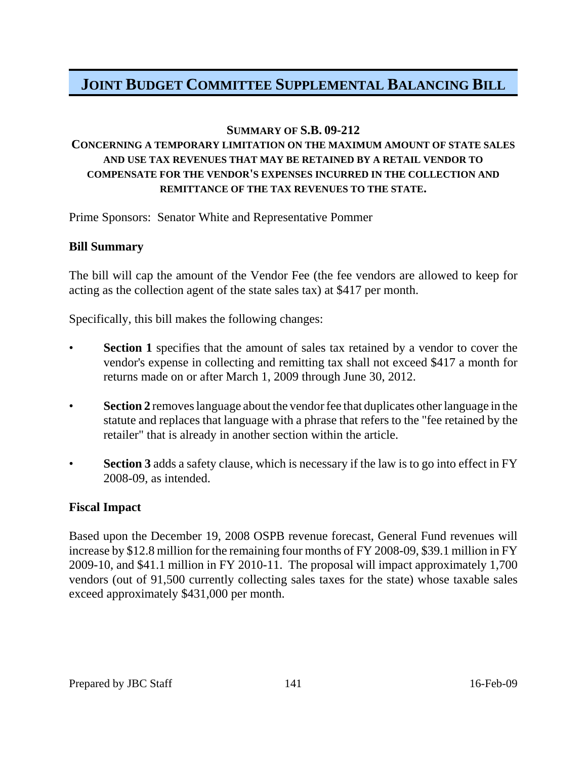### **SUMMARY OF S.B. 09-212**

## **CONCERNING A TEMPORARY LIMITATION ON THE MAXIMUM AMOUNT OF STATE SALES AND USE TAX REVENUES THAT MAY BE RETAINED BY A RETAIL VENDOR TO COMPENSATE FOR THE VENDOR'S EXPENSES INCURRED IN THE COLLECTION AND REMITTANCE OF THE TAX REVENUES TO THE STATE.**

Prime Sponsors: Senator White and Representative Pommer

### **Bill Summary**

The bill will cap the amount of the Vendor Fee (the fee vendors are allowed to keep for acting as the collection agent of the state sales tax) at \$417 per month.

Specifically, this bill makes the following changes:

- **Section 1** specifies that the amount of sales tax retained by a vendor to cover the vendor's expense in collecting and remitting tax shall not exceed \$417 a month for returns made on or after March 1, 2009 through June 30, 2012.
- **Section 2** removes language about the vendor fee that duplicates other language in the statute and replaces that language with a phrase that refers to the "fee retained by the retailer" that is already in another section within the article.
- **Section 3** adds a safety clause, which is necessary if the law is to go into effect in FY 2008-09, as intended.

#### **Fiscal Impact**

Based upon the December 19, 2008 OSPB revenue forecast, General Fund revenues will increase by \$12.8 million for the remaining four months of FY 2008-09, \$39.1 million in FY 2009-10, and \$41.1 million in FY 2010-11. The proposal will impact approximately 1,700 vendors (out of 91,500 currently collecting sales taxes for the state) whose taxable sales exceed approximately \$431,000 per month.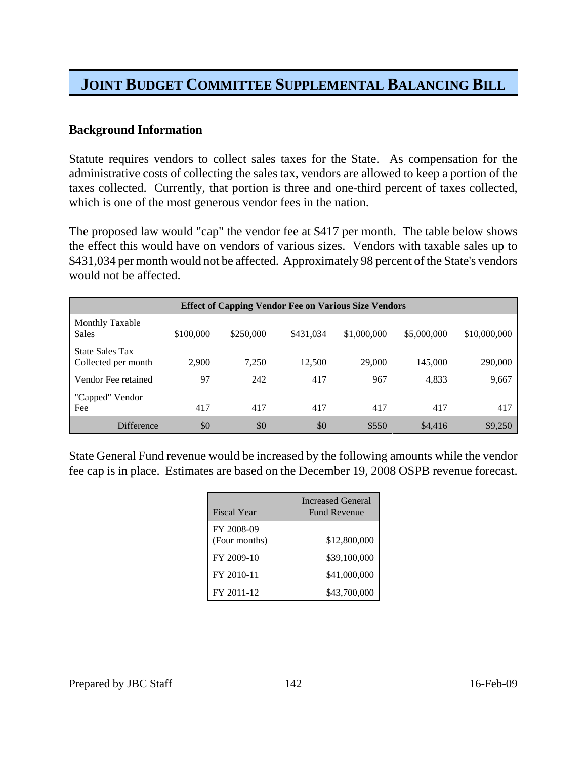### **Background Information**

Statute requires vendors to collect sales taxes for the State. As compensation for the administrative costs of collecting the sales tax, vendors are allowed to keep a portion of the taxes collected. Currently, that portion is three and one-third percent of taxes collected, which is one of the most generous vendor fees in the nation.

The proposed law would "cap" the vendor fee at \$417 per month. The table below shows the effect this would have on vendors of various sizes. Vendors with taxable sales up to \$431,034 per month would not be affected. Approximately 98 percent of the State's vendors would not be affected.

| <b>Effect of Capping Vendor Fee on Various Size Vendors</b> |           |           |           |             |             |              |
|-------------------------------------------------------------|-----------|-----------|-----------|-------------|-------------|--------------|
| Monthly Taxable<br><b>Sales</b>                             | \$100,000 | \$250,000 | \$431,034 | \$1,000,000 | \$5,000,000 | \$10,000,000 |
| <b>State Sales Tax</b><br>Collected per month               | 2,900     | 7,250     | 12,500    | 29,000      | 145,000     | 290,000      |
| Vendor Fee retained                                         | 97        | 242       | 417       | 967         | 4,833       | 9,667        |
| "Capped" Vendor<br>Fee                                      | 417       | 417       | 417       | 417         | 417         | 417          |
| Difference                                                  | \$0       | \$0       | \$0       | \$550       | \$4,416     | \$9,250      |

State General Fund revenue would be increased by the following amounts while the vendor fee cap is in place. Estimates are based on the December 19, 2008 OSPB revenue forecast.

| Fiscal Year                 | <b>Increased General</b><br><b>Fund Revenue</b> |
|-----------------------------|-------------------------------------------------|
| FY 2008-09<br>(Four months) | \$12,800,000                                    |
| FY 2009-10                  | \$39,100,000                                    |
| FY 2010-11                  | \$41,000,000                                    |
| FY 2011-12                  | \$43,700,000                                    |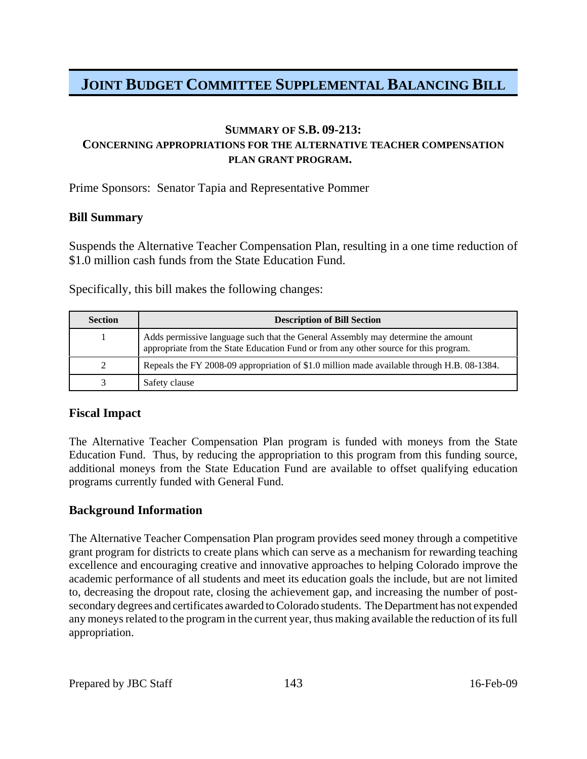### **SUMMARY OF S.B. 09-213: CONCERNING APPROPRIATIONS FOR THE ALTERNATIVE TEACHER COMPENSATION PLAN GRANT PROGRAM.**

Prime Sponsors: Senator Tapia and Representative Pommer

#### **Bill Summary**

Suspends the Alternative Teacher Compensation Plan, resulting in a one time reduction of \$1.0 million cash funds from the State Education Fund.

Specifically, this bill makes the following changes:

| <b>Section</b> | <b>Description of Bill Section</b>                                                                                                                                       |
|----------------|--------------------------------------------------------------------------------------------------------------------------------------------------------------------------|
|                | Adds permissive language such that the General Assembly may determine the amount<br>appropriate from the State Education Fund or from any other source for this program. |
|                | Repeals the FY 2008-09 appropriation of \$1.0 million made available through H.B. 08-1384.                                                                               |
|                | Safety clause                                                                                                                                                            |

### **Fiscal Impact**

The Alternative Teacher Compensation Plan program is funded with moneys from the State Education Fund. Thus, by reducing the appropriation to this program from this funding source, additional moneys from the State Education Fund are available to offset qualifying education programs currently funded with General Fund.

### **Background Information**

The Alternative Teacher Compensation Plan program provides seed money through a competitive grant program for districts to create plans which can serve as a mechanism for rewarding teaching excellence and encouraging creative and innovative approaches to helping Colorado improve the academic performance of all students and meet its education goals the include, but are not limited to, decreasing the dropout rate, closing the achievement gap, and increasing the number of postsecondary degrees and certificates awarded to Colorado students. The Department has not expended any moneys related to the program in the current year, thus making available the reduction of its full appropriation.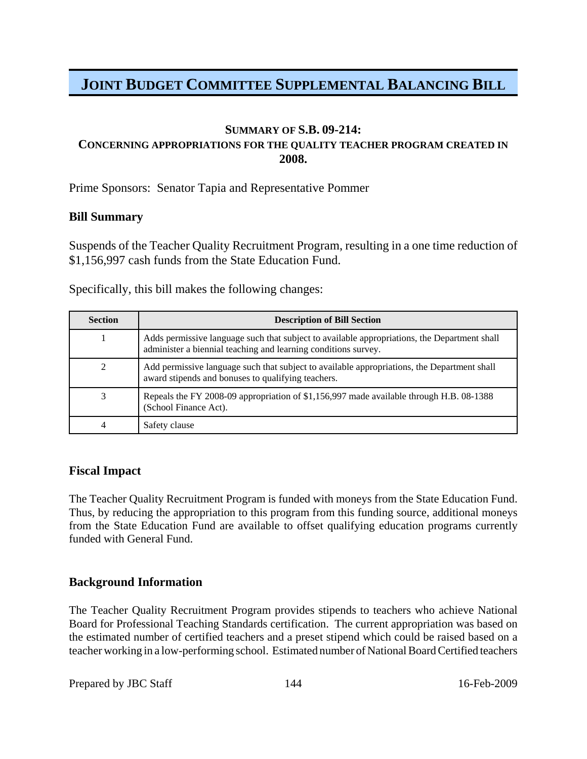#### **SUMMARY OF S.B. 09-214:**

### **CONCERNING APPROPRIATIONS FOR THE QUALITY TEACHER PROGRAM CREATED IN 2008.**

Prime Sponsors: Senator Tapia and Representative Pommer

#### **Bill Summary**

Suspends of the Teacher Quality Recruitment Program, resulting in a one time reduction of \$1,156,997 cash funds from the State Education Fund.

Specifically, this bill makes the following changes:

| <b>Section</b> | <b>Description of Bill Section</b>                                                                                                                             |
|----------------|----------------------------------------------------------------------------------------------------------------------------------------------------------------|
|                | Adds permissive language such that subject to available appropriations, the Department shall<br>administer a biennial teaching and learning conditions survey. |
|                | Add permissive language such that subject to available appropriations, the Department shall<br>award stipends and bonuses to qualifying teachers.              |
|                | Repeals the FY 2008-09 appropriation of \$1,156,997 made available through H.B. 08-1388<br>(School Finance Act).                                               |
|                | Safety clause                                                                                                                                                  |

### **Fiscal Impact**

The Teacher Quality Recruitment Program is funded with moneys from the State Education Fund. Thus, by reducing the appropriation to this program from this funding source, additional moneys from the State Education Fund are available to offset qualifying education programs currently funded with General Fund.

### **Background Information**

The Teacher Quality Recruitment Program provides stipends to teachers who achieve National Board for Professional Teaching Standards certification. The current appropriation was based on the estimated number of certified teachers and a preset stipend which could be raised based on a teacher working in a low-performing school. Estimated number of National Board Certified teachers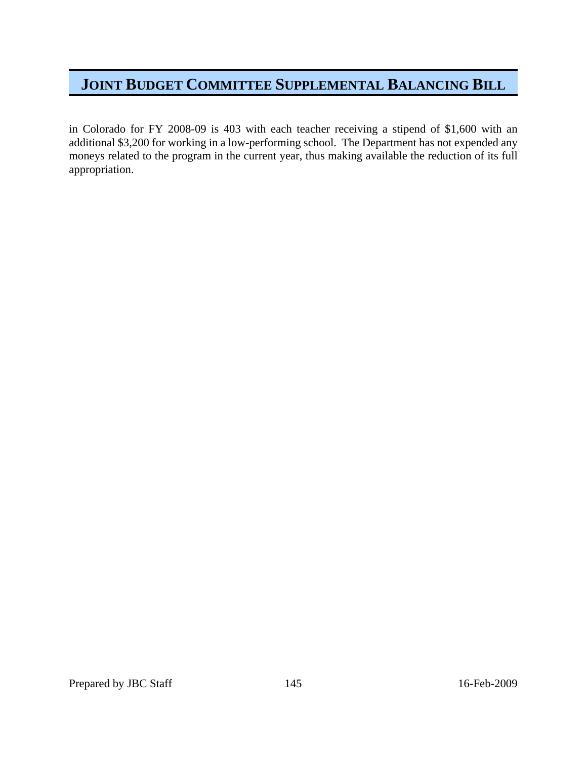in Colorado for FY 2008-09 is 403 with each teacher receiving a stipend of \$1,600 with an additional \$3,200 for working in a low-performing school. The Department has not expended any moneys related to the program in the current year, thus making available the reduction of its full appropriation.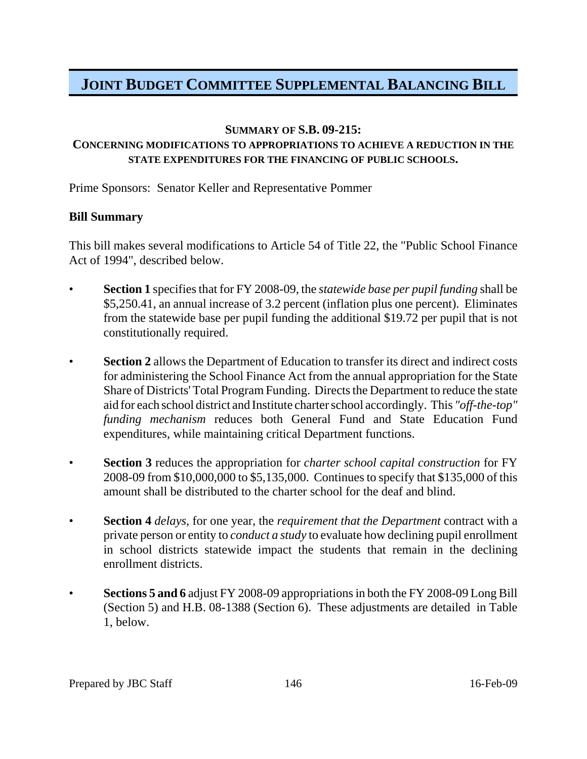### **SUMMARY OF S.B. 09-215:**

## **CONCERNING MODIFICATIONS TO APPROPRIATIONS TO ACHIEVE A REDUCTION IN THE STATE EXPENDITURES FOR THE FINANCING OF PUBLIC SCHOOLS.**

Prime Sponsors: Senator Keller and Representative Pommer

### **Bill Summary**

This bill makes several modifications to Article 54 of Title 22, the "Public School Finance Act of 1994", described below.

- **Section 1** specifies that for FY 2008-09, the *statewide base per pupil funding* shall be \$5,250.41, an annual increase of 3.2 percent (inflation plus one percent). Eliminates from the statewide base per pupil funding the additional \$19.72 per pupil that is not constitutionally required.
- **Section 2** allows the Department of Education to transfer its direct and indirect costs for administering the School Finance Act from the annual appropriation for the State Share of Districts' Total Program Funding. Directs the Department to reduce the state aid for each school district and Institute charter school accordingly. This *"off-the-top" funding mechanism* reduces both General Fund and State Education Fund expenditures, while maintaining critical Department functions.
- **Section 3** reduces the appropriation for *charter school capital construction* for FY 2008-09 from \$10,000,000 to \$5,135,000. Continues to specify that \$135,000 of this amount shall be distributed to the charter school for the deaf and blind.
- **Section 4** *delays*, for one year, the *requirement that the Department* contract with a private person or entity to *conduct a study* to evaluate how declining pupil enrollment in school districts statewide impact the students that remain in the declining enrollment districts.
- **Sections 5 and 6** adjust FY 2008-09 appropriations in both the FY 2008-09 Long Bill (Section 5) and H.B. 08-1388 (Section 6). These adjustments are detailed in Table 1, below.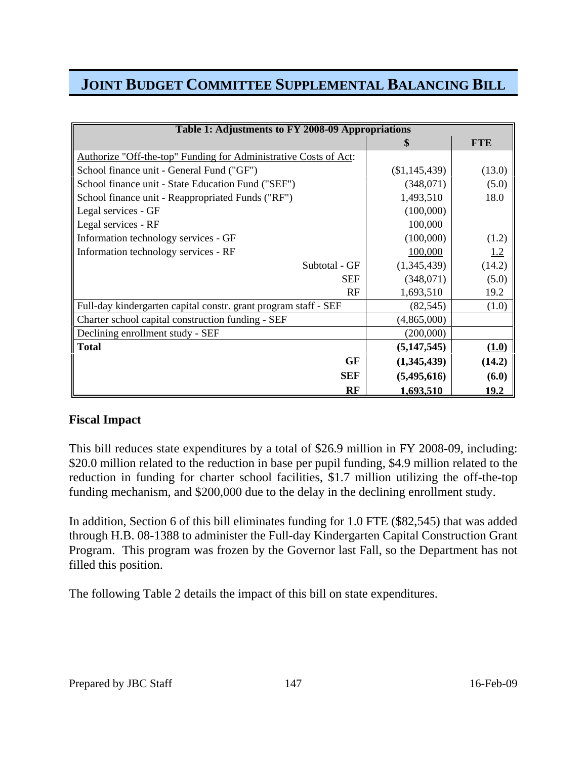| Table 1: Adjustments to FY 2008-09 Appropriations                |                  |               |  |
|------------------------------------------------------------------|------------------|---------------|--|
|                                                                  | \$               | <b>FTE</b>    |  |
| Authorize "Off-the-top" Funding for Administrative Costs of Act: |                  |               |  |
| School finance unit - General Fund ("GF")                        | (\$1,145,439)    | (13.0)        |  |
| School finance unit - State Education Fund ("SEF")               | (348,071)        | (5.0)         |  |
| School finance unit - Reappropriated Funds ("RF")                | 1,493,510        | 18.0          |  |
| Legal services - GF                                              | (100,000)        |               |  |
| Legal services - RF                                              | 100,000          |               |  |
| Information technology services - GF                             | (100,000)        | (1.2)         |  |
| Information technology services - RF                             | 100,000          | 1.2           |  |
| Subtotal - GF                                                    | (1,345,439)      | (14.2)        |  |
| <b>SEF</b>                                                       | (348,071)        | (5.0)         |  |
| RF                                                               | 1,693,510        | 19.2          |  |
| Full-day kindergarten capital constr. grant program staff - SEF  | (82, 545)        | (1.0)         |  |
| Charter school capital construction funding - SEF                | (4,865,000)      |               |  |
| Declining enrollment study - SEF                                 | (200,000)        |               |  |
| <b>Total</b>                                                     | (5, 147, 545)    | (1.0)         |  |
| GF                                                               | (1,345,439)      | (14.2)        |  |
| <b>SEF</b>                                                       | (5,495,616)      | (6.0)         |  |
| RF                                                               | <u>1.693.510</u> | <u> 19.2 </u> |  |

### **Fiscal Impact**

This bill reduces state expenditures by a total of \$26.9 million in FY 2008-09, including: \$20.0 million related to the reduction in base per pupil funding, \$4.9 million related to the reduction in funding for charter school facilities, \$1.7 million utilizing the off-the-top funding mechanism, and \$200,000 due to the delay in the declining enrollment study.

In addition, Section 6 of this bill eliminates funding for 1.0 FTE (\$82,545) that was added through H.B. 08-1388 to administer the Full-day Kindergarten Capital Construction Grant Program. This program was frozen by the Governor last Fall, so the Department has not filled this position.

The following Table 2 details the impact of this bill on state expenditures.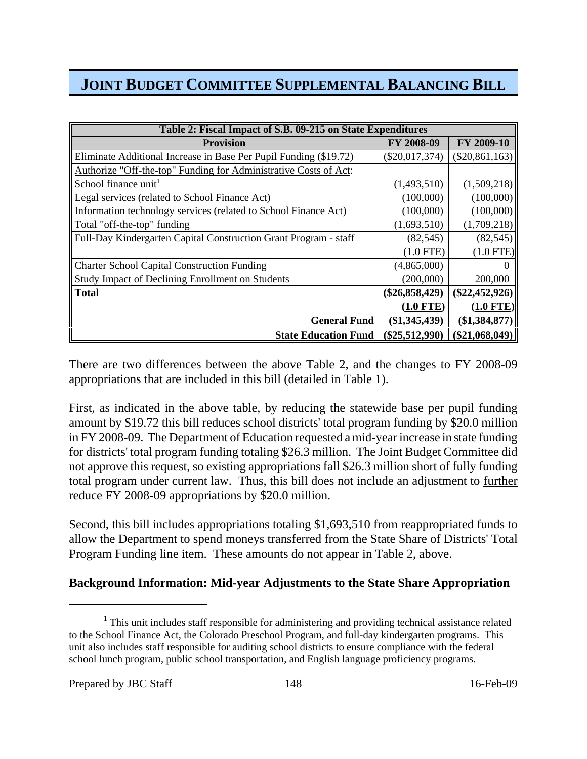| Table 2: Fiscal Impact of S.B. 09-215 on State Expenditures       |                  |                  |  |
|-------------------------------------------------------------------|------------------|------------------|--|
| <b>Provision</b>                                                  | FY 2008-09       | FY 2009-10       |  |
| Eliminate Additional Increase in Base Per Pupil Funding (\$19.72) | $(\$20,017,374)$ | $(\$20,861,163)$ |  |
| Authorize "Off-the-top" Funding for Administrative Costs of Act:  |                  |                  |  |
| School finance unit <sup>1</sup>                                  | (1,493,510)      | (1,509,218)      |  |
| Legal services (related to School Finance Act)                    | (100,000)        | (100,000)        |  |
| Information technology services (related to School Finance Act)   | (100,000)        | (100,000)        |  |
| Total "off-the-top" funding                                       | (1,693,510)      | (1,709,218)      |  |
| Full-Day Kindergarten Capital Construction Grant Program - staff  | (82, 545)        | (82, 545)        |  |
|                                                                   | $(1.0$ FTE)      | $(1.0$ FTE)      |  |
| <b>Charter School Capital Construction Funding</b>                | (4,865,000)      |                  |  |
| <b>Study Impact of Declining Enrollment on Students</b>           | (200,000)        | 200,000          |  |
| <b>Total</b>                                                      | $(\$26,858,429)$ | $(\$22,452,926)$ |  |
|                                                                   | $(1.0$ FTE)      | $(1.0$ FTE)      |  |
| <b>General Fund</b>                                               | $(\$1,345,439)$  | (\$1,384,877)    |  |
| <b>State Education Fund</b>                                       | $(\$25,512,990)$ | $(\$21,068,049)$ |  |

There are two differences between the above Table 2, and the changes to FY 2008-09 appropriations that are included in this bill (detailed in Table 1).

First, as indicated in the above table, by reducing the statewide base per pupil funding amount by \$19.72 this bill reduces school districts' total program funding by \$20.0 million in FY 2008-09. The Department of Education requested a mid-year increase in state funding for districts' total program funding totaling \$26.3 million. The Joint Budget Committee did not approve this request, so existing appropriations fall \$26.3 million short of fully funding total program under current law. Thus, this bill does not include an adjustment to further reduce FY 2008-09 appropriations by \$20.0 million.

Second, this bill includes appropriations totaling \$1,693,510 from reappropriated funds to allow the Department to spend moneys transferred from the State Share of Districts' Total Program Funding line item. These amounts do not appear in Table 2, above.

## **Background Information: Mid-year Adjustments to the State Share Appropriation**

 $1$  This unit includes staff responsible for administering and providing technical assistance related to the School Finance Act, the Colorado Preschool Program, and full-day kindergarten programs. This unit also includes staff responsible for auditing school districts to ensure compliance with the federal school lunch program, public school transportation, and English language proficiency programs.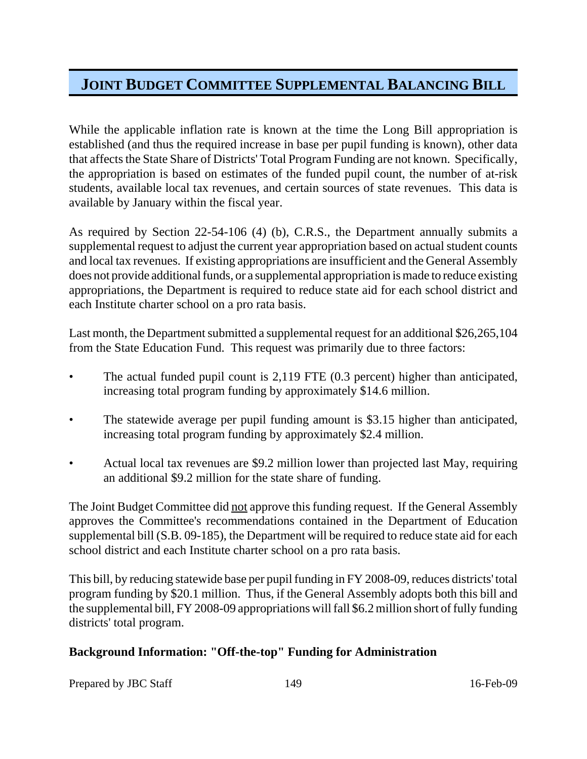While the applicable inflation rate is known at the time the Long Bill appropriation is established (and thus the required increase in base per pupil funding is known), other data that affects the State Share of Districts' Total Program Funding are not known. Specifically, the appropriation is based on estimates of the funded pupil count, the number of at-risk students, available local tax revenues, and certain sources of state revenues. This data is available by January within the fiscal year.

As required by Section 22-54-106 (4) (b), C.R.S., the Department annually submits a supplemental request to adjust the current year appropriation based on actual student counts and local tax revenues. If existing appropriations are insufficient and the General Assembly does not provide additional funds, or a supplemental appropriation is made to reduce existing appropriations, the Department is required to reduce state aid for each school district and each Institute charter school on a pro rata basis.

Last month, the Department submitted a supplemental request for an additional \$26,265,104 from the State Education Fund. This request was primarily due to three factors:

- The actual funded pupil count is 2,119 FTE (0.3 percent) higher than anticipated, increasing total program funding by approximately \$14.6 million.
- The statewide average per pupil funding amount is \$3.15 higher than anticipated, increasing total program funding by approximately \$2.4 million.
- Actual local tax revenues are \$9.2 million lower than projected last May, requiring an additional \$9.2 million for the state share of funding.

The Joint Budget Committee did not approve this funding request. If the General Assembly approves the Committee's recommendations contained in the Department of Education supplemental bill (S.B. 09-185), the Department will be required to reduce state aid for each school district and each Institute charter school on a pro rata basis.

This bill, by reducing statewide base per pupil funding in FY 2008-09, reduces districts' total program funding by \$20.1 million. Thus, if the General Assembly adopts both this bill and the supplemental bill, FY 2008-09 appropriations will fall \$6.2 million short of fully funding districts' total program.

## **Background Information: "Off-the-top" Funding for Administration**

Prepared by JBC Staff 149 16-Feb-09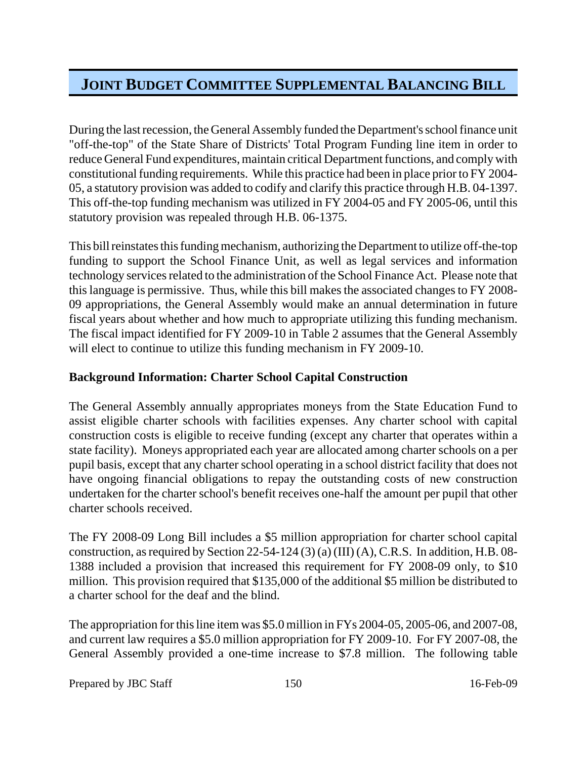During the last recession, the General Assembly funded the Department's school finance unit "off-the-top" of the State Share of Districts' Total Program Funding line item in order to reduce General Fund expenditures, maintain critical Department functions, and comply with constitutional funding requirements. While this practice had been in place prior to FY 2004- 05, a statutory provision was added to codify and clarify this practice through H.B. 04-1397. This off-the-top funding mechanism was utilized in FY 2004-05 and FY 2005-06, until this statutory provision was repealed through H.B. 06-1375.

This bill reinstates this funding mechanism, authorizing the Department to utilize off-the-top funding to support the School Finance Unit, as well as legal services and information technology services related to the administration of the School Finance Act. Please note that this language is permissive. Thus, while this bill makes the associated changes to FY 2008- 09 appropriations, the General Assembly would make an annual determination in future fiscal years about whether and how much to appropriate utilizing this funding mechanism. The fiscal impact identified for FY 2009-10 in Table 2 assumes that the General Assembly will elect to continue to utilize this funding mechanism in FY 2009-10.

## **Background Information: Charter School Capital Construction**

The General Assembly annually appropriates moneys from the State Education Fund to assist eligible charter schools with facilities expenses. Any charter school with capital construction costs is eligible to receive funding (except any charter that operates within a state facility). Moneys appropriated each year are allocated among charter schools on a per pupil basis, except that any charter school operating in a school district facility that does not have ongoing financial obligations to repay the outstanding costs of new construction undertaken for the charter school's benefit receives one-half the amount per pupil that other charter schools received.

The FY 2008-09 Long Bill includes a \$5 million appropriation for charter school capital construction, as required by Section 22-54-124 (3) (a) (III) (A), C.R.S. In addition, H.B. 08- 1388 included a provision that increased this requirement for FY 2008-09 only, to \$10 million. This provision required that \$135,000 of the additional \$5 million be distributed to a charter school for the deaf and the blind.

The appropriation for this line item was \$5.0 million in FYs 2004-05, 2005-06, and 2007-08, and current law requires a \$5.0 million appropriation for FY 2009-10. For FY 2007-08, the General Assembly provided a one-time increase to \$7.8 million. The following table

Prepared by JBC Staff 150 16-Feb-09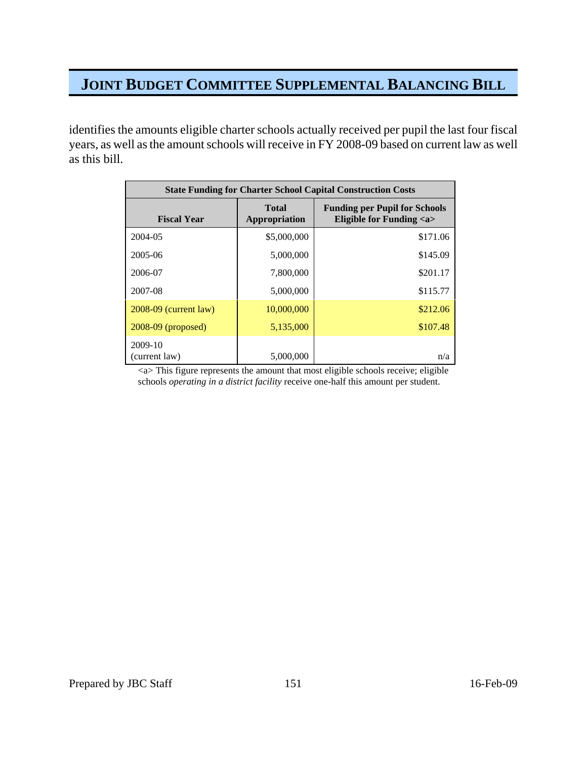identifies the amounts eligible charter schools actually received per pupil the last four fiscal years, as well as the amount schools will receive in FY 2008-09 based on current law as well as this bill.

| <b>State Funding for Charter School Capital Construction Costs</b> |                               |                                                                      |  |
|--------------------------------------------------------------------|-------------------------------|----------------------------------------------------------------------|--|
| <b>Fiscal Year</b>                                                 | <b>Total</b><br>Appropriation | <b>Funding per Pupil for Schools</b><br>Eligible for Funding <a></a> |  |
| 2004-05                                                            | \$5,000,000                   | \$171.06                                                             |  |
| 2005-06                                                            | 5,000,000                     | \$145.09                                                             |  |
| 2006-07                                                            | 7,800,000                     | \$201.17                                                             |  |
| 2007-08                                                            | 5,000,000                     | \$115.77                                                             |  |
| $2008-09$ (current law)                                            | 10,000,000                    | \$212.06                                                             |  |
| $2008-09$ (proposed)                                               | 5,135,000                     | \$107.48                                                             |  |
| 2009-10<br>(current law)                                           | 5,000,000                     | n/a                                                                  |  |

<a> This figure represents the amount that most eligible schools receive; eligible schools *operating in a district facility* receive one-half this amount per student.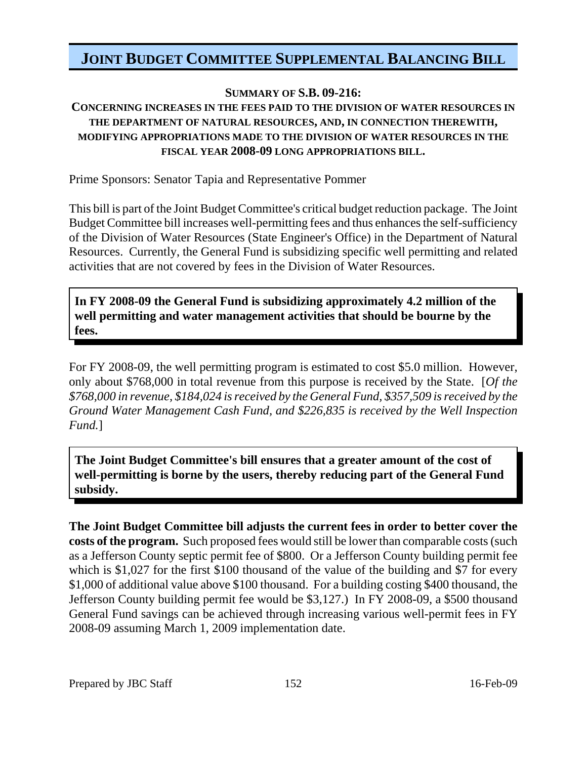## **SUMMARY OF S.B. 09-216:**

## **CONCERNING INCREASES IN THE FEES PAID TO THE DIVISION OF WATER RESOURCES IN THE DEPARTMENT OF NATURAL RESOURCES, AND, IN CONNECTION THEREWITH, MODIFYING APPROPRIATIONS MADE TO THE DIVISION OF WATER RESOURCES IN THE FISCAL YEAR 2008-09 LONG APPROPRIATIONS BILL.**

Prime Sponsors: Senator Tapia and Representative Pommer

This bill is part of the Joint Budget Committee's critical budget reduction package. The Joint Budget Committee bill increases well-permitting fees and thus enhances the self-sufficiency of the Division of Water Resources (State Engineer's Office) in the Department of Natural Resources. Currently, the General Fund is subsidizing specific well permitting and related activities that are not covered by fees in the Division of Water Resources.

**In FY 2008-09 the General Fund is subsidizing approximately 4.2 million of the well permitting and water management activities that should be bourne by the fees.**

For FY 2008-09, the well permitting program is estimated to cost \$5.0 million. However, only about \$768,000 in total revenue from this purpose is received by the State. [*Of the \$768,000 in revenue, \$184,024 is received by the General Fund, \$357,509 is received by the Ground Water Management Cash Fund, and \$226,835 is received by the Well Inspection Fund.*]

**The Joint Budget Committee's bill ensures that a greater amount of the cost of well-permitting is borne by the users, thereby reducing part of the General Fund subsidy.**

**The Joint Budget Committee bill adjusts the current fees in order to better cover the costs of the program.** Such proposed fees would still be lower than comparable costs (such as a Jefferson County septic permit fee of \$800. Or a Jefferson County building permit fee which is \$1,027 for the first \$100 thousand of the value of the building and \$7 for every \$1,000 of additional value above \$100 thousand. For a building costing \$400 thousand, the Jefferson County building permit fee would be \$3,127.) In FY 2008-09, a \$500 thousand General Fund savings can be achieved through increasing various well-permit fees in FY 2008-09 assuming March 1, 2009 implementation date.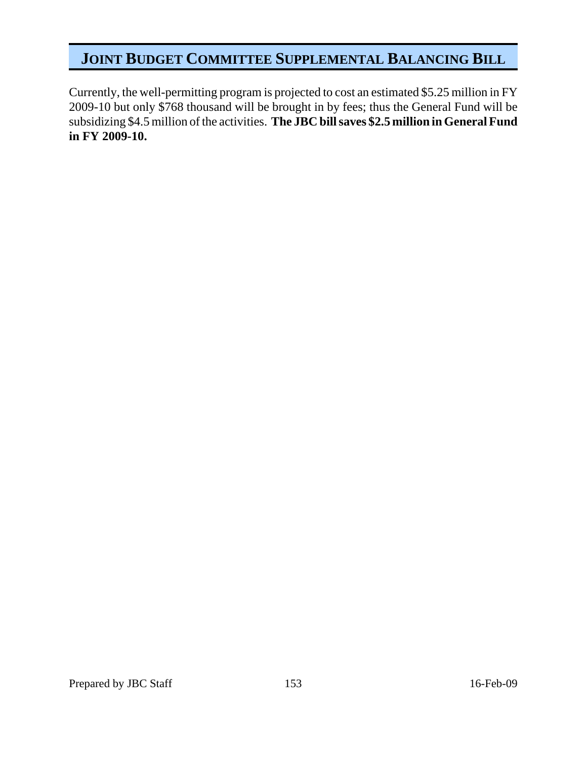Currently, the well-permitting program is projected to cost an estimated \$5.25 million in FY 2009-10 but only \$768 thousand will be brought in by fees; thus the General Fund will be subsidizing \$4.5 million of the activities. **The JBC bill saves \$2.5 million in General Fund in FY 2009-10.**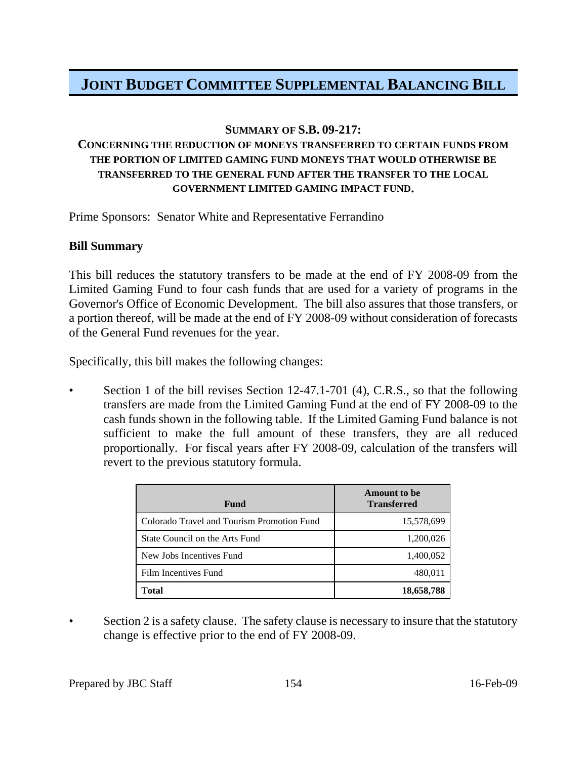### **SUMMARY OF S.B. 09-217:**

## **CONCERNING THE REDUCTION OF MONEYS TRANSFERRED TO CERTAIN FUNDS FROM THE PORTION OF LIMITED GAMING FUND MONEYS THAT WOULD OTHERWISE BE TRANSFERRED TO THE GENERAL FUND AFTER THE TRANSFER TO THE LOCAL GOVERNMENT LIMITED GAMING IMPACT FUND.**

Prime Sponsors: Senator White and Representative Ferrandino

### **Bill Summary**

This bill reduces the statutory transfers to be made at the end of FY 2008-09 from the Limited Gaming Fund to four cash funds that are used for a variety of programs in the Governor's Office of Economic Development. The bill also assures that those transfers, or a portion thereof, will be made at the end of FY 2008-09 without consideration of forecasts of the General Fund revenues for the year.

Specifically, this bill makes the following changes:

Section 1 of the bill revises Section 12-47.1-701 (4), C.R.S., so that the following transfers are made from the Limited Gaming Fund at the end of FY 2008-09 to the cash funds shown in the following table. If the Limited Gaming Fund balance is not sufficient to make the full amount of these transfers, they are all reduced proportionally. For fiscal years after FY 2008-09, calculation of the transfers will revert to the previous statutory formula.

| Fund                                       | <b>Amount</b> to be<br><b>Transferred</b> |
|--------------------------------------------|-------------------------------------------|
| Colorado Travel and Tourism Promotion Fund | 15,578,699                                |
| State Council on the Arts Fund             | 1,200,026                                 |
| New Jobs Incentives Fund                   | 1,400,052                                 |
| Film Incentives Fund                       | 480,011                                   |
| Total                                      | 18,658,788                                |

Section 2 is a safety clause. The safety clause is necessary to insure that the statutory change is effective prior to the end of FY 2008-09.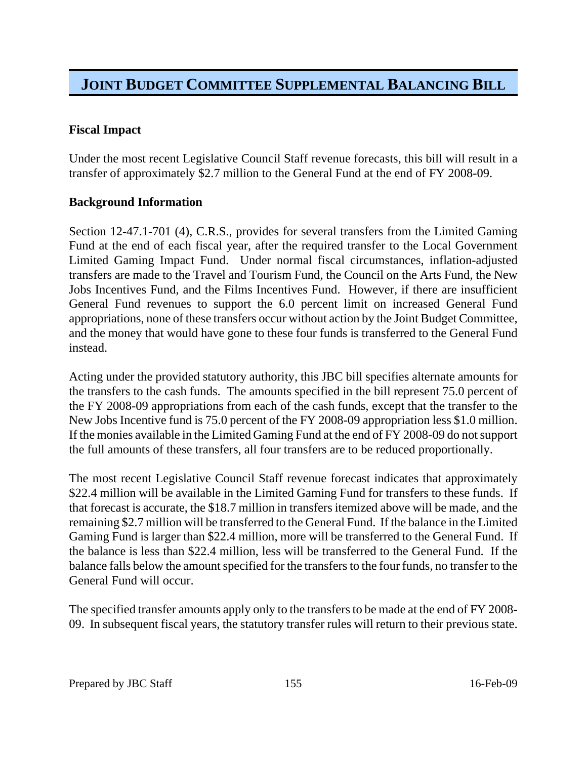## **Fiscal Impact**

Under the most recent Legislative Council Staff revenue forecasts, this bill will result in a transfer of approximately \$2.7 million to the General Fund at the end of FY 2008-09.

### **Background Information**

Section 12-47.1-701 (4), C.R.S., provides for several transfers from the Limited Gaming Fund at the end of each fiscal year, after the required transfer to the Local Government Limited Gaming Impact Fund. Under normal fiscal circumstances, inflation-adjusted transfers are made to the Travel and Tourism Fund, the Council on the Arts Fund, the New Jobs Incentives Fund, and the Films Incentives Fund. However, if there are insufficient General Fund revenues to support the 6.0 percent limit on increased General Fund appropriations, none of these transfers occur without action by the Joint Budget Committee, and the money that would have gone to these four funds is transferred to the General Fund instead.

Acting under the provided statutory authority, this JBC bill specifies alternate amounts for the transfers to the cash funds. The amounts specified in the bill represent 75.0 percent of the FY 2008-09 appropriations from each of the cash funds, except that the transfer to the New Jobs Incentive fund is 75.0 percent of the FY 2008-09 appropriation less \$1.0 million. If the monies available in the Limited Gaming Fund at the end of FY 2008-09 do not support the full amounts of these transfers, all four transfers are to be reduced proportionally.

The most recent Legislative Council Staff revenue forecast indicates that approximately \$22.4 million will be available in the Limited Gaming Fund for transfers to these funds. If that forecast is accurate, the \$18.7 million in transfers itemized above will be made, and the remaining \$2.7 million will be transferred to the General Fund. If the balance in the Limited Gaming Fund is larger than \$22.4 million, more will be transferred to the General Fund. If the balance is less than \$22.4 million, less will be transferred to the General Fund. If the balance falls below the amount specified for the transfers to the four funds, no transfer to the General Fund will occur.

The specified transfer amounts apply only to the transfers to be made at the end of FY 2008- 09. In subsequent fiscal years, the statutory transfer rules will return to their previous state.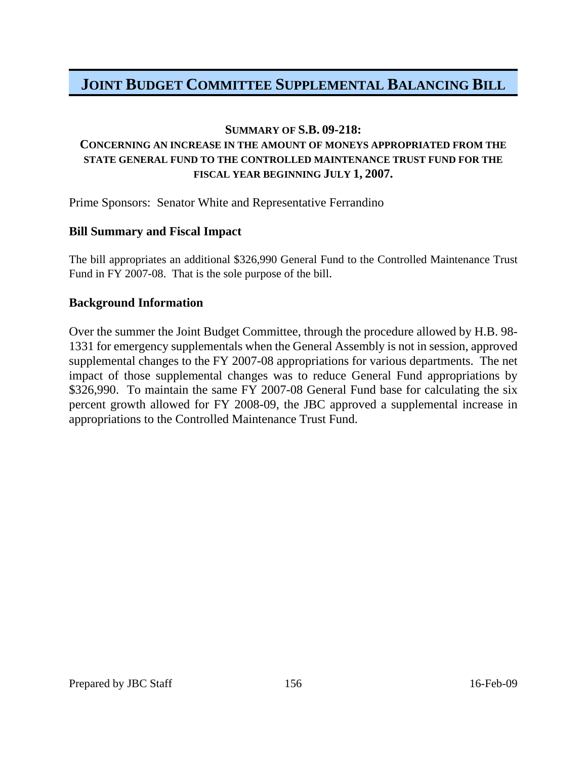### **SUMMARY OF S.B. 09-218:**

### **CONCERNING AN INCREASE IN THE AMOUNT OF MONEYS APPROPRIATED FROM THE STATE GENERAL FUND TO THE CONTROLLED MAINTENANCE TRUST FUND FOR THE FISCAL YEAR BEGINNING JULY 1, 2007.**

Prime Sponsors: Senator White and Representative Ferrandino

### **Bill Summary and Fiscal Impact**

The bill appropriates an additional \$326,990 General Fund to the Controlled Maintenance Trust Fund in FY 2007-08. That is the sole purpose of the bill.

### **Background Information**

Over the summer the Joint Budget Committee, through the procedure allowed by H.B. 98- 1331 for emergency supplementals when the General Assembly is not in session, approved supplemental changes to the FY 2007-08 appropriations for various departments. The net impact of those supplemental changes was to reduce General Fund appropriations by \$326,990. To maintain the same FY 2007-08 General Fund base for calculating the six percent growth allowed for FY 2008-09, the JBC approved a supplemental increase in appropriations to the Controlled Maintenance Trust Fund.